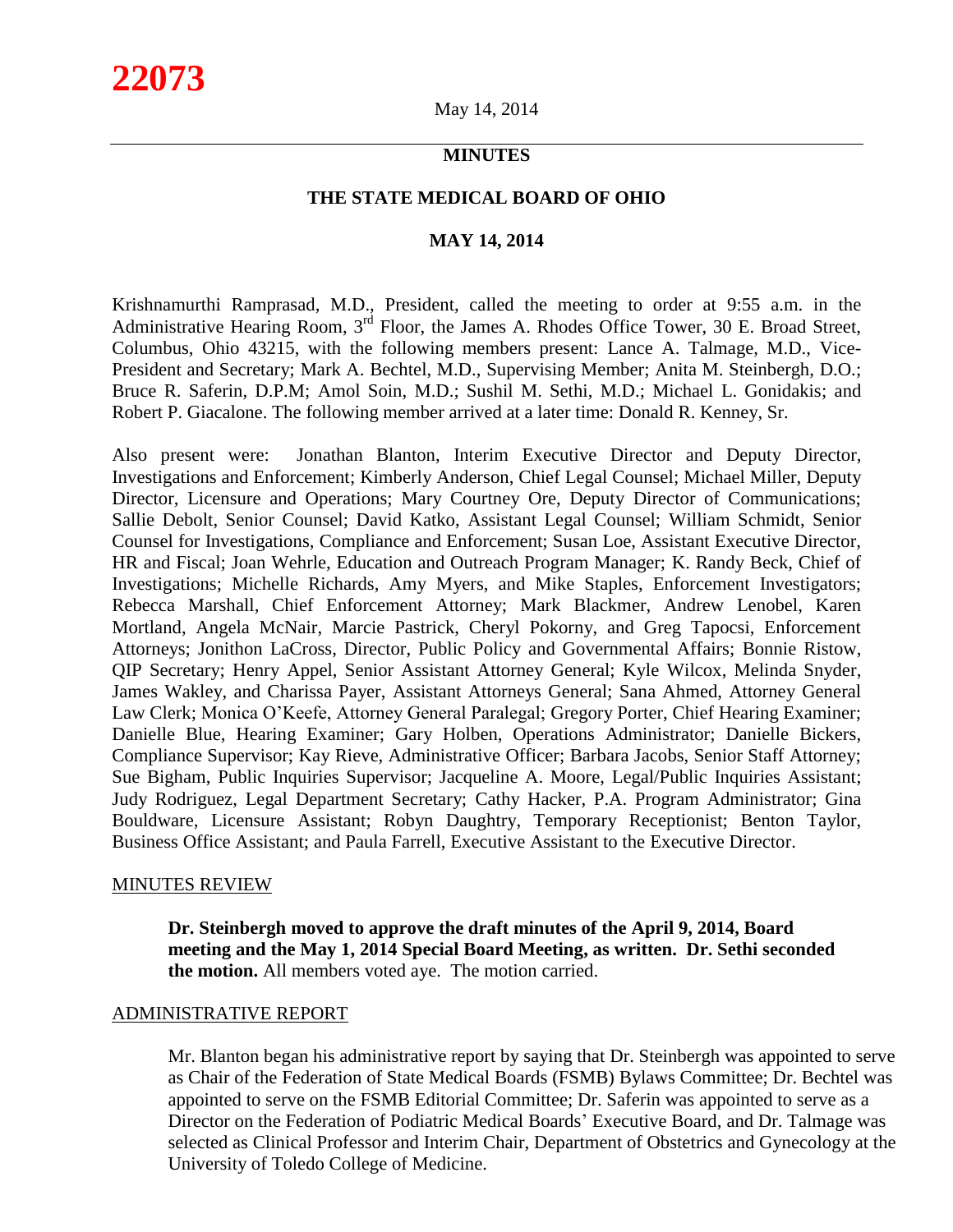# **MINUTES**

## **THE STATE MEDICAL BOARD OF OHIO**

# **MAY 14, 2014**

Krishnamurthi Ramprasad, M.D., President, called the meeting to order at 9:55 a.m. in the Administrative Hearing Room, 3<sup>rd</sup> Floor, the James A. Rhodes Office Tower, 30 E. Broad Street, Columbus, Ohio 43215, with the following members present: Lance A. Talmage, M.D., Vice-President and Secretary; Mark A. Bechtel, M.D., Supervising Member; Anita M. Steinbergh, D.O.; Bruce R. Saferin, D.P.M; Amol Soin, M.D.; Sushil M. Sethi, M.D.; Michael L. Gonidakis; and Robert P. Giacalone. The following member arrived at a later time: Donald R. Kenney, Sr.

Also present were: Jonathan Blanton, Interim Executive Director and Deputy Director, Investigations and Enforcement; Kimberly Anderson, Chief Legal Counsel; Michael Miller, Deputy Director, Licensure and Operations; Mary Courtney Ore, Deputy Director of Communications; Sallie Debolt, Senior Counsel; David Katko, Assistant Legal Counsel; William Schmidt, Senior Counsel for Investigations, Compliance and Enforcement; Susan Loe, Assistant Executive Director, HR and Fiscal; Joan Wehrle, Education and Outreach Program Manager; K. Randy Beck, Chief of Investigations; Michelle Richards, Amy Myers, and Mike Staples, Enforcement Investigators; Rebecca Marshall, Chief Enforcement Attorney; Mark Blackmer, Andrew Lenobel, Karen Mortland, Angela McNair, Marcie Pastrick, Cheryl Pokorny, and Greg Tapocsi, Enforcement Attorneys; Jonithon LaCross, Director, Public Policy and Governmental Affairs; Bonnie Ristow, QIP Secretary; Henry Appel, Senior Assistant Attorney General; Kyle Wilcox, Melinda Snyder, James Wakley, and Charissa Payer, Assistant Attorneys General; Sana Ahmed, Attorney General Law Clerk; Monica O'Keefe, Attorney General Paralegal; Gregory Porter, Chief Hearing Examiner; Danielle Blue, Hearing Examiner; Gary Holben, Operations Administrator; Danielle Bickers, Compliance Supervisor; Kay Rieve, Administrative Officer; Barbara Jacobs, Senior Staff Attorney; Sue Bigham, Public Inquiries Supervisor; Jacqueline A. Moore, Legal/Public Inquiries Assistant; Judy Rodriguez, Legal Department Secretary; Cathy Hacker, P.A. Program Administrator; Gina Bouldware, Licensure Assistant; Robyn Daughtry, Temporary Receptionist; Benton Taylor, Business Office Assistant; and Paula Farrell, Executive Assistant to the Executive Director.

#### MINUTES REVIEW

**Dr. Steinbergh moved to approve the draft minutes of the April 9, 2014, Board meeting and the May 1, 2014 Special Board Meeting, as written. Dr. Sethi seconded the motion.** All members voted aye. The motion carried.

### ADMINISTRATIVE REPORT

Mr. Blanton began his administrative report by saying that Dr. Steinbergh was appointed to serve as Chair of the Federation of State Medical Boards (FSMB) Bylaws Committee; Dr. Bechtel was appointed to serve on the FSMB Editorial Committee; Dr. Saferin was appointed to serve as a Director on the Federation of Podiatric Medical Boards' Executive Board, and Dr. Talmage was selected as Clinical Professor and Interim Chair, Department of Obstetrics and Gynecology at the University of Toledo College of Medicine.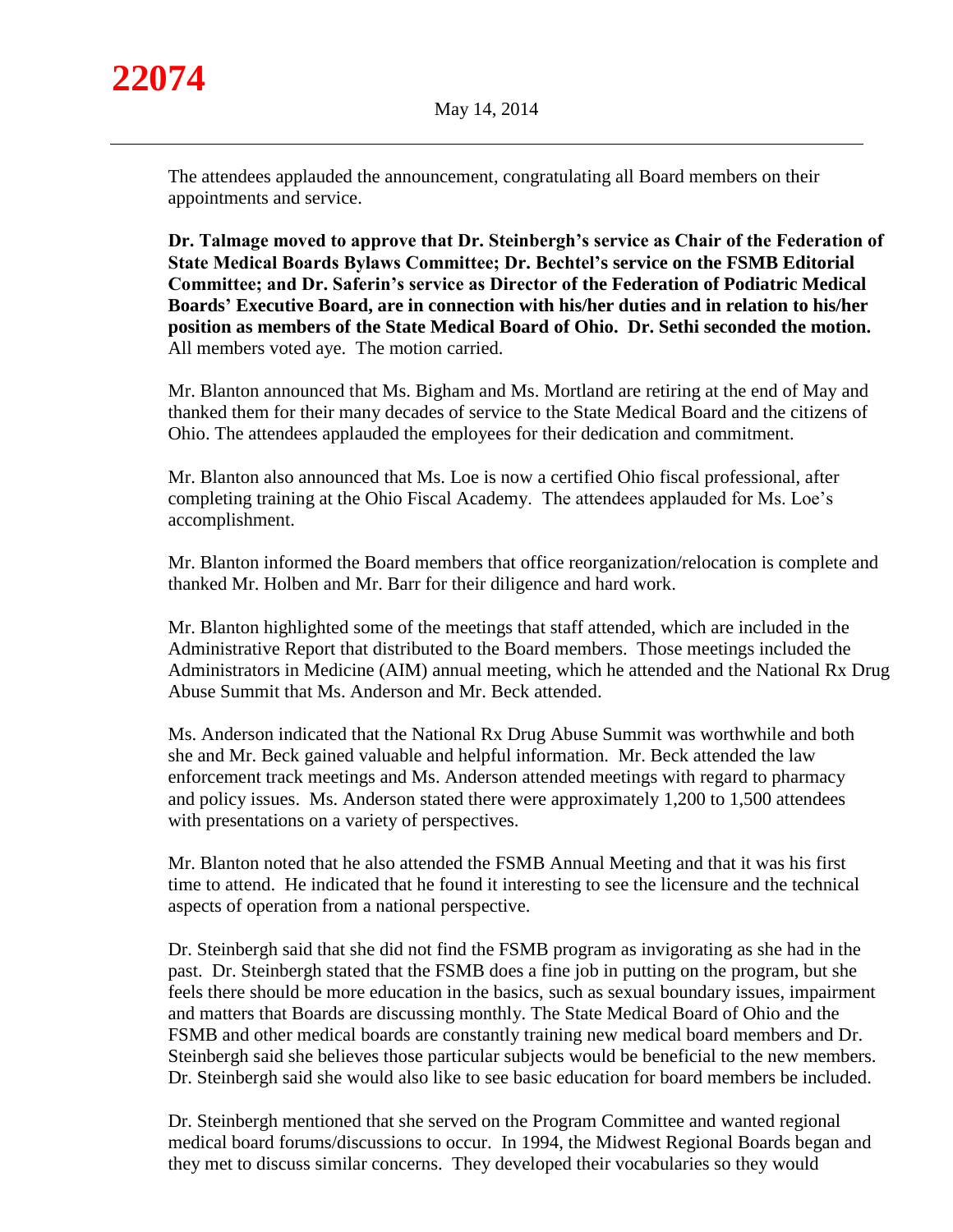

The attendees applauded the announcement, congratulating all Board members on their appointments and service.

**Dr. Talmage moved to approve that Dr. Steinbergh's service as Chair of the Federation of State Medical Boards Bylaws Committee; Dr. Bechtel's service on the FSMB Editorial Committee; and Dr. Saferin's service as Director of the Federation of Podiatric Medical Boards' Executive Board, are in connection with his/her duties and in relation to his/her position as members of the State Medical Board of Ohio. Dr. Sethi seconded the motion.** All members voted aye. The motion carried.

Mr. Blanton announced that Ms. Bigham and Ms. Mortland are retiring at the end of May and thanked them for their many decades of service to the State Medical Board and the citizens of Ohio. The attendees applauded the employees for their dedication and commitment.

Mr. Blanton also announced that Ms. Loe is now a certified Ohio fiscal professional, after completing training at the Ohio Fiscal Academy. The attendees applauded for Ms. Loe's accomplishment.

Mr. Blanton informed the Board members that office reorganization/relocation is complete and thanked Mr. Holben and Mr. Barr for their diligence and hard work.

Mr. Blanton highlighted some of the meetings that staff attended, which are included in the Administrative Report that distributed to the Board members. Those meetings included the Administrators in Medicine (AIM) annual meeting, which he attended and the National Rx Drug Abuse Summit that Ms. Anderson and Mr. Beck attended.

Ms. Anderson indicated that the National Rx Drug Abuse Summit was worthwhile and both she and Mr. Beck gained valuable and helpful information. Mr. Beck attended the law enforcement track meetings and Ms. Anderson attended meetings with regard to pharmacy and policy issues. Ms. Anderson stated there were approximately 1,200 to 1,500 attendees with presentations on a variety of perspectives.

Mr. Blanton noted that he also attended the FSMB Annual Meeting and that it was his first time to attend. He indicated that he found it interesting to see the licensure and the technical aspects of operation from a national perspective.

Dr. Steinbergh said that she did not find the FSMB program as invigorating as she had in the past. Dr. Steinbergh stated that the FSMB does a fine job in putting on the program, but she feels there should be more education in the basics, such as sexual boundary issues, impairment and matters that Boards are discussing monthly. The State Medical Board of Ohio and the FSMB and other medical boards are constantly training new medical board members and Dr. Steinbergh said she believes those particular subjects would be beneficial to the new members. Dr. Steinbergh said she would also like to see basic education for board members be included.

Dr. Steinbergh mentioned that she served on the Program Committee and wanted regional medical board forums/discussions to occur. In 1994, the Midwest Regional Boards began and they met to discuss similar concerns. They developed their vocabularies so they would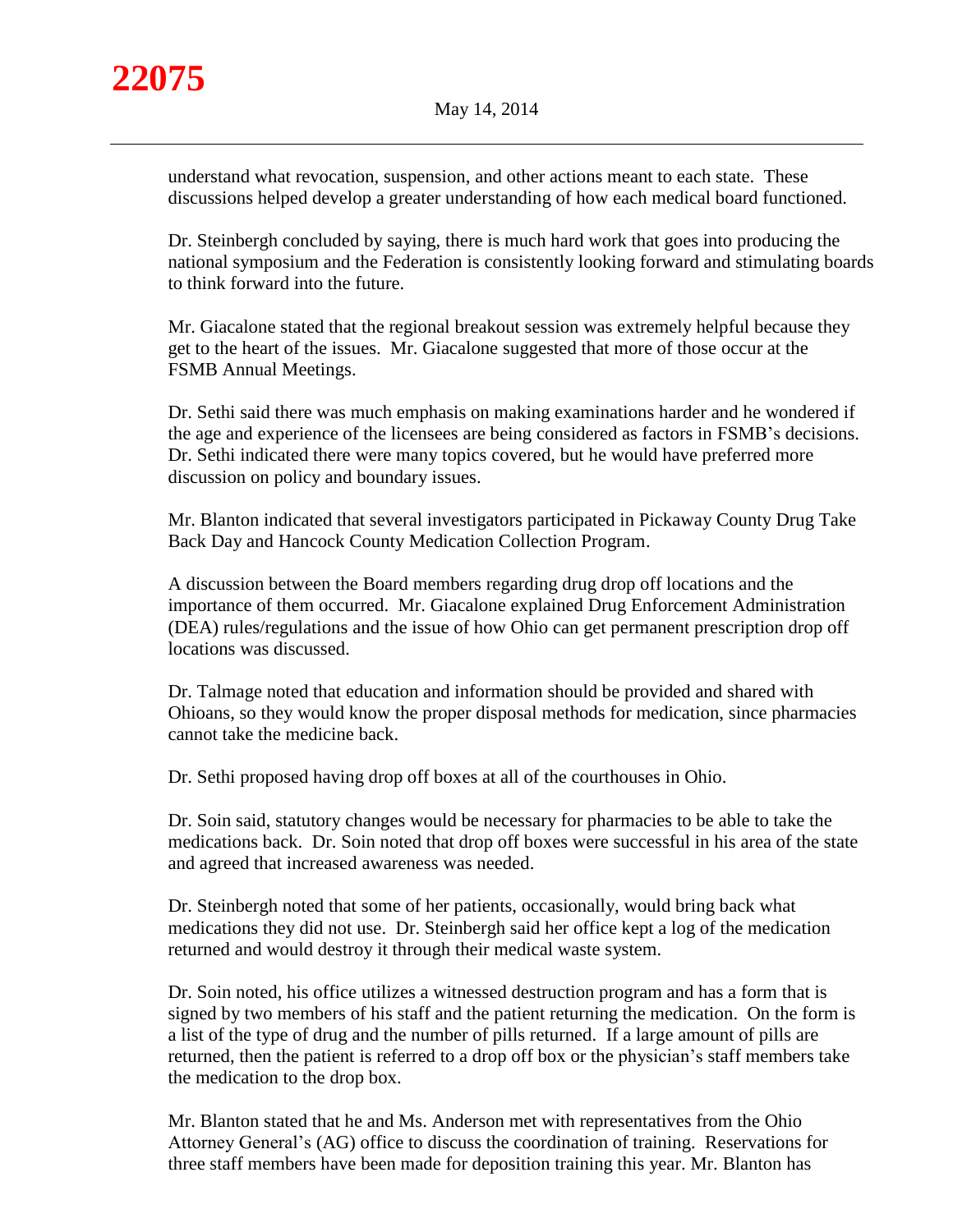understand what revocation, suspension, and other actions meant to each state. These discussions helped develop a greater understanding of how each medical board functioned.

Dr. Steinbergh concluded by saying, there is much hard work that goes into producing the national symposium and the Federation is consistently looking forward and stimulating boards to think forward into the future.

Mr. Giacalone stated that the regional breakout session was extremely helpful because they get to the heart of the issues. Mr. Giacalone suggested that more of those occur at the FSMB Annual Meetings.

Dr. Sethi said there was much emphasis on making examinations harder and he wondered if the age and experience of the licensees are being considered as factors in FSMB's decisions. Dr. Sethi indicated there were many topics covered, but he would have preferred more discussion on policy and boundary issues.

Mr. Blanton indicated that several investigators participated in Pickaway County Drug Take Back Day and Hancock County Medication Collection Program.

A discussion between the Board members regarding drug drop off locations and the importance of them occurred. Mr. Giacalone explained Drug Enforcement Administration (DEA) rules/regulations and the issue of how Ohio can get permanent prescription drop off locations was discussed.

Dr. Talmage noted that education and information should be provided and shared with Ohioans, so they would know the proper disposal methods for medication, since pharmacies cannot take the medicine back.

Dr. Sethi proposed having drop off boxes at all of the courthouses in Ohio.

Dr. Soin said, statutory changes would be necessary for pharmacies to be able to take the medications back. Dr. Soin noted that drop off boxes were successful in his area of the state and agreed that increased awareness was needed.

Dr. Steinbergh noted that some of her patients, occasionally, would bring back what medications they did not use. Dr. Steinbergh said her office kept a log of the medication returned and would destroy it through their medical waste system.

Dr. Soin noted, his office utilizes a witnessed destruction program and has a form that is signed by two members of his staff and the patient returning the medication. On the form is a list of the type of drug and the number of pills returned. If a large amount of pills are returned, then the patient is referred to a drop off box or the physician's staff members take the medication to the drop box.

Mr. Blanton stated that he and Ms. Anderson met with representatives from the Ohio Attorney General's (AG) office to discuss the coordination of training. Reservations for three staff members have been made for deposition training this year. Mr. Blanton has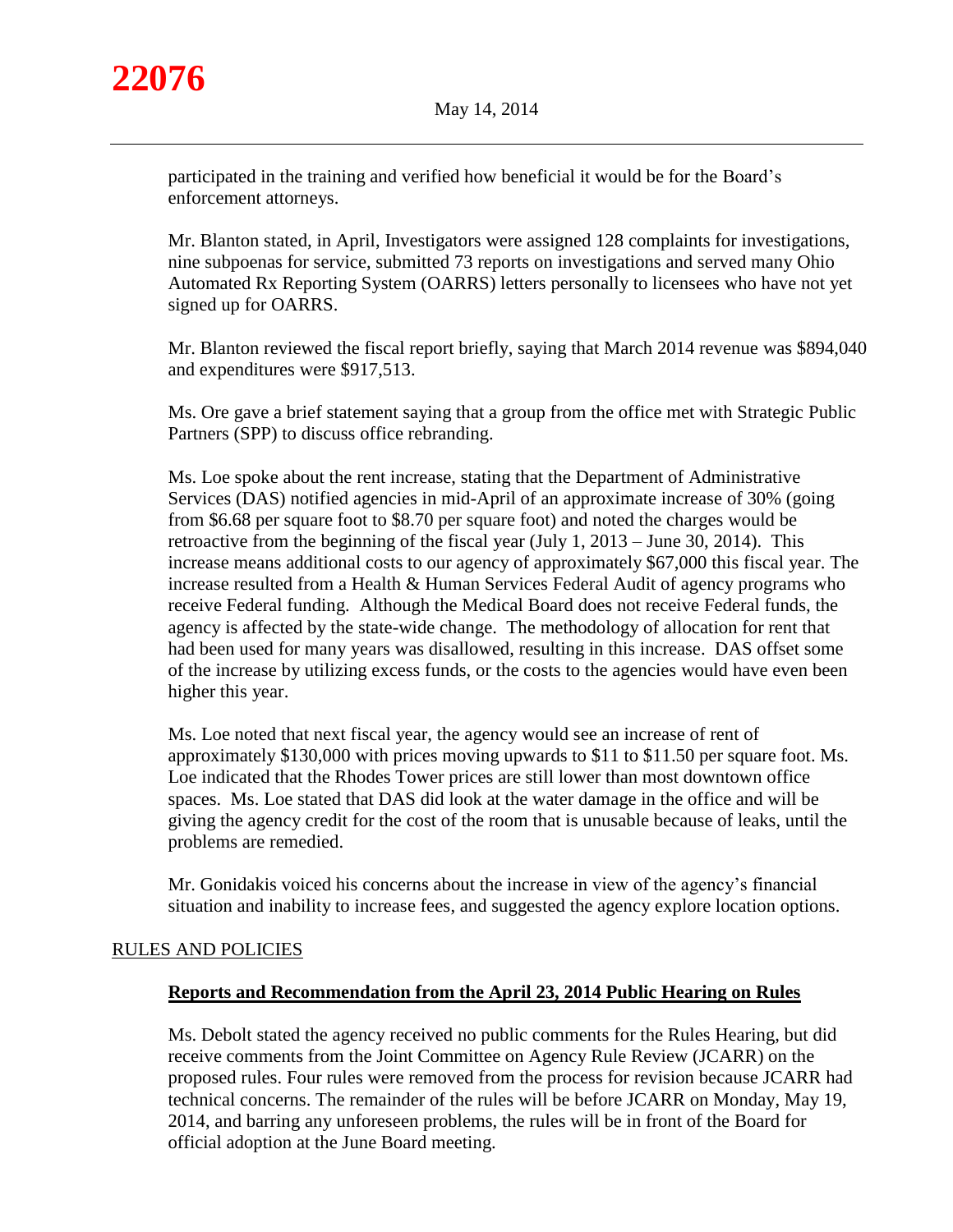

participated in the training and verified how beneficial it would be for the Board's enforcement attorneys.

Mr. Blanton stated, in April, Investigators were assigned 128 complaints for investigations, nine subpoenas for service, submitted 73 reports on investigations and served many Ohio Automated Rx Reporting System (OARRS) letters personally to licensees who have not yet signed up for OARRS.

Mr. Blanton reviewed the fiscal report briefly, saying that March 2014 revenue was \$894,040 and expenditures were \$917,513.

Ms. Ore gave a brief statement saying that a group from the office met with Strategic Public Partners (SPP) to discuss office rebranding.

Ms. Loe spoke about the rent increase, stating that the Department of Administrative Services (DAS) notified agencies in mid-April of an approximate increase of 30% (going from \$6.68 per square foot to \$8.70 per square foot) and noted the charges would be retroactive from the beginning of the fiscal year (July 1, 2013 – June 30, 2014). This increase means additional costs to our agency of approximately \$67,000 this fiscal year. The increase resulted from a Health & Human Services Federal Audit of agency programs who receive Federal funding. Although the Medical Board does not receive Federal funds, the agency is affected by the state-wide change. The methodology of allocation for rent that had been used for many years was disallowed, resulting in this increase. DAS offset some of the increase by utilizing excess funds, or the costs to the agencies would have even been higher this year.

Ms. Loe noted that next fiscal year, the agency would see an increase of rent of approximately \$130,000 with prices moving upwards to \$11 to \$11.50 per square foot. Ms. Loe indicated that the Rhodes Tower prices are still lower than most downtown office spaces. Ms. Loe stated that DAS did look at the water damage in the office and will be giving the agency credit for the cost of the room that is unusable because of leaks, until the problems are remedied.

Mr. Gonidakis voiced his concerns about the increase in view of the agency's financial situation and inability to increase fees, and suggested the agency explore location options.

# RULES AND POLICIES

# **Reports and Recommendation from the April 23, 2014 Public Hearing on Rules**

Ms. Debolt stated the agency received no public comments for the Rules Hearing, but did receive comments from the Joint Committee on Agency Rule Review (JCARR) on the proposed rules. Four rules were removed from the process for revision because JCARR had technical concerns. The remainder of the rules will be before JCARR on Monday, May 19, 2014, and barring any unforeseen problems, the rules will be in front of the Board for official adoption at the June Board meeting.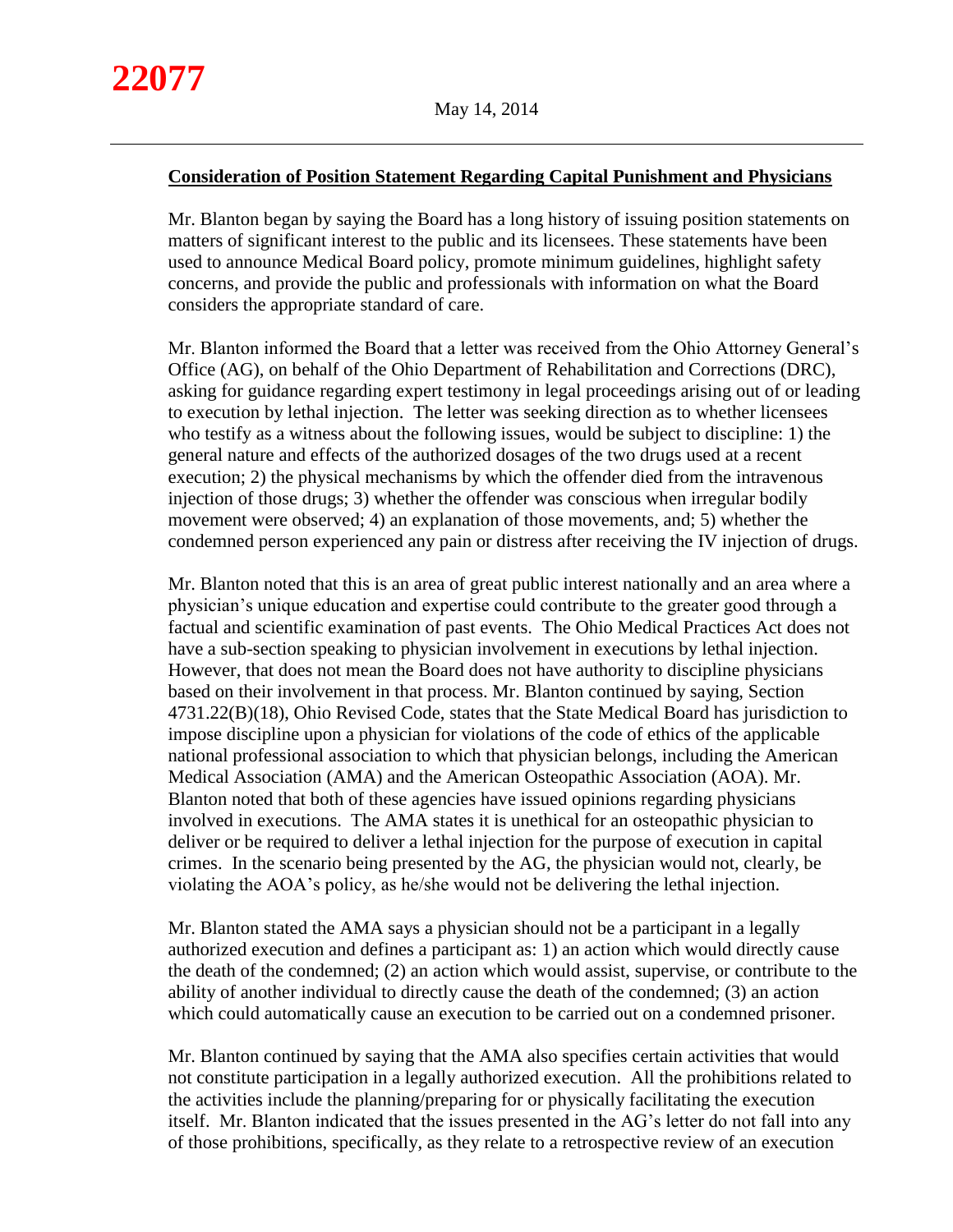## **Consideration of Position Statement Regarding Capital Punishment and Physicians**

Mr. Blanton began by saying the Board has a long history of issuing position statements on matters of significant interest to the public and its licensees. These statements have been used to announce Medical Board policy, promote minimum guidelines, highlight safety concerns, and provide the public and professionals with information on what the Board considers the appropriate standard of care.

Mr. Blanton informed the Board that a letter was received from the Ohio Attorney General's Office (AG), on behalf of the Ohio Department of Rehabilitation and Corrections (DRC), asking for guidance regarding expert testimony in legal proceedings arising out of or leading to execution by lethal injection. The letter was seeking direction as to whether licensees who testify as a witness about the following issues, would be subject to discipline: 1) the general nature and effects of the authorized dosages of the two drugs used at a recent execution; 2) the physical mechanisms by which the offender died from the intravenous injection of those drugs; 3) whether the offender was conscious when irregular bodily movement were observed; 4) an explanation of those movements, and; 5) whether the condemned person experienced any pain or distress after receiving the IV injection of drugs.

Mr. Blanton noted that this is an area of great public interest nationally and an area where a physician's unique education and expertise could contribute to the greater good through a factual and scientific examination of past events. The Ohio Medical Practices Act does not have a sub-section speaking to physician involvement in executions by lethal injection. However, that does not mean the Board does not have authority to discipline physicians based on their involvement in that process. Mr. Blanton continued by saying, Section 4731.22(B)(18), Ohio Revised Code, states that the State Medical Board has jurisdiction to impose discipline upon a physician for violations of the code of ethics of the applicable national professional association to which that physician belongs, including the American Medical Association (AMA) and the American Osteopathic Association (AOA). Mr. Blanton noted that both of these agencies have issued opinions regarding physicians involved in executions. The AMA states it is unethical for an osteopathic physician to deliver or be required to deliver a lethal injection for the purpose of execution in capital crimes. In the scenario being presented by the AG, the physician would not, clearly, be violating the AOA's policy, as he/she would not be delivering the lethal injection.

Mr. Blanton stated the AMA says a physician should not be a participant in a legally authorized execution and defines a participant as: 1) an action which would directly cause the death of the condemned; (2) an action which would assist, supervise, or contribute to the ability of another individual to directly cause the death of the condemned; (3) an action which could automatically cause an execution to be carried out on a condemned prisoner.

Mr. Blanton continued by saying that the AMA also specifies certain activities that would not constitute participation in a legally authorized execution. All the prohibitions related to the activities include the planning/preparing for or physically facilitating the execution itself. Mr. Blanton indicated that the issues presented in the AG's letter do not fall into any of those prohibitions, specifically, as they relate to a retrospective review of an execution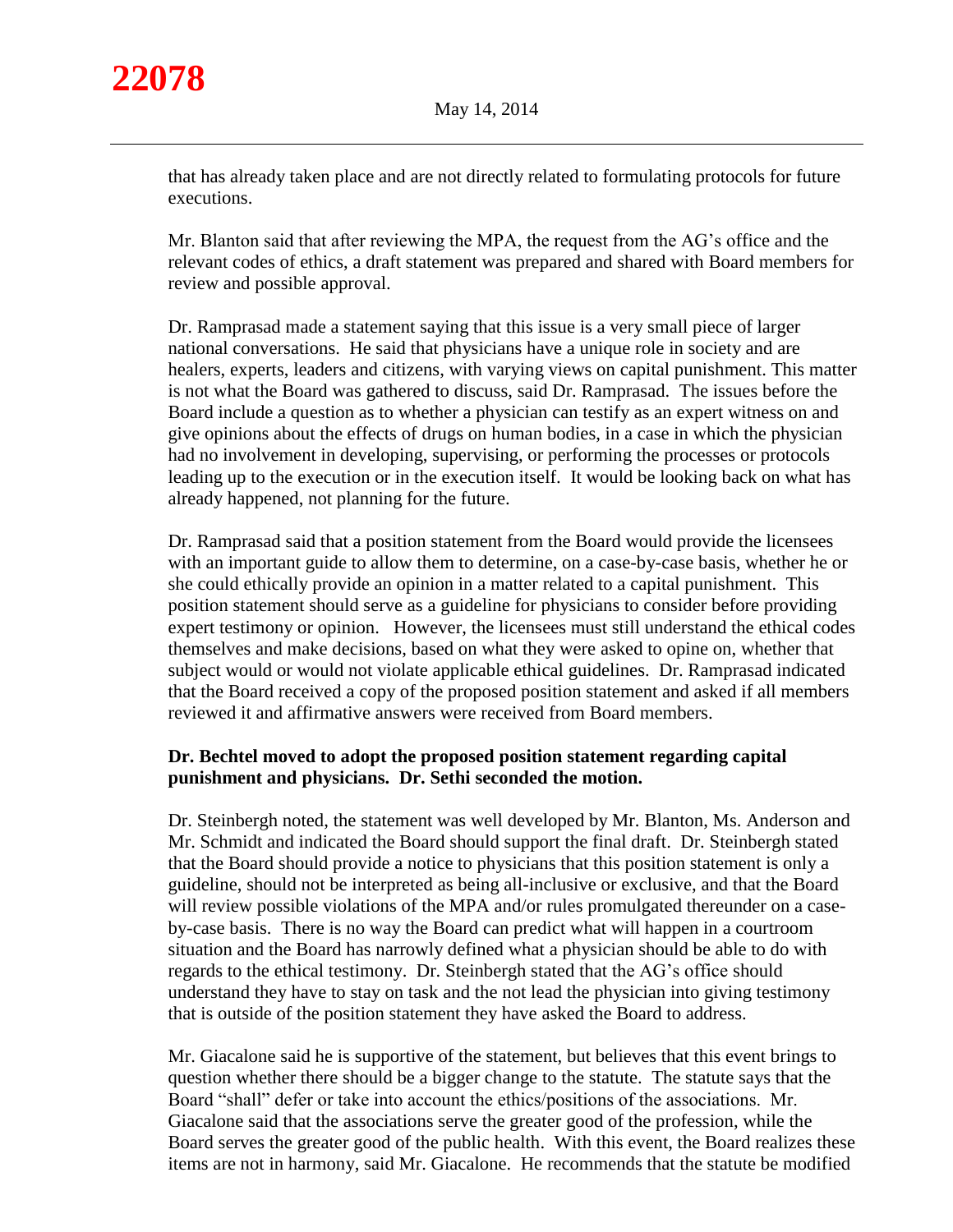that has already taken place and are not directly related to formulating protocols for future executions.

Mr. Blanton said that after reviewing the MPA, the request from the AG's office and the relevant codes of ethics, a draft statement was prepared and shared with Board members for review and possible approval.

Dr. Ramprasad made a statement saying that this issue is a very small piece of larger national conversations. He said that physicians have a unique role in society and are healers, experts, leaders and citizens, with varying views on capital punishment. This matter is not what the Board was gathered to discuss, said Dr. Ramprasad. The issues before the Board include a question as to whether a physician can testify as an expert witness on and give opinions about the effects of drugs on human bodies, in a case in which the physician had no involvement in developing, supervising, or performing the processes or protocols leading up to the execution or in the execution itself. It would be looking back on what has already happened, not planning for the future.

Dr. Ramprasad said that a position statement from the Board would provide the licensees with an important guide to allow them to determine, on a case-by-case basis, whether he or she could ethically provide an opinion in a matter related to a capital punishment. This position statement should serve as a guideline for physicians to consider before providing expert testimony or opinion. However, the licensees must still understand the ethical codes themselves and make decisions, based on what they were asked to opine on, whether that subject would or would not violate applicable ethical guidelines. Dr. Ramprasad indicated that the Board received a copy of the proposed position statement and asked if all members reviewed it and affirmative answers were received from Board members.

# **Dr. Bechtel moved to adopt the proposed position statement regarding capital punishment and physicians. Dr. Sethi seconded the motion.**

Dr. Steinbergh noted, the statement was well developed by Mr. Blanton, Ms. Anderson and Mr. Schmidt and indicated the Board should support the final draft. Dr. Steinbergh stated that the Board should provide a notice to physicians that this position statement is only a guideline, should not be interpreted as being all-inclusive or exclusive, and that the Board will review possible violations of the MPA and/or rules promulgated thereunder on a caseby-case basis. There is no way the Board can predict what will happen in a courtroom situation and the Board has narrowly defined what a physician should be able to do with regards to the ethical testimony. Dr. Steinbergh stated that the AG's office should understand they have to stay on task and the not lead the physician into giving testimony that is outside of the position statement they have asked the Board to address.

Mr. Giacalone said he is supportive of the statement, but believes that this event brings to question whether there should be a bigger change to the statute. The statute says that the Board "shall" defer or take into account the ethics/positions of the associations. Mr. Giacalone said that the associations serve the greater good of the profession, while the Board serves the greater good of the public health. With this event, the Board realizes these items are not in harmony, said Mr. Giacalone. He recommends that the statute be modified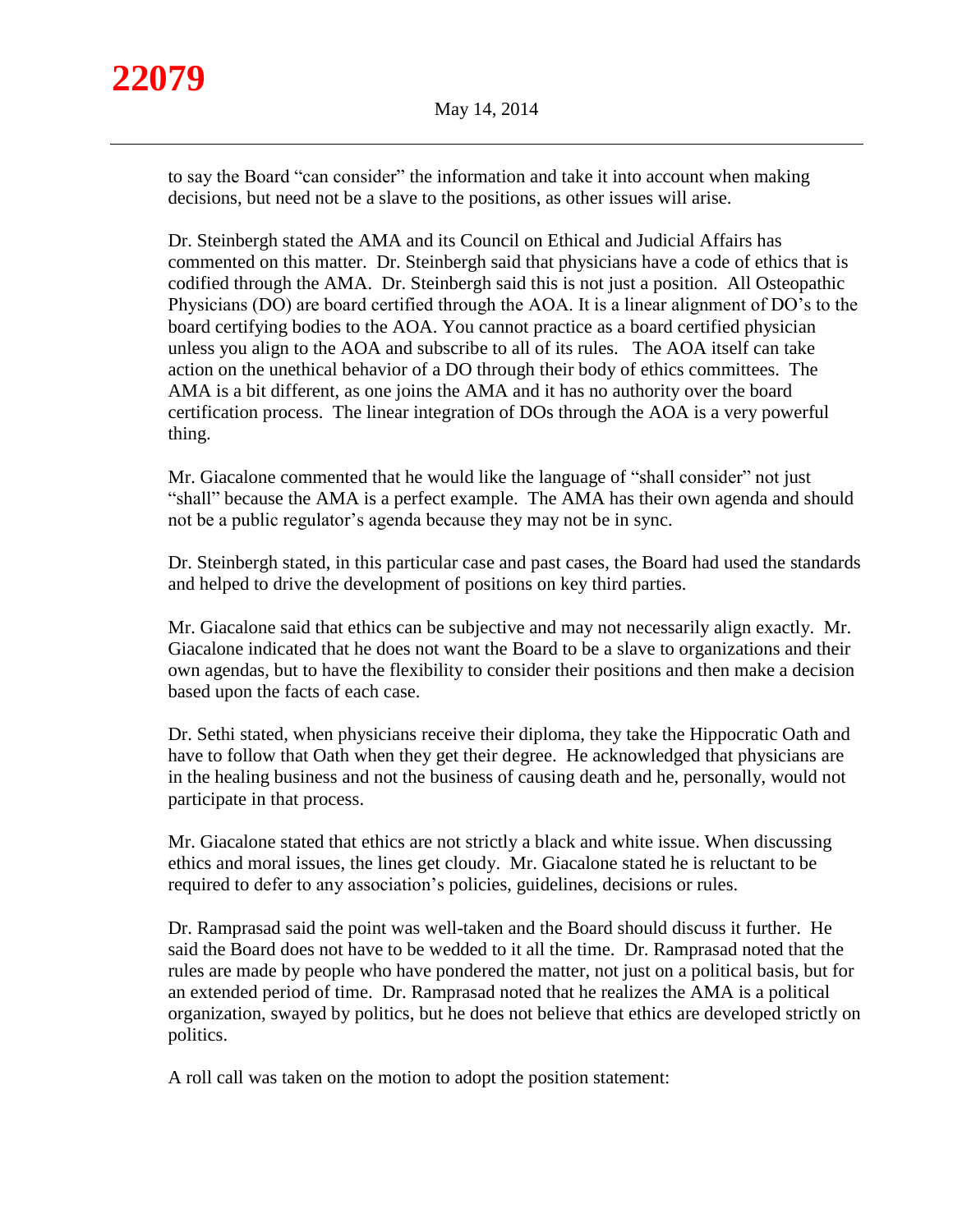to say the Board "can consider" the information and take it into account when making decisions, but need not be a slave to the positions, as other issues will arise.

Dr. Steinbergh stated the AMA and its Council on Ethical and Judicial Affairs has commented on this matter. Dr. Steinbergh said that physicians have a code of ethics that is codified through the AMA. Dr. Steinbergh said this is not just a position. All Osteopathic Physicians (DO) are board certified through the AOA. It is a linear alignment of DO's to the board certifying bodies to the AOA. You cannot practice as a board certified physician unless you align to the AOA and subscribe to all of its rules. The AOA itself can take action on the unethical behavior of a DO through their body of ethics committees. The AMA is a bit different, as one joins the AMA and it has no authority over the board certification process. The linear integration of DOs through the AOA is a very powerful thing.

Mr. Giacalone commented that he would like the language of "shall consider" not just "shall" because the AMA is a perfect example. The AMA has their own agenda and should not be a public regulator's agenda because they may not be in sync.

Dr. Steinbergh stated, in this particular case and past cases, the Board had used the standards and helped to drive the development of positions on key third parties.

Mr. Giacalone said that ethics can be subjective and may not necessarily align exactly. Mr. Giacalone indicated that he does not want the Board to be a slave to organizations and their own agendas, but to have the flexibility to consider their positions and then make a decision based upon the facts of each case.

Dr. Sethi stated, when physicians receive their diploma, they take the Hippocratic Oath and have to follow that Oath when they get their degree. He acknowledged that physicians are in the healing business and not the business of causing death and he, personally, would not participate in that process.

Mr. Giacalone stated that ethics are not strictly a black and white issue. When discussing ethics and moral issues, the lines get cloudy. Mr. Giacalone stated he is reluctant to be required to defer to any association's policies, guidelines, decisions or rules.

Dr. Ramprasad said the point was well-taken and the Board should discuss it further. He said the Board does not have to be wedded to it all the time. Dr. Ramprasad noted that the rules are made by people who have pondered the matter, not just on a political basis, but for an extended period of time. Dr. Ramprasad noted that he realizes the AMA is a political organization, swayed by politics, but he does not believe that ethics are developed strictly on politics.

A roll call was taken on the motion to adopt the position statement: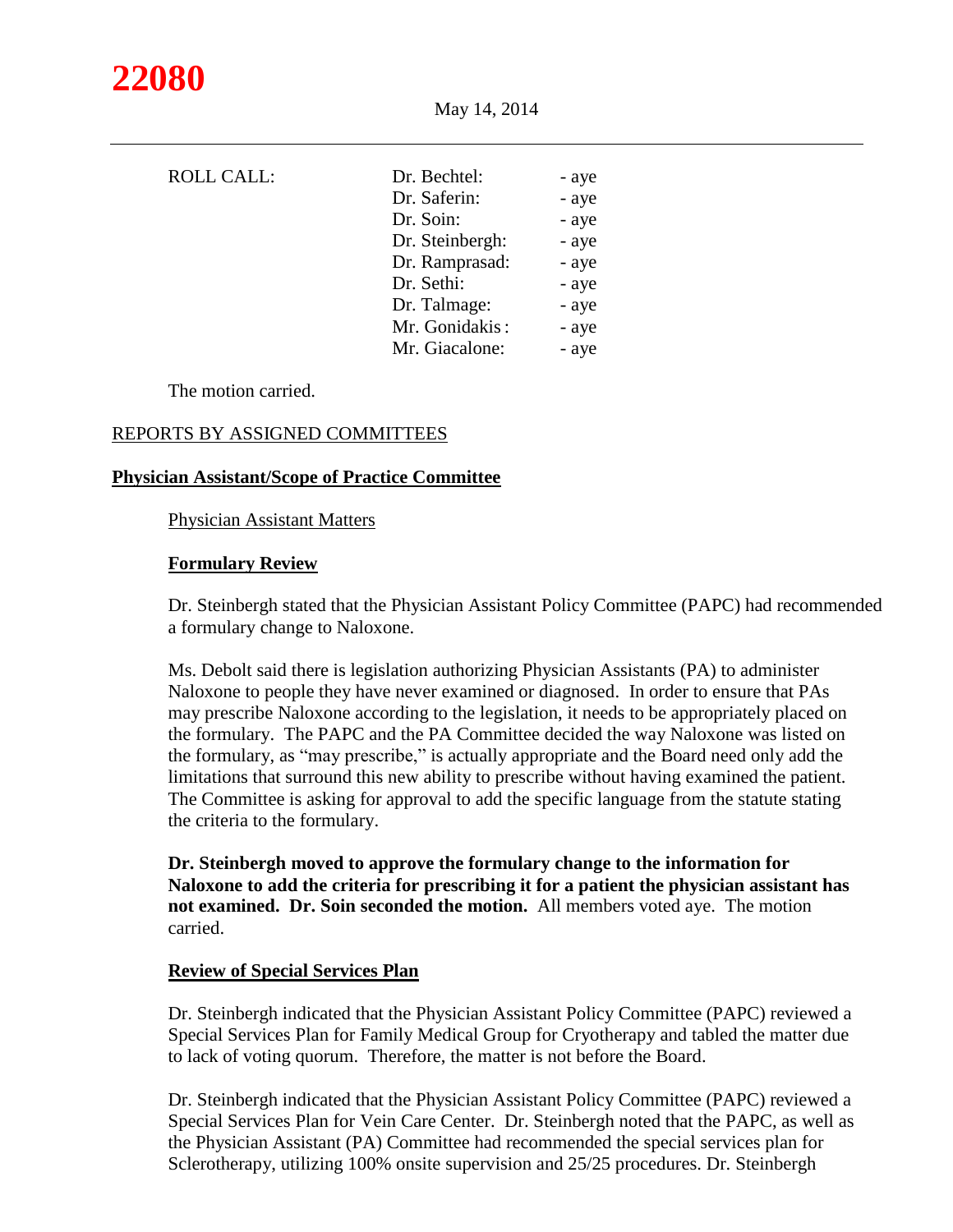

|                 | - aye                        |
|-----------------|------------------------------|
|                 |                              |
|                 | - aye                        |
| Dr. Soin:       | - aye                        |
| Dr. Steinbergh: | - aye                        |
| Dr. Ramprasad:  | - aye                        |
| Dr. Sethi:      | - aye                        |
| Dr. Talmage:    | - aye                        |
| Mr. Gonidakis:  | - aye                        |
| Mr. Giacalone:  | - aye                        |
|                 | Dr. Bechtel:<br>Dr. Saferin: |

The motion carried.

## REPORTS BY ASSIGNED COMMITTEES

#### **Physician Assistant/Scope of Practice Committee**

Physician Assistant Matters

#### **Formulary Review**

Dr. Steinbergh stated that the Physician Assistant Policy Committee (PAPC) had recommended a formulary change to Naloxone.

Ms. Debolt said there is legislation authorizing Physician Assistants (PA) to administer Naloxone to people they have never examined or diagnosed. In order to ensure that PAs may prescribe Naloxone according to the legislation, it needs to be appropriately placed on the formulary. The PAPC and the PA Committee decided the way Naloxone was listed on the formulary, as "may prescribe," is actually appropriate and the Board need only add the limitations that surround this new ability to prescribe without having examined the patient. The Committee is asking for approval to add the specific language from the statute stating the criteria to the formulary.

**Dr. Steinbergh moved to approve the formulary change to the information for Naloxone to add the criteria for prescribing it for a patient the physician assistant has not examined. Dr. Soin seconded the motion.** All members voted aye. The motion carried.

#### **Review of Special Services Plan**

Dr. Steinbergh indicated that the Physician Assistant Policy Committee (PAPC) reviewed a Special Services Plan for Family Medical Group for Cryotherapy and tabled the matter due to lack of voting quorum. Therefore, the matter is not before the Board.

Dr. Steinbergh indicated that the Physician Assistant Policy Committee (PAPC) reviewed a Special Services Plan for Vein Care Center. Dr. Steinbergh noted that the PAPC, as well as the Physician Assistant (PA) Committee had recommended the special services plan for Sclerotherapy, utilizing 100% onsite supervision and 25/25 procedures. Dr. Steinbergh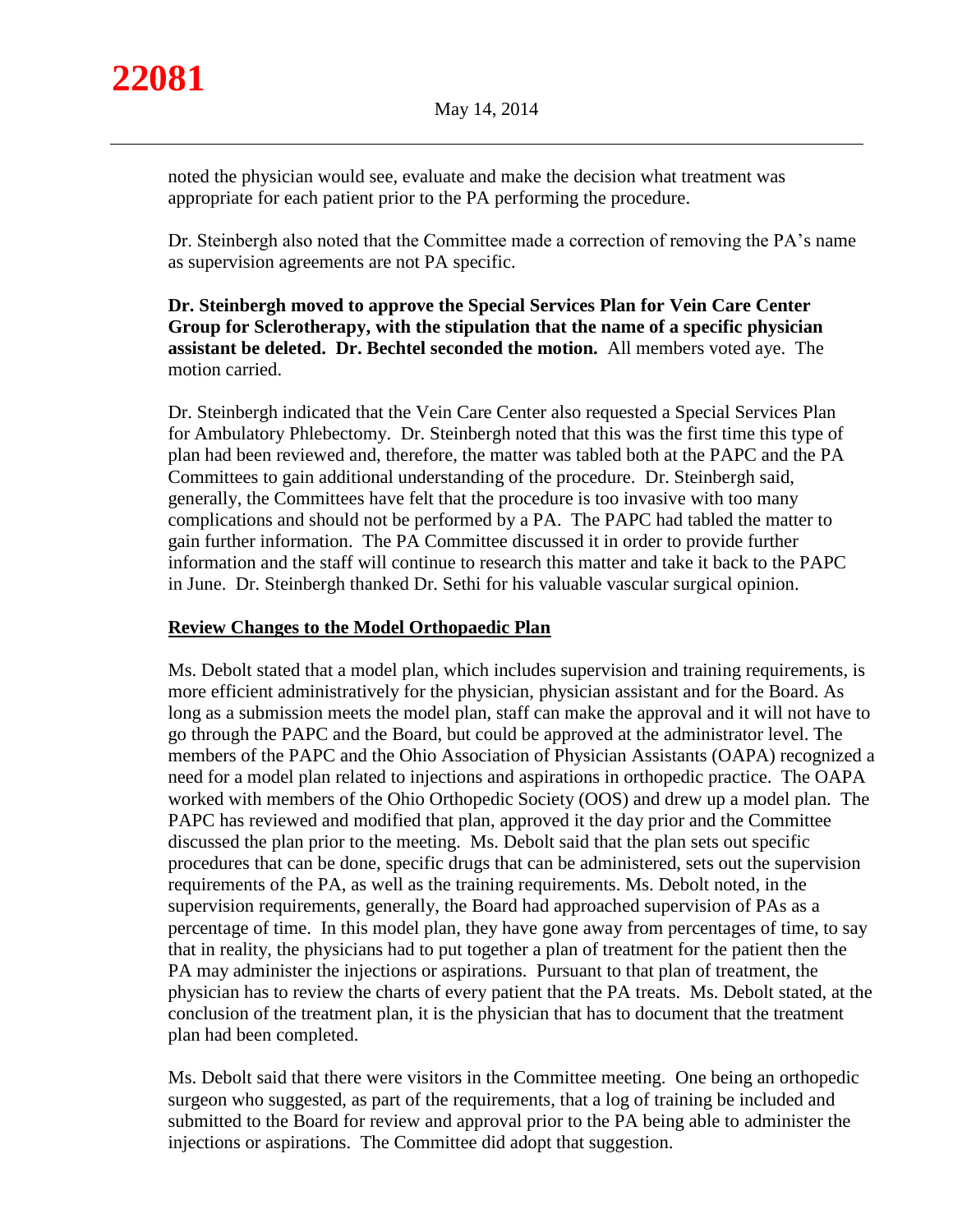noted the physician would see, evaluate and make the decision what treatment was appropriate for each patient prior to the PA performing the procedure.

Dr. Steinbergh also noted that the Committee made a correction of removing the PA's name as supervision agreements are not PA specific.

**Dr. Steinbergh moved to approve the Special Services Plan for Vein Care Center Group for Sclerotherapy, with the stipulation that the name of a specific physician assistant be deleted. Dr. Bechtel seconded the motion.** All members voted aye. The motion carried.

Dr. Steinbergh indicated that the Vein Care Center also requested a Special Services Plan for Ambulatory Phlebectomy. Dr. Steinbergh noted that this was the first time this type of plan had been reviewed and, therefore, the matter was tabled both at the PAPC and the PA Committees to gain additional understanding of the procedure. Dr. Steinbergh said, generally, the Committees have felt that the procedure is too invasive with too many complications and should not be performed by a PA. The PAPC had tabled the matter to gain further information. The PA Committee discussed it in order to provide further information and the staff will continue to research this matter and take it back to the PAPC in June. Dr. Steinbergh thanked Dr. Sethi for his valuable vascular surgical opinion.

# **Review Changes to the Model Orthopaedic Plan**

Ms. Debolt stated that a model plan, which includes supervision and training requirements, is more efficient administratively for the physician, physician assistant and for the Board. As long as a submission meets the model plan, staff can make the approval and it will not have to go through the PAPC and the Board, but could be approved at the administrator level. The members of the PAPC and the Ohio Association of Physician Assistants (OAPA) recognized a need for a model plan related to injections and aspirations in orthopedic practice. The OAPA worked with members of the Ohio Orthopedic Society (OOS) and drew up a model plan. The PAPC has reviewed and modified that plan, approved it the day prior and the Committee discussed the plan prior to the meeting. Ms. Debolt said that the plan sets out specific procedures that can be done, specific drugs that can be administered, sets out the supervision requirements of the PA, as well as the training requirements. Ms. Debolt noted, in the supervision requirements, generally, the Board had approached supervision of PAs as a percentage of time. In this model plan, they have gone away from percentages of time, to say that in reality, the physicians had to put together a plan of treatment for the patient then the PA may administer the injections or aspirations. Pursuant to that plan of treatment, the physician has to review the charts of every patient that the PA treats. Ms. Debolt stated, at the conclusion of the treatment plan, it is the physician that has to document that the treatment plan had been completed.

Ms. Debolt said that there were visitors in the Committee meeting. One being an orthopedic surgeon who suggested, as part of the requirements, that a log of training be included and submitted to the Board for review and approval prior to the PA being able to administer the injections or aspirations. The Committee did adopt that suggestion.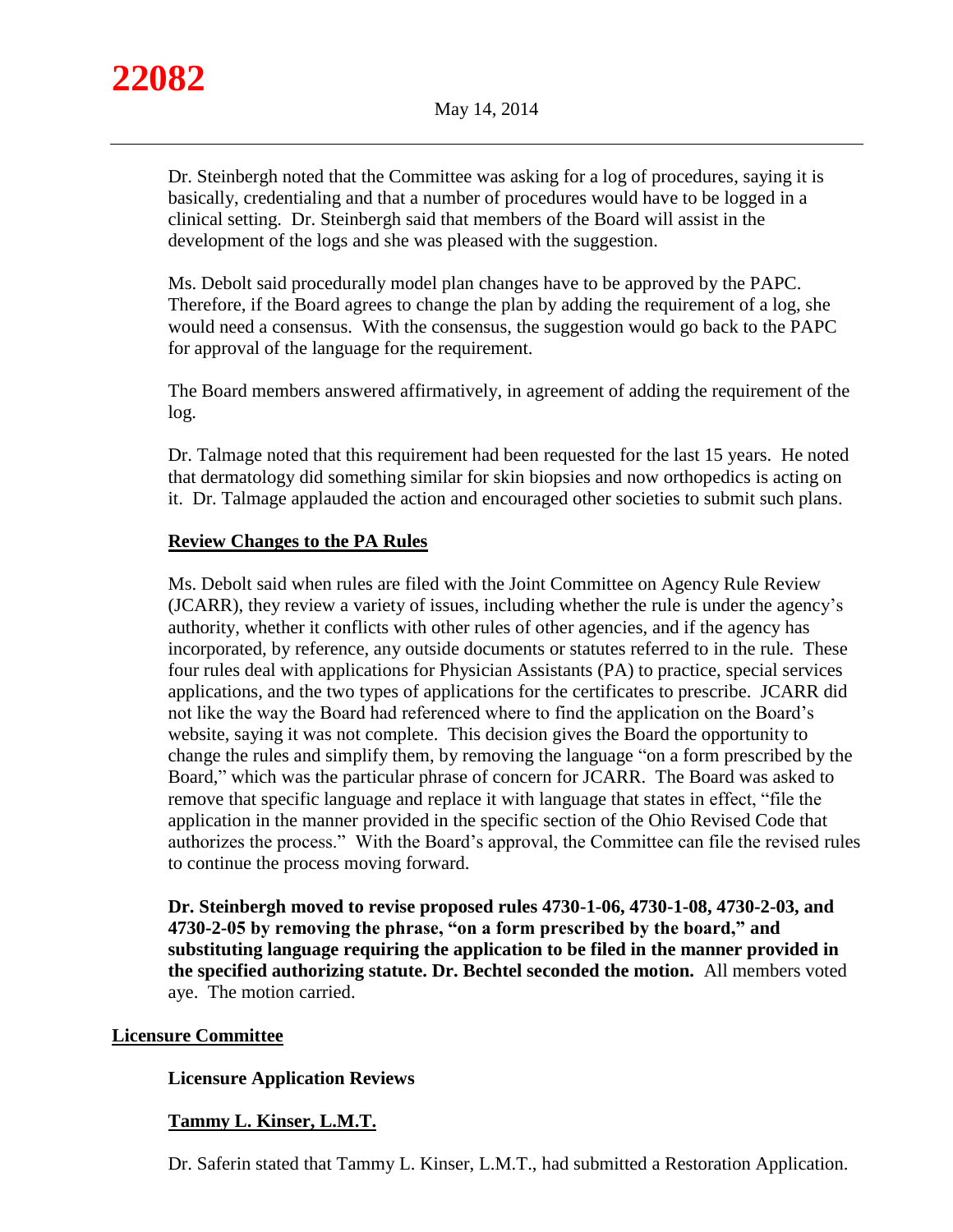

Dr. Steinbergh noted that the Committee was asking for a log of procedures, saying it is basically, credentialing and that a number of procedures would have to be logged in a clinical setting. Dr. Steinbergh said that members of the Board will assist in the development of the logs and she was pleased with the suggestion.

Ms. Debolt said procedurally model plan changes have to be approved by the PAPC. Therefore, if the Board agrees to change the plan by adding the requirement of a log, she would need a consensus. With the consensus, the suggestion would go back to the PAPC for approval of the language for the requirement.

The Board members answered affirmatively, in agreement of adding the requirement of the log.

Dr. Talmage noted that this requirement had been requested for the last 15 years. He noted that dermatology did something similar for skin biopsies and now orthopedics is acting on it. Dr. Talmage applauded the action and encouraged other societies to submit such plans.

# **Review Changes to the PA Rules**

Ms. Debolt said when rules are filed with the Joint Committee on Agency Rule Review (JCARR), they review a variety of issues, including whether the rule is under the agency's authority, whether it conflicts with other rules of other agencies, and if the agency has incorporated, by reference, any outside documents or statutes referred to in the rule. These four rules deal with applications for Physician Assistants (PA) to practice, special services applications, and the two types of applications for the certificates to prescribe. JCARR did not like the way the Board had referenced where to find the application on the Board's website, saying it was not complete. This decision gives the Board the opportunity to change the rules and simplify them, by removing the language "on a form prescribed by the Board," which was the particular phrase of concern for JCARR. The Board was asked to remove that specific language and replace it with language that states in effect, "file the application in the manner provided in the specific section of the Ohio Revised Code that authorizes the process." With the Board's approval, the Committee can file the revised rules to continue the process moving forward.

**Dr. Steinbergh moved to revise proposed rules 4730-1-06, 4730-1-08, 4730-2-03, and 4730-2-05 by removing the phrase, "on a form prescribed by the board," and substituting language requiring the application to be filed in the manner provided in the specified authorizing statute. Dr. Bechtel seconded the motion.** All members voted aye. The motion carried.

# **Licensure Committee**

# **Licensure Application Reviews**

# **Tammy L. Kinser, L.M.T.**

Dr. Saferin stated that Tammy L. Kinser, L.M.T., had submitted a Restoration Application.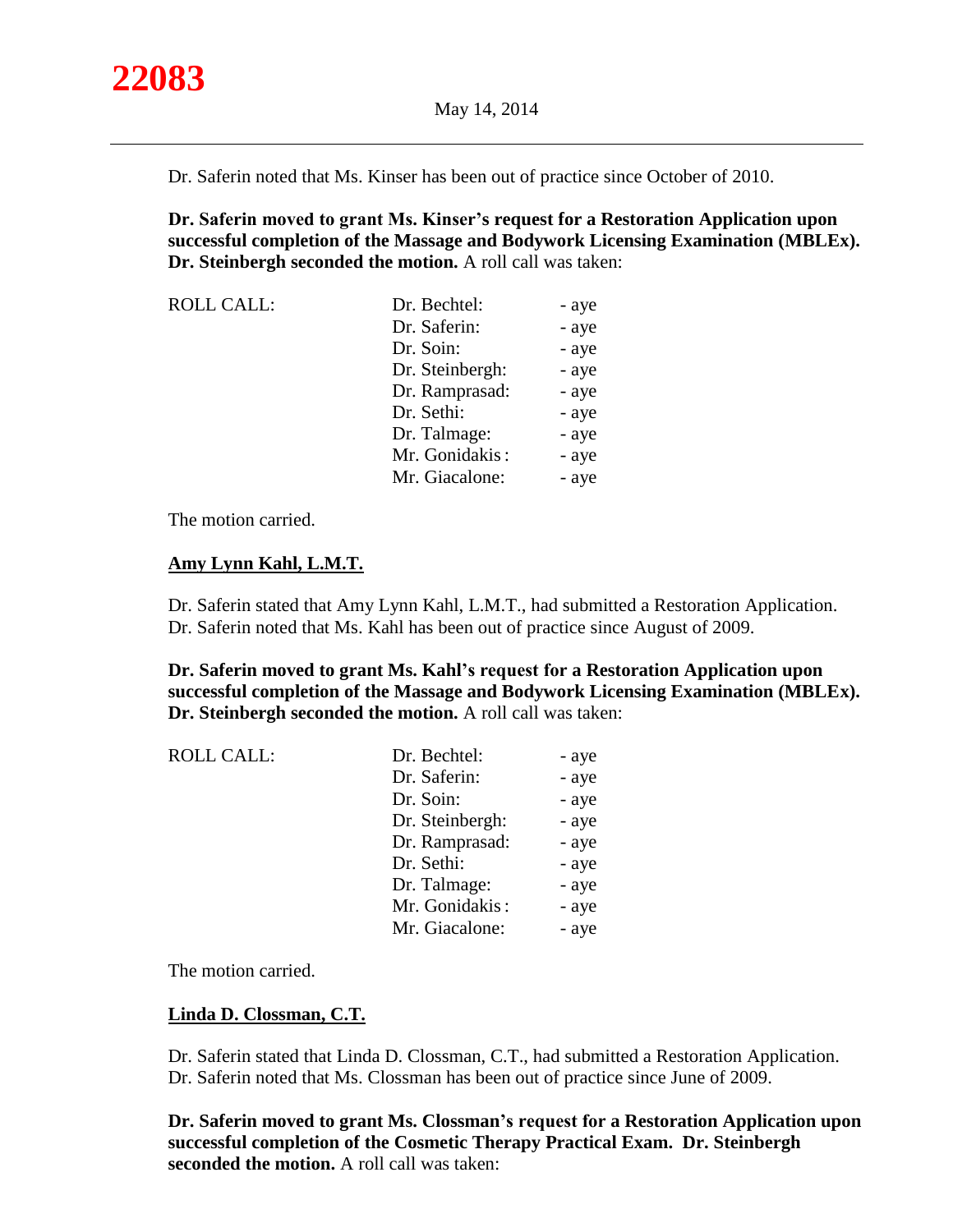Dr. Saferin noted that Ms. Kinser has been out of practice since October of 2010.

**Dr. Saferin moved to grant Ms. Kinser's request for a Restoration Application upon successful completion of the Massage and Bodywork Licensing Examination (MBLEx). Dr. Steinbergh seconded the motion.** A roll call was taken:

| <b>ROLL CALL:</b> | Dr. Bechtel:    | - aye |
|-------------------|-----------------|-------|
|                   | Dr. Saferin:    | - aye |
|                   | Dr. Soin:       | - aye |
|                   | Dr. Steinbergh: | - aye |
|                   | Dr. Ramprasad:  | - aye |
|                   | Dr. Sethi:      | - aye |
|                   | Dr. Talmage:    | - aye |
|                   | Mr. Gonidakis:  | - aye |
|                   | Mr. Giacalone:  | - aye |

The motion carried.

# **Amy Lynn Kahl, L.M.T.**

Dr. Saferin stated that Amy Lynn Kahl, L.M.T., had submitted a Restoration Application. Dr. Saferin noted that Ms. Kahl has been out of practice since August of 2009.

**Dr. Saferin moved to grant Ms. Kahl's request for a Restoration Application upon successful completion of the Massage and Bodywork Licensing Examination (MBLEx). Dr. Steinbergh seconded the motion.** A roll call was taken:

| Dr. Saferin:<br>Dr. Soin:<br>Dr. Steinbergh:<br>Dr. Ramprasad:<br>Dr. Sethi:<br>Dr. Talmage:<br>Mr. Gonidakis: | <b>ROLL CALL:</b> | Dr. Bechtel:   | - aye |
|----------------------------------------------------------------------------------------------------------------|-------------------|----------------|-------|
|                                                                                                                |                   |                | - aye |
|                                                                                                                |                   |                | - aye |
|                                                                                                                |                   |                | - aye |
|                                                                                                                |                   |                | - aye |
|                                                                                                                |                   |                | - aye |
|                                                                                                                |                   |                | - aye |
|                                                                                                                |                   |                | - aye |
|                                                                                                                |                   | Mr. Giacalone: | - aye |

The motion carried.

# **Linda D. Clossman, C.T.**

Dr. Saferin stated that Linda D. Clossman, C.T., had submitted a Restoration Application. Dr. Saferin noted that Ms. Clossman has been out of practice since June of 2009.

**Dr. Saferin moved to grant Ms. Clossman's request for a Restoration Application upon successful completion of the Cosmetic Therapy Practical Exam. Dr. Steinbergh seconded the motion.** A roll call was taken: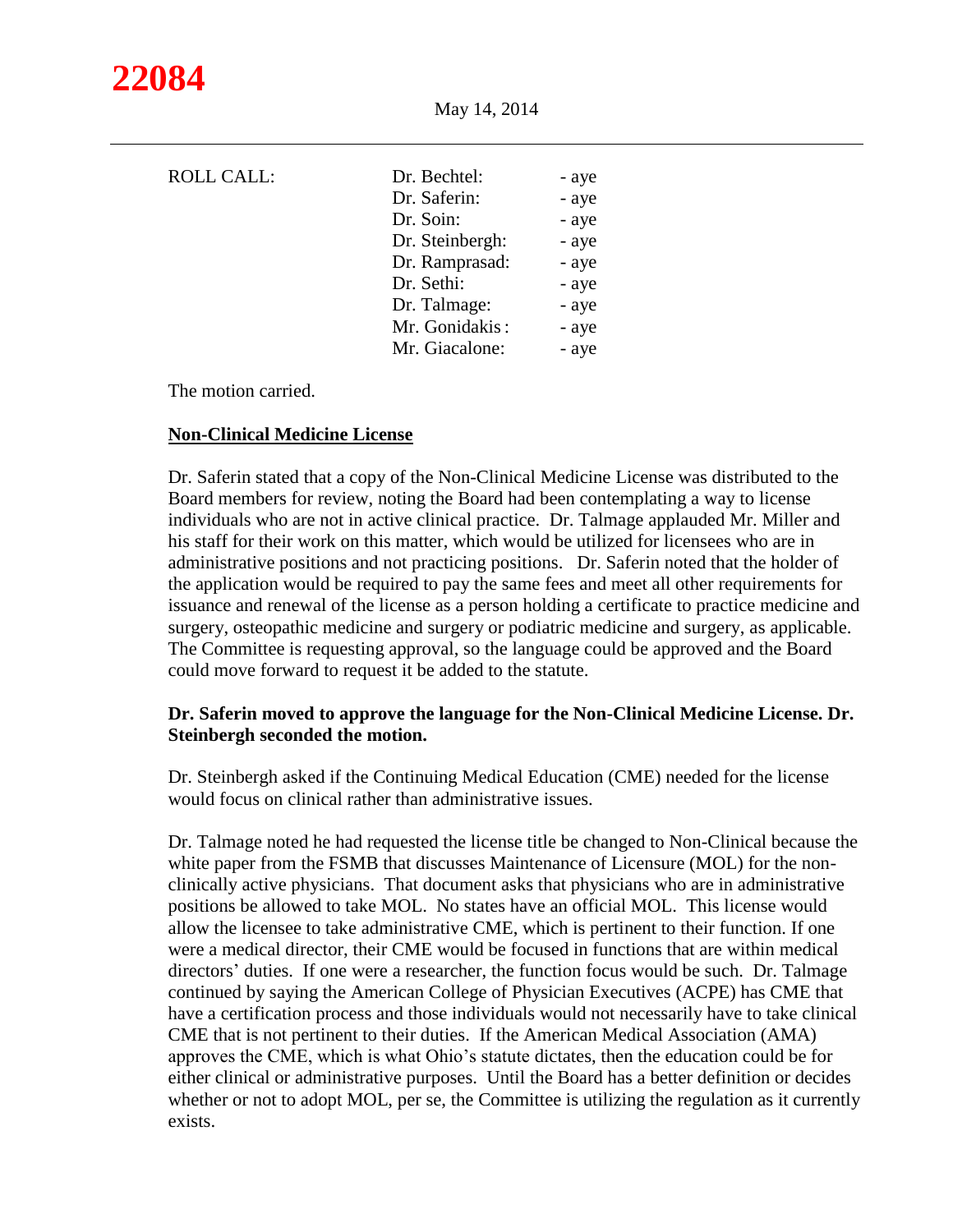| <b>ROLL CALL:</b> | Dr. Bechtel:    | - aye |
|-------------------|-----------------|-------|
|                   | Dr. Saferin:    | - aye |
|                   | Dr. Soin:       | - aye |
|                   | Dr. Steinbergh: | - aye |
|                   | Dr. Ramprasad:  | - aye |
|                   | Dr. Sethi:      | - aye |
|                   | Dr. Talmage:    | - aye |
|                   | Mr. Gonidakis:  | - aye |
|                   | Mr. Giacalone:  | - aye |

The motion carried.

## **Non-Clinical Medicine License**

Dr. Saferin stated that a copy of the Non-Clinical Medicine License was distributed to the Board members for review, noting the Board had been contemplating a way to license individuals who are not in active clinical practice. Dr. Talmage applauded Mr. Miller and his staff for their work on this matter, which would be utilized for licensees who are in administrative positions and not practicing positions. Dr. Saferin noted that the holder of the application would be required to pay the same fees and meet all other requirements for issuance and renewal of the license as a person holding a certificate to practice medicine and surgery, osteopathic medicine and surgery or podiatric medicine and surgery, as applicable. The Committee is requesting approval, so the language could be approved and the Board could move forward to request it be added to the statute.

# **Dr. Saferin moved to approve the language for the Non-Clinical Medicine License. Dr. Steinbergh seconded the motion.**

Dr. Steinbergh asked if the Continuing Medical Education (CME) needed for the license would focus on clinical rather than administrative issues.

Dr. Talmage noted he had requested the license title be changed to Non-Clinical because the white paper from the FSMB that discusses Maintenance of Licensure (MOL) for the nonclinically active physicians. That document asks that physicians who are in administrative positions be allowed to take MOL. No states have an official MOL. This license would allow the licensee to take administrative CME, which is pertinent to their function. If one were a medical director, their CME would be focused in functions that are within medical directors' duties. If one were a researcher, the function focus would be such. Dr. Talmage continued by saying the American College of Physician Executives (ACPE) has CME that have a certification process and those individuals would not necessarily have to take clinical CME that is not pertinent to their duties. If the American Medical Association (AMA) approves the CME, which is what Ohio's statute dictates, then the education could be for either clinical or administrative purposes. Until the Board has a better definition or decides whether or not to adopt MOL, per se, the Committee is utilizing the regulation as it currently exists.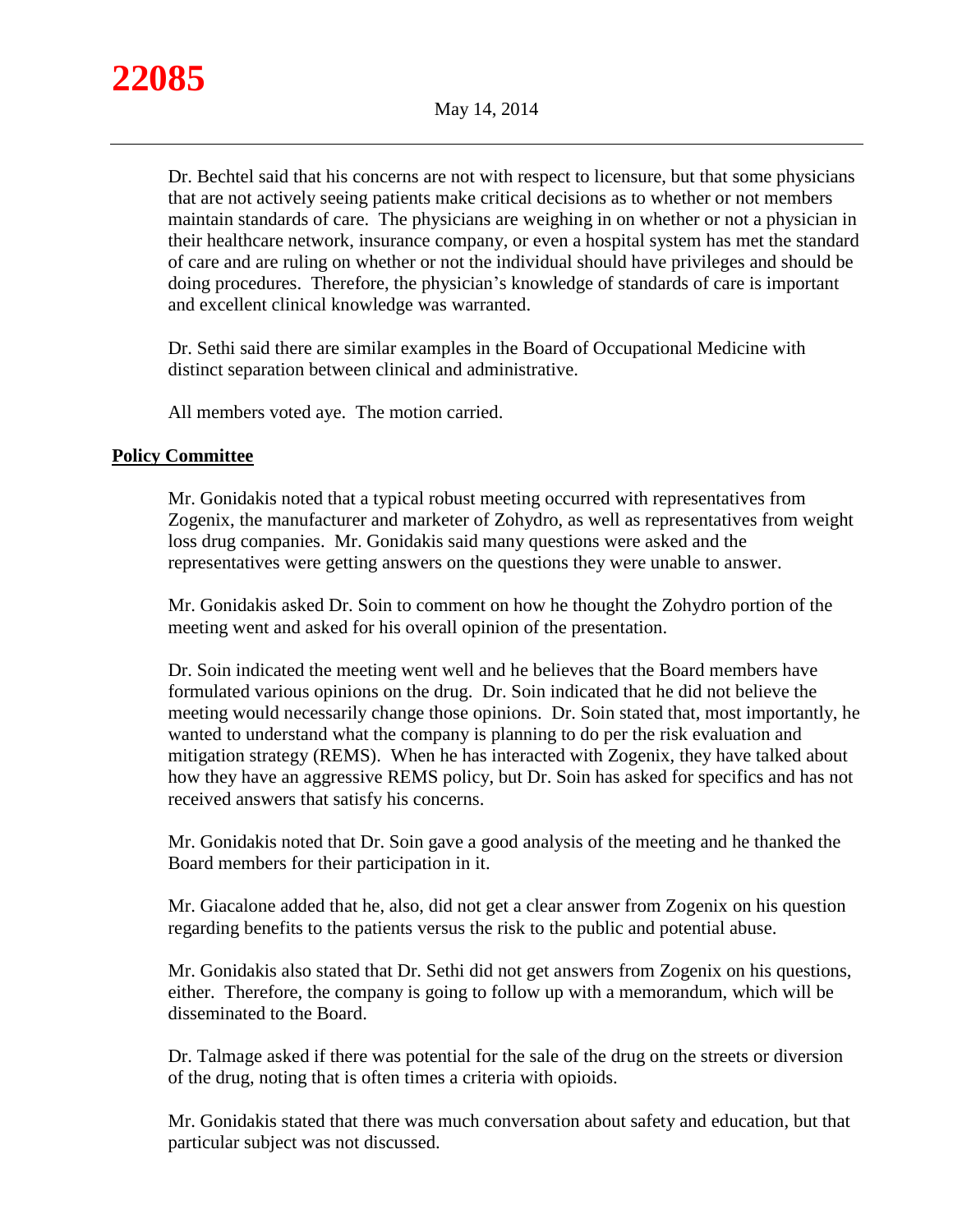

Dr. Bechtel said that his concerns are not with respect to licensure, but that some physicians that are not actively seeing patients make critical decisions as to whether or not members maintain standards of care. The physicians are weighing in on whether or not a physician in their healthcare network, insurance company, or even a hospital system has met the standard of care and are ruling on whether or not the individual should have privileges and should be doing procedures. Therefore, the physician's knowledge of standards of care is important and excellent clinical knowledge was warranted.

Dr. Sethi said there are similar examples in the Board of Occupational Medicine with distinct separation between clinical and administrative.

All members voted aye. The motion carried.

## **Policy Committee**

Mr. Gonidakis noted that a typical robust meeting occurred with representatives from Zogenix, the manufacturer and marketer of Zohydro, as well as representatives from weight loss drug companies. Mr. Gonidakis said many questions were asked and the representatives were getting answers on the questions they were unable to answer.

Mr. Gonidakis asked Dr. Soin to comment on how he thought the Zohydro portion of the meeting went and asked for his overall opinion of the presentation.

Dr. Soin indicated the meeting went well and he believes that the Board members have formulated various opinions on the drug. Dr. Soin indicated that he did not believe the meeting would necessarily change those opinions. Dr. Soin stated that, most importantly, he wanted to understand what the company is planning to do per the risk evaluation and mitigation strategy (REMS). When he has interacted with Zogenix, they have talked about how they have an aggressive REMS policy, but Dr. Soin has asked for specifics and has not received answers that satisfy his concerns.

Mr. Gonidakis noted that Dr. Soin gave a good analysis of the meeting and he thanked the Board members for their participation in it.

Mr. Giacalone added that he, also, did not get a clear answer from Zogenix on his question regarding benefits to the patients versus the risk to the public and potential abuse.

Mr. Gonidakis also stated that Dr. Sethi did not get answers from Zogenix on his questions, either. Therefore, the company is going to follow up with a memorandum, which will be disseminated to the Board.

Dr. Talmage asked if there was potential for the sale of the drug on the streets or diversion of the drug, noting that is often times a criteria with opioids.

Mr. Gonidakis stated that there was much conversation about safety and education, but that particular subject was not discussed.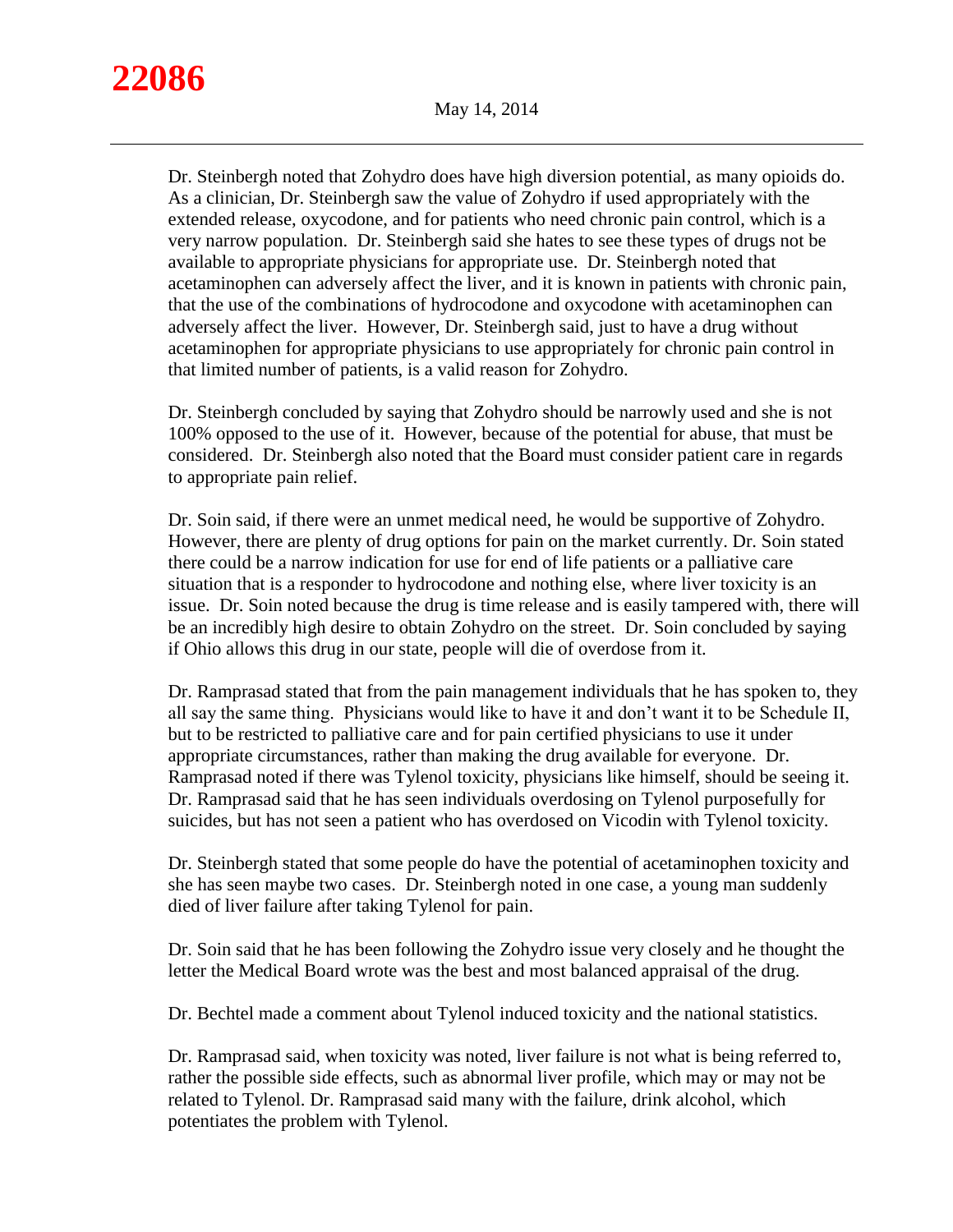Dr. Steinbergh noted that Zohydro does have high diversion potential, as many opioids do. As a clinician, Dr. Steinbergh saw the value of Zohydro if used appropriately with the extended release, oxycodone, and for patients who need chronic pain control, which is a very narrow population. Dr. Steinbergh said she hates to see these types of drugs not be available to appropriate physicians for appropriate use. Dr. Steinbergh noted that acetaminophen can adversely affect the liver, and it is known in patients with chronic pain, that the use of the combinations of hydrocodone and oxycodone with acetaminophen can adversely affect the liver. However, Dr. Steinbergh said, just to have a drug without acetaminophen for appropriate physicians to use appropriately for chronic pain control in that limited number of patients, is a valid reason for Zohydro.

Dr. Steinbergh concluded by saying that Zohydro should be narrowly used and she is not 100% opposed to the use of it. However, because of the potential for abuse, that must be considered. Dr. Steinbergh also noted that the Board must consider patient care in regards to appropriate pain relief.

Dr. Soin said, if there were an unmet medical need, he would be supportive of Zohydro. However, there are plenty of drug options for pain on the market currently. Dr. Soin stated there could be a narrow indication for use for end of life patients or a palliative care situation that is a responder to hydrocodone and nothing else, where liver toxicity is an issue. Dr. Soin noted because the drug is time release and is easily tampered with, there will be an incredibly high desire to obtain Zohydro on the street. Dr. Soin concluded by saying if Ohio allows this drug in our state, people will die of overdose from it.

Dr. Ramprasad stated that from the pain management individuals that he has spoken to, they all say the same thing. Physicians would like to have it and don't want it to be Schedule II, but to be restricted to palliative care and for pain certified physicians to use it under appropriate circumstances, rather than making the drug available for everyone. Dr. Ramprasad noted if there was Tylenol toxicity, physicians like himself, should be seeing it. Dr. Ramprasad said that he has seen individuals overdosing on Tylenol purposefully for suicides, but has not seen a patient who has overdosed on Vicodin with Tylenol toxicity.

Dr. Steinbergh stated that some people do have the potential of acetaminophen toxicity and she has seen maybe two cases. Dr. Steinbergh noted in one case, a young man suddenly died of liver failure after taking Tylenol for pain.

Dr. Soin said that he has been following the Zohydro issue very closely and he thought the letter the Medical Board wrote was the best and most balanced appraisal of the drug.

Dr. Bechtel made a comment about Tylenol induced toxicity and the national statistics.

Dr. Ramprasad said, when toxicity was noted, liver failure is not what is being referred to, rather the possible side effects, such as abnormal liver profile, which may or may not be related to Tylenol. Dr. Ramprasad said many with the failure, drink alcohol, which potentiates the problem with Tylenol.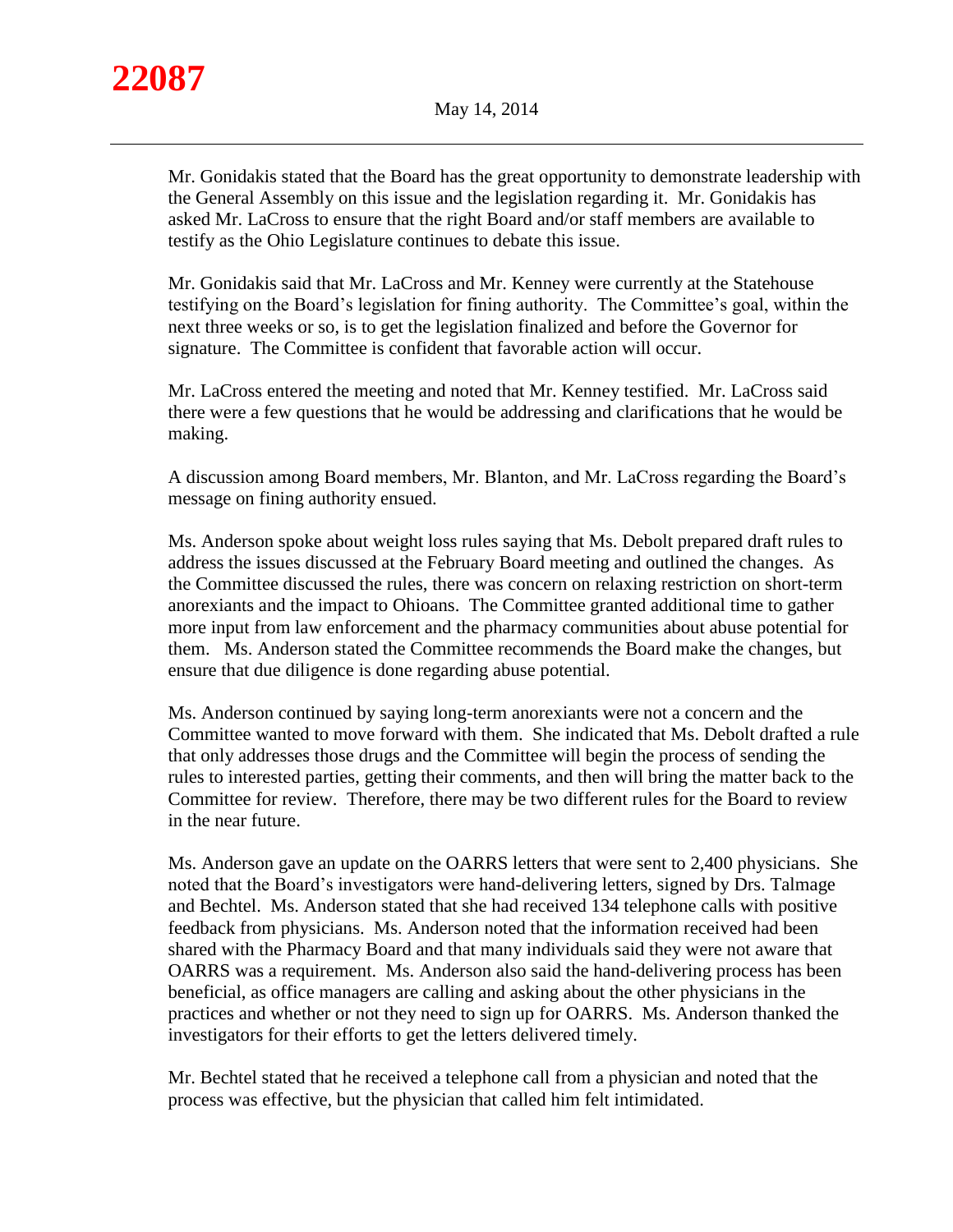

Mr. Gonidakis stated that the Board has the great opportunity to demonstrate leadership with the General Assembly on this issue and the legislation regarding it. Mr. Gonidakis has asked Mr. LaCross to ensure that the right Board and/or staff members are available to testify as the Ohio Legislature continues to debate this issue.

Mr. Gonidakis said that Mr. LaCross and Mr. Kenney were currently at the Statehouse testifying on the Board's legislation for fining authority. The Committee's goal, within the next three weeks or so, is to get the legislation finalized and before the Governor for signature. The Committee is confident that favorable action will occur.

Mr. LaCross entered the meeting and noted that Mr. Kenney testified. Mr. LaCross said there were a few questions that he would be addressing and clarifications that he would be making.

A discussion among Board members, Mr. Blanton, and Mr. LaCross regarding the Board's message on fining authority ensued.

Ms. Anderson spoke about weight loss rules saying that Ms. Debolt prepared draft rules to address the issues discussed at the February Board meeting and outlined the changes. As the Committee discussed the rules, there was concern on relaxing restriction on short-term anorexiants and the impact to Ohioans. The Committee granted additional time to gather more input from law enforcement and the pharmacy communities about abuse potential for them. Ms. Anderson stated the Committee recommends the Board make the changes, but ensure that due diligence is done regarding abuse potential.

Ms. Anderson continued by saying long-term anorexiants were not a concern and the Committee wanted to move forward with them. She indicated that Ms. Debolt drafted a rule that only addresses those drugs and the Committee will begin the process of sending the rules to interested parties, getting their comments, and then will bring the matter back to the Committee for review. Therefore, there may be two different rules for the Board to review in the near future.

Ms. Anderson gave an update on the OARRS letters that were sent to 2,400 physicians. She noted that the Board's investigators were hand-delivering letters, signed by Drs. Talmage and Bechtel. Ms. Anderson stated that she had received 134 telephone calls with positive feedback from physicians. Ms. Anderson noted that the information received had been shared with the Pharmacy Board and that many individuals said they were not aware that OARRS was a requirement. Ms. Anderson also said the hand-delivering process has been beneficial, as office managers are calling and asking about the other physicians in the practices and whether or not they need to sign up for OARRS. Ms. Anderson thanked the investigators for their efforts to get the letters delivered timely.

Mr. Bechtel stated that he received a telephone call from a physician and noted that the process was effective, but the physician that called him felt intimidated.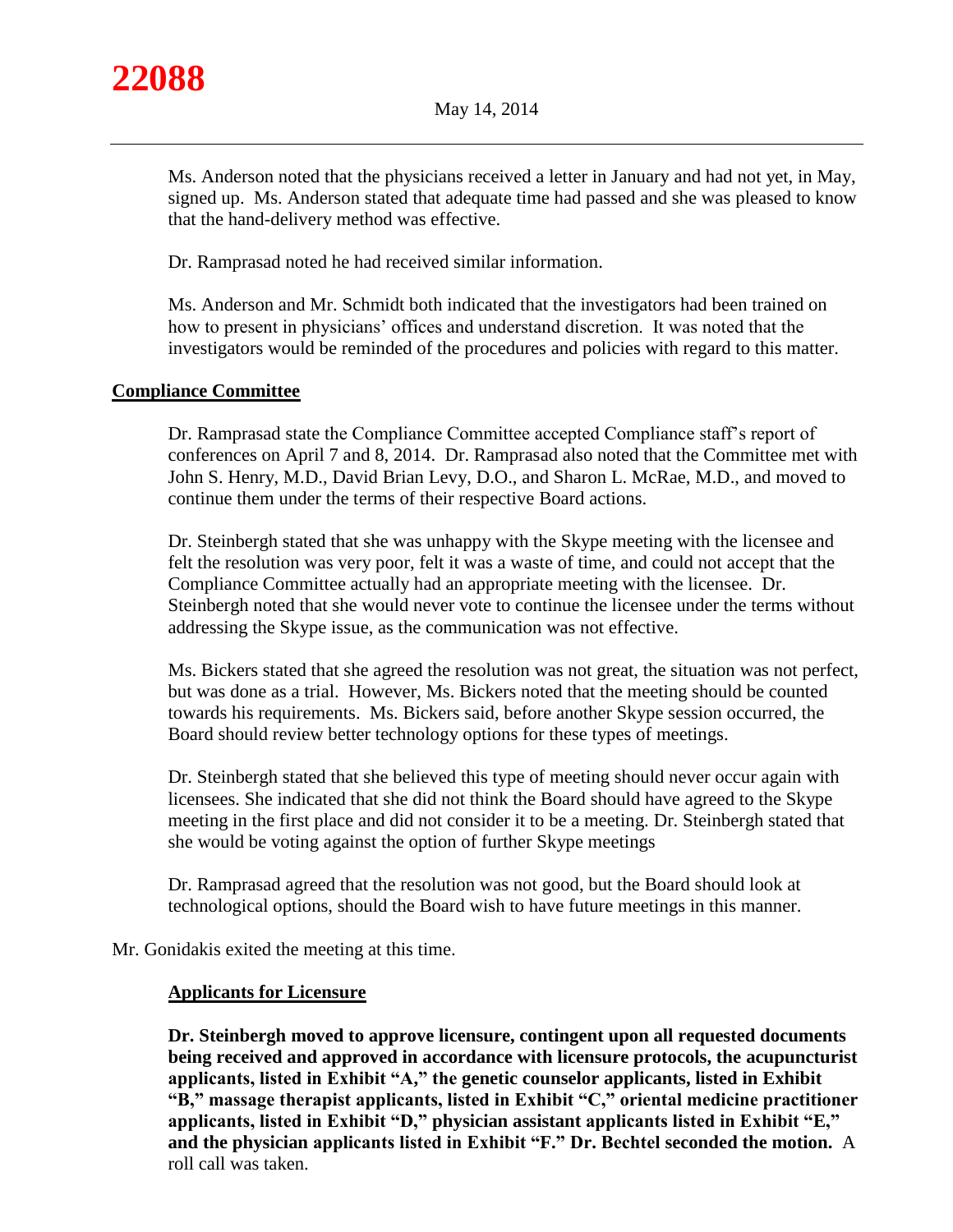

Ms. Anderson noted that the physicians received a letter in January and had not yet, in May, signed up. Ms. Anderson stated that adequate time had passed and she was pleased to know that the hand-delivery method was effective.

Dr. Ramprasad noted he had received similar information.

Ms. Anderson and Mr. Schmidt both indicated that the investigators had been trained on how to present in physicians' offices and understand discretion. It was noted that the investigators would be reminded of the procedures and policies with regard to this matter.

## **Compliance Committee**

Dr. Ramprasad state the Compliance Committee accepted Compliance staff's report of conferences on April 7 and 8, 2014. Dr. Ramprasad also noted that the Committee met with John S. Henry, M.D., David Brian Levy, D.O., and Sharon L. McRae, M.D., and moved to continue them under the terms of their respective Board actions.

Dr. Steinbergh stated that she was unhappy with the Skype meeting with the licensee and felt the resolution was very poor, felt it was a waste of time, and could not accept that the Compliance Committee actually had an appropriate meeting with the licensee. Dr. Steinbergh noted that she would never vote to continue the licensee under the terms without addressing the Skype issue, as the communication was not effective.

Ms. Bickers stated that she agreed the resolution was not great, the situation was not perfect, but was done as a trial. However, Ms. Bickers noted that the meeting should be counted towards his requirements. Ms. Bickers said, before another Skype session occurred, the Board should review better technology options for these types of meetings.

Dr. Steinbergh stated that she believed this type of meeting should never occur again with licensees. She indicated that she did not think the Board should have agreed to the Skype meeting in the first place and did not consider it to be a meeting. Dr. Steinbergh stated that she would be voting against the option of further Skype meetings

Dr. Ramprasad agreed that the resolution was not good, but the Board should look at technological options, should the Board wish to have future meetings in this manner.

Mr. Gonidakis exited the meeting at this time.

#### **Applicants for Licensure**

**Dr. Steinbergh moved to approve licensure, contingent upon all requested documents being received and approved in accordance with licensure protocols, the acupuncturist applicants, listed in Exhibit "A," the genetic counselor applicants, listed in Exhibit "B," massage therapist applicants, listed in Exhibit "C," oriental medicine practitioner applicants, listed in Exhibit "D," physician assistant applicants listed in Exhibit "E," and the physician applicants listed in Exhibit "F." Dr. Bechtel seconded the motion.** A roll call was taken.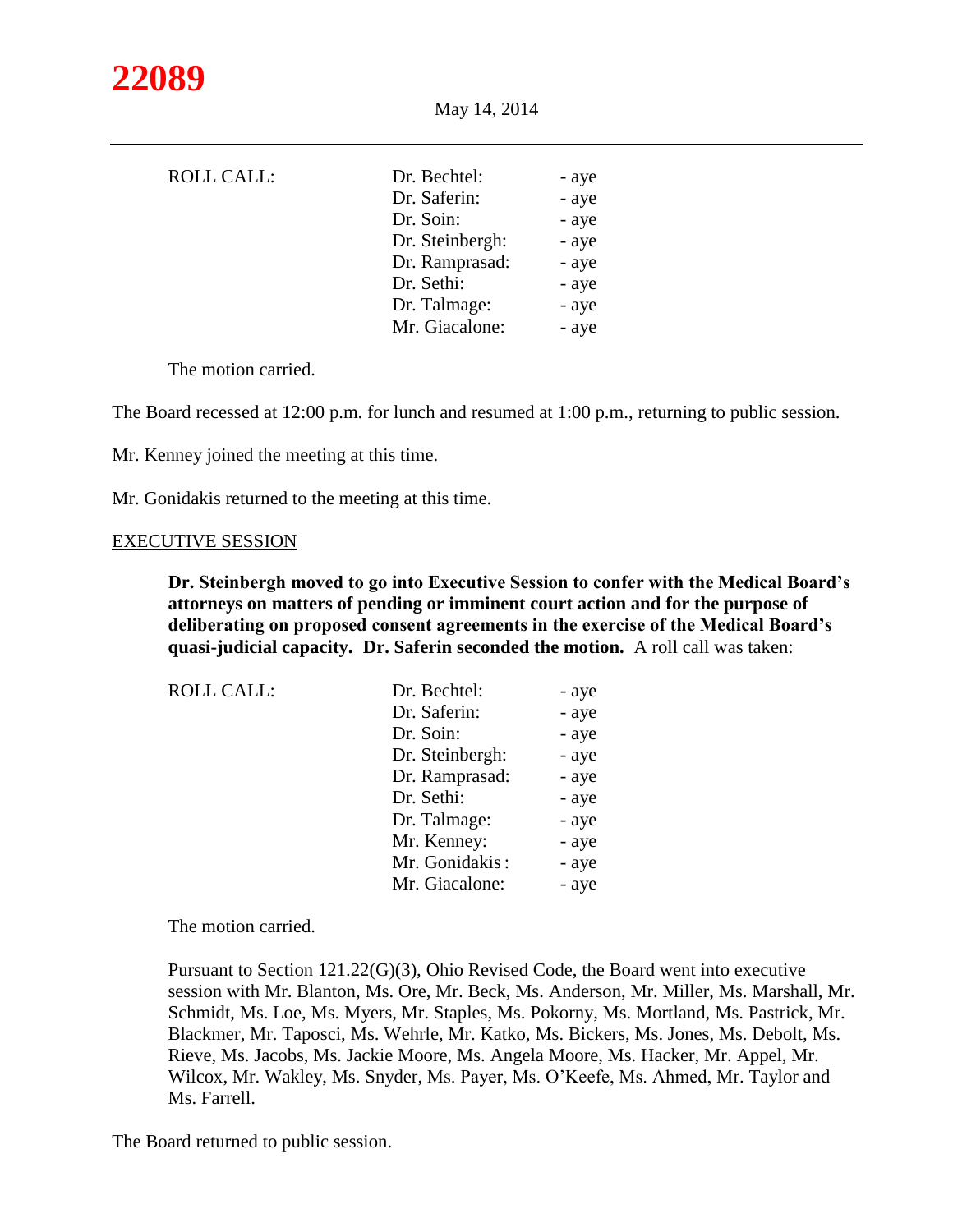| <b>ROLL CALL:</b> | Dr. Bechtel:    | - aye |
|-------------------|-----------------|-------|
|                   | Dr. Saferin:    | - aye |
|                   | Dr. Soin:       | - aye |
|                   | Dr. Steinbergh: | - aye |
|                   | Dr. Ramprasad:  | - aye |
|                   | Dr. Sethi:      | - aye |
|                   | Dr. Talmage:    | - aye |
|                   | Mr. Giacalone:  | - aye |

The motion carried.

The Board recessed at 12:00 p.m. for lunch and resumed at 1:00 p.m., returning to public session.

Mr. Kenney joined the meeting at this time.

Mr. Gonidakis returned to the meeting at this time.

#### EXECUTIVE SESSION

**Dr. Steinbergh moved to go into Executive Session to confer with the Medical Board's attorneys on matters of pending or imminent court action and for the purpose of deliberating on proposed consent agreements in the exercise of the Medical Board's quasi-judicial capacity. Dr. Saferin seconded the motion.** A roll call was taken:

| <b>ROLL CALL:</b> | Dr. Bechtel:    | - aye |
|-------------------|-----------------|-------|
|                   | Dr. Saferin:    | - aye |
|                   | Dr. Soin:       | - aye |
|                   | Dr. Steinbergh: | - aye |
|                   | Dr. Ramprasad:  | - aye |
|                   | Dr. Sethi:      | - aye |
|                   | Dr. Talmage:    | - aye |
|                   | Mr. Kenney:     | - aye |
|                   | Mr. Gonidakis:  | - aye |
|                   | Mr. Giacalone:  | - aye |

The motion carried.

Pursuant to Section 121.22(G)(3), Ohio Revised Code, the Board went into executive session with Mr. Blanton, Ms. Ore, Mr. Beck, Ms. Anderson, Mr. Miller, Ms. Marshall, Mr. Schmidt, Ms. Loe, Ms. Myers, Mr. Staples, Ms. Pokorny, Ms. Mortland, Ms. Pastrick, Mr. Blackmer, Mr. Taposci, Ms. Wehrle, Mr. Katko, Ms. Bickers, Ms. Jones, Ms. Debolt, Ms. Rieve, Ms. Jacobs, Ms. Jackie Moore, Ms. Angela Moore, Ms. Hacker, Mr. Appel, Mr. Wilcox, Mr. Wakley, Ms. Snyder, Ms. Payer, Ms. O'Keefe, Ms. Ahmed, Mr. Taylor and Ms. Farrell.

The Board returned to public session.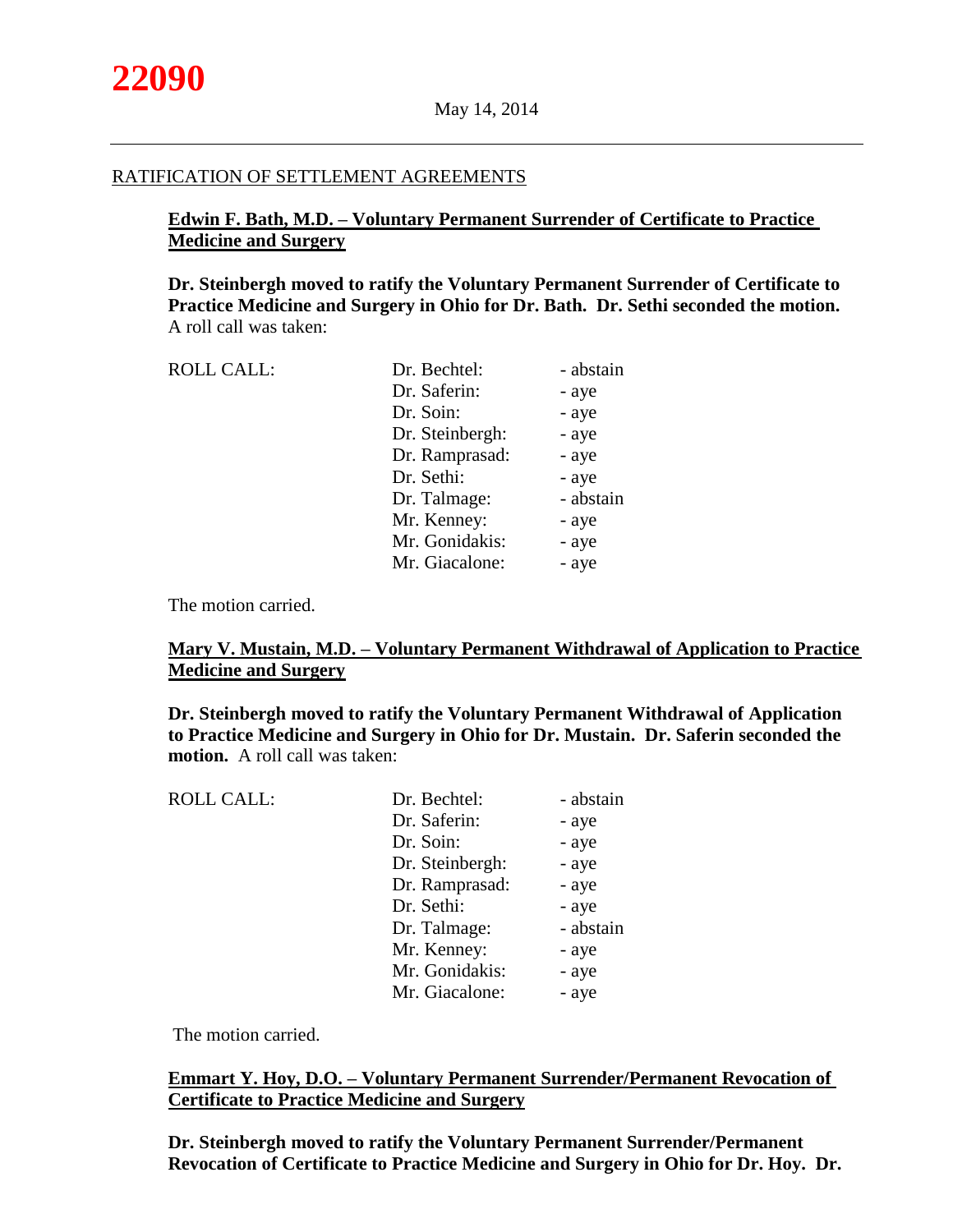#### RATIFICATION OF SETTLEMENT AGREEMENTS

# **Edwin F. Bath, M.D. – Voluntary Permanent Surrender of Certificate to Practice Medicine and Surgery**

**Dr. Steinbergh moved to ratify the Voluntary Permanent Surrender of Certificate to Practice Medicine and Surgery in Ohio for Dr. Bath. Dr. Sethi seconded the motion.** A roll call was taken:

| <b>ROLL CALL:</b> | Dr. Bechtel:    | - abstain |
|-------------------|-----------------|-----------|
|                   | Dr. Saferin:    | - aye     |
|                   | Dr. Soin:       | - aye     |
|                   | Dr. Steinbergh: | - aye     |
|                   | Dr. Ramprasad:  | - aye     |
|                   | Dr. Sethi:      | - aye     |
|                   | Dr. Talmage:    | - abstain |
|                   | Mr. Kenney:     | - aye     |
|                   | Mr. Gonidakis:  | - aye     |
|                   | Mr. Giacalone:  | - aye     |
|                   |                 |           |

The motion carried.

# **Mary V. Mustain, M.D. – Voluntary Permanent Withdrawal of Application to Practice Medicine and Surgery**

**Dr. Steinbergh moved to ratify the Voluntary Permanent Withdrawal of Application to Practice Medicine and Surgery in Ohio for Dr. Mustain. Dr. Saferin seconded the motion.** A roll call was taken:

| <b>ROLL CALL:</b> | Dr. Bechtel:    | - abstain |
|-------------------|-----------------|-----------|
|                   | Dr. Saferin:    | - aye     |
|                   | Dr. Soin:       | - aye     |
|                   | Dr. Steinbergh: | - aye     |
|                   | Dr. Ramprasad:  | - aye     |
|                   | Dr. Sethi:      | - aye     |
|                   | Dr. Talmage:    | - abstain |
|                   | Mr. Kenney:     | - aye     |
|                   | Mr. Gonidakis:  | - aye     |
|                   | Mr. Giacalone:  | - aye     |
|                   |                 |           |

The motion carried.

# **Emmart Y. Hoy, D.O. – Voluntary Permanent Surrender/Permanent Revocation of Certificate to Practice Medicine and Surgery**

**Dr. Steinbergh moved to ratify the Voluntary Permanent Surrender/Permanent Revocation of Certificate to Practice Medicine and Surgery in Ohio for Dr. Hoy. Dr.**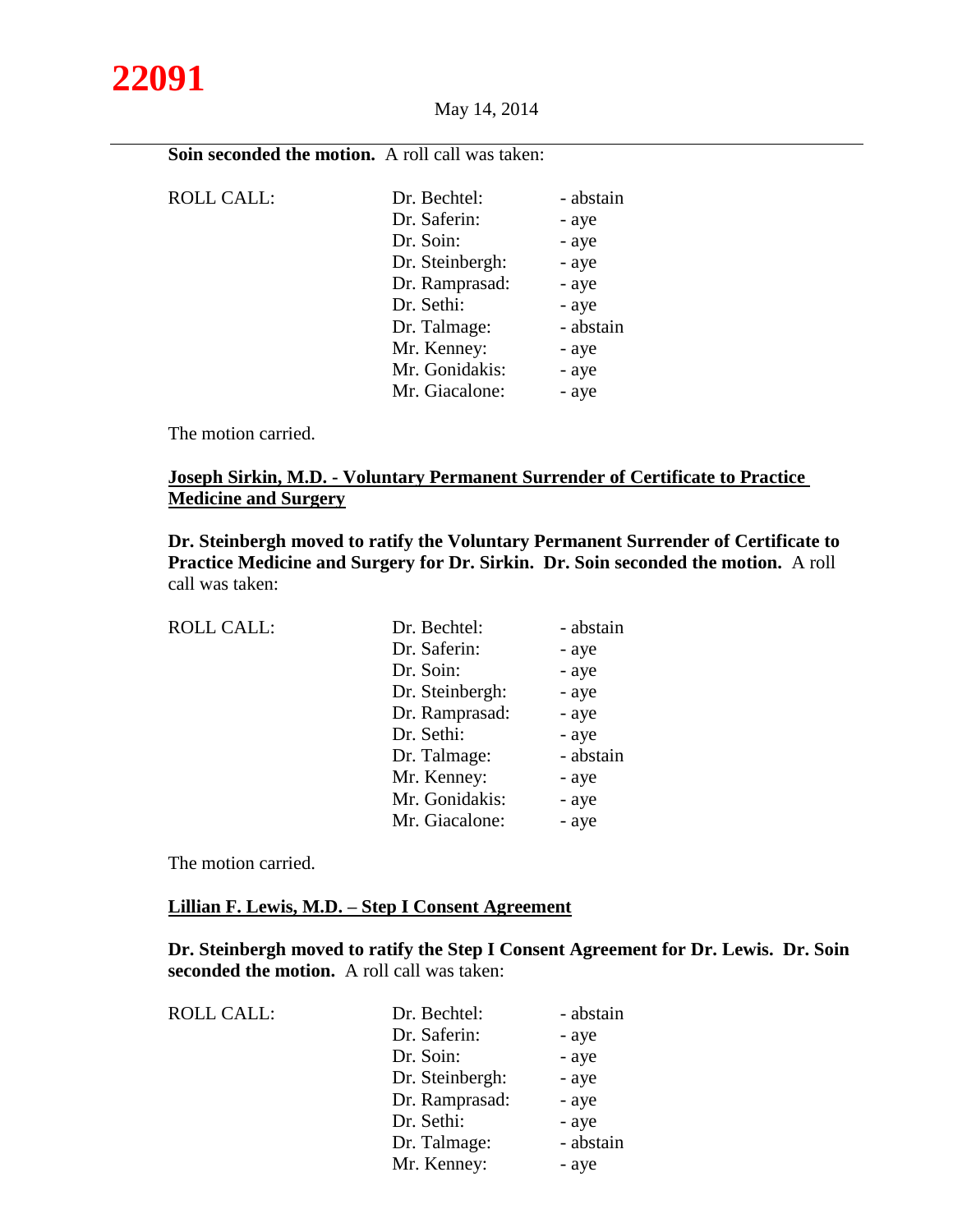

**Soin seconded the motion.** A roll call was taken:

| <b>ROLL CALL:</b> | Dr. Bechtel:    | - abstain |
|-------------------|-----------------|-----------|
|                   | Dr. Saferin:    | - aye     |
|                   | Dr. Soin:       | - aye     |
|                   | Dr. Steinbergh: | - aye     |
|                   | Dr. Ramprasad:  | - aye     |
|                   | Dr. Sethi:      | - aye     |
|                   | Dr. Talmage:    | - abstain |
|                   | Mr. Kenney:     | - aye     |
|                   | Mr. Gonidakis:  | - aye     |
|                   | Mr. Giacalone:  | - aye     |

The motion carried.

# **Joseph Sirkin, M.D. - Voluntary Permanent Surrender of Certificate to Practice Medicine and Surgery**

**Dr. Steinbergh moved to ratify the Voluntary Permanent Surrender of Certificate to Practice Medicine and Surgery for Dr. Sirkin. Dr. Soin seconded the motion.** A roll call was taken:

| <b>ROLL CALL:</b> | Dr. Bechtel:    | - abstain |
|-------------------|-----------------|-----------|
|                   | Dr. Saferin:    | - aye     |
|                   | Dr. Soin:       | - aye     |
|                   | Dr. Steinbergh: | - aye     |
|                   | Dr. Ramprasad:  | - aye     |
|                   | Dr. Sethi:      | - aye     |
|                   | Dr. Talmage:    | - abstain |
|                   | Mr. Kenney:     | - aye     |
|                   | Mr. Gonidakis:  | - aye     |
|                   | Mr. Giacalone:  | - aye     |
|                   |                 |           |

The motion carried.

## **Lillian F. Lewis, M.D. – Step I Consent Agreement**

**Dr. Steinbergh moved to ratify the Step I Consent Agreement for Dr. Lewis. Dr. Soin seconded the motion.** A roll call was taken:

| <b>ROLL CALL:</b> | Dr. Bechtel:    | - abstain |
|-------------------|-----------------|-----------|
|                   | Dr. Saferin:    | - aye     |
|                   | Dr. Soin:       | - aye     |
|                   | Dr. Steinbergh: | - aye     |
|                   | Dr. Ramprasad:  | - aye     |
|                   | Dr. Sethi:      | - aye     |
|                   | Dr. Talmage:    | - abstain |
|                   | Mr. Kenney:     | - aye     |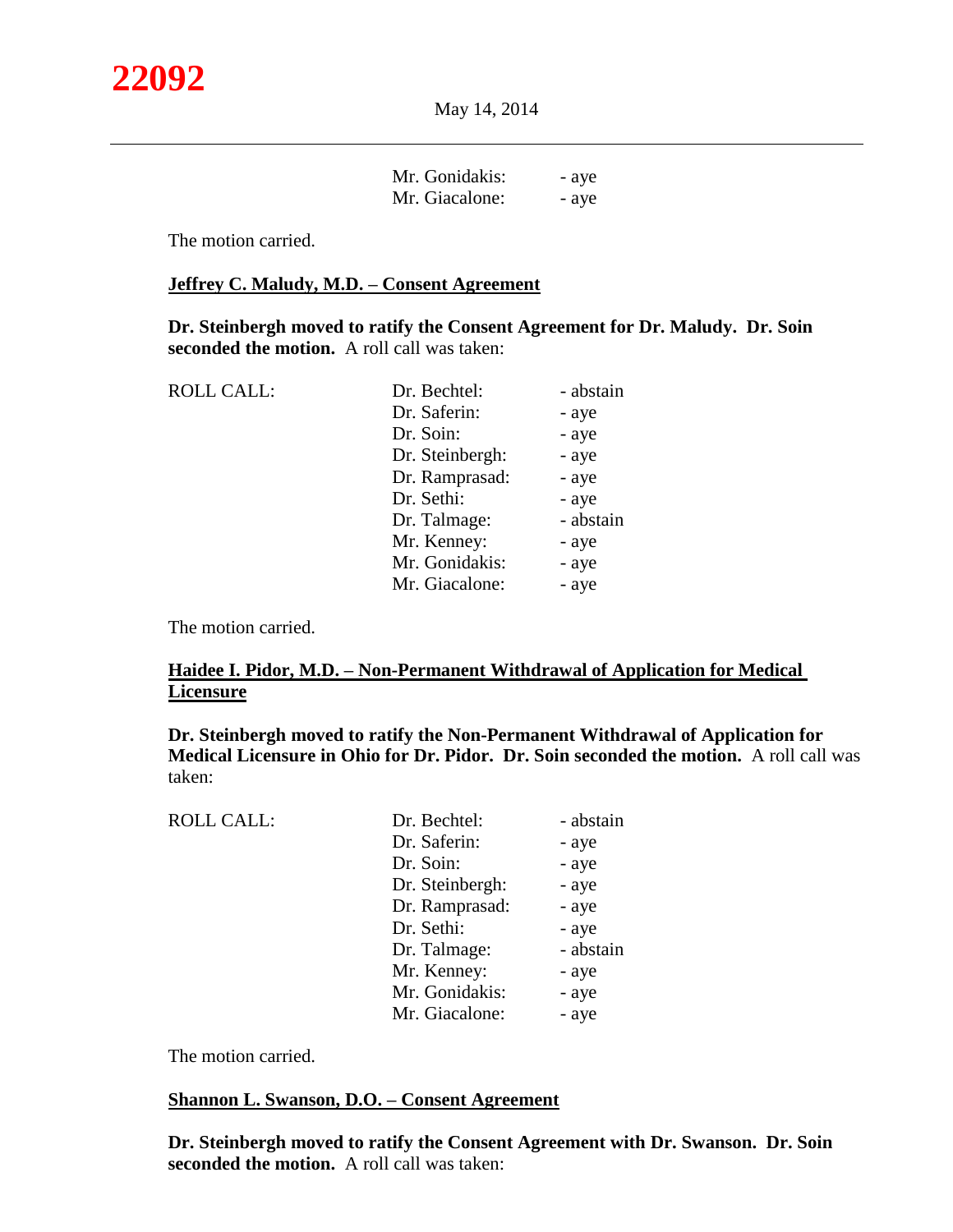| Mr. Gonidakis: | - aye |
|----------------|-------|
| Mr. Giacalone: | - aye |

The motion carried.

## **Jeffrey C. Maludy, M.D. – Consent Agreement**

**Dr. Steinbergh moved to ratify the Consent Agreement for Dr. Maludy. Dr. Soin seconded the motion.** A roll call was taken:

| <b>ROLL CALL:</b> | Dr. Bechtel:    | - abstain |
|-------------------|-----------------|-----------|
|                   | Dr. Saferin:    | - aye     |
|                   | Dr. Soin:       | - aye     |
|                   | Dr. Steinbergh: | - aye     |
|                   | Dr. Ramprasad:  | - aye     |
|                   | Dr. Sethi:      | - aye     |
|                   | Dr. Talmage:    | - abstain |
|                   | Mr. Kenney:     | - aye     |
|                   | Mr. Gonidakis:  | - aye     |
|                   | Mr. Giacalone:  | - aye     |
|                   |                 |           |

The motion carried.

# **Haidee I. Pidor, M.D. – Non-Permanent Withdrawal of Application for Medical Licensure**

# **Dr. Steinbergh moved to ratify the Non-Permanent Withdrawal of Application for Medical Licensure in Ohio for Dr. Pidor. Dr. Soin seconded the motion.** A roll call was taken:

| <b>ROLL CALL:</b> | Dr. Bechtel:    | - abstain |
|-------------------|-----------------|-----------|
|                   | Dr. Saferin:    | - aye     |
|                   | Dr. Soin:       | - aye     |
|                   | Dr. Steinbergh: | - aye     |
|                   | Dr. Ramprasad:  | - aye     |
|                   | Dr. Sethi:      | - aye     |
|                   | Dr. Talmage:    | - abstain |
|                   | Mr. Kenney:     | - aye     |
|                   | Mr. Gonidakis:  | - aye     |
|                   | Mr. Giacalone:  | - aye     |
|                   |                 |           |

The motion carried.

#### **Shannon L. Swanson, D.O. – Consent Agreement**

**Dr. Steinbergh moved to ratify the Consent Agreement with Dr. Swanson. Dr. Soin seconded the motion.** A roll call was taken: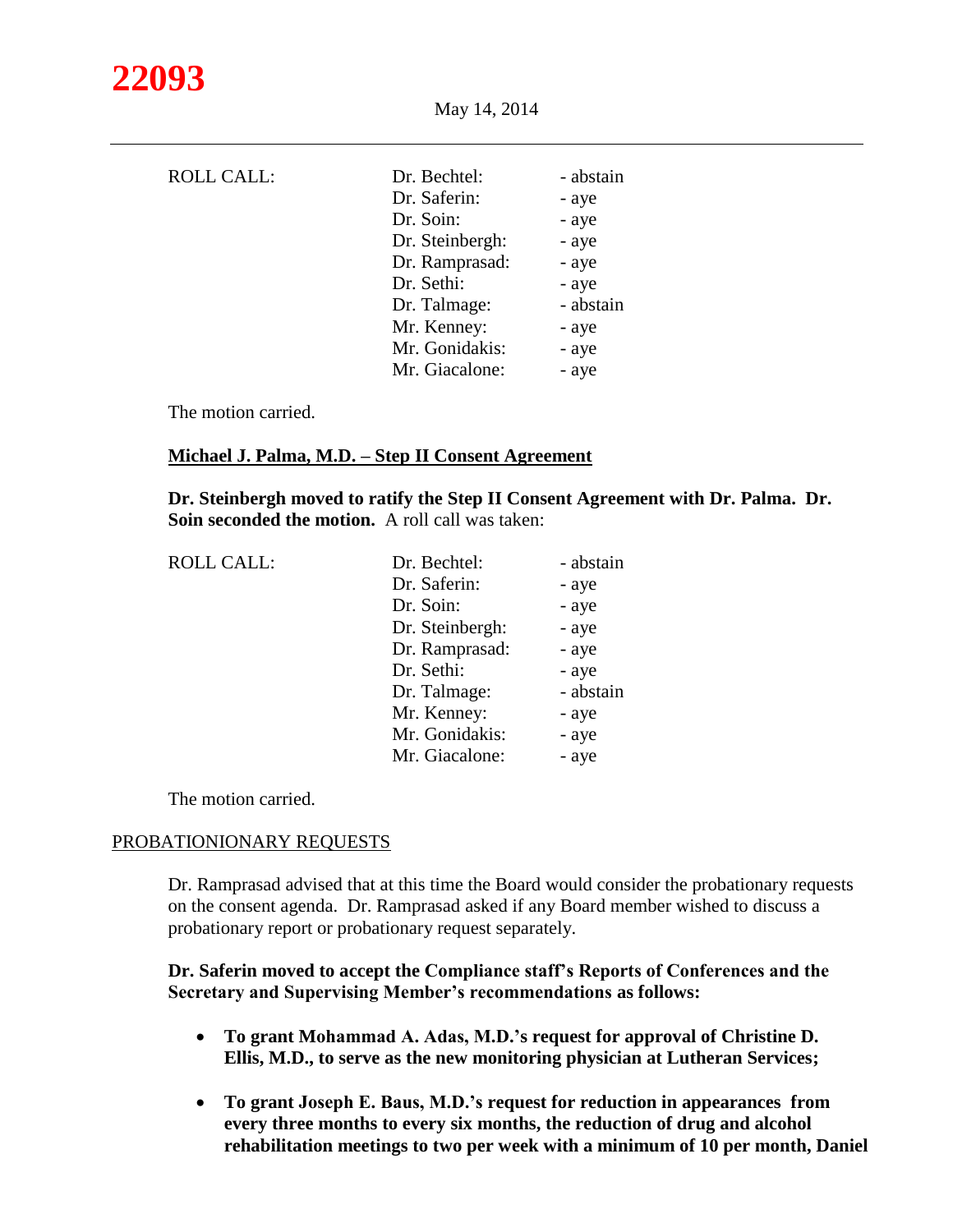| <b>ROLL CALL:</b> | Dr. Bechtel:    | - abstain |
|-------------------|-----------------|-----------|
|                   | Dr. Saferin:    | - aye     |
|                   | Dr. Soin:       | - aye     |
|                   | Dr. Steinbergh: | - aye     |
|                   | Dr. Ramprasad:  | - aye     |
|                   | Dr. Sethi:      | - aye     |
|                   | Dr. Talmage:    | - abstain |
|                   | Mr. Kenney:     | - aye     |
|                   | Mr. Gonidakis:  | - aye     |
|                   | Mr. Giacalone:  | - aye     |
|                   |                 |           |

The motion carried.

#### **Michael J. Palma, M.D. – Step II Consent Agreement**

**Dr. Steinbergh moved to ratify the Step II Consent Agreement with Dr. Palma. Dr. Soin seconded the motion.** A roll call was taken:

| <b>ROLL CALL:</b> |
|-------------------|
|-------------------|

| <b>ROLL CALL:</b> | Dr. Bechtel:    | - abstain |
|-------------------|-----------------|-----------|
|                   | Dr. Saferin:    | - aye     |
|                   | Dr. Soin:       | - aye     |
|                   | Dr. Steinbergh: | - aye     |
|                   | Dr. Ramprasad:  | - aye     |
|                   | Dr. Sethi:      | - aye     |
|                   | Dr. Talmage:    | - abstain |
|                   | Mr. Kenney:     | - aye     |
|                   | Mr. Gonidakis:  | - aye     |
|                   | Mr. Giacalone:  | - aye     |
|                   |                 |           |

The motion carried.

#### PROBATIONIONARY REQUESTS

Dr. Ramprasad advised that at this time the Board would consider the probationary requests on the consent agenda. Dr. Ramprasad asked if any Board member wished to discuss a probationary report or probationary request separately.

## **Dr. Saferin moved to accept the Compliance staff's Reports of Conferences and the Secretary and Supervising Member's recommendations as follows:**

- **To grant Mohammad A. Adas, M.D.'s request for approval of Christine D. Ellis, M.D., to serve as the new monitoring physician at Lutheran Services;**
- **To grant Joseph E. Baus, M.D.'s request for reduction in appearances from every three months to every six months, the reduction of drug and alcohol rehabilitation meetings to two per week with a minimum of 10 per month, Daniel**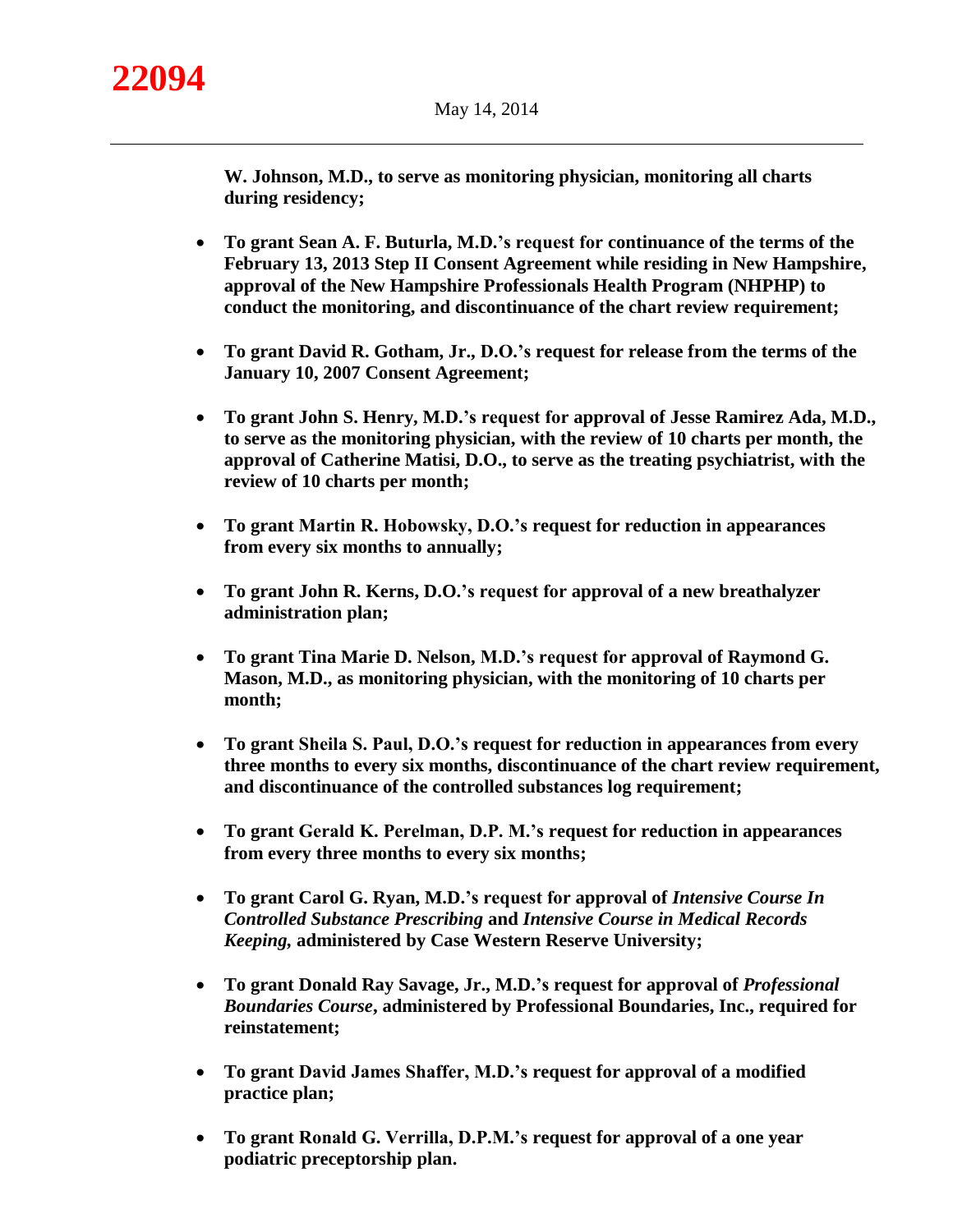**W. Johnson, M.D., to serve as monitoring physician, monitoring all charts during residency;**

- **To grant Sean A. F. Buturla, M.D.'s request for continuance of the terms of the February 13, 2013 Step II Consent Agreement while residing in New Hampshire, approval of the New Hampshire Professionals Health Program (NHPHP) to conduct the monitoring, and discontinuance of the chart review requirement;**
- **To grant David R. Gotham, Jr., D.O.'s request for release from the terms of the January 10, 2007 Consent Agreement;**
- **To grant John S. Henry, M.D.'s request for approval of Jesse Ramirez Ada, M.D., to serve as the monitoring physician, with the review of 10 charts per month, the approval of Catherine Matisi, D.O., to serve as the treating psychiatrist, with the review of 10 charts per month;**
- **To grant Martin R. Hobowsky, D.O.'s request for reduction in appearances from every six months to annually;**
- **To grant John R. Kerns, D.O.'s request for approval of a new breathalyzer administration plan;**
- **To grant Tina Marie D. Nelson, M.D.'s request for approval of Raymond G. Mason, M.D., as monitoring physician, with the monitoring of 10 charts per month;**
- **To grant Sheila S. Paul, D.O.'s request for reduction in appearances from every three months to every six months, discontinuance of the chart review requirement, and discontinuance of the controlled substances log requirement;**
- **To grant Gerald K. Perelman, D.P. M.'s request for reduction in appearances from every three months to every six months;**
- To grant Carol G. Ryan, M.D.'s request for approval of *Intensive Course In Controlled Substance Prescribing* **and** *Intensive Course in Medical Records Keeping,* **administered by Case Western Reserve University;**
- **To grant Donald Ray Savage, Jr., M.D.'s request for approval of** *Professional Boundaries Course***, administered by Professional Boundaries, Inc., required for reinstatement;**
- **To grant David James Shaffer, M.D.'s request for approval of a modified practice plan;**
- **To grant Ronald G. Verrilla, D.P.M.'s request for approval of a one year podiatric preceptorship plan.**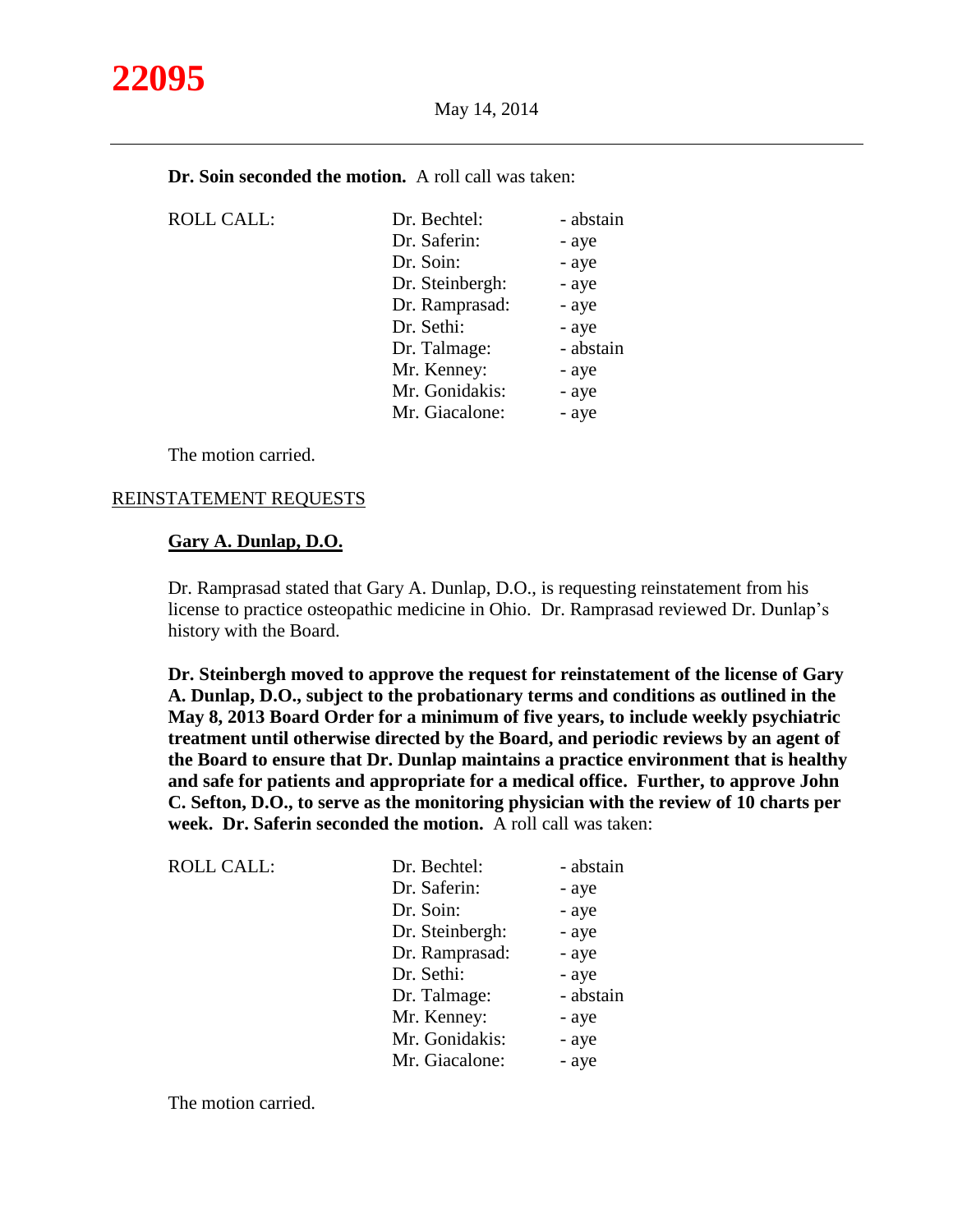

| <b>Dr. Soin seconded the motion.</b> A roll call was taken: |  |
|-------------------------------------------------------------|--|
|-------------------------------------------------------------|--|

| <b>ROLL CALL:</b> | Dr. Bechtel:    | - abstain |
|-------------------|-----------------|-----------|
|                   | Dr. Saferin:    | - aye     |
|                   | Dr. Soin:       | - aye     |
|                   | Dr. Steinbergh: | - aye     |
|                   | Dr. Ramprasad:  | - aye     |
|                   | Dr. Sethi:      | - aye     |
|                   | Dr. Talmage:    | - abstain |
|                   | Mr. Kenney:     | - aye     |
|                   | Mr. Gonidakis:  | - aye     |
|                   | Mr. Giacalone:  | - aye     |

The motion carried.

#### REINSTATEMENT REQUESTS

## **Gary A. Dunlap, D.O.**

Dr. Ramprasad stated that Gary A. Dunlap, D.O., is requesting reinstatement from his license to practice osteopathic medicine in Ohio. Dr. Ramprasad reviewed Dr. Dunlap's history with the Board.

**Dr. Steinbergh moved to approve the request for reinstatement of the license of Gary A. Dunlap, D.O., subject to the probationary terms and conditions as outlined in the May 8, 2013 Board Order for a minimum of five years, to include weekly psychiatric treatment until otherwise directed by the Board, and periodic reviews by an agent of the Board to ensure that Dr. Dunlap maintains a practice environment that is healthy and safe for patients and appropriate for a medical office. Further, to approve John C. Sefton, D.O., to serve as the monitoring physician with the review of 10 charts per week. Dr. Saferin seconded the motion.** A roll call was taken:

| <b>ROLL CALL:</b> | Dr. Bechtel:    | - abstain |
|-------------------|-----------------|-----------|
|                   | Dr. Saferin:    | - aye     |
|                   | Dr. Soin:       | - aye     |
|                   | Dr. Steinbergh: | - aye     |
|                   | Dr. Ramprasad:  | - aye     |
|                   | Dr. Sethi:      | - aye     |
|                   | Dr. Talmage:    | - abstain |
|                   | Mr. Kenney:     | - aye     |
|                   | Mr. Gonidakis:  | - aye     |
|                   | Mr. Giacalone:  | - aye     |
|                   |                 |           |

The motion carried.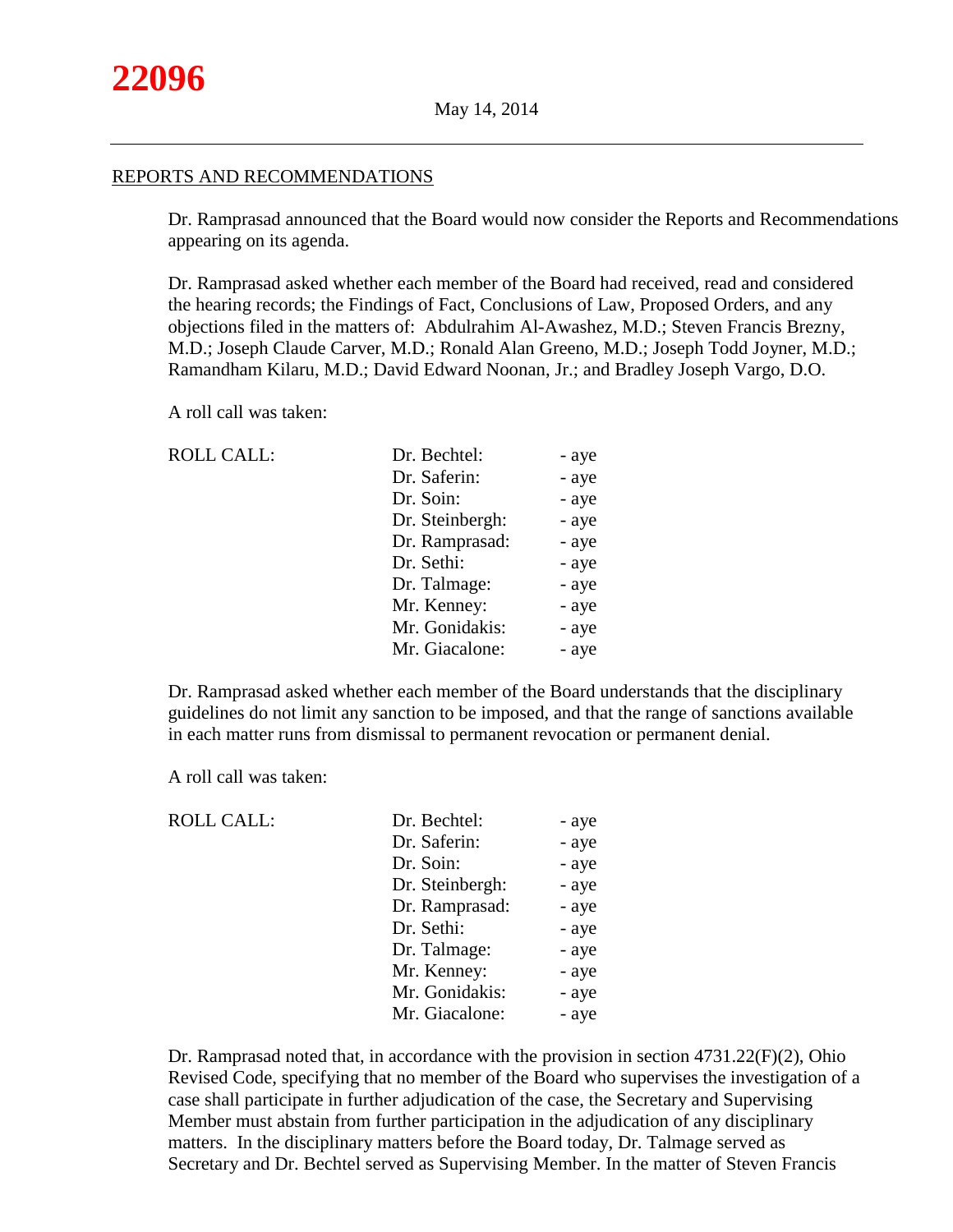### REPORTS AND RECOMMENDATIONS

Dr. Ramprasad announced that the Board would now consider the Reports and Recommendations appearing on its agenda.

Dr. Ramprasad asked whether each member of the Board had received, read and considered the hearing records; the Findings of Fact, Conclusions of Law, Proposed Orders, and any objections filed in the matters of: Abdulrahim Al-Awashez, M.D.; Steven Francis Brezny, M.D.; Joseph Claude Carver, M.D.; Ronald Alan Greeno, M.D.; Joseph Todd Joyner, M.D.; Ramandham Kilaru, M.D.; David Edward Noonan, Jr.; and Bradley Joseph Vargo, D.O.

A roll call was taken:

| <b>ROLL CALL:</b> |  |
|-------------------|--|
|-------------------|--|

| <b>ROLL CALL:</b> | Dr. Bechtel:    | - aye |
|-------------------|-----------------|-------|
|                   | Dr. Saferin:    | - aye |
|                   | Dr. Soin:       | - aye |
|                   | Dr. Steinbergh: | - aye |
|                   | Dr. Ramprasad:  | - aye |
|                   | Dr. Sethi:      | - aye |
|                   | Dr. Talmage:    | - aye |
|                   | Mr. Kenney:     | - aye |
|                   | Mr. Gonidakis:  | - aye |
|                   | Mr. Giacalone:  | - aye |

Dr. Ramprasad asked whether each member of the Board understands that the disciplinary guidelines do not limit any sanction to be imposed, and that the range of sanctions available in each matter runs from dismissal to permanent revocation or permanent denial.

A roll call was taken:

| <b>ROLL CALL:</b> | Dr. Bechtel:    | - aye |
|-------------------|-----------------|-------|
|                   | Dr. Saferin:    | - aye |
|                   | Dr. Soin:       | - aye |
|                   | Dr. Steinbergh: | - aye |
|                   | Dr. Ramprasad:  | - aye |
|                   | Dr. Sethi:      | - aye |
|                   | Dr. Talmage:    | - aye |
|                   | Mr. Kenney:     | - aye |
|                   | Mr. Gonidakis:  | - aye |
|                   | Mr. Giacalone:  | - aye |
|                   |                 |       |

Dr. Ramprasad noted that, in accordance with the provision in section 4731.22(F)(2), Ohio Revised Code, specifying that no member of the Board who supervises the investigation of a case shall participate in further adjudication of the case, the Secretary and Supervising Member must abstain from further participation in the adjudication of any disciplinary matters. In the disciplinary matters before the Board today, Dr. Talmage served as Secretary and Dr. Bechtel served as Supervising Member. In the matter of Steven Francis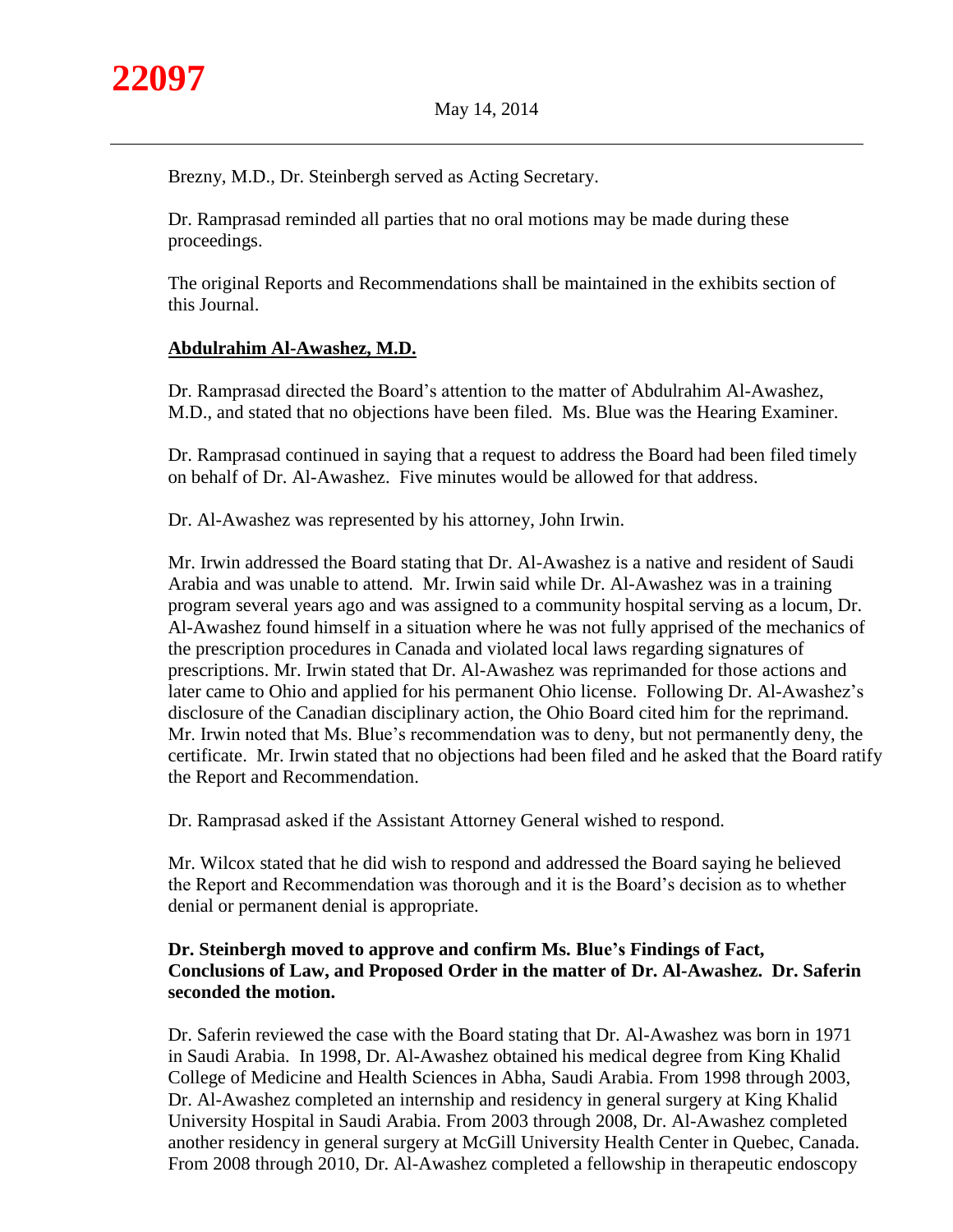

Brezny, M.D., Dr. Steinbergh served as Acting Secretary.

Dr. Ramprasad reminded all parties that no oral motions may be made during these proceedings.

The original Reports and Recommendations shall be maintained in the exhibits section of this Journal.

# **Abdulrahim Al-Awashez, M.D.**

Dr. Ramprasad directed the Board's attention to the matter of Abdulrahim Al-Awashez, M.D., and stated that no objections have been filed. Ms. Blue was the Hearing Examiner.

Dr. Ramprasad continued in saying that a request to address the Board had been filed timely on behalf of Dr. Al-Awashez. Five minutes would be allowed for that address.

Dr. Al-Awashez was represented by his attorney, John Irwin.

Mr. Irwin addressed the Board stating that Dr. Al-Awashez is a native and resident of Saudi Arabia and was unable to attend. Mr. Irwin said while Dr. Al-Awashez was in a training program several years ago and was assigned to a community hospital serving as a locum, Dr. Al-Awashez found himself in a situation where he was not fully apprised of the mechanics of the prescription procedures in Canada and violated local laws regarding signatures of prescriptions. Mr. Irwin stated that Dr. Al-Awashez was reprimanded for those actions and later came to Ohio and applied for his permanent Ohio license. Following Dr. Al-Awashez's disclosure of the Canadian disciplinary action, the Ohio Board cited him for the reprimand. Mr. Irwin noted that Ms. Blue's recommendation was to deny, but not permanently deny, the certificate. Mr. Irwin stated that no objections had been filed and he asked that the Board ratify the Report and Recommendation.

Dr. Ramprasad asked if the Assistant Attorney General wished to respond.

Mr. Wilcox stated that he did wish to respond and addressed the Board saying he believed the Report and Recommendation was thorough and it is the Board's decision as to whether denial or permanent denial is appropriate.

# **Dr. Steinbergh moved to approve and confirm Ms. Blue's Findings of Fact, Conclusions of Law, and Proposed Order in the matter of Dr. Al-Awashez. Dr. Saferin seconded the motion.**

Dr. Saferin reviewed the case with the Board stating that Dr. Al-Awashez was born in 1971 in Saudi Arabia. In 1998, Dr. Al-Awashez obtained his medical degree from King Khalid College of Medicine and Health Sciences in Abha, Saudi Arabia. From 1998 through 2003, Dr. Al-Awashez completed an internship and residency in general surgery at King Khalid University Hospital in Saudi Arabia. From 2003 through 2008, Dr. Al-Awashez completed another residency in general surgery at McGill University Health Center in Quebec, Canada. From 2008 through 2010, Dr. Al-Awashez completed a fellowship in therapeutic endoscopy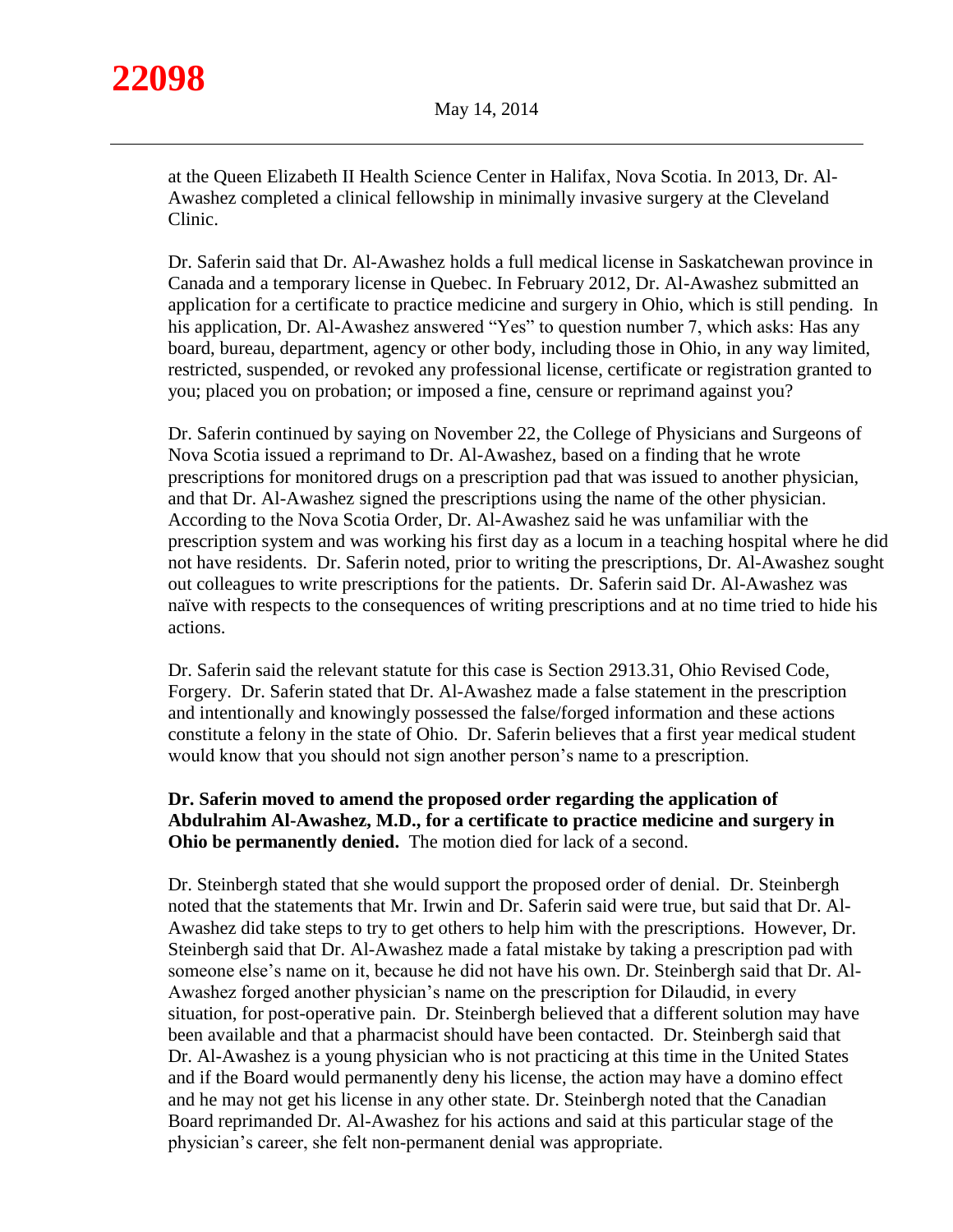at the Queen Elizabeth II Health Science Center in Halifax, Nova Scotia. In 2013, Dr. Al-Awashez completed a clinical fellowship in minimally invasive surgery at the Cleveland Clinic.

Dr. Saferin said that Dr. Al-Awashez holds a full medical license in Saskatchewan province in Canada and a temporary license in Quebec. In February 2012, Dr. Al-Awashez submitted an application for a certificate to practice medicine and surgery in Ohio, which is still pending. In his application, Dr. Al-Awashez answered "Yes" to question number 7, which asks: Has any board, bureau, department, agency or other body, including those in Ohio, in any way limited, restricted, suspended, or revoked any professional license, certificate or registration granted to you; placed you on probation; or imposed a fine, censure or reprimand against you?

Dr. Saferin continued by saying on November 22, the College of Physicians and Surgeons of Nova Scotia issued a reprimand to Dr. Al-Awashez, based on a finding that he wrote prescriptions for monitored drugs on a prescription pad that was issued to another physician, and that Dr. Al-Awashez signed the prescriptions using the name of the other physician. According to the Nova Scotia Order, Dr. Al-Awashez said he was unfamiliar with the prescription system and was working his first day as a locum in a teaching hospital where he did not have residents. Dr. Saferin noted, prior to writing the prescriptions, Dr. Al-Awashez sought out colleagues to write prescriptions for the patients. Dr. Saferin said Dr. Al-Awashez was naïve with respects to the consequences of writing prescriptions and at no time tried to hide his actions.

Dr. Saferin said the relevant statute for this case is Section 2913.31, Ohio Revised Code, Forgery. Dr. Saferin stated that Dr. Al-Awashez made a false statement in the prescription and intentionally and knowingly possessed the false/forged information and these actions constitute a felony in the state of Ohio. Dr. Saferin believes that a first year medical student would know that you should not sign another person's name to a prescription.

# **Dr. Saferin moved to amend the proposed order regarding the application of Abdulrahim Al-Awashez, M.D., for a certificate to practice medicine and surgery in Ohio be permanently denied.** The motion died for lack of a second.

Dr. Steinbergh stated that she would support the proposed order of denial. Dr. Steinbergh noted that the statements that Mr. Irwin and Dr. Saferin said were true, but said that Dr. Al-Awashez did take steps to try to get others to help him with the prescriptions. However, Dr. Steinbergh said that Dr. Al-Awashez made a fatal mistake by taking a prescription pad with someone else's name on it, because he did not have his own. Dr. Steinbergh said that Dr. Al-Awashez forged another physician's name on the prescription for Dilaudid, in every situation, for post-operative pain. Dr. Steinbergh believed that a different solution may have been available and that a pharmacist should have been contacted. Dr. Steinbergh said that Dr. Al-Awashez is a young physician who is not practicing at this time in the United States and if the Board would permanently deny his license, the action may have a domino effect and he may not get his license in any other state. Dr. Steinbergh noted that the Canadian Board reprimanded Dr. Al-Awashez for his actions and said at this particular stage of the physician's career, she felt non-permanent denial was appropriate.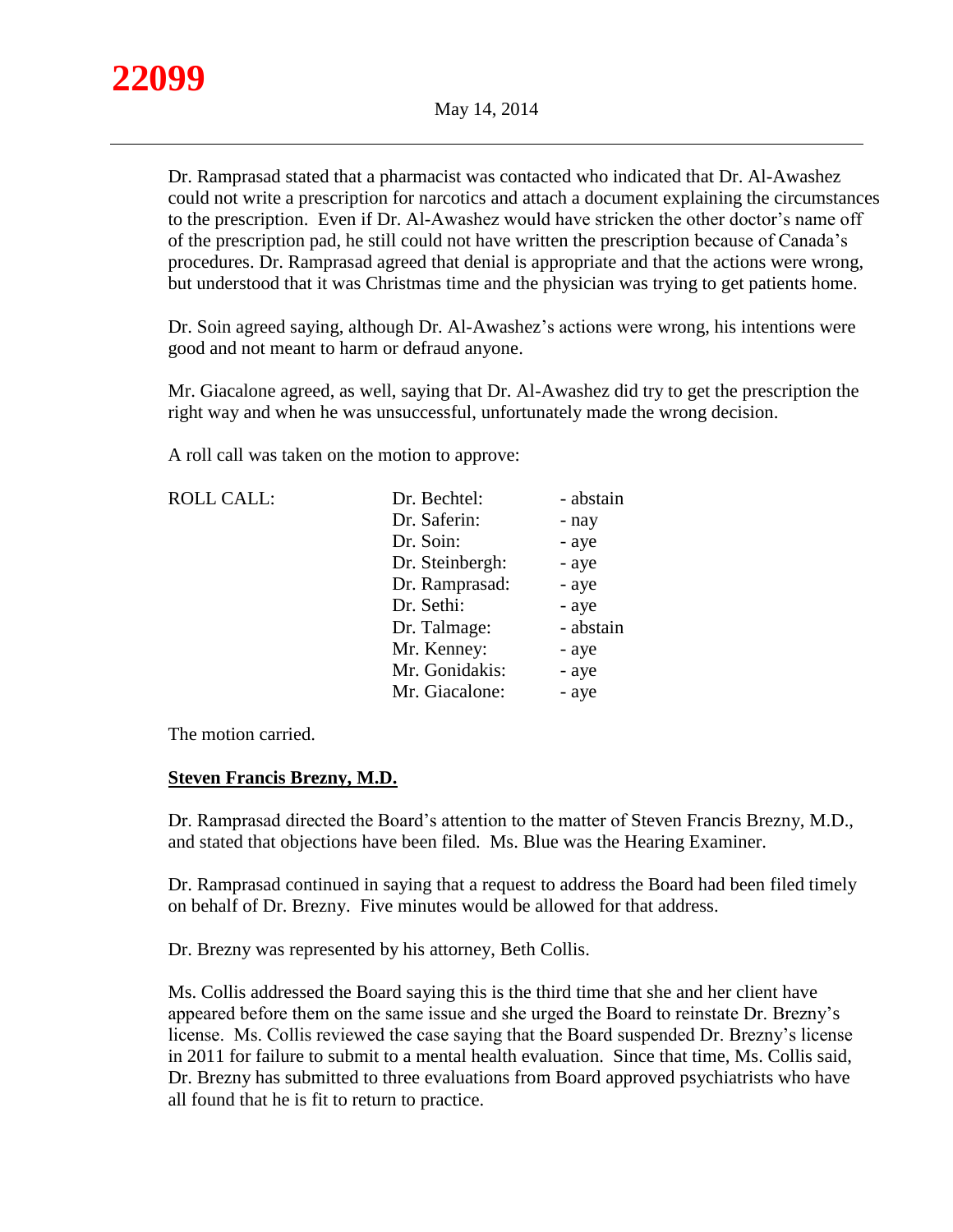

Dr. Ramprasad stated that a pharmacist was contacted who indicated that Dr. Al-Awashez could not write a prescription for narcotics and attach a document explaining the circumstances to the prescription. Even if Dr. Al-Awashez would have stricken the other doctor's name off of the prescription pad, he still could not have written the prescription because of Canada's procedures. Dr. Ramprasad agreed that denial is appropriate and that the actions were wrong, but understood that it was Christmas time and the physician was trying to get patients home.

Dr. Soin agreed saying, although Dr. Al-Awashez's actions were wrong, his intentions were good and not meant to harm or defraud anyone.

Mr. Giacalone agreed, as well, saying that Dr. Al-Awashez did try to get the prescription the right way and when he was unsuccessful, unfortunately made the wrong decision.

A roll call was taken on the motion to approve:

| <b>ROLL CALL:</b> | Dr. Bechtel:    | - abstain |
|-------------------|-----------------|-----------|
|                   | Dr. Saferin:    | - nay     |
|                   | Dr. Soin:       | - aye     |
|                   | Dr. Steinbergh: | - aye     |
|                   | Dr. Ramprasad:  | - aye     |
|                   | Dr. Sethi:      | - aye     |
|                   | Dr. Talmage:    | - abstain |
|                   | Mr. Kenney:     | - aye     |
|                   | Mr. Gonidakis:  | - aye     |
|                   | Mr. Giacalone:  | - aye     |

The motion carried.

# **Steven Francis Brezny, M.D.**

Dr. Ramprasad directed the Board's attention to the matter of Steven Francis Brezny, M.D., and stated that objections have been filed. Ms. Blue was the Hearing Examiner.

Dr. Ramprasad continued in saying that a request to address the Board had been filed timely on behalf of Dr. Brezny. Five minutes would be allowed for that address.

Dr. Brezny was represented by his attorney, Beth Collis.

Ms. Collis addressed the Board saying this is the third time that she and her client have appeared before them on the same issue and she urged the Board to reinstate Dr. Brezny's license. Ms. Collis reviewed the case saying that the Board suspended Dr. Brezny's license in 2011 for failure to submit to a mental health evaluation. Since that time, Ms. Collis said, Dr. Brezny has submitted to three evaluations from Board approved psychiatrists who have all found that he is fit to return to practice.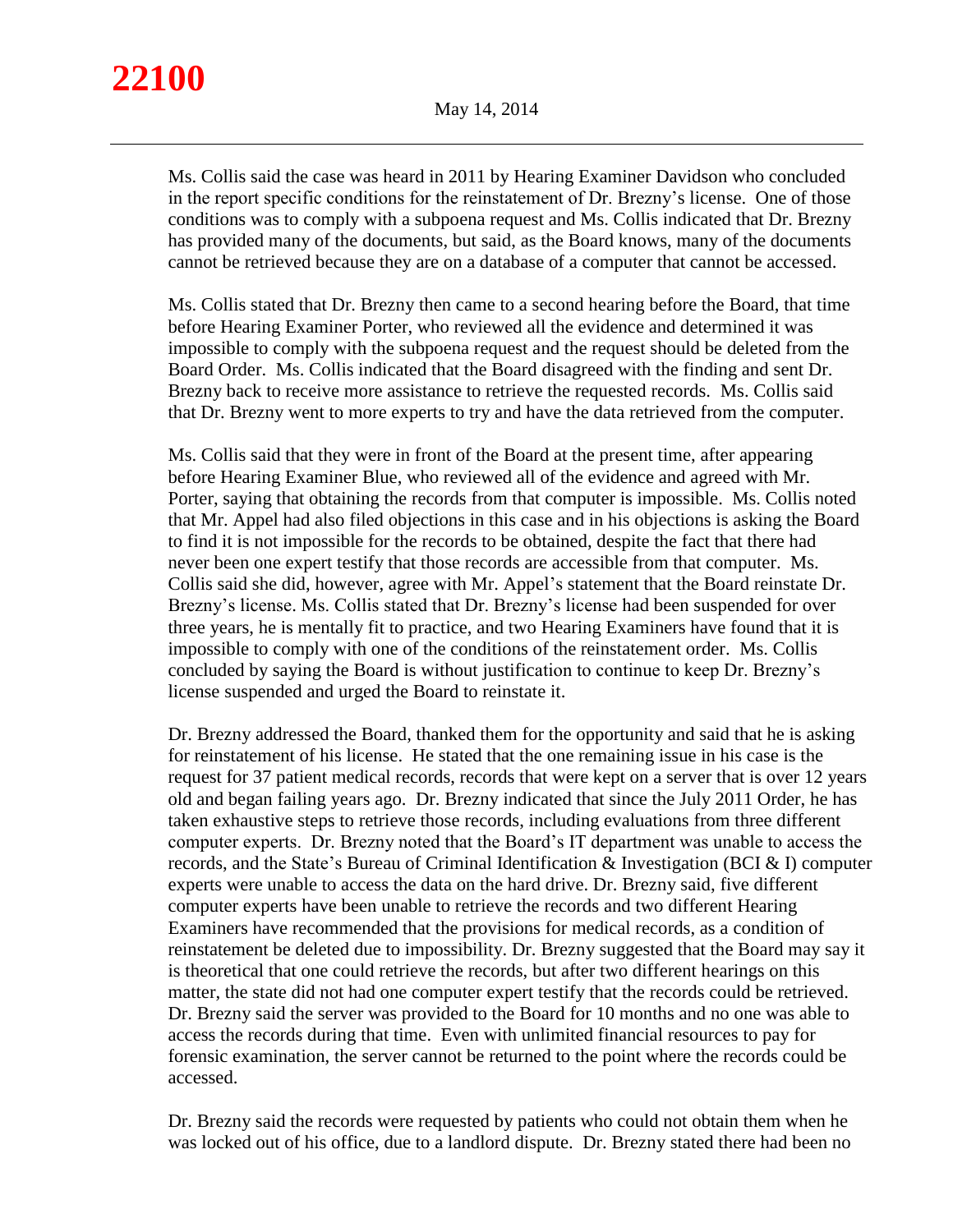# **22100**

Ms. Collis said the case was heard in 2011 by Hearing Examiner Davidson who concluded in the report specific conditions for the reinstatement of Dr. Brezny's license. One of those conditions was to comply with a subpoena request and Ms. Collis indicated that Dr. Brezny has provided many of the documents, but said, as the Board knows, many of the documents cannot be retrieved because they are on a database of a computer that cannot be accessed.

Ms. Collis stated that Dr. Brezny then came to a second hearing before the Board, that time before Hearing Examiner Porter, who reviewed all the evidence and determined it was impossible to comply with the subpoena request and the request should be deleted from the Board Order. Ms. Collis indicated that the Board disagreed with the finding and sent Dr. Brezny back to receive more assistance to retrieve the requested records. Ms. Collis said that Dr. Brezny went to more experts to try and have the data retrieved from the computer.

Ms. Collis said that they were in front of the Board at the present time, after appearing before Hearing Examiner Blue, who reviewed all of the evidence and agreed with Mr. Porter, saying that obtaining the records from that computer is impossible. Ms. Collis noted that Mr. Appel had also filed objections in this case and in his objections is asking the Board to find it is not impossible for the records to be obtained, despite the fact that there had never been one expert testify that those records are accessible from that computer. Ms. Collis said she did, however, agree with Mr. Appel's statement that the Board reinstate Dr. Brezny's license. Ms. Collis stated that Dr. Brezny's license had been suspended for over three years, he is mentally fit to practice, and two Hearing Examiners have found that it is impossible to comply with one of the conditions of the reinstatement order. Ms. Collis concluded by saying the Board is without justification to continue to keep Dr. Brezny's license suspended and urged the Board to reinstate it.

Dr. Brezny addressed the Board, thanked them for the opportunity and said that he is asking for reinstatement of his license. He stated that the one remaining issue in his case is the request for 37 patient medical records, records that were kept on a server that is over 12 years old and began failing years ago. Dr. Brezny indicated that since the July 2011 Order, he has taken exhaustive steps to retrieve those records, including evaluations from three different computer experts. Dr. Brezny noted that the Board's IT department was unable to access the records, and the State's Bureau of Criminal Identification & Investigation (BCI & I) computer experts were unable to access the data on the hard drive. Dr. Brezny said, five different computer experts have been unable to retrieve the records and two different Hearing Examiners have recommended that the provisions for medical records, as a condition of reinstatement be deleted due to impossibility. Dr. Brezny suggested that the Board may say it is theoretical that one could retrieve the records, but after two different hearings on this matter, the state did not had one computer expert testify that the records could be retrieved. Dr. Brezny said the server was provided to the Board for 10 months and no one was able to access the records during that time. Even with unlimited financial resources to pay for forensic examination, the server cannot be returned to the point where the records could be accessed.

Dr. Brezny said the records were requested by patients who could not obtain them when he was locked out of his office, due to a landlord dispute. Dr. Brezny stated there had been no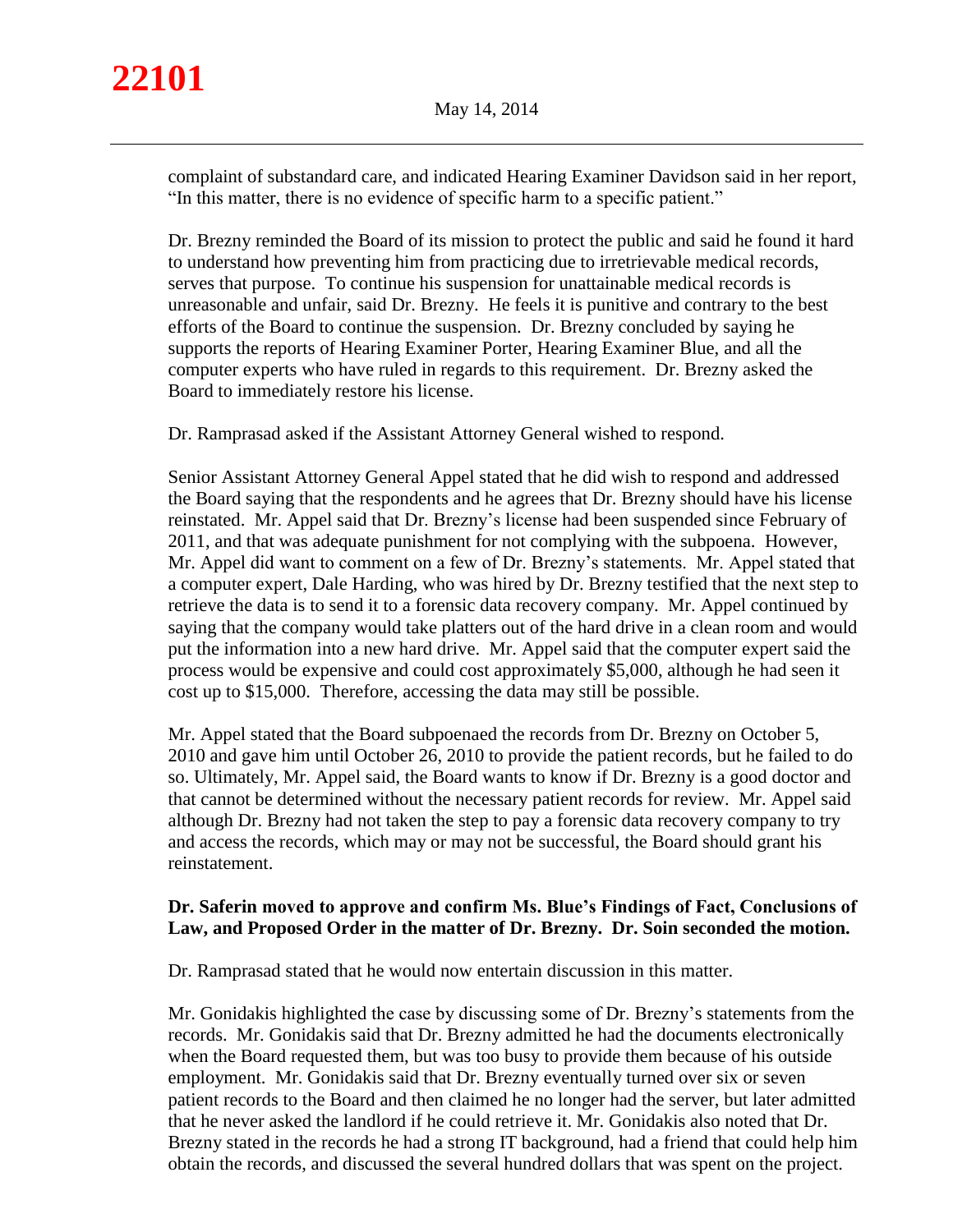complaint of substandard care, and indicated Hearing Examiner Davidson said in her report, "In this matter, there is no evidence of specific harm to a specific patient."

Dr. Brezny reminded the Board of its mission to protect the public and said he found it hard to understand how preventing him from practicing due to irretrievable medical records, serves that purpose. To continue his suspension for unattainable medical records is unreasonable and unfair, said Dr. Brezny. He feels it is punitive and contrary to the best efforts of the Board to continue the suspension. Dr. Brezny concluded by saying he supports the reports of Hearing Examiner Porter, Hearing Examiner Blue, and all the computer experts who have ruled in regards to this requirement. Dr. Brezny asked the Board to immediately restore his license.

Dr. Ramprasad asked if the Assistant Attorney General wished to respond.

Senior Assistant Attorney General Appel stated that he did wish to respond and addressed the Board saying that the respondents and he agrees that Dr. Brezny should have his license reinstated. Mr. Appel said that Dr. Brezny's license had been suspended since February of 2011, and that was adequate punishment for not complying with the subpoena. However, Mr. Appel did want to comment on a few of Dr. Brezny's statements. Mr. Appel stated that a computer expert, Dale Harding, who was hired by Dr. Brezny testified that the next step to retrieve the data is to send it to a forensic data recovery company. Mr. Appel continued by saying that the company would take platters out of the hard drive in a clean room and would put the information into a new hard drive. Mr. Appel said that the computer expert said the process would be expensive and could cost approximately \$5,000, although he had seen it cost up to \$15,000. Therefore, accessing the data may still be possible.

Mr. Appel stated that the Board subpoenaed the records from Dr. Brezny on October 5, 2010 and gave him until October 26, 2010 to provide the patient records, but he failed to do so. Ultimately, Mr. Appel said, the Board wants to know if Dr. Brezny is a good doctor and that cannot be determined without the necessary patient records for review. Mr. Appel said although Dr. Brezny had not taken the step to pay a forensic data recovery company to try and access the records, which may or may not be successful, the Board should grant his reinstatement.

# **Dr. Saferin moved to approve and confirm Ms. Blue's Findings of Fact, Conclusions of Law, and Proposed Order in the matter of Dr. Brezny. Dr. Soin seconded the motion.**

Dr. Ramprasad stated that he would now entertain discussion in this matter.

Mr. Gonidakis highlighted the case by discussing some of Dr. Brezny's statements from the records. Mr. Gonidakis said that Dr. Brezny admitted he had the documents electronically when the Board requested them, but was too busy to provide them because of his outside employment. Mr. Gonidakis said that Dr. Brezny eventually turned over six or seven patient records to the Board and then claimed he no longer had the server, but later admitted that he never asked the landlord if he could retrieve it. Mr. Gonidakis also noted that Dr. Brezny stated in the records he had a strong IT background, had a friend that could help him obtain the records, and discussed the several hundred dollars that was spent on the project.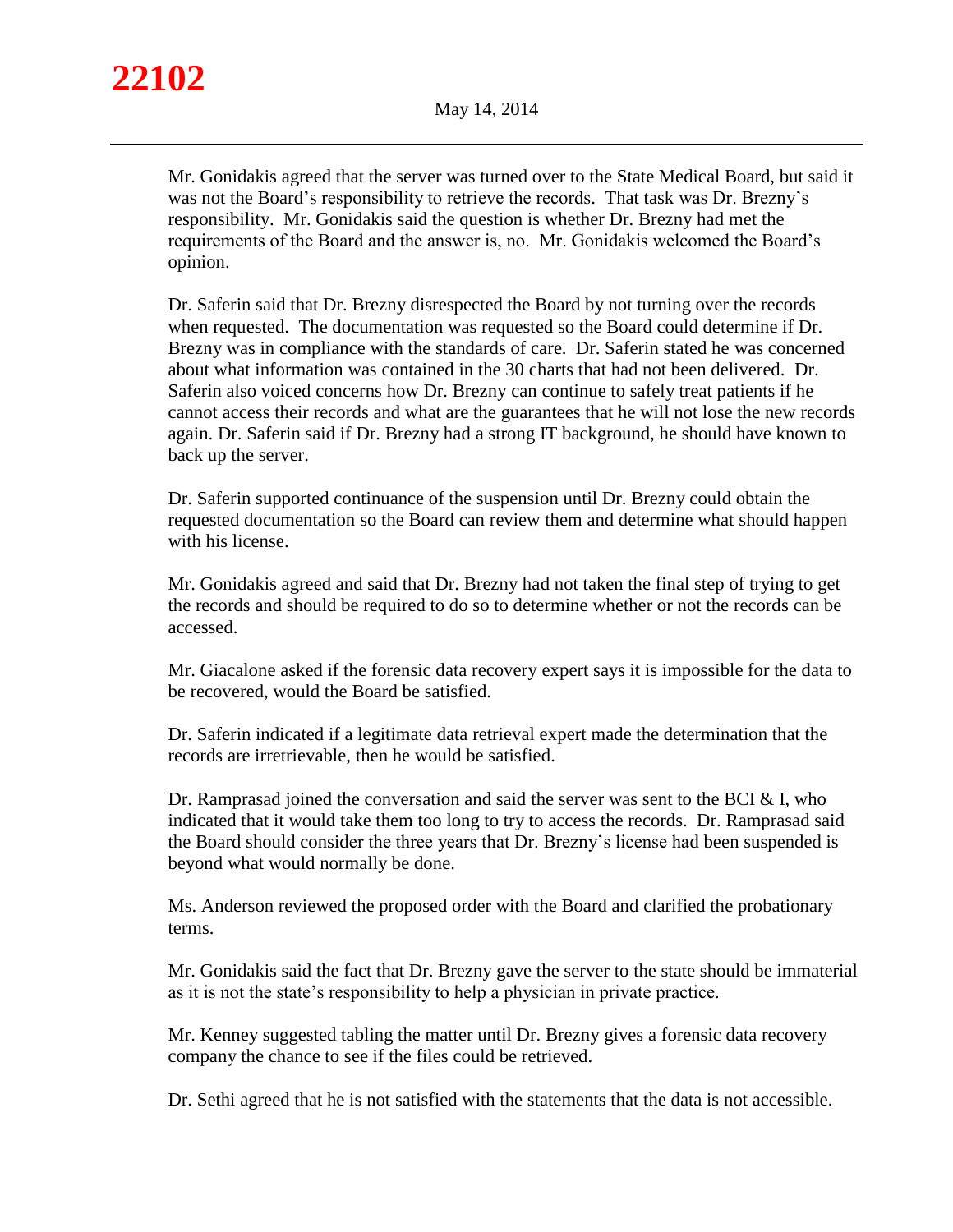Mr. Gonidakis agreed that the server was turned over to the State Medical Board, but said it was not the Board's responsibility to retrieve the records. That task was Dr. Brezny's responsibility. Mr. Gonidakis said the question is whether Dr. Brezny had met the requirements of the Board and the answer is, no. Mr. Gonidakis welcomed the Board's opinion.

Dr. Saferin said that Dr. Brezny disrespected the Board by not turning over the records when requested. The documentation was requested so the Board could determine if Dr. Brezny was in compliance with the standards of care. Dr. Saferin stated he was concerned about what information was contained in the 30 charts that had not been delivered. Dr. Saferin also voiced concerns how Dr. Brezny can continue to safely treat patients if he cannot access their records and what are the guarantees that he will not lose the new records again. Dr. Saferin said if Dr. Brezny had a strong IT background, he should have known to back up the server.

Dr. Saferin supported continuance of the suspension until Dr. Brezny could obtain the requested documentation so the Board can review them and determine what should happen with his license.

Mr. Gonidakis agreed and said that Dr. Brezny had not taken the final step of trying to get the records and should be required to do so to determine whether or not the records can be accessed.

Mr. Giacalone asked if the forensic data recovery expert says it is impossible for the data to be recovered, would the Board be satisfied.

Dr. Saferin indicated if a legitimate data retrieval expert made the determination that the records are irretrievable, then he would be satisfied.

Dr. Ramprasad joined the conversation and said the server was sent to the BCI  $&$  I, who indicated that it would take them too long to try to access the records. Dr. Ramprasad said the Board should consider the three years that Dr. Brezny's license had been suspended is beyond what would normally be done.

Ms. Anderson reviewed the proposed order with the Board and clarified the probationary terms.

Mr. Gonidakis said the fact that Dr. Brezny gave the server to the state should be immaterial as it is not the state's responsibility to help a physician in private practice.

Mr. Kenney suggested tabling the matter until Dr. Brezny gives a forensic data recovery company the chance to see if the files could be retrieved.

Dr. Sethi agreed that he is not satisfied with the statements that the data is not accessible.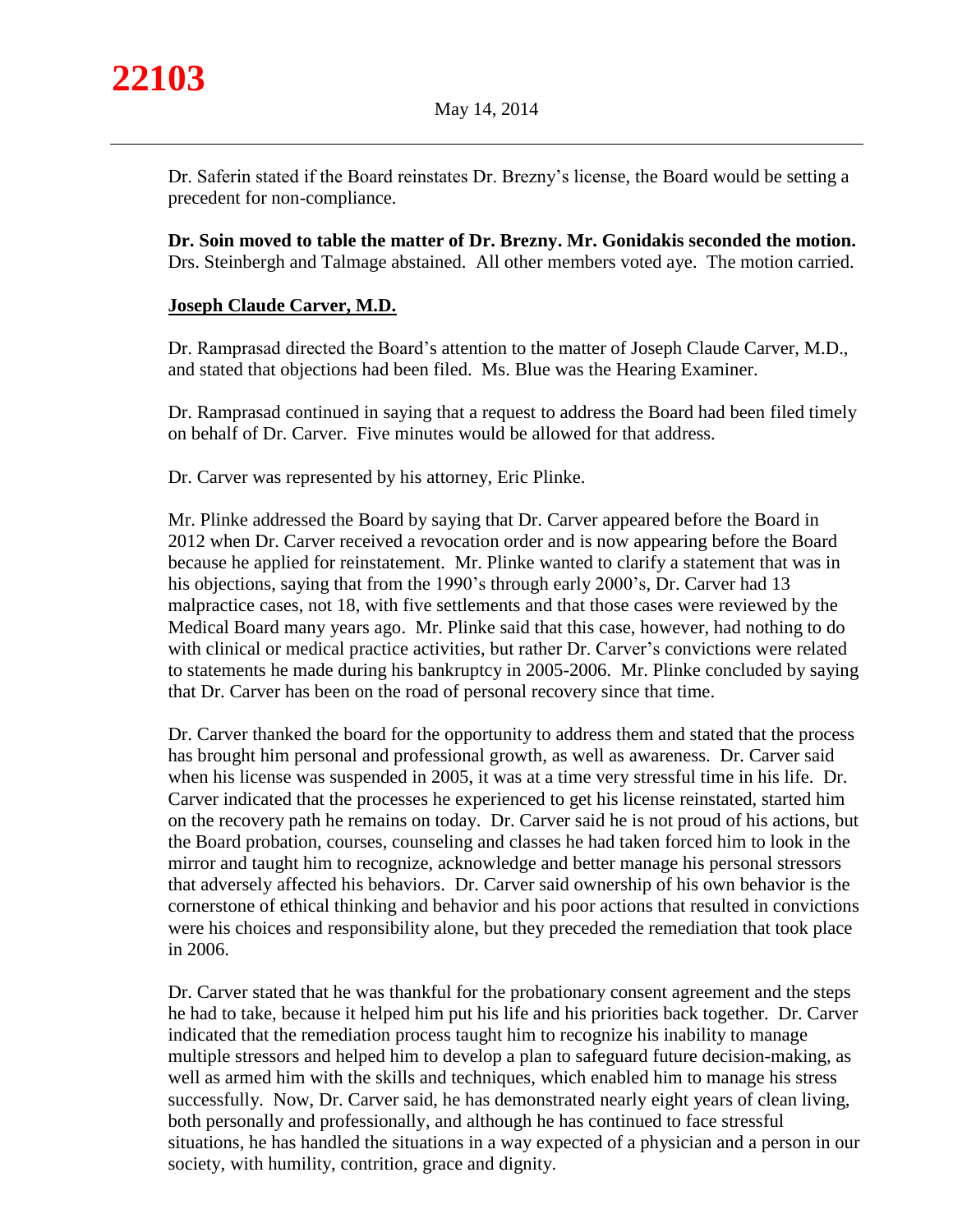

Dr. Saferin stated if the Board reinstates Dr. Brezny's license, the Board would be setting a precedent for non-compliance.

**Dr. Soin moved to table the matter of Dr. Brezny. Mr. Gonidakis seconded the motion.** Drs. Steinbergh and Talmage abstained. All other members voted aye. The motion carried.

# **Joseph Claude Carver, M.D.**

Dr. Ramprasad directed the Board's attention to the matter of Joseph Claude Carver, M.D., and stated that objections had been filed. Ms. Blue was the Hearing Examiner.

Dr. Ramprasad continued in saying that a request to address the Board had been filed timely on behalf of Dr. Carver. Five minutes would be allowed for that address.

Dr. Carver was represented by his attorney, Eric Plinke.

Mr. Plinke addressed the Board by saying that Dr. Carver appeared before the Board in 2012 when Dr. Carver received a revocation order and is now appearing before the Board because he applied for reinstatement. Mr. Plinke wanted to clarify a statement that was in his objections, saying that from the 1990's through early 2000's, Dr. Carver had 13 malpractice cases, not 18, with five settlements and that those cases were reviewed by the Medical Board many years ago. Mr. Plinke said that this case, however, had nothing to do with clinical or medical practice activities, but rather Dr. Carver's convictions were related to statements he made during his bankruptcy in 2005-2006. Mr. Plinke concluded by saying that Dr. Carver has been on the road of personal recovery since that time.

Dr. Carver thanked the board for the opportunity to address them and stated that the process has brought him personal and professional growth, as well as awareness. Dr. Carver said when his license was suspended in 2005, it was at a time very stressful time in his life. Dr. Carver indicated that the processes he experienced to get his license reinstated, started him on the recovery path he remains on today. Dr. Carver said he is not proud of his actions, but the Board probation, courses, counseling and classes he had taken forced him to look in the mirror and taught him to recognize, acknowledge and better manage his personal stressors that adversely affected his behaviors. Dr. Carver said ownership of his own behavior is the cornerstone of ethical thinking and behavior and his poor actions that resulted in convictions were his choices and responsibility alone, but they preceded the remediation that took place in 2006.

Dr. Carver stated that he was thankful for the probationary consent agreement and the steps he had to take, because it helped him put his life and his priorities back together. Dr. Carver indicated that the remediation process taught him to recognize his inability to manage multiple stressors and helped him to develop a plan to safeguard future decision-making, as well as armed him with the skills and techniques, which enabled him to manage his stress successfully. Now, Dr. Carver said, he has demonstrated nearly eight years of clean living, both personally and professionally, and although he has continued to face stressful situations, he has handled the situations in a way expected of a physician and a person in our society, with humility, contrition, grace and dignity.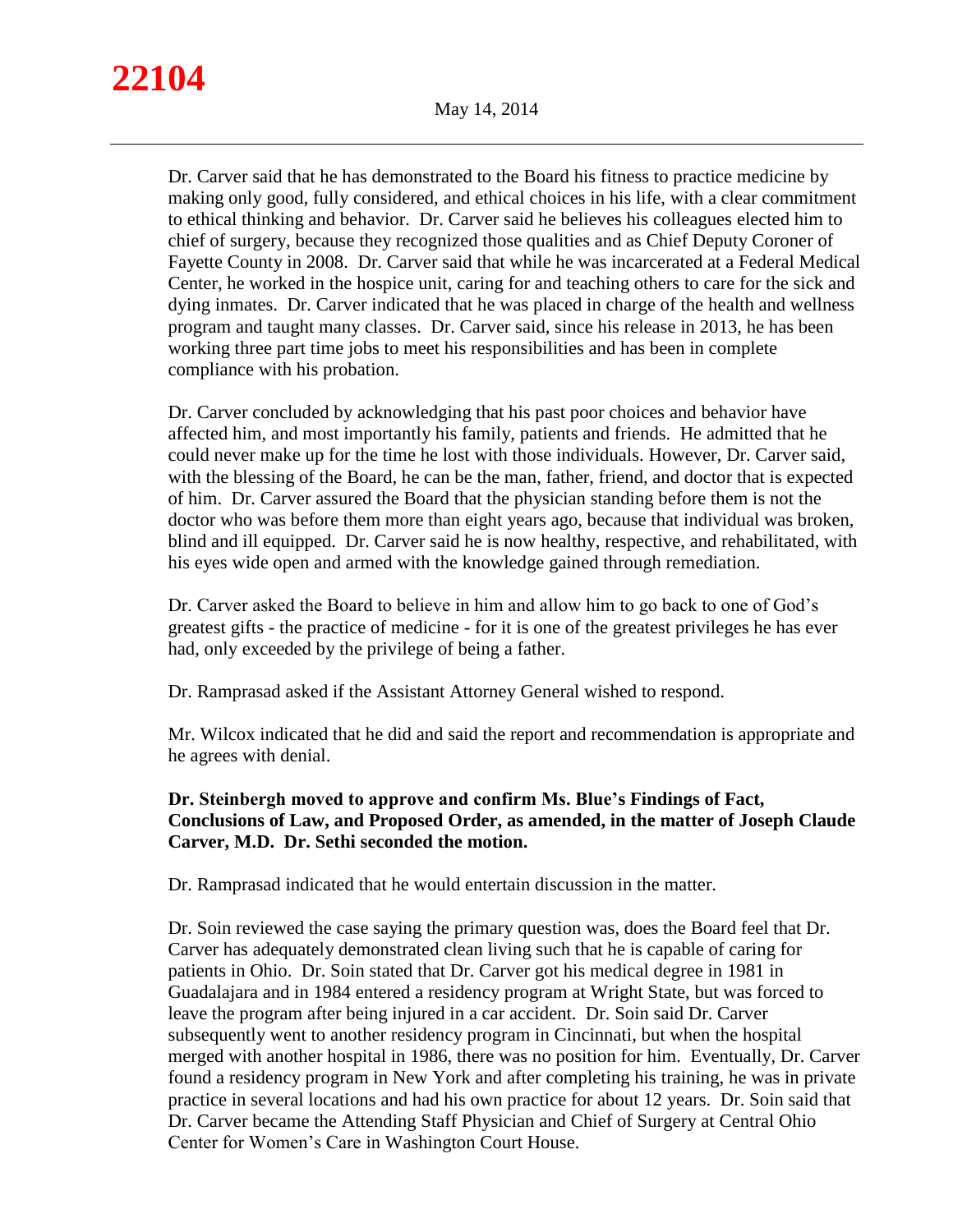Dr. Carver said that he has demonstrated to the Board his fitness to practice medicine by making only good, fully considered, and ethical choices in his life, with a clear commitment to ethical thinking and behavior. Dr. Carver said he believes his colleagues elected him to chief of surgery, because they recognized those qualities and as Chief Deputy Coroner of Fayette County in 2008. Dr. Carver said that while he was incarcerated at a Federal Medical Center, he worked in the hospice unit, caring for and teaching others to care for the sick and dying inmates. Dr. Carver indicated that he was placed in charge of the health and wellness program and taught many classes. Dr. Carver said, since his release in 2013, he has been working three part time jobs to meet his responsibilities and has been in complete compliance with his probation.

Dr. Carver concluded by acknowledging that his past poor choices and behavior have affected him, and most importantly his family, patients and friends. He admitted that he could never make up for the time he lost with those individuals. However, Dr. Carver said, with the blessing of the Board, he can be the man, father, friend, and doctor that is expected of him. Dr. Carver assured the Board that the physician standing before them is not the doctor who was before them more than eight years ago, because that individual was broken, blind and ill equipped. Dr. Carver said he is now healthy, respective, and rehabilitated, with his eyes wide open and armed with the knowledge gained through remediation.

Dr. Carver asked the Board to believe in him and allow him to go back to one of God's greatest gifts - the practice of medicine - for it is one of the greatest privileges he has ever had, only exceeded by the privilege of being a father.

Dr. Ramprasad asked if the Assistant Attorney General wished to respond.

Mr. Wilcox indicated that he did and said the report and recommendation is appropriate and he agrees with denial.

# **Dr. Steinbergh moved to approve and confirm Ms. Blue's Findings of Fact, Conclusions of Law, and Proposed Order, as amended, in the matter of Joseph Claude Carver, M.D. Dr. Sethi seconded the motion.**

Dr. Ramprasad indicated that he would entertain discussion in the matter.

Dr. Soin reviewed the case saying the primary question was, does the Board feel that Dr. Carver has adequately demonstrated clean living such that he is capable of caring for patients in Ohio. Dr. Soin stated that Dr. Carver got his medical degree in 1981 in Guadalajara and in 1984 entered a residency program at Wright State, but was forced to leave the program after being injured in a car accident. Dr. Soin said Dr. Carver subsequently went to another residency program in Cincinnati, but when the hospital merged with another hospital in 1986, there was no position for him. Eventually, Dr. Carver found a residency program in New York and after completing his training, he was in private practice in several locations and had his own practice for about 12 years. Dr. Soin said that Dr. Carver became the Attending Staff Physician and Chief of Surgery at Central Ohio Center for Women's Care in Washington Court House.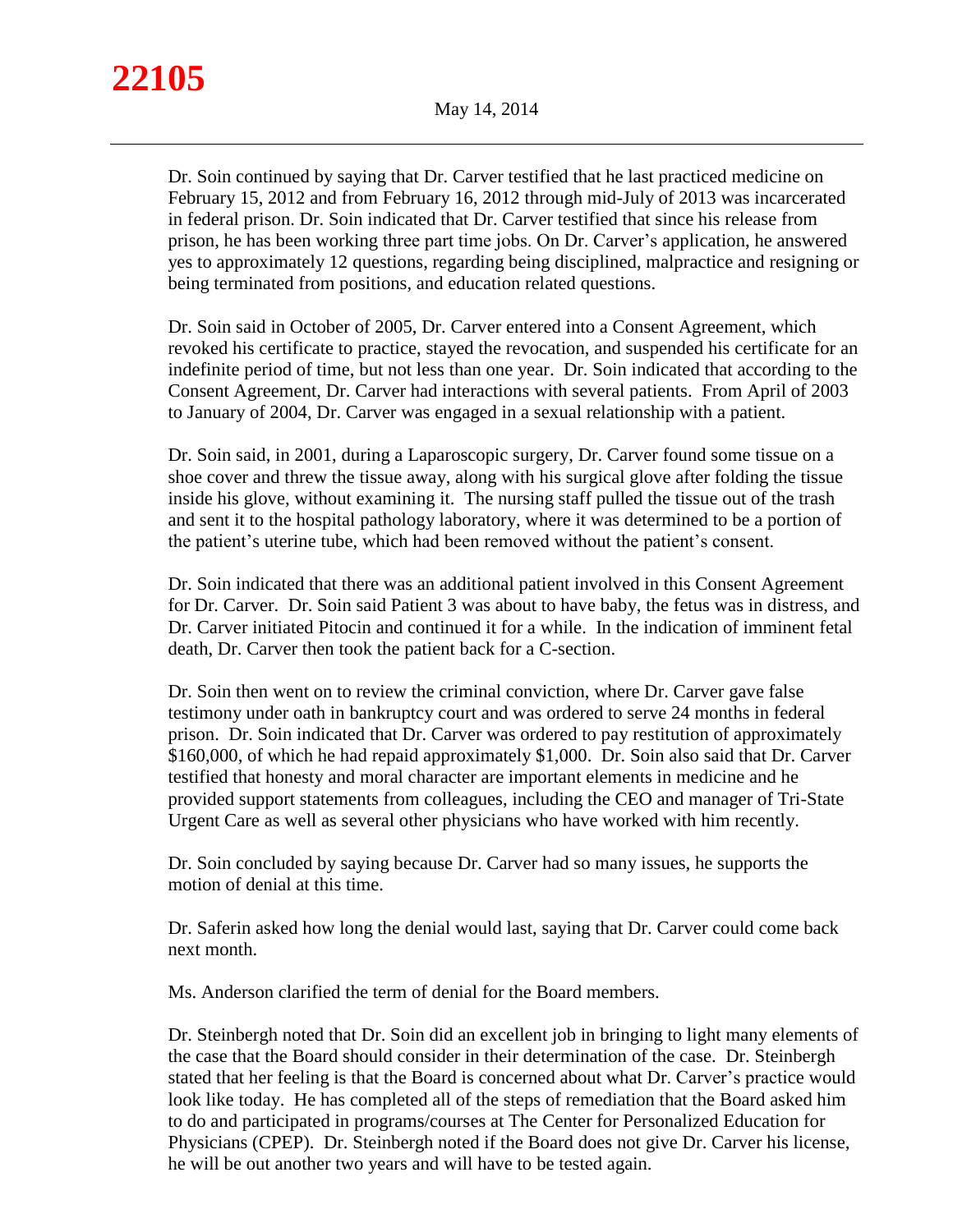Dr. Soin continued by saying that Dr. Carver testified that he last practiced medicine on February 15, 2012 and from February 16, 2012 through mid-July of 2013 was incarcerated in federal prison. Dr. Soin indicated that Dr. Carver testified that since his release from prison, he has been working three part time jobs. On Dr. Carver's application, he answered yes to approximately 12 questions, regarding being disciplined, malpractice and resigning or being terminated from positions, and education related questions.

Dr. Soin said in October of 2005, Dr. Carver entered into a Consent Agreement, which revoked his certificate to practice, stayed the revocation, and suspended his certificate for an indefinite period of time, but not less than one year. Dr. Soin indicated that according to the Consent Agreement, Dr. Carver had interactions with several patients. From April of 2003 to January of 2004, Dr. Carver was engaged in a sexual relationship with a patient.

Dr. Soin said, in 2001, during a Laparoscopic surgery, Dr. Carver found some tissue on a shoe cover and threw the tissue away, along with his surgical glove after folding the tissue inside his glove, without examining it. The nursing staff pulled the tissue out of the trash and sent it to the hospital pathology laboratory, where it was determined to be a portion of the patient's uterine tube, which had been removed without the patient's consent.

Dr. Soin indicated that there was an additional patient involved in this Consent Agreement for Dr. Carver. Dr. Soin said Patient 3 was about to have baby, the fetus was in distress, and Dr. Carver initiated Pitocin and continued it for a while. In the indication of imminent fetal death, Dr. Carver then took the patient back for a C-section.

Dr. Soin then went on to review the criminal conviction, where Dr. Carver gave false testimony under oath in bankruptcy court and was ordered to serve 24 months in federal prison. Dr. Soin indicated that Dr. Carver was ordered to pay restitution of approximately \$160,000, of which he had repaid approximately \$1,000. Dr. Soin also said that Dr. Carver testified that honesty and moral character are important elements in medicine and he provided support statements from colleagues, including the CEO and manager of Tri-State Urgent Care as well as several other physicians who have worked with him recently.

Dr. Soin concluded by saying because Dr. Carver had so many issues, he supports the motion of denial at this time.

Dr. Saferin asked how long the denial would last, saying that Dr. Carver could come back next month.

Ms. Anderson clarified the term of denial for the Board members.

Dr. Steinbergh noted that Dr. Soin did an excellent job in bringing to light many elements of the case that the Board should consider in their determination of the case. Dr. Steinbergh stated that her feeling is that the Board is concerned about what Dr. Carver's practice would look like today. He has completed all of the steps of remediation that the Board asked him to do and participated in programs/courses at The Center for Personalized Education for Physicians (CPEP). Dr. Steinbergh noted if the Board does not give Dr. Carver his license, he will be out another two years and will have to be tested again.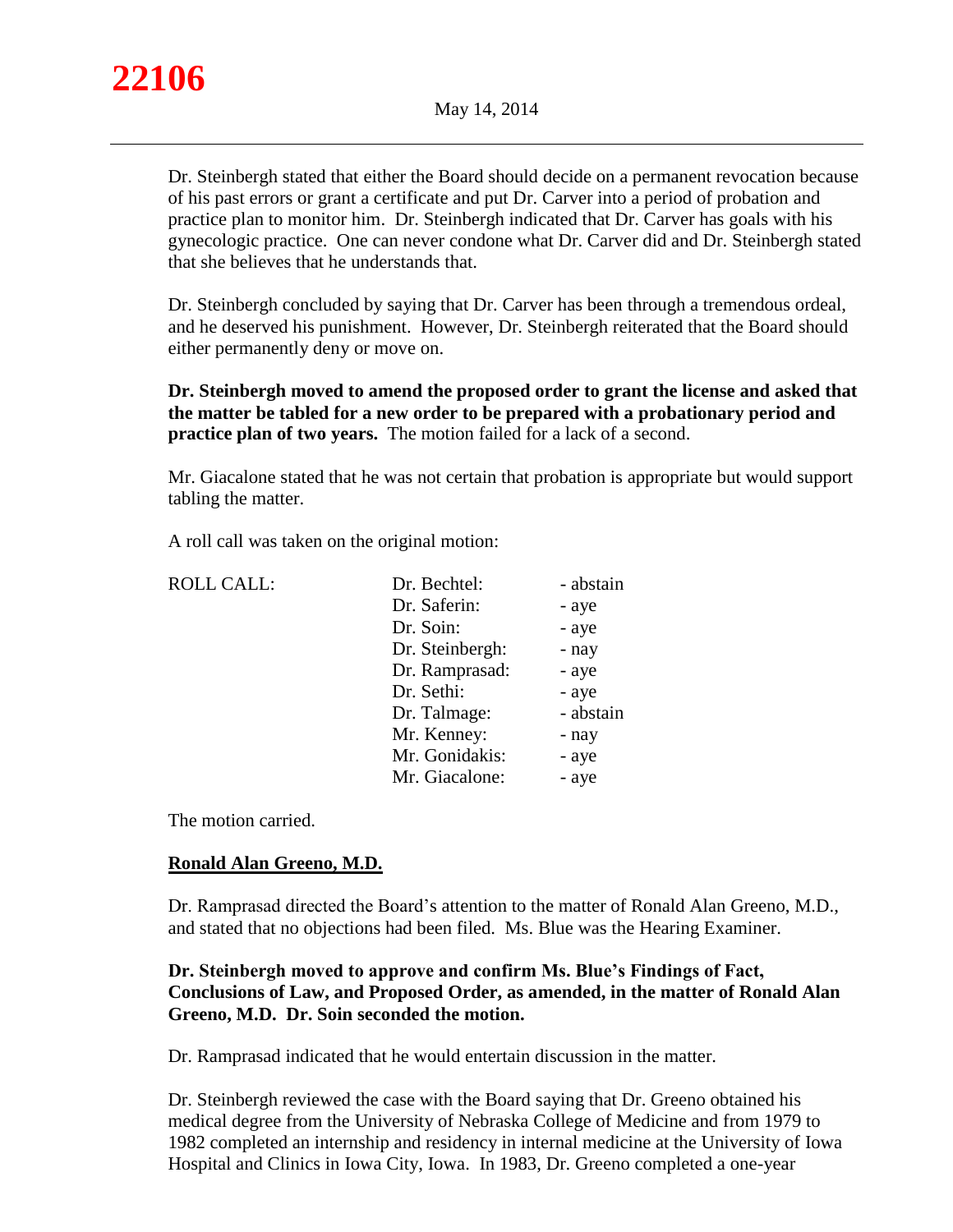

Dr. Steinbergh stated that either the Board should decide on a permanent revocation because of his past errors or grant a certificate and put Dr. Carver into a period of probation and practice plan to monitor him. Dr. Steinbergh indicated that Dr. Carver has goals with his gynecologic practice. One can never condone what Dr. Carver did and Dr. Steinbergh stated that she believes that he understands that.

Dr. Steinbergh concluded by saying that Dr. Carver has been through a tremendous ordeal, and he deserved his punishment. However, Dr. Steinbergh reiterated that the Board should either permanently deny or move on.

**Dr. Steinbergh moved to amend the proposed order to grant the license and asked that the matter be tabled for a new order to be prepared with a probationary period and practice plan of two years.** The motion failed for a lack of a second.

Mr. Giacalone stated that he was not certain that probation is appropriate but would support tabling the matter.

A roll call was taken on the original motion:

| <b>ROLL CALL:</b> | Dr. Bechtel:    | - abstain |
|-------------------|-----------------|-----------|
|                   | Dr. Saferin:    | - aye     |
|                   | Dr. Soin:       | - aye     |
|                   | Dr. Steinbergh: | - nay     |
|                   | Dr. Ramprasad:  | - aye     |
|                   | Dr. Sethi:      | - aye     |
|                   | Dr. Talmage:    | - abstain |
|                   | Mr. Kenney:     | - nay     |
|                   | Mr. Gonidakis:  | - aye     |
|                   | Mr. Giacalone:  | - aye     |
|                   |                 |           |

The motion carried.

# **Ronald Alan Greeno, M.D.**

Dr. Ramprasad directed the Board's attention to the matter of Ronald Alan Greeno, M.D., and stated that no objections had been filed. Ms. Blue was the Hearing Examiner.

# **Dr. Steinbergh moved to approve and confirm Ms. Blue's Findings of Fact, Conclusions of Law, and Proposed Order, as amended, in the matter of Ronald Alan Greeno, M.D. Dr. Soin seconded the motion.**

Dr. Ramprasad indicated that he would entertain discussion in the matter.

Dr. Steinbergh reviewed the case with the Board saying that Dr. Greeno obtained his medical degree from the University of Nebraska College of Medicine and from 1979 to 1982 completed an internship and residency in internal medicine at the University of Iowa Hospital and Clinics in Iowa City, Iowa. In 1983, Dr. Greeno completed a one-year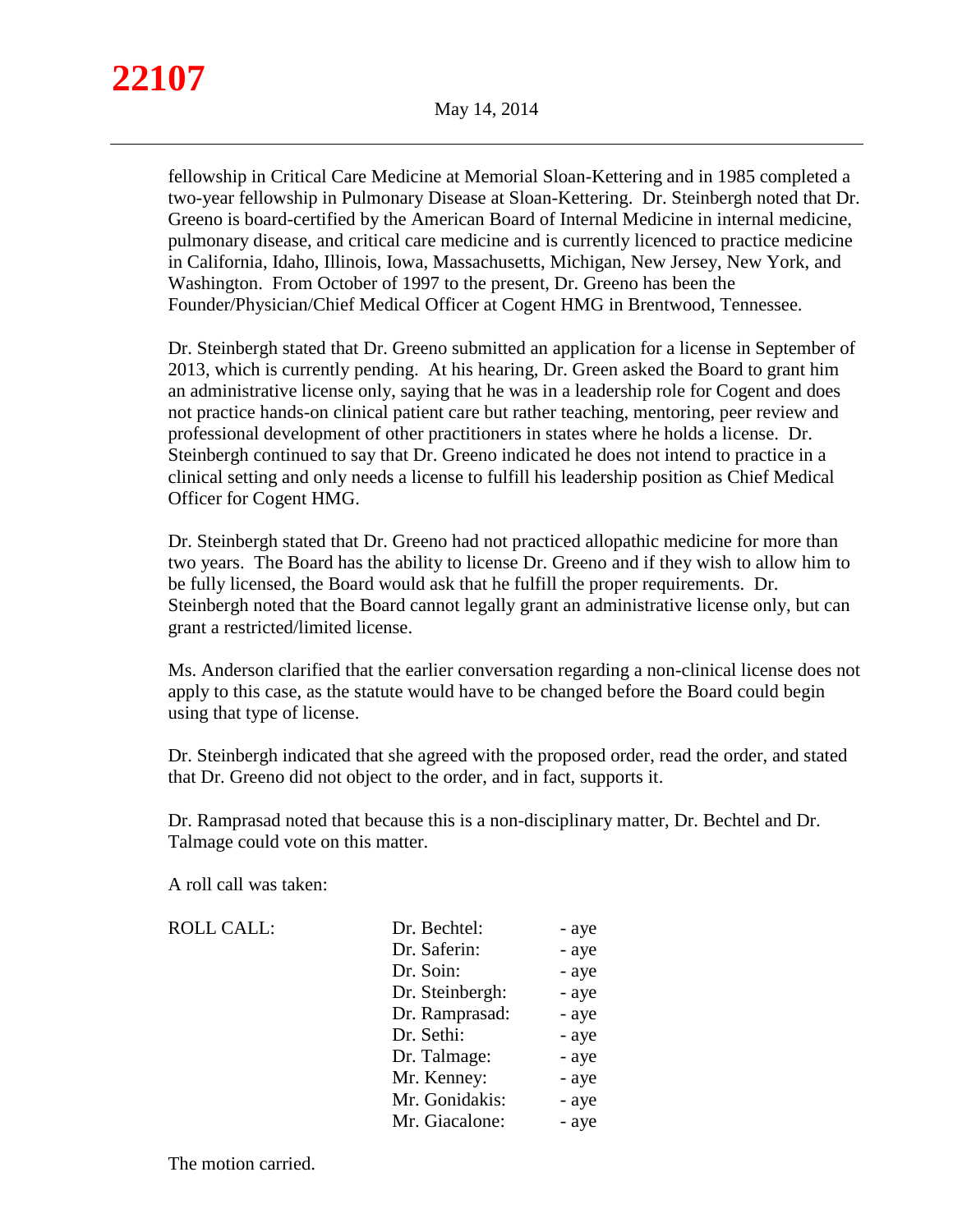fellowship in Critical Care Medicine at Memorial Sloan-Kettering and in 1985 completed a two-year fellowship in Pulmonary Disease at Sloan-Kettering. Dr. Steinbergh noted that Dr. Greeno is board-certified by the American Board of Internal Medicine in internal medicine, pulmonary disease, and critical care medicine and is currently licenced to practice medicine in California, Idaho, Illinois, Iowa, Massachusetts, Michigan, New Jersey, New York, and Washington. From October of 1997 to the present, Dr. Greeno has been the Founder/Physician/Chief Medical Officer at Cogent HMG in Brentwood, Tennessee.

Dr. Steinbergh stated that Dr. Greeno submitted an application for a license in September of 2013, which is currently pending. At his hearing, Dr. Green asked the Board to grant him an administrative license only, saying that he was in a leadership role for Cogent and does not practice hands-on clinical patient care but rather teaching, mentoring, peer review and professional development of other practitioners in states where he holds a license. Dr. Steinbergh continued to say that Dr. Greeno indicated he does not intend to practice in a clinical setting and only needs a license to fulfill his leadership position as Chief Medical Officer for Cogent HMG.

Dr. Steinbergh stated that Dr. Greeno had not practiced allopathic medicine for more than two years. The Board has the ability to license Dr. Greeno and if they wish to allow him to be fully licensed, the Board would ask that he fulfill the proper requirements. Dr. Steinbergh noted that the Board cannot legally grant an administrative license only, but can grant a restricted/limited license.

Ms. Anderson clarified that the earlier conversation regarding a non-clinical license does not apply to this case, as the statute would have to be changed before the Board could begin using that type of license.

Dr. Steinbergh indicated that she agreed with the proposed order, read the order, and stated that Dr. Greeno did not object to the order, and in fact, supports it.

Dr. Ramprasad noted that because this is a non-disciplinary matter, Dr. Bechtel and Dr. Talmage could vote on this matter.

A roll call was taken:

| <b>ROLL CALL:</b> | Dr. Bechtel:    | - aye |
|-------------------|-----------------|-------|
|                   | Dr. Saferin:    | - aye |
|                   | Dr. Soin:       | - aye |
|                   | Dr. Steinbergh: | - aye |
|                   | Dr. Ramprasad:  | - aye |
|                   | Dr. Sethi:      | - aye |
|                   | Dr. Talmage:    | - aye |
|                   | Mr. Kenney:     | - aye |
|                   | Mr. Gonidakis:  | - aye |
|                   | Mr. Giacalone:  | - aye |

The motion carried.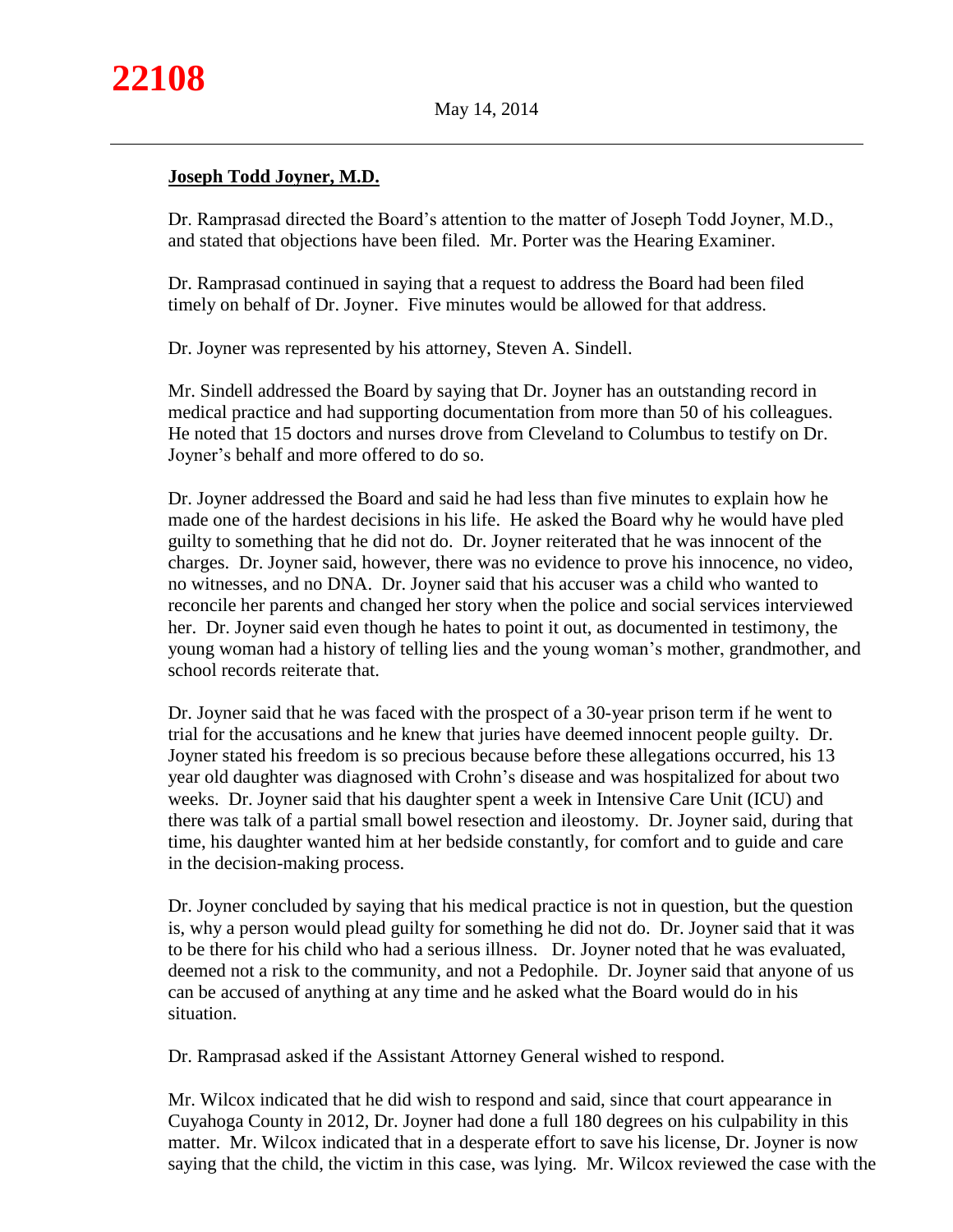# **Joseph Todd Joyner, M.D.**

Dr. Ramprasad directed the Board's attention to the matter of Joseph Todd Joyner, M.D., and stated that objections have been filed. Mr. Porter was the Hearing Examiner.

Dr. Ramprasad continued in saying that a request to address the Board had been filed timely on behalf of Dr. Joyner. Five minutes would be allowed for that address.

Dr. Joyner was represented by his attorney, Steven A. Sindell.

Mr. Sindell addressed the Board by saying that Dr. Joyner has an outstanding record in medical practice and had supporting documentation from more than 50 of his colleagues. He noted that 15 doctors and nurses drove from Cleveland to Columbus to testify on Dr. Joyner's behalf and more offered to do so.

Dr. Joyner addressed the Board and said he had less than five minutes to explain how he made one of the hardest decisions in his life. He asked the Board why he would have pled guilty to something that he did not do. Dr. Joyner reiterated that he was innocent of the charges. Dr. Joyner said, however, there was no evidence to prove his innocence, no video, no witnesses, and no DNA. Dr. Joyner said that his accuser was a child who wanted to reconcile her parents and changed her story when the police and social services interviewed her. Dr. Joyner said even though he hates to point it out, as documented in testimony, the young woman had a history of telling lies and the young woman's mother, grandmother, and school records reiterate that.

Dr. Joyner said that he was faced with the prospect of a 30-year prison term if he went to trial for the accusations and he knew that juries have deemed innocent people guilty. Dr. Joyner stated his freedom is so precious because before these allegations occurred, his 13 year old daughter was diagnosed with Crohn's disease and was hospitalized for about two weeks. Dr. Joyner said that his daughter spent a week in Intensive Care Unit (ICU) and there was talk of a partial small bowel resection and ileostomy. Dr. Joyner said, during that time, his daughter wanted him at her bedside constantly, for comfort and to guide and care in the decision-making process.

Dr. Joyner concluded by saying that his medical practice is not in question, but the question is, why a person would plead guilty for something he did not do. Dr. Joyner said that it was to be there for his child who had a serious illness. Dr. Joyner noted that he was evaluated, deemed not a risk to the community, and not a Pedophile. Dr. Joyner said that anyone of us can be accused of anything at any time and he asked what the Board would do in his situation.

Dr. Ramprasad asked if the Assistant Attorney General wished to respond.

Mr. Wilcox indicated that he did wish to respond and said, since that court appearance in Cuyahoga County in 2012, Dr. Joyner had done a full 180 degrees on his culpability in this matter. Mr. Wilcox indicated that in a desperate effort to save his license, Dr. Joyner is now saying that the child, the victim in this case, was lying. Mr. Wilcox reviewed the case with the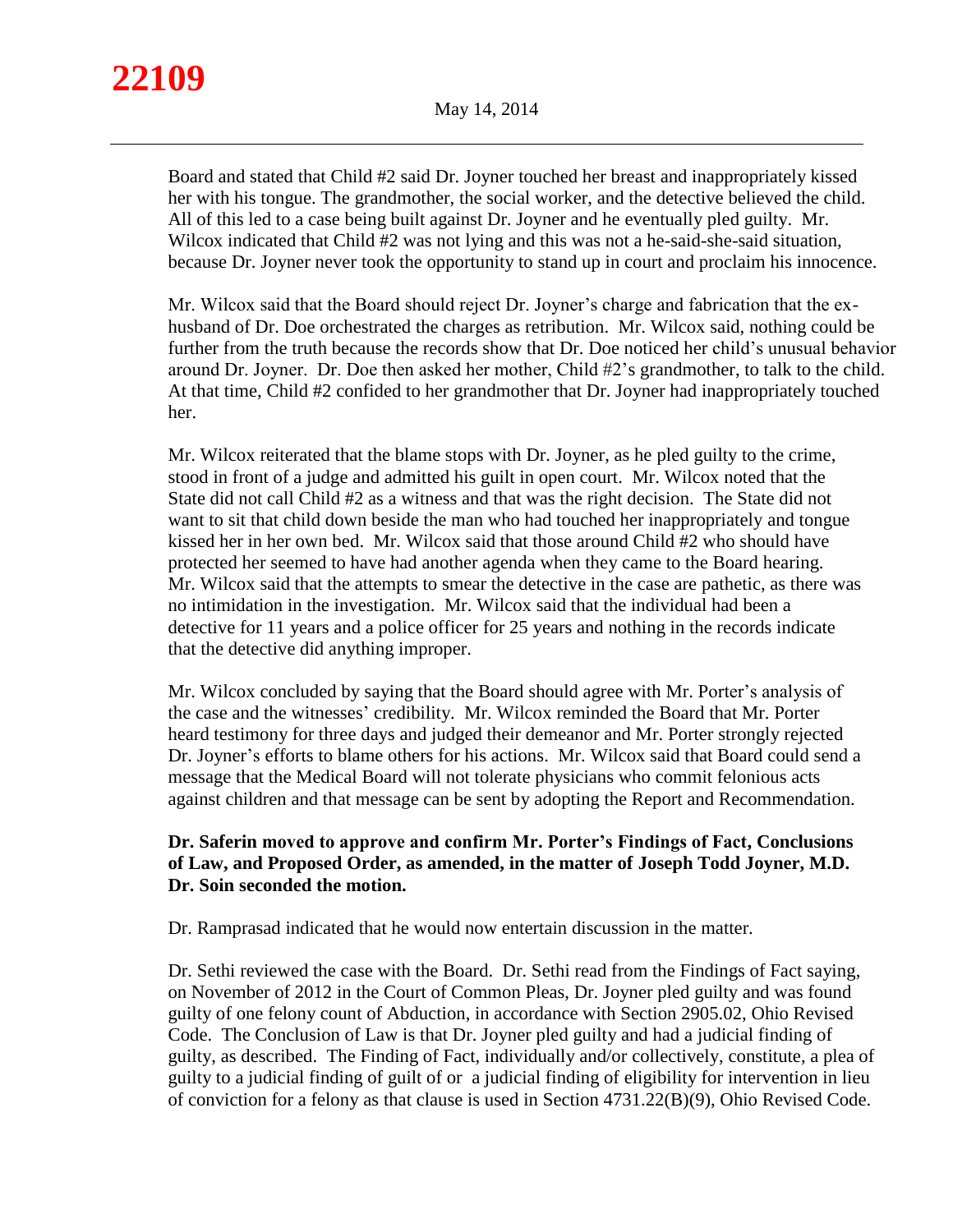# **22109**

Board and stated that Child #2 said Dr. Joyner touched her breast and inappropriately kissed her with his tongue. The grandmother, the social worker, and the detective believed the child. All of this led to a case being built against Dr. Joyner and he eventually pled guilty. Mr. Wilcox indicated that Child #2 was not lying and this was not a he-said-she-said situation, because Dr. Joyner never took the opportunity to stand up in court and proclaim his innocence.

Mr. Wilcox said that the Board should reject Dr. Joyner's charge and fabrication that the exhusband of Dr. Doe orchestrated the charges as retribution. Mr. Wilcox said, nothing could be further from the truth because the records show that Dr. Doe noticed her child's unusual behavior around Dr. Joyner. Dr. Doe then asked her mother, Child #2's grandmother, to talk to the child. At that time, Child #2 confided to her grandmother that Dr. Joyner had inappropriately touched her.

Mr. Wilcox reiterated that the blame stops with Dr. Joyner, as he pled guilty to the crime, stood in front of a judge and admitted his guilt in open court. Mr. Wilcox noted that the State did not call Child #2 as a witness and that was the right decision. The State did not want to sit that child down beside the man who had touched her inappropriately and tongue kissed her in her own bed. Mr. Wilcox said that those around Child #2 who should have protected her seemed to have had another agenda when they came to the Board hearing. Mr. Wilcox said that the attempts to smear the detective in the case are pathetic, as there was no intimidation in the investigation. Mr. Wilcox said that the individual had been a detective for 11 years and a police officer for 25 years and nothing in the records indicate that the detective did anything improper.

Mr. Wilcox concluded by saying that the Board should agree with Mr. Porter's analysis of the case and the witnesses' credibility. Mr. Wilcox reminded the Board that Mr. Porter heard testimony for three days and judged their demeanor and Mr. Porter strongly rejected Dr. Joyner's efforts to blame others for his actions. Mr. Wilcox said that Board could send a message that the Medical Board will not tolerate physicians who commit felonious acts against children and that message can be sent by adopting the Report and Recommendation.

# **Dr. Saferin moved to approve and confirm Mr. Porter's Findings of Fact, Conclusions of Law, and Proposed Order, as amended, in the matter of Joseph Todd Joyner, M.D. Dr. Soin seconded the motion.**

Dr. Ramprasad indicated that he would now entertain discussion in the matter.

Dr. Sethi reviewed the case with the Board. Dr. Sethi read from the Findings of Fact saying, on November of 2012 in the Court of Common Pleas, Dr. Joyner pled guilty and was found guilty of one felony count of Abduction, in accordance with Section 2905.02, Ohio Revised Code. The Conclusion of Law is that Dr. Joyner pled guilty and had a judicial finding of guilty, as described. The Finding of Fact, individually and/or collectively, constitute, a plea of guilty to a judicial finding of guilt of or a judicial finding of eligibility for intervention in lieu of conviction for a felony as that clause is used in Section 4731.22(B)(9), Ohio Revised Code.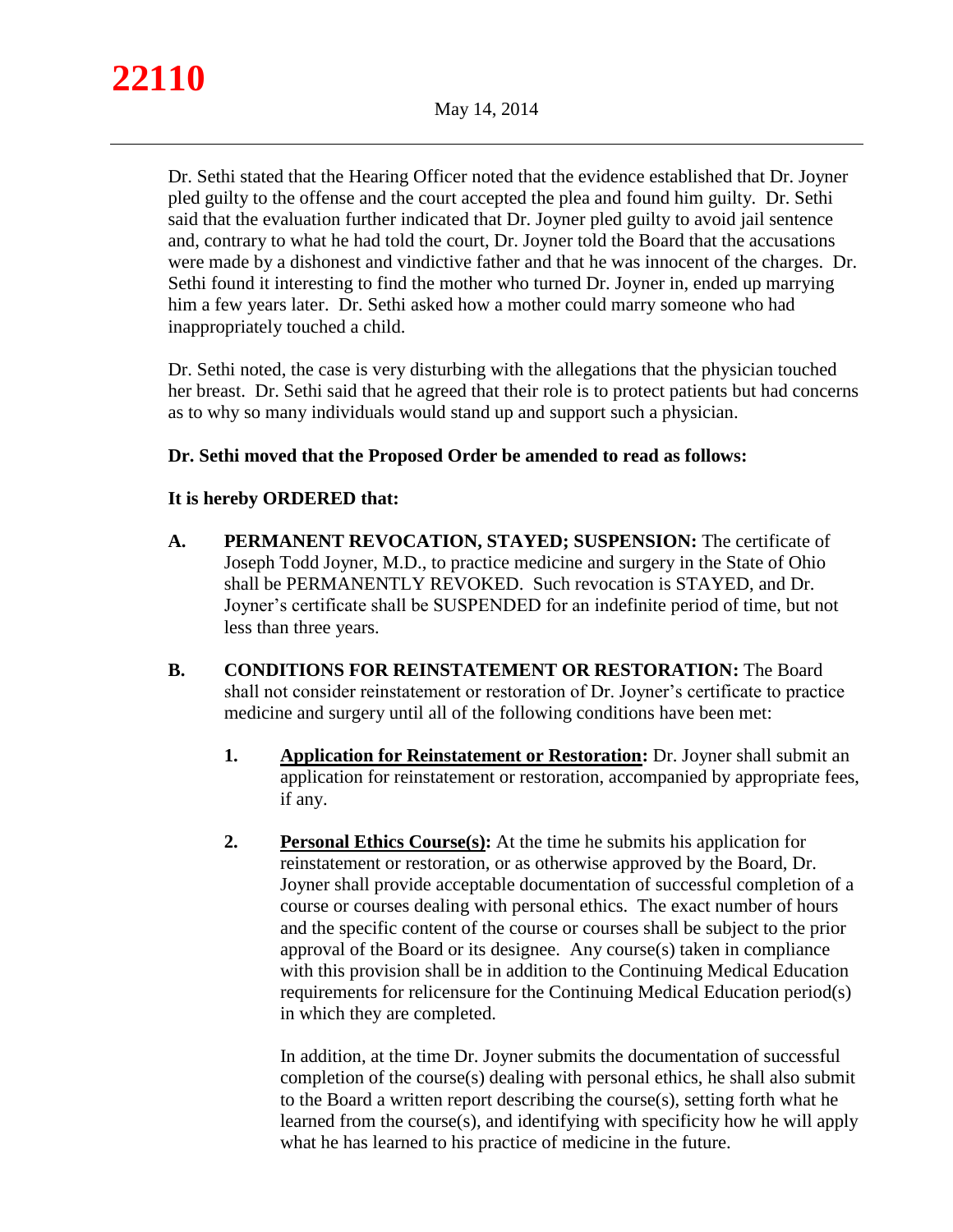

Dr. Sethi stated that the Hearing Officer noted that the evidence established that Dr. Joyner pled guilty to the offense and the court accepted the plea and found him guilty. Dr. Sethi said that the evaluation further indicated that Dr. Joyner pled guilty to avoid jail sentence and, contrary to what he had told the court, Dr. Joyner told the Board that the accusations were made by a dishonest and vindictive father and that he was innocent of the charges. Dr. Sethi found it interesting to find the mother who turned Dr. Joyner in, ended up marrying him a few years later. Dr. Sethi asked how a mother could marry someone who had inappropriately touched a child.

Dr. Sethi noted, the case is very disturbing with the allegations that the physician touched her breast. Dr. Sethi said that he agreed that their role is to protect patients but had concerns as to why so many individuals would stand up and support such a physician.

## **Dr. Sethi moved that the Proposed Order be amended to read as follows:**

## **It is hereby ORDERED that:**

- **A. PERMANENT REVOCATION, STAYED; SUSPENSION:** The certificate of Joseph Todd Joyner, M.D., to practice medicine and surgery in the State of Ohio shall be PERMANENTLY REVOKED. Such revocation is STAYED, and Dr. Joyner's certificate shall be SUSPENDED for an indefinite period of time, but not less than three years.
- **B. CONDITIONS FOR REINSTATEMENT OR RESTORATION:** The Board shall not consider reinstatement or restoration of Dr. Joyner's certificate to practice medicine and surgery until all of the following conditions have been met:
	- **1. Application for Reinstatement or Restoration:** Dr. Joyner shall submit an application for reinstatement or restoration, accompanied by appropriate fees, if any.
	- **2. Personal Ethics Course(s):** At the time he submits his application for reinstatement or restoration, or as otherwise approved by the Board, Dr. Joyner shall provide acceptable documentation of successful completion of a course or courses dealing with personal ethics. The exact number of hours and the specific content of the course or courses shall be subject to the prior approval of the Board or its designee. Any course(s) taken in compliance with this provision shall be in addition to the Continuing Medical Education requirements for relicensure for the Continuing Medical Education period(s) in which they are completed.

In addition, at the time Dr. Joyner submits the documentation of successful completion of the course(s) dealing with personal ethics, he shall also submit to the Board a written report describing the course(s), setting forth what he learned from the course(s), and identifying with specificity how he will apply what he has learned to his practice of medicine in the future.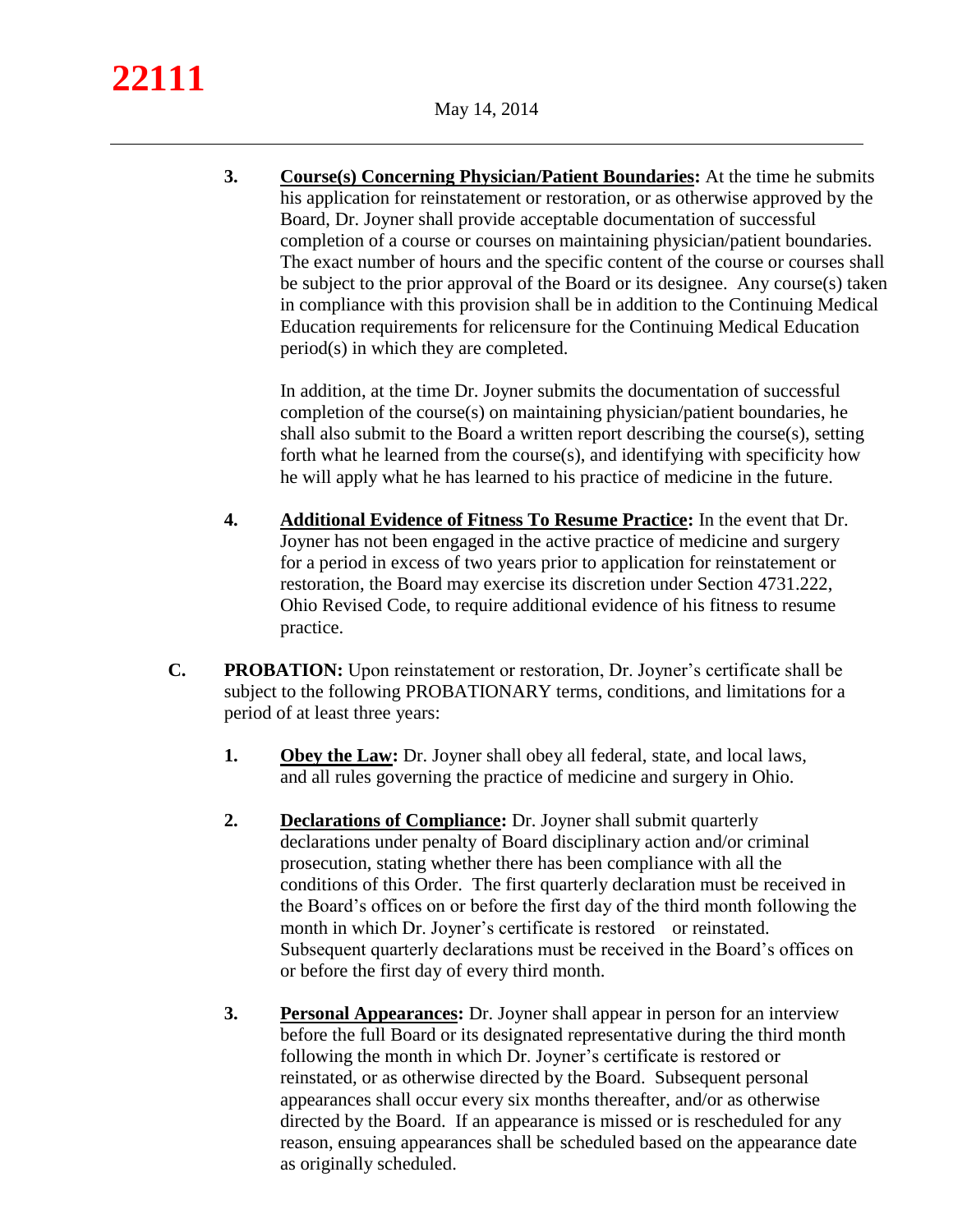**3. Course(s) Concerning Physician/Patient Boundaries:** At the time he submits his application for reinstatement or restoration, or as otherwise approved by the Board, Dr. Joyner shall provide acceptable documentation of successful completion of a course or courses on maintaining physician/patient boundaries. The exact number of hours and the specific content of the course or courses shall be subject to the prior approval of the Board or its designee. Any course(s) taken in compliance with this provision shall be in addition to the Continuing Medical Education requirements for relicensure for the Continuing Medical Education period(s) in which they are completed.

In addition, at the time Dr. Joyner submits the documentation of successful completion of the course(s) on maintaining physician/patient boundaries, he shall also submit to the Board a written report describing the course(s), setting forth what he learned from the course(s), and identifying with specificity how he will apply what he has learned to his practice of medicine in the future.

- **4. Additional Evidence of Fitness To Resume Practice:** In the event that Dr. Joyner has not been engaged in the active practice of medicine and surgery for a period in excess of two years prior to application for reinstatement or restoration, the Board may exercise its discretion under Section 4731.222, Ohio Revised Code, to require additional evidence of his fitness to resume practice.
- **C. PROBATION:** Upon reinstatement or restoration, Dr. Joyner's certificate shall be subject to the following PROBATIONARY terms, conditions, and limitations for a period of at least three years:
	- **1. Obey the Law:** Dr. Joyner shall obey all federal, state, and local laws, and all rules governing the practice of medicine and surgery in Ohio.
	- **2. Declarations of Compliance:** Dr. Joyner shall submit quarterly declarations under penalty of Board disciplinary action and/or criminal prosecution, stating whether there has been compliance with all the conditions of this Order. The first quarterly declaration must be received in the Board's offices on or before the first day of the third month following the month in which Dr. Joyner's certificate is restored or reinstated. Subsequent quarterly declarations must be received in the Board's offices on or before the first day of every third month.
	- **3. Personal Appearances:** Dr. Joyner shall appear in person for an interview before the full Board or its designated representative during the third month following the month in which Dr. Joyner's certificate is restored or reinstated, or as otherwise directed by the Board. Subsequent personal appearances shall occur every six months thereafter, and/or as otherwise directed by the Board. If an appearance is missed or is rescheduled for any reason, ensuing appearances shall be scheduled based on the appearance date as originally scheduled.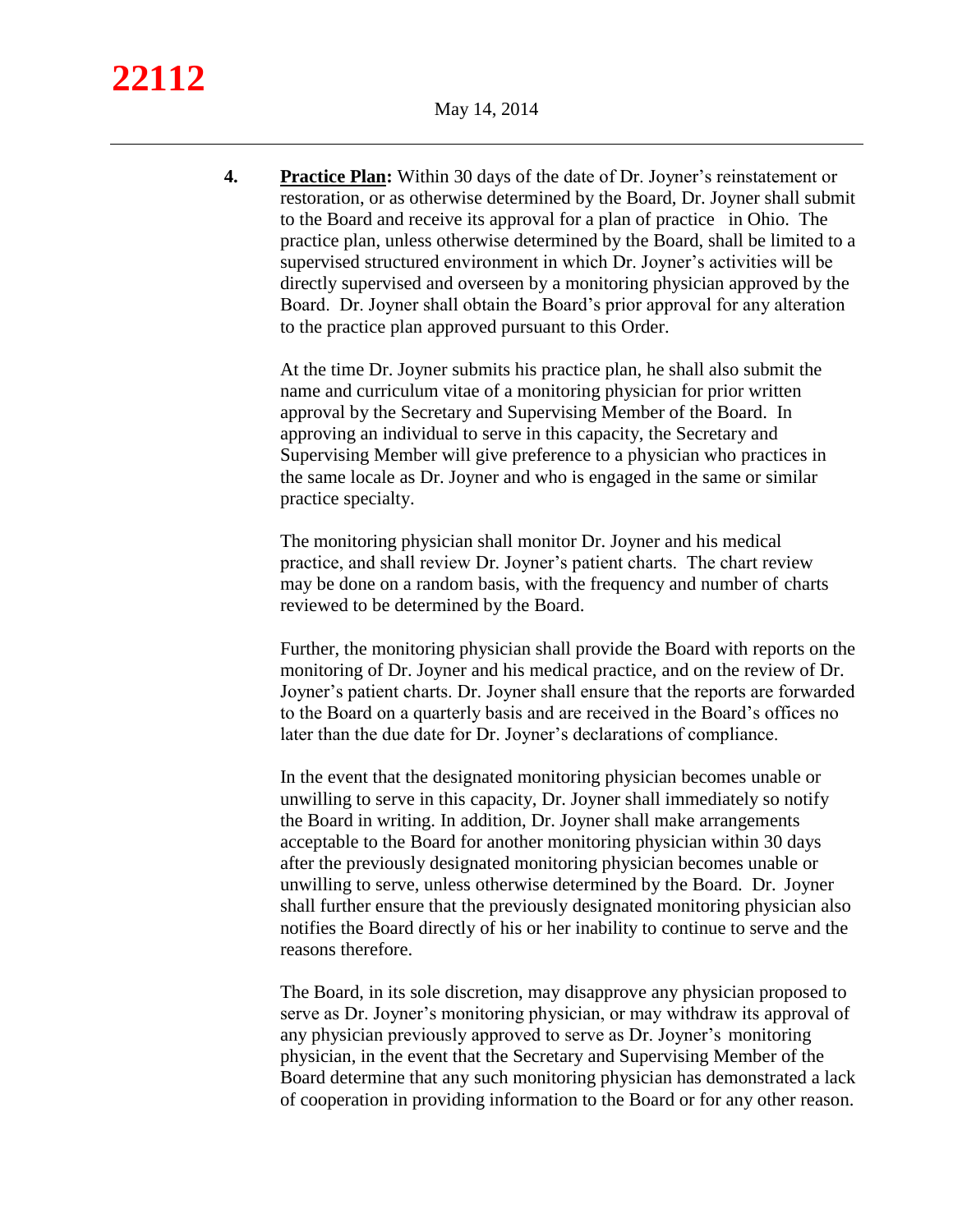**4. Practice Plan:** Within 30 days of the date of Dr. Joyner's reinstatement or restoration, or as otherwise determined by the Board, Dr. Joyner shall submit to the Board and receive its approval for a plan of practice in Ohio. The practice plan, unless otherwise determined by the Board, shall be limited to a supervised structured environment in which Dr. Joyner's activities will be directly supervised and overseen by a monitoring physician approved by the Board. Dr. Joyner shall obtain the Board's prior approval for any alteration to the practice plan approved pursuant to this Order.

At the time Dr. Joyner submits his practice plan, he shall also submit the name and curriculum vitae of a monitoring physician for prior written approval by the Secretary and Supervising Member of the Board. In approving an individual to serve in this capacity, the Secretary and Supervising Member will give preference to a physician who practices in the same locale as Dr. Joyner and who is engaged in the same or similar practice specialty.

The monitoring physician shall monitor Dr. Joyner and his medical practice, and shall review Dr. Joyner's patient charts. The chart review may be done on a random basis, with the frequency and number of charts reviewed to be determined by the Board.

Further, the monitoring physician shall provide the Board with reports on the monitoring of Dr. Joyner and his medical practice, and on the review of Dr. Joyner's patient charts. Dr. Joyner shall ensure that the reports are forwarded to the Board on a quarterly basis and are received in the Board's offices no later than the due date for Dr. Joyner's declarations of compliance.

In the event that the designated monitoring physician becomes unable or unwilling to serve in this capacity, Dr. Joyner shall immediately so notify the Board in writing. In addition, Dr. Joyner shall make arrangements acceptable to the Board for another monitoring physician within 30 days after the previously designated monitoring physician becomes unable or unwilling to serve, unless otherwise determined by the Board. Dr. Joyner shall further ensure that the previously designated monitoring physician also notifies the Board directly of his or her inability to continue to serve and the reasons therefore.

The Board, in its sole discretion, may disapprove any physician proposed to serve as Dr. Joyner's monitoring physician, or may withdraw its approval of any physician previously approved to serve as Dr. Joyner's monitoring physician, in the event that the Secretary and Supervising Member of the Board determine that any such monitoring physician has demonstrated a lack of cooperation in providing information to the Board or for any other reason.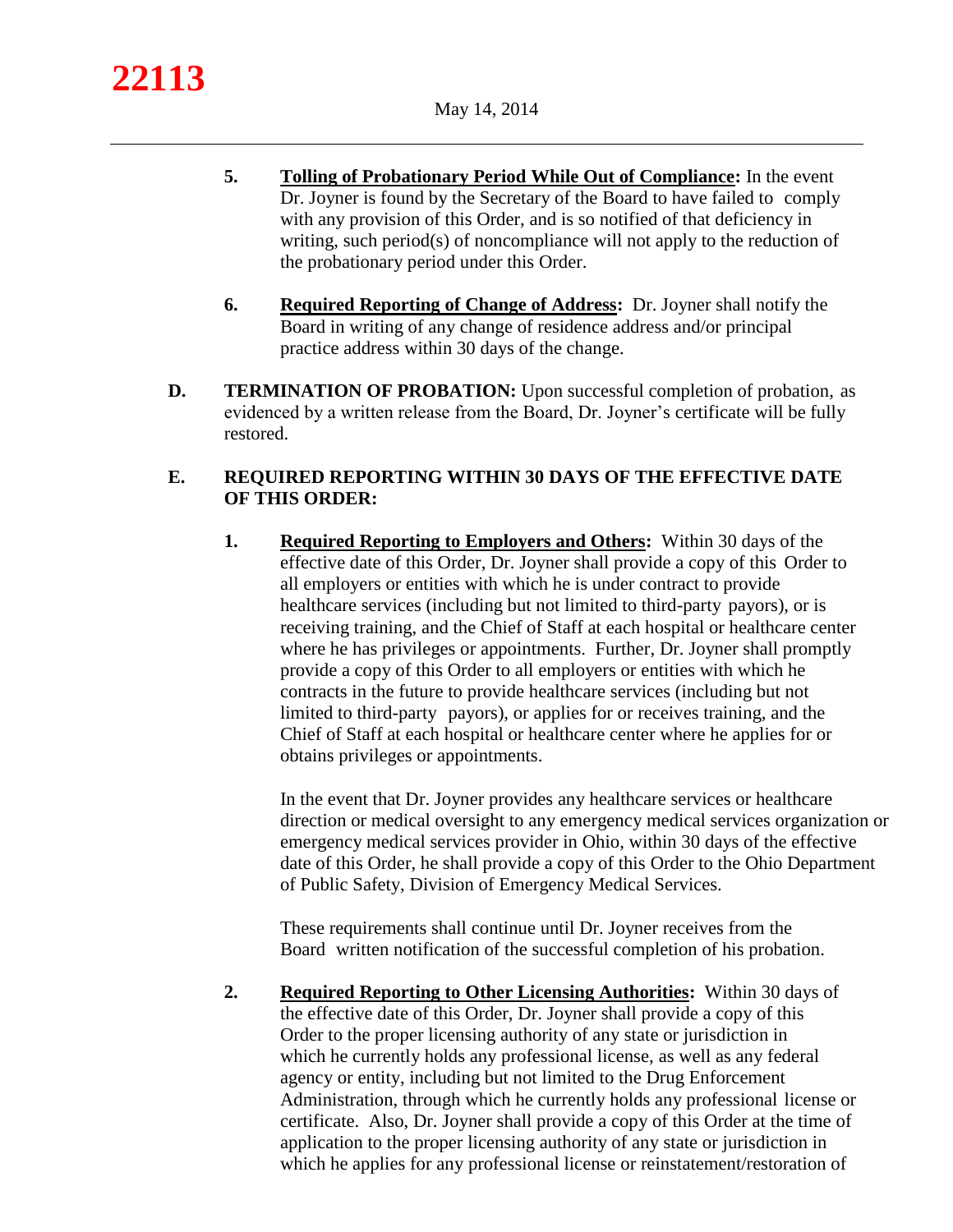- **5. Tolling of Probationary Period While Out of Compliance:** In the event Dr. Joyner is found by the Secretary of the Board to have failed to comply with any provision of this Order, and is so notified of that deficiency in writing, such period(s) of noncompliance will not apply to the reduction of the probationary period under this Order.
- **6. Required Reporting of Change of Address:** Dr. Joyner shall notify the Board in writing of any change of residence address and/or principal practice address within 30 days of the change.
- **D. TERMINATION OF PROBATION:** Upon successful completion of probation, as evidenced by a written release from the Board, Dr. Joyner's certificate will be fully restored.

# **E. REQUIRED REPORTING WITHIN 30 DAYS OF THE EFFECTIVE DATE OF THIS ORDER:**

**1. Required Reporting to Employers and Others:** Within 30 days of the effective date of this Order, Dr. Joyner shall provide a copy of this Order to all employers or entities with which he is under contract to provide healthcare services (including but not limited to third-party payors), or is receiving training, and the Chief of Staff at each hospital or healthcare center where he has privileges or appointments. Further, Dr. Joyner shall promptly provide a copy of this Order to all employers or entities with which he contracts in the future to provide healthcare services (including but not limited to third-party payors), or applies for or receives training, and the Chief of Staff at each hospital or healthcare center where he applies for or obtains privileges or appointments.

In the event that Dr. Joyner provides any healthcare services or healthcare direction or medical oversight to any emergency medical services organization or emergency medical services provider in Ohio, within 30 days of the effective date of this Order, he shall provide a copy of this Order to the Ohio Department of Public Safety, Division of Emergency Medical Services.

These requirements shall continue until Dr. Joyner receives from the Board written notification of the successful completion of his probation.

**2. Required Reporting to Other Licensing Authorities:** Within 30 days of the effective date of this Order, Dr. Joyner shall provide a copy of this Order to the proper licensing authority of any state or jurisdiction in which he currently holds any professional license, as well as any federal agency or entity, including but not limited to the Drug Enforcement Administration, through which he currently holds any professional license or certificate. Also, Dr. Joyner shall provide a copy of this Order at the time of application to the proper licensing authority of any state or jurisdiction in which he applies for any professional license or reinstatement/restoration of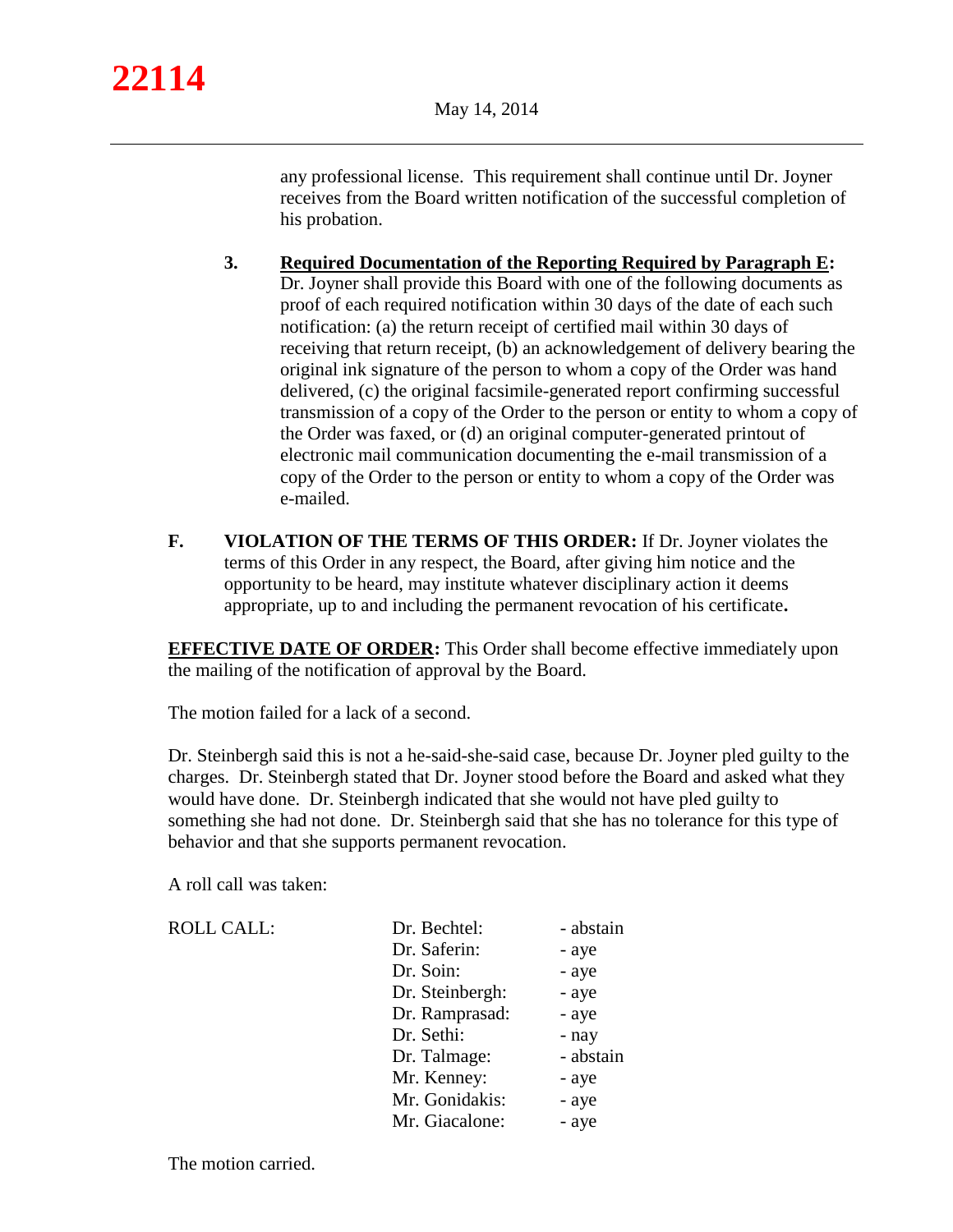any professional license. This requirement shall continue until Dr. Joyner receives from the Board written notification of the successful completion of his probation.

- **3. Required Documentation of the Reporting Required by Paragraph E:**  Dr. Joyner shall provide this Board with one of the following documents as proof of each required notification within 30 days of the date of each such notification: (a) the return receipt of certified mail within 30 days of receiving that return receipt, (b) an acknowledgement of delivery bearing the original ink signature of the person to whom a copy of the Order was hand delivered, (c) the original facsimile-generated report confirming successful transmission of a copy of the Order to the person or entity to whom a copy of the Order was faxed, or (d) an original computer-generated printout of electronic mail communication documenting the e-mail transmission of a copy of the Order to the person or entity to whom a copy of the Order was e-mailed.
- **F. VIOLATION OF THE TERMS OF THIS ORDER:** If Dr. Joyner violates the terms of this Order in any respect, the Board, after giving him notice and the opportunity to be heard, may institute whatever disciplinary action it deems appropriate, up to and including the permanent revocation of his certificate**.**

**EFFECTIVE DATE OF ORDER:** This Order shall become effective immediately upon the mailing of the notification of approval by the Board.

The motion failed for a lack of a second.

Dr. Steinbergh said this is not a he-said-she-said case, because Dr. Joyner pled guilty to the charges. Dr. Steinbergh stated that Dr. Joyner stood before the Board and asked what they would have done. Dr. Steinbergh indicated that she would not have pled guilty to something she had not done. Dr. Steinbergh said that she has no tolerance for this type of behavior and that she supports permanent revocation.

A roll call was taken:

| <b>ROLL CALL:</b> | Dr. Bechtel:    | - abstain |
|-------------------|-----------------|-----------|
|                   | Dr. Saferin:    | - aye     |
|                   | Dr. Soin:       | - aye     |
|                   | Dr. Steinbergh: | - aye     |
|                   | Dr. Ramprasad:  | - aye     |
|                   | Dr. Sethi:      | - nay     |
|                   | Dr. Talmage:    | - abstain |
|                   | Mr. Kenney:     | - aye     |
|                   | Mr. Gonidakis:  | - aye     |
|                   | Mr. Giacalone:  | - aye     |

The motion carried.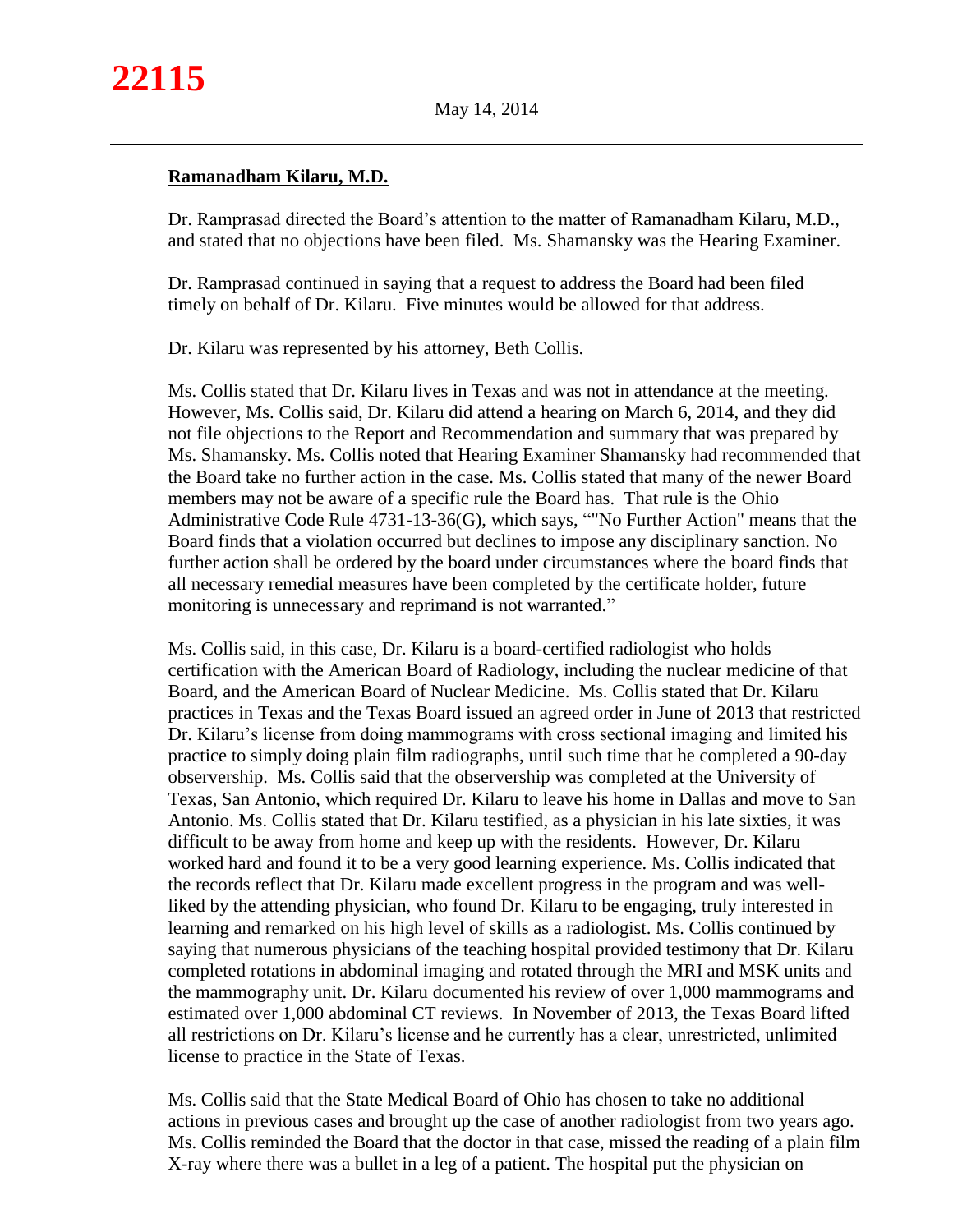## **Ramanadham Kilaru, M.D.**

Dr. Ramprasad directed the Board's attention to the matter of Ramanadham Kilaru, M.D., and stated that no objections have been filed. Ms. Shamansky was the Hearing Examiner.

Dr. Ramprasad continued in saying that a request to address the Board had been filed timely on behalf of Dr. Kilaru. Five minutes would be allowed for that address.

Dr. Kilaru was represented by his attorney, Beth Collis.

Ms. Collis stated that Dr. Kilaru lives in Texas and was not in attendance at the meeting. However, Ms. Collis said, Dr. Kilaru did attend a hearing on March 6, 2014, and they did not file objections to the Report and Recommendation and summary that was prepared by Ms. Shamansky. Ms. Collis noted that Hearing Examiner Shamansky had recommended that the Board take no further action in the case. Ms. Collis stated that many of the newer Board members may not be aware of a specific rule the Board has. That rule is the Ohio Administrative Code Rule 4731-13-36(G), which says, ""No Further Action" means that the Board finds that a violation occurred but declines to impose any disciplinary sanction. No further action shall be ordered by the board under circumstances where the board finds that all necessary remedial measures have been completed by the certificate holder, future monitoring is unnecessary and reprimand is not warranted."

Ms. Collis said, in this case, Dr. Kilaru is a board-certified radiologist who holds certification with the American Board of Radiology, including the nuclear medicine of that Board, and the American Board of Nuclear Medicine. Ms. Collis stated that Dr. Kilaru practices in Texas and the Texas Board issued an agreed order in June of 2013 that restricted Dr. Kilaru's license from doing mammograms with cross sectional imaging and limited his practice to simply doing plain film radiographs, until such time that he completed a 90-day observership. Ms. Collis said that the observership was completed at the University of Texas, San Antonio, which required Dr. Kilaru to leave his home in Dallas and move to San Antonio. Ms. Collis stated that Dr. Kilaru testified, as a physician in his late sixties, it was difficult to be away from home and keep up with the residents. However, Dr. Kilaru worked hard and found it to be a very good learning experience. Ms. Collis indicated that the records reflect that Dr. Kilaru made excellent progress in the program and was wellliked by the attending physician, who found Dr. Kilaru to be engaging, truly interested in learning and remarked on his high level of skills as a radiologist. Ms. Collis continued by saying that numerous physicians of the teaching hospital provided testimony that Dr. Kilaru completed rotations in abdominal imaging and rotated through the MRI and MSK units and the mammography unit. Dr. Kilaru documented his review of over 1,000 mammograms and estimated over 1,000 abdominal CT reviews. In November of 2013, the Texas Board lifted all restrictions on Dr. Kilaru's license and he currently has a clear, unrestricted, unlimited license to practice in the State of Texas.

Ms. Collis said that the State Medical Board of Ohio has chosen to take no additional actions in previous cases and brought up the case of another radiologist from two years ago. Ms. Collis reminded the Board that the doctor in that case, missed the reading of a plain film X-ray where there was a bullet in a leg of a patient. The hospital put the physician on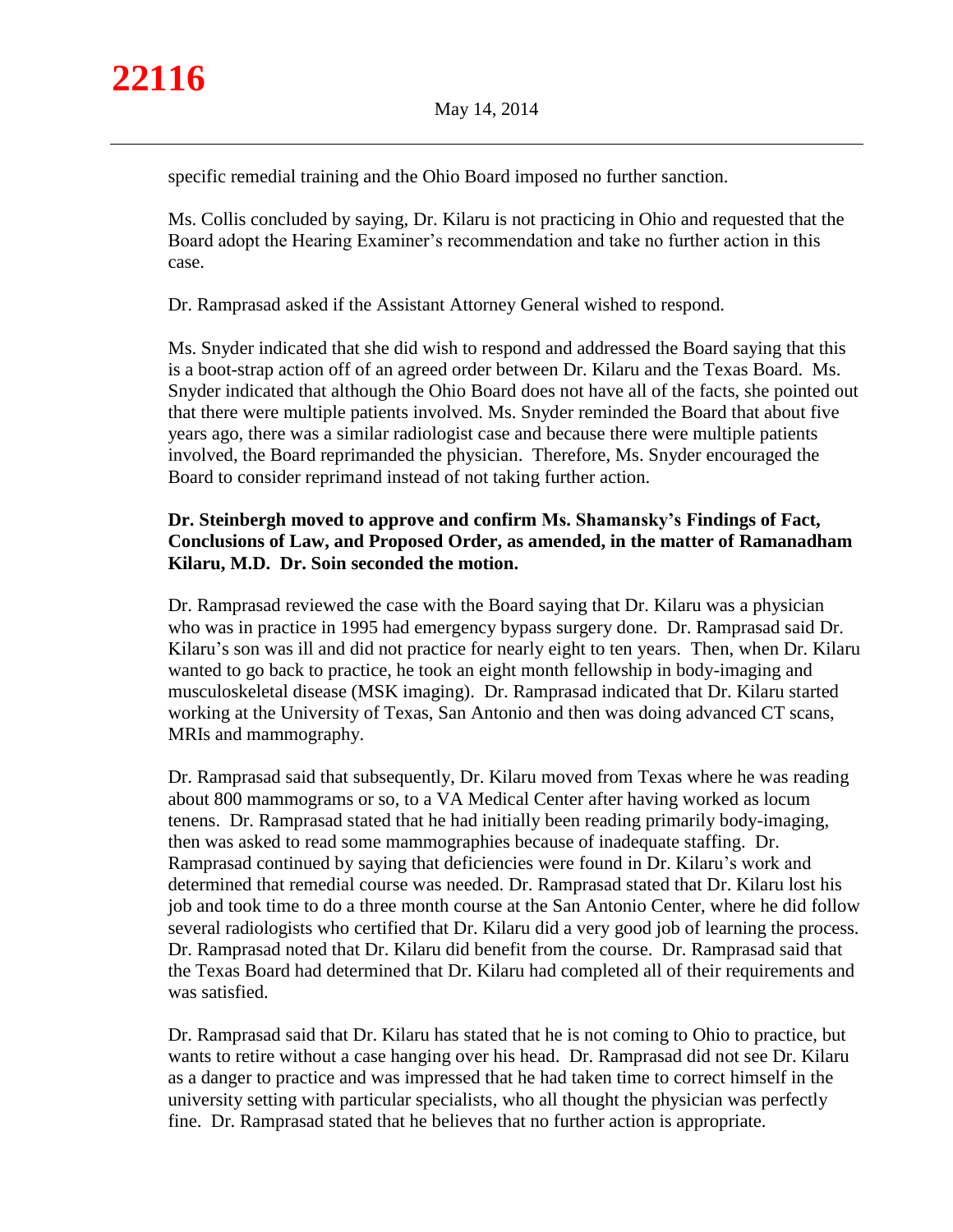specific remedial training and the Ohio Board imposed no further sanction.

Ms. Collis concluded by saying, Dr. Kilaru is not practicing in Ohio and requested that the Board adopt the Hearing Examiner's recommendation and take no further action in this case.

Dr. Ramprasad asked if the Assistant Attorney General wished to respond.

Ms. Snyder indicated that she did wish to respond and addressed the Board saying that this is a boot-strap action off of an agreed order between Dr. Kilaru and the Texas Board. Ms. Snyder indicated that although the Ohio Board does not have all of the facts, she pointed out that there were multiple patients involved. Ms. Snyder reminded the Board that about five years ago, there was a similar radiologist case and because there were multiple patients involved, the Board reprimanded the physician. Therefore, Ms. Snyder encouraged the Board to consider reprimand instead of not taking further action.

# **Dr. Steinbergh moved to approve and confirm Ms. Shamansky's Findings of Fact, Conclusions of Law, and Proposed Order, as amended, in the matter of Ramanadham Kilaru, M.D. Dr. Soin seconded the motion.**

Dr. Ramprasad reviewed the case with the Board saying that Dr. Kilaru was a physician who was in practice in 1995 had emergency bypass surgery done. Dr. Ramprasad said Dr. Kilaru's son was ill and did not practice for nearly eight to ten years. Then, when Dr. Kilaru wanted to go back to practice, he took an eight month fellowship in body-imaging and musculoskeletal disease (MSK imaging). Dr. Ramprasad indicated that Dr. Kilaru started working at the University of Texas, San Antonio and then was doing advanced CT scans, MRIs and mammography.

Dr. Ramprasad said that subsequently, Dr. Kilaru moved from Texas where he was reading about 800 mammograms or so, to a VA Medical Center after having worked as locum tenens. Dr. Ramprasad stated that he had initially been reading primarily body-imaging, then was asked to read some mammographies because of inadequate staffing. Dr. Ramprasad continued by saying that deficiencies were found in Dr. Kilaru's work and determined that remedial course was needed. Dr. Ramprasad stated that Dr. Kilaru lost his job and took time to do a three month course at the San Antonio Center, where he did follow several radiologists who certified that Dr. Kilaru did a very good job of learning the process. Dr. Ramprasad noted that Dr. Kilaru did benefit from the course. Dr. Ramprasad said that the Texas Board had determined that Dr. Kilaru had completed all of their requirements and was satisfied.

Dr. Ramprasad said that Dr. Kilaru has stated that he is not coming to Ohio to practice, but wants to retire without a case hanging over his head. Dr. Ramprasad did not see Dr. Kilaru as a danger to practice and was impressed that he had taken time to correct himself in the university setting with particular specialists, who all thought the physician was perfectly fine. Dr. Ramprasad stated that he believes that no further action is appropriate.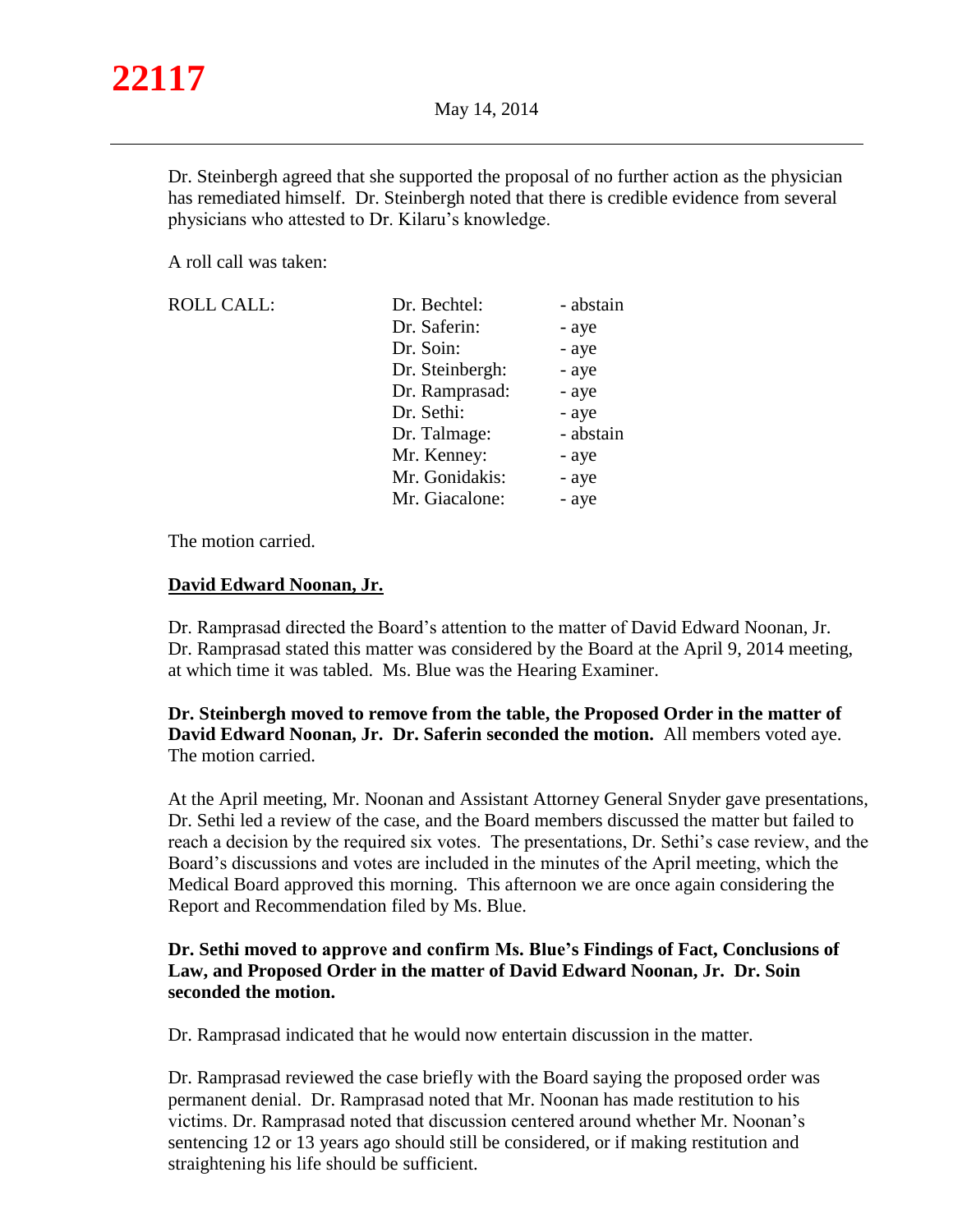Dr. Steinbergh agreed that she supported the proposal of no further action as the physician has remediated himself. Dr. Steinbergh noted that there is credible evidence from several physicians who attested to Dr. Kilaru's knowledge.

A roll call was taken:

| <b>ROLL CALL:</b> | Dr. Bechtel:    | - abstain |
|-------------------|-----------------|-----------|
|                   | Dr. Saferin:    | - aye     |
|                   | Dr. Soin:       | - aye     |
|                   | Dr. Steinbergh: | - aye     |
|                   | Dr. Ramprasad:  | - aye     |
|                   | Dr. Sethi:      | - aye     |
|                   | Dr. Talmage:    | - abstain |
|                   | Mr. Kenney:     | - aye     |
|                   | Mr. Gonidakis:  | - aye     |
|                   | Mr. Giacalone:  | - ave     |

The motion carried.

## **David Edward Noonan, Jr.**

Dr. Ramprasad directed the Board's attention to the matter of David Edward Noonan, Jr. Dr. Ramprasad stated this matter was considered by the Board at the April 9, 2014 meeting, at which time it was tabled. Ms. Blue was the Hearing Examiner.

**Dr. Steinbergh moved to remove from the table, the Proposed Order in the matter of David Edward Noonan, Jr. Dr. Saferin seconded the motion.** All members voted aye. The motion carried.

At the April meeting, Mr. Noonan and Assistant Attorney General Snyder gave presentations, Dr. Sethi led a review of the case, and the Board members discussed the matter but failed to reach a decision by the required six votes. The presentations, Dr. Sethi's case review, and the Board's discussions and votes are included in the minutes of the April meeting, which the Medical Board approved this morning. This afternoon we are once again considering the Report and Recommendation filed by Ms. Blue.

## **Dr. Sethi moved to approve and confirm Ms. Blue's Findings of Fact, Conclusions of Law, and Proposed Order in the matter of David Edward Noonan, Jr. Dr. Soin seconded the motion.**

Dr. Ramprasad indicated that he would now entertain discussion in the matter.

Dr. Ramprasad reviewed the case briefly with the Board saying the proposed order was permanent denial. Dr. Ramprasad noted that Mr. Noonan has made restitution to his victims. Dr. Ramprasad noted that discussion centered around whether Mr. Noonan's sentencing 12 or 13 years ago should still be considered, or if making restitution and straightening his life should be sufficient.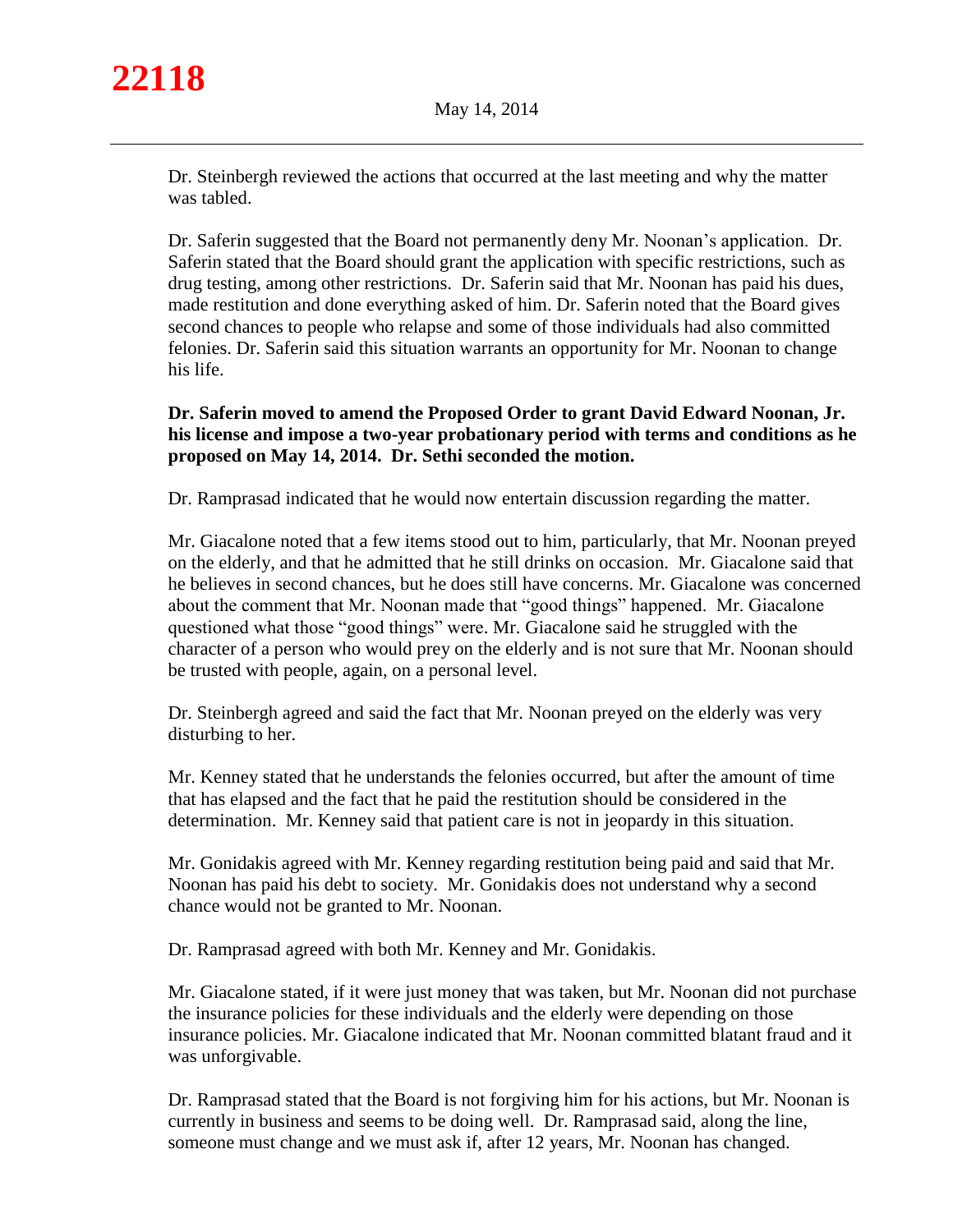Dr. Steinbergh reviewed the actions that occurred at the last meeting and why the matter was tabled.

Dr. Saferin suggested that the Board not permanently deny Mr. Noonan's application. Dr. Saferin stated that the Board should grant the application with specific restrictions, such as drug testing, among other restrictions. Dr. Saferin said that Mr. Noonan has paid his dues, made restitution and done everything asked of him. Dr. Saferin noted that the Board gives second chances to people who relapse and some of those individuals had also committed felonies. Dr. Saferin said this situation warrants an opportunity for Mr. Noonan to change his life.

## **Dr. Saferin moved to amend the Proposed Order to grant David Edward Noonan, Jr. his license and impose a two-year probationary period with terms and conditions as he proposed on May 14, 2014. Dr. Sethi seconded the motion.**

Dr. Ramprasad indicated that he would now entertain discussion regarding the matter.

Mr. Giacalone noted that a few items stood out to him, particularly, that Mr. Noonan preyed on the elderly, and that he admitted that he still drinks on occasion. Mr. Giacalone said that he believes in second chances, but he does still have concerns. Mr. Giacalone was concerned about the comment that Mr. Noonan made that "good things" happened. Mr. Giacalone questioned what those "good things" were. Mr. Giacalone said he struggled with the character of a person who would prey on the elderly and is not sure that Mr. Noonan should be trusted with people, again, on a personal level.

Dr. Steinbergh agreed and said the fact that Mr. Noonan preyed on the elderly was very disturbing to her.

Mr. Kenney stated that he understands the felonies occurred, but after the amount of time that has elapsed and the fact that he paid the restitution should be considered in the determination. Mr. Kenney said that patient care is not in jeopardy in this situation.

Mr. Gonidakis agreed with Mr. Kenney regarding restitution being paid and said that Mr. Noonan has paid his debt to society. Mr. Gonidakis does not understand why a second chance would not be granted to Mr. Noonan.

Dr. Ramprasad agreed with both Mr. Kenney and Mr. Gonidakis.

Mr. Giacalone stated, if it were just money that was taken, but Mr. Noonan did not purchase the insurance policies for these individuals and the elderly were depending on those insurance policies. Mr. Giacalone indicated that Mr. Noonan committed blatant fraud and it was unforgivable.

Dr. Ramprasad stated that the Board is not forgiving him for his actions, but Mr. Noonan is currently in business and seems to be doing well. Dr. Ramprasad said, along the line, someone must change and we must ask if, after 12 years, Mr. Noonan has changed.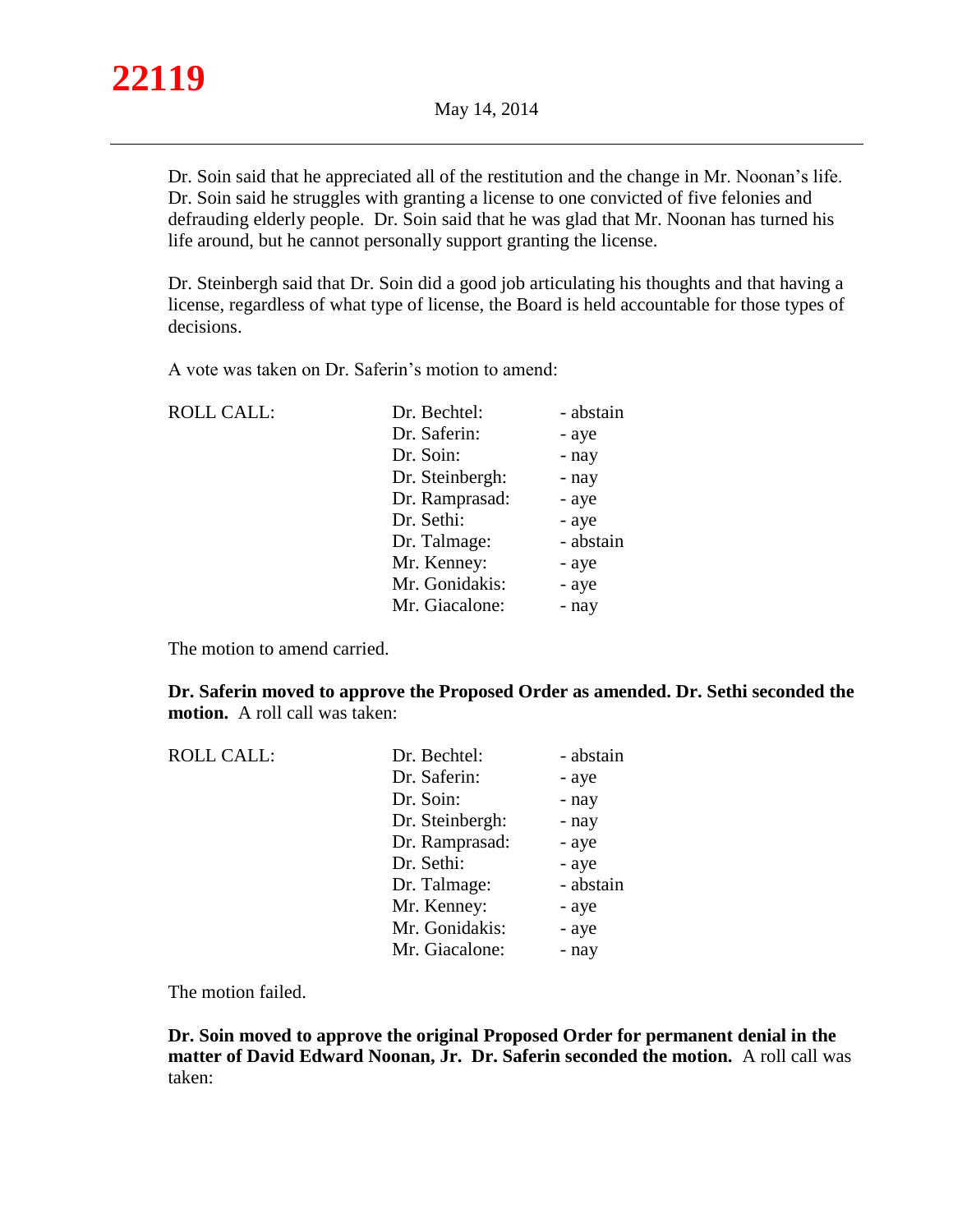

Dr. Soin said that he appreciated all of the restitution and the change in Mr. Noonan's life. Dr. Soin said he struggles with granting a license to one convicted of five felonies and defrauding elderly people. Dr. Soin said that he was glad that Mr. Noonan has turned his life around, but he cannot personally support granting the license.

Dr. Steinbergh said that Dr. Soin did a good job articulating his thoughts and that having a license, regardless of what type of license, the Board is held accountable for those types of decisions.

A vote was taken on Dr. Saferin's motion to amend:

| <b>ROLL CALL:</b> | Dr. Bechtel:    | - abstain |
|-------------------|-----------------|-----------|
|                   | Dr. Saferin:    | - aye     |
|                   | Dr. Soin:       | - nay     |
|                   | Dr. Steinbergh: | - nay     |
|                   | Dr. Ramprasad:  | - aye     |
|                   | Dr. Sethi:      | - aye     |
|                   | Dr. Talmage:    | - abstain |
|                   | Mr. Kenney:     | - aye     |
|                   | Mr. Gonidakis:  | - aye     |
|                   | Mr. Giacalone:  | - nay     |
|                   |                 |           |

The motion to amend carried.

**Dr. Saferin moved to approve the Proposed Order as amended. Dr. Sethi seconded the motion.** A roll call was taken:

| <b>ROLL CALL:</b> | Dr. Bechtel:    | - abstain |
|-------------------|-----------------|-----------|
|                   | Dr. Saferin:    | - aye     |
|                   | Dr. Soin:       | - nay     |
|                   | Dr. Steinbergh: | - nay     |
|                   | Dr. Ramprasad:  | - aye     |
|                   | Dr. Sethi:      | - aye     |
|                   | Dr. Talmage:    | - abstain |
|                   | Mr. Kenney:     | - aye     |
|                   | Mr. Gonidakis:  | - aye     |
|                   | Mr. Giacalone:  | - nay     |
|                   |                 |           |

The motion failed.

**Dr. Soin moved to approve the original Proposed Order for permanent denial in the matter of David Edward Noonan, Jr. Dr. Saferin seconded the motion.** A roll call was taken: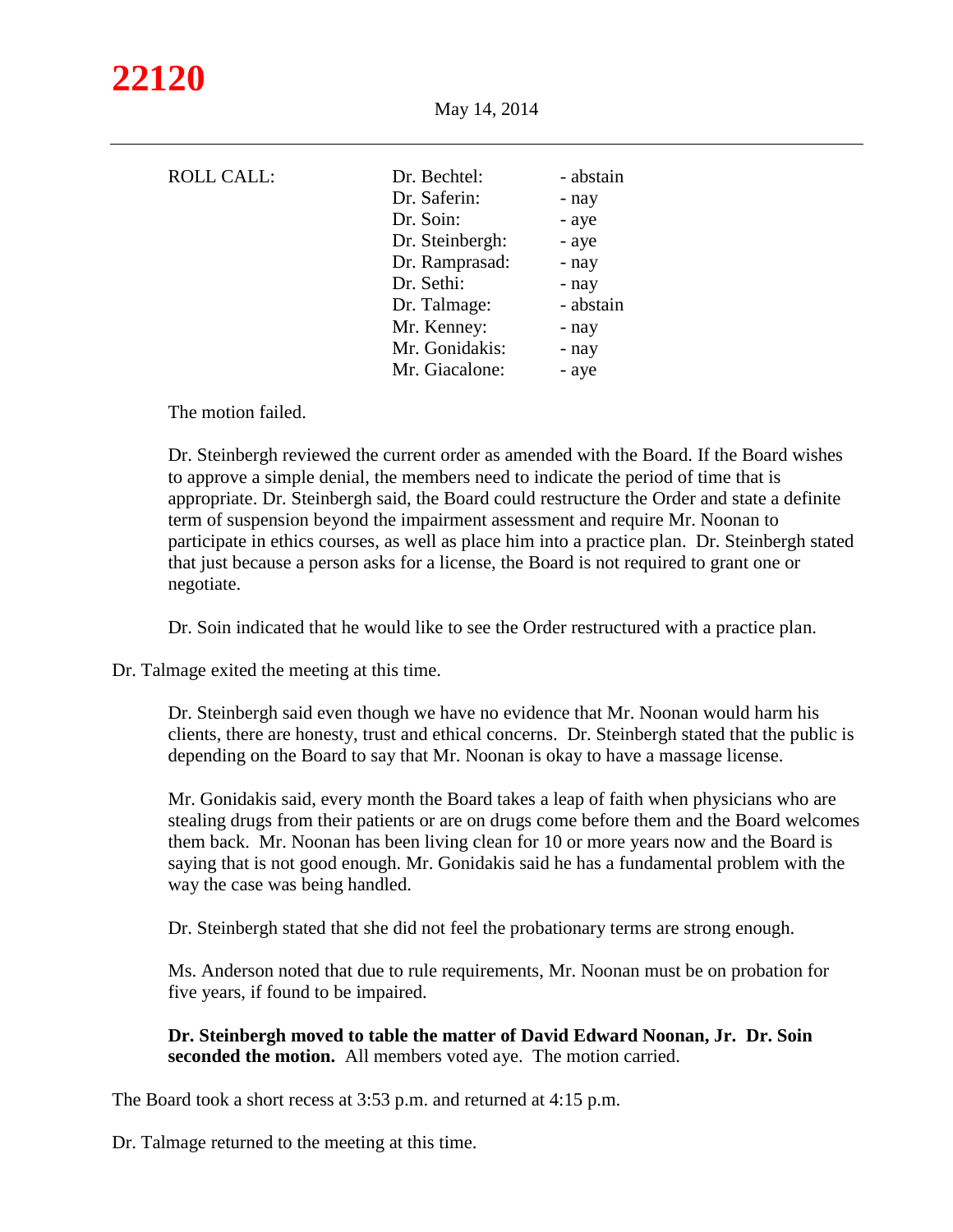| <b>ROLL CALL:</b> | Dr. Bechtel:    | - abstain |
|-------------------|-----------------|-----------|
|                   | Dr. Saferin:    | - nay     |
|                   | Dr. Soin:       | - aye     |
|                   | Dr. Steinbergh: | - aye     |
|                   | Dr. Ramprasad:  | - nay     |
|                   | Dr. Sethi:      | - nay     |
|                   | Dr. Talmage:    | - abstain |
|                   | Mr. Kenney:     | - nay     |
|                   | Mr. Gonidakis:  | - nay     |
|                   | Mr. Giacalone:  | - aye     |
|                   |                 |           |

The motion failed.

Dr. Steinbergh reviewed the current order as amended with the Board. If the Board wishes to approve a simple denial, the members need to indicate the period of time that is appropriate. Dr. Steinbergh said, the Board could restructure the Order and state a definite term of suspension beyond the impairment assessment and require Mr. Noonan to participate in ethics courses, as well as place him into a practice plan. Dr. Steinbergh stated that just because a person asks for a license, the Board is not required to grant one or negotiate.

Dr. Soin indicated that he would like to see the Order restructured with a practice plan.

Dr. Talmage exited the meeting at this time.

Dr. Steinbergh said even though we have no evidence that Mr. Noonan would harm his clients, there are honesty, trust and ethical concerns. Dr. Steinbergh stated that the public is depending on the Board to say that Mr. Noonan is okay to have a massage license.

Mr. Gonidakis said, every month the Board takes a leap of faith when physicians who are stealing drugs from their patients or are on drugs come before them and the Board welcomes them back. Mr. Noonan has been living clean for 10 or more years now and the Board is saying that is not good enough. Mr. Gonidakis said he has a fundamental problem with the way the case was being handled.

Dr. Steinbergh stated that she did not feel the probationary terms are strong enough.

Ms. Anderson noted that due to rule requirements, Mr. Noonan must be on probation for five years, if found to be impaired.

**Dr. Steinbergh moved to table the matter of David Edward Noonan, Jr. Dr. Soin seconded the motion.** All members voted aye. The motion carried.

The Board took a short recess at 3:53 p.m. and returned at 4:15 p.m.

Dr. Talmage returned to the meeting at this time.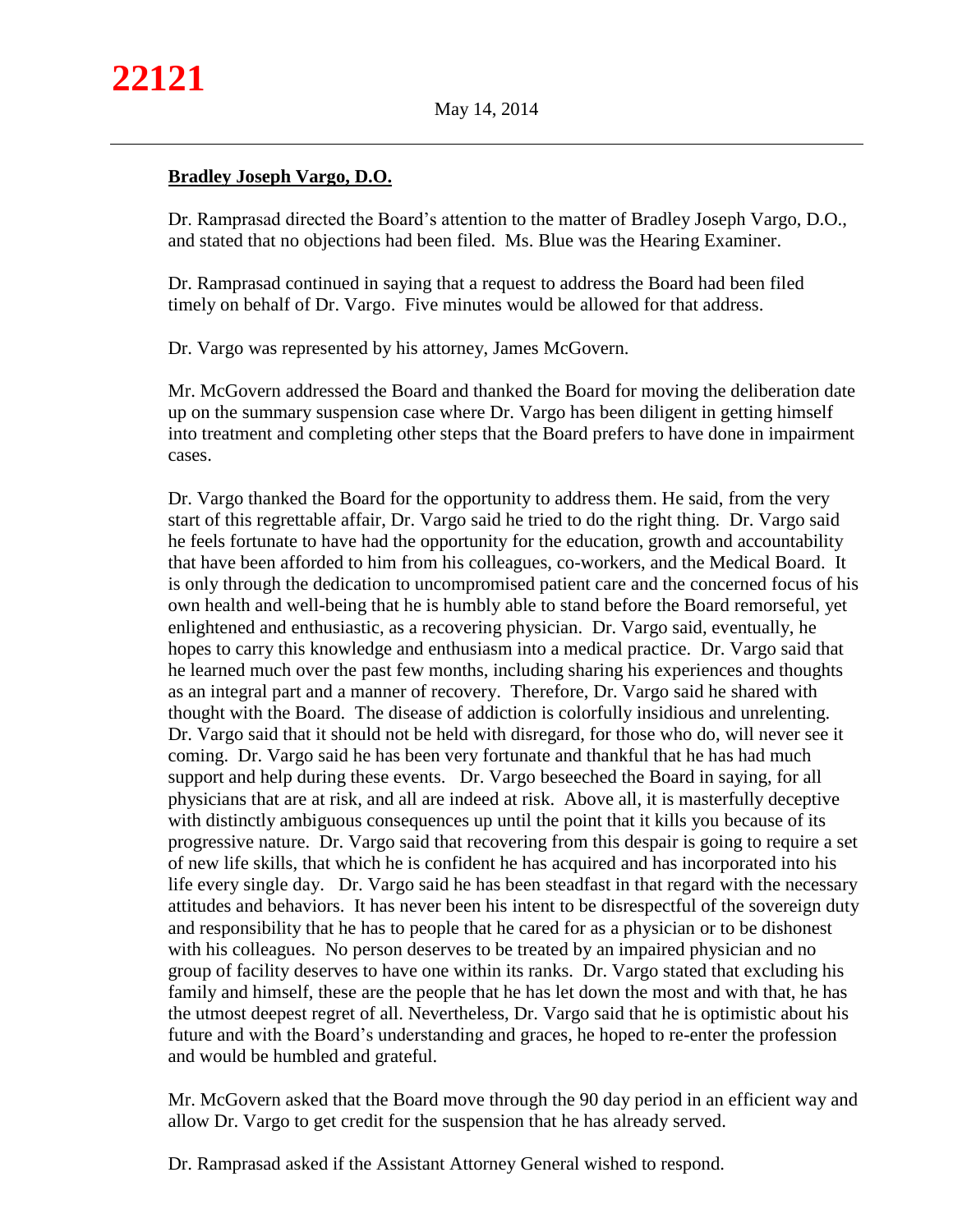# **Bradley Joseph Vargo, D.O.**

Dr. Ramprasad directed the Board's attention to the matter of Bradley Joseph Vargo, D.O., and stated that no objections had been filed. Ms. Blue was the Hearing Examiner.

Dr. Ramprasad continued in saying that a request to address the Board had been filed timely on behalf of Dr. Vargo. Five minutes would be allowed for that address.

Dr. Vargo was represented by his attorney, James McGovern.

Mr. McGovern addressed the Board and thanked the Board for moving the deliberation date up on the summary suspension case where Dr. Vargo has been diligent in getting himself into treatment and completing other steps that the Board prefers to have done in impairment cases.

Dr. Vargo thanked the Board for the opportunity to address them. He said, from the very start of this regrettable affair, Dr. Vargo said he tried to do the right thing. Dr. Vargo said he feels fortunate to have had the opportunity for the education, growth and accountability that have been afforded to him from his colleagues, co-workers, and the Medical Board. It is only through the dedication to uncompromised patient care and the concerned focus of his own health and well-being that he is humbly able to stand before the Board remorseful, yet enlightened and enthusiastic, as a recovering physician. Dr. Vargo said, eventually, he hopes to carry this knowledge and enthusiasm into a medical practice. Dr. Vargo said that he learned much over the past few months, including sharing his experiences and thoughts as an integral part and a manner of recovery. Therefore, Dr. Vargo said he shared with thought with the Board. The disease of addiction is colorfully insidious and unrelenting. Dr. Vargo said that it should not be held with disregard, for those who do, will never see it coming. Dr. Vargo said he has been very fortunate and thankful that he has had much support and help during these events. Dr. Vargo beseeched the Board in saying, for all physicians that are at risk, and all are indeed at risk. Above all, it is masterfully deceptive with distinctly ambiguous consequences up until the point that it kills you because of its progressive nature. Dr. Vargo said that recovering from this despair is going to require a set of new life skills, that which he is confident he has acquired and has incorporated into his life every single day. Dr. Vargo said he has been steadfast in that regard with the necessary attitudes and behaviors. It has never been his intent to be disrespectful of the sovereign duty and responsibility that he has to people that he cared for as a physician or to be dishonest with his colleagues. No person deserves to be treated by an impaired physician and no group of facility deserves to have one within its ranks. Dr. Vargo stated that excluding his family and himself, these are the people that he has let down the most and with that, he has the utmost deepest regret of all. Nevertheless, Dr. Vargo said that he is optimistic about his future and with the Board's understanding and graces, he hoped to re-enter the profession and would be humbled and grateful.

Mr. McGovern asked that the Board move through the 90 day period in an efficient way and allow Dr. Vargo to get credit for the suspension that he has already served.

Dr. Ramprasad asked if the Assistant Attorney General wished to respond.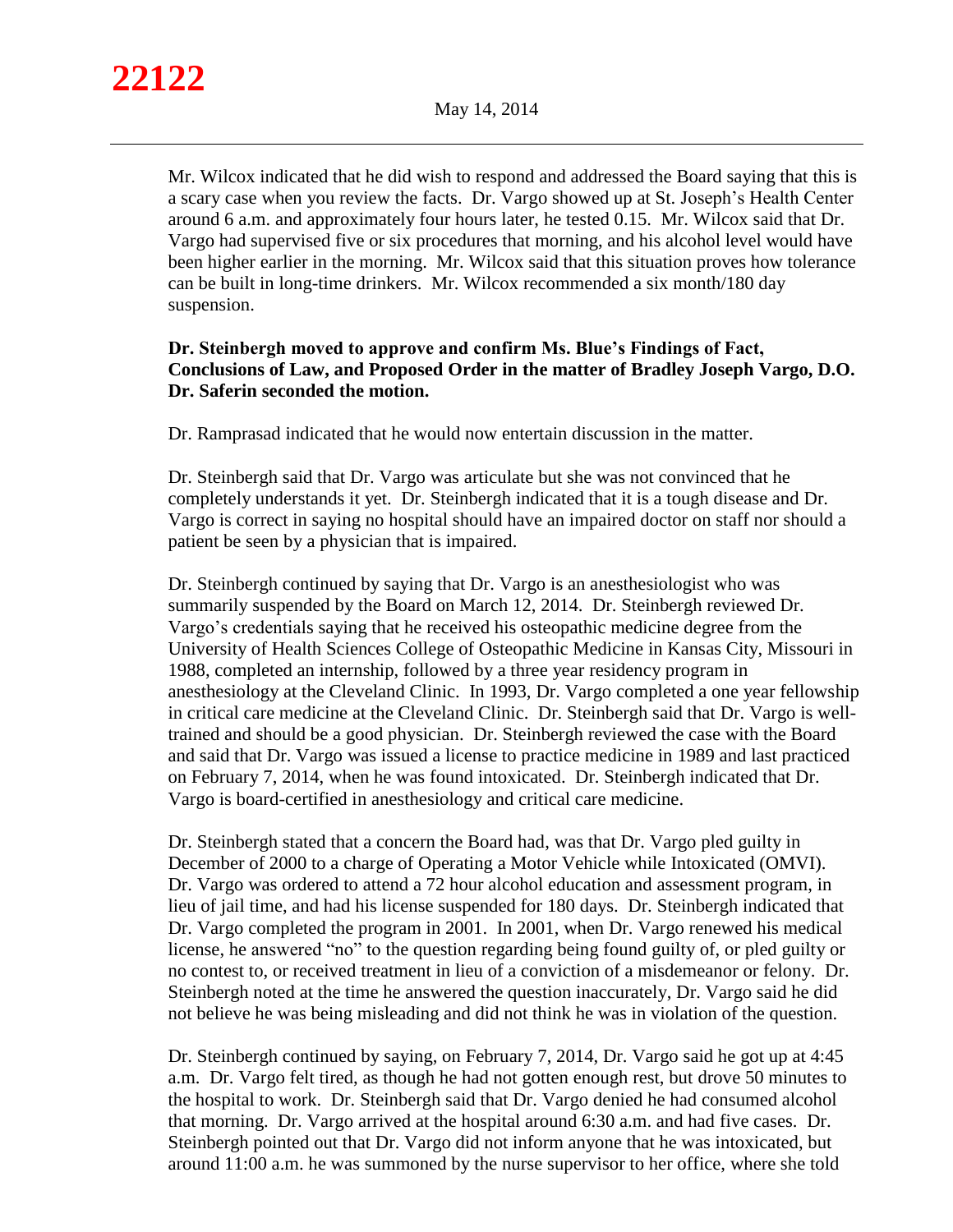Mr. Wilcox indicated that he did wish to respond and addressed the Board saying that this is a scary case when you review the facts. Dr. Vargo showed up at St. Joseph's Health Center around 6 a.m. and approximately four hours later, he tested 0.15. Mr. Wilcox said that Dr. Vargo had supervised five or six procedures that morning, and his alcohol level would have been higher earlier in the morning. Mr. Wilcox said that this situation proves how tolerance can be built in long-time drinkers. Mr. Wilcox recommended a six month/180 day suspension.

## **Dr. Steinbergh moved to approve and confirm Ms. Blue's Findings of Fact, Conclusions of Law, and Proposed Order in the matter of Bradley Joseph Vargo, D.O. Dr. Saferin seconded the motion.**

Dr. Ramprasad indicated that he would now entertain discussion in the matter.

Dr. Steinbergh said that Dr. Vargo was articulate but she was not convinced that he completely understands it yet. Dr. Steinbergh indicated that it is a tough disease and Dr. Vargo is correct in saying no hospital should have an impaired doctor on staff nor should a patient be seen by a physician that is impaired.

Dr. Steinbergh continued by saying that Dr. Vargo is an anesthesiologist who was summarily suspended by the Board on March 12, 2014. Dr. Steinbergh reviewed Dr. Vargo's credentials saying that he received his osteopathic medicine degree from the University of Health Sciences College of Osteopathic Medicine in Kansas City, Missouri in 1988, completed an internship, followed by a three year residency program in anesthesiology at the Cleveland Clinic. In 1993, Dr. Vargo completed a one year fellowship in critical care medicine at the Cleveland Clinic. Dr. Steinbergh said that Dr. Vargo is welltrained and should be a good physician. Dr. Steinbergh reviewed the case with the Board and said that Dr. Vargo was issued a license to practice medicine in 1989 and last practiced on February 7, 2014, when he was found intoxicated. Dr. Steinbergh indicated that Dr. Vargo is board-certified in anesthesiology and critical care medicine.

Dr. Steinbergh stated that a concern the Board had, was that Dr. Vargo pled guilty in December of 2000 to a charge of Operating a Motor Vehicle while Intoxicated (OMVI). Dr. Vargo was ordered to attend a 72 hour alcohol education and assessment program, in lieu of jail time, and had his license suspended for 180 days. Dr. Steinbergh indicated that Dr. Vargo completed the program in 2001. In 2001, when Dr. Vargo renewed his medical license, he answered "no" to the question regarding being found guilty of, or pled guilty or no contest to, or received treatment in lieu of a conviction of a misdemeanor or felony. Dr. Steinbergh noted at the time he answered the question inaccurately, Dr. Vargo said he did not believe he was being misleading and did not think he was in violation of the question.

Dr. Steinbergh continued by saying, on February 7, 2014, Dr. Vargo said he got up at 4:45 a.m. Dr. Vargo felt tired, as though he had not gotten enough rest, but drove 50 minutes to the hospital to work. Dr. Steinbergh said that Dr. Vargo denied he had consumed alcohol that morning. Dr. Vargo arrived at the hospital around 6:30 a.m. and had five cases. Dr. Steinbergh pointed out that Dr. Vargo did not inform anyone that he was intoxicated, but around 11:00 a.m. he was summoned by the nurse supervisor to her office, where she told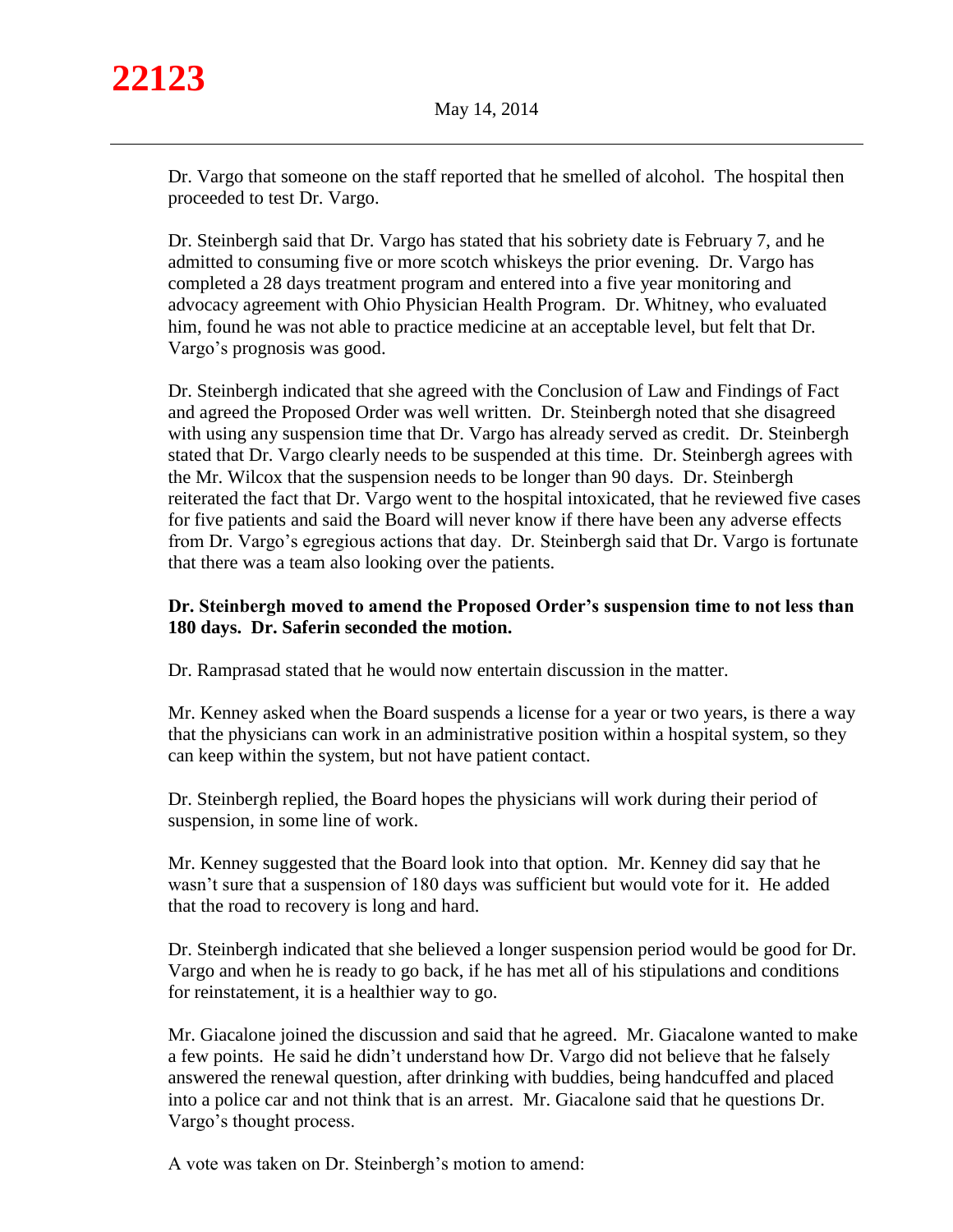Dr. Vargo that someone on the staff reported that he smelled of alcohol. The hospital then proceeded to test Dr. Vargo.

Dr. Steinbergh said that Dr. Vargo has stated that his sobriety date is February 7, and he admitted to consuming five or more scotch whiskeys the prior evening. Dr. Vargo has completed a 28 days treatment program and entered into a five year monitoring and advocacy agreement with Ohio Physician Health Program. Dr. Whitney, who evaluated him, found he was not able to practice medicine at an acceptable level, but felt that Dr. Vargo's prognosis was good.

Dr. Steinbergh indicated that she agreed with the Conclusion of Law and Findings of Fact and agreed the Proposed Order was well written. Dr. Steinbergh noted that she disagreed with using any suspension time that Dr. Vargo has already served as credit. Dr. Steinbergh stated that Dr. Vargo clearly needs to be suspended at this time. Dr. Steinbergh agrees with the Mr. Wilcox that the suspension needs to be longer than 90 days. Dr. Steinbergh reiterated the fact that Dr. Vargo went to the hospital intoxicated, that he reviewed five cases for five patients and said the Board will never know if there have been any adverse effects from Dr. Vargo's egregious actions that day. Dr. Steinbergh said that Dr. Vargo is fortunate that there was a team also looking over the patients.

## **Dr. Steinbergh moved to amend the Proposed Order's suspension time to not less than 180 days. Dr. Saferin seconded the motion.**

Dr. Ramprasad stated that he would now entertain discussion in the matter.

Mr. Kenney asked when the Board suspends a license for a year or two years, is there a way that the physicians can work in an administrative position within a hospital system, so they can keep within the system, but not have patient contact.

Dr. Steinbergh replied, the Board hopes the physicians will work during their period of suspension, in some line of work.

Mr. Kenney suggested that the Board look into that option. Mr. Kenney did say that he wasn't sure that a suspension of 180 days was sufficient but would vote for it. He added that the road to recovery is long and hard.

Dr. Steinbergh indicated that she believed a longer suspension period would be good for Dr. Vargo and when he is ready to go back, if he has met all of his stipulations and conditions for reinstatement, it is a healthier way to go.

Mr. Giacalone joined the discussion and said that he agreed. Mr. Giacalone wanted to make a few points. He said he didn't understand how Dr. Vargo did not believe that he falsely answered the renewal question, after drinking with buddies, being handcuffed and placed into a police car and not think that is an arrest. Mr. Giacalone said that he questions Dr. Vargo's thought process.

A vote was taken on Dr. Steinbergh's motion to amend: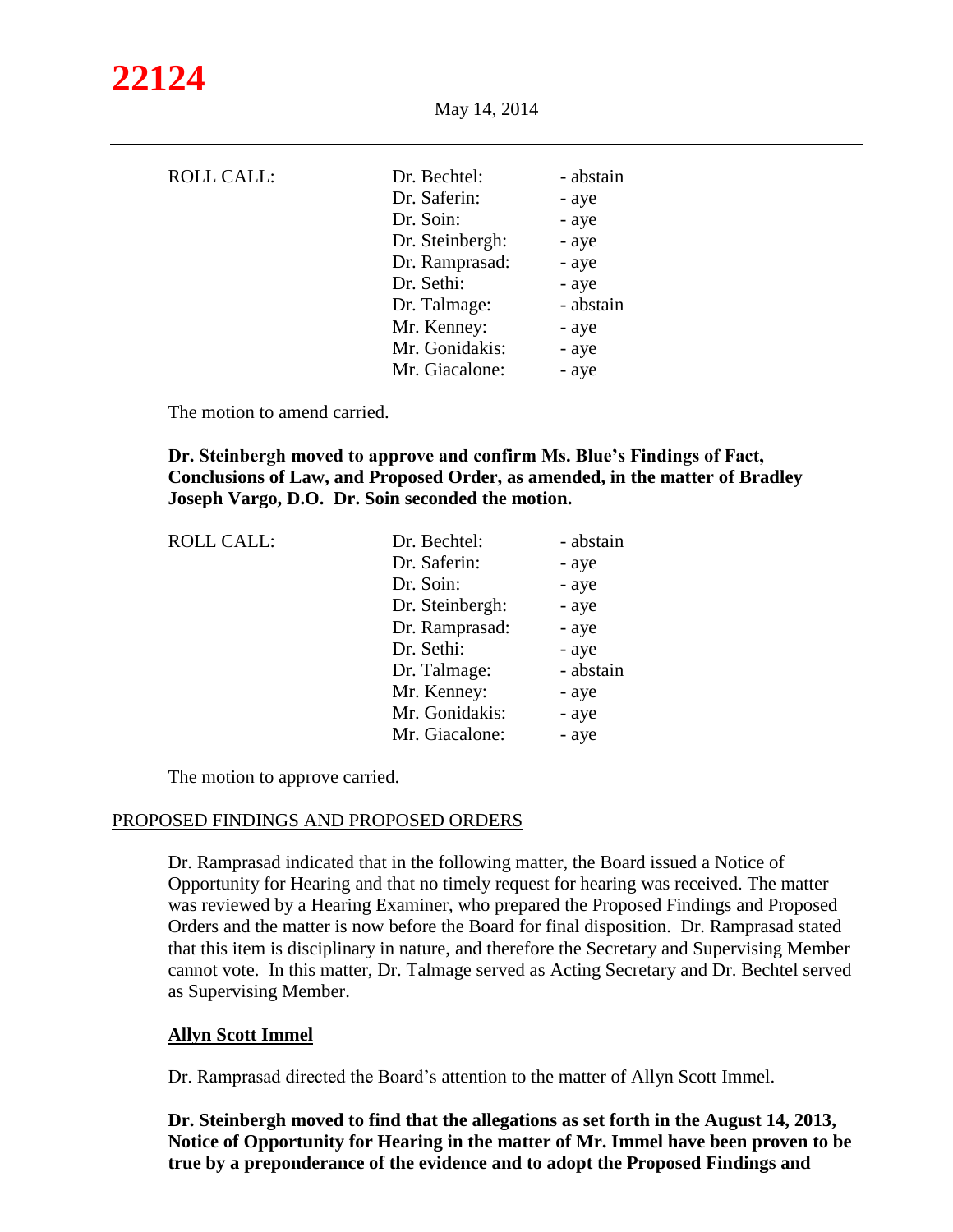| <b>ROLL CALL:</b> | Dr. Bechtel:<br>Dr. Saferin:<br>Dr. Soin:<br>Dr. Steinbergh:<br>Dr. Ramprasad:<br>Dr. Sethi:<br>Dr. Talmage:<br>Mr. Kenney: | - abstain<br>- aye<br>- aye<br>- aye<br>- aye<br>- aye<br>- abstain<br>- aye |
|-------------------|-----------------------------------------------------------------------------------------------------------------------------|------------------------------------------------------------------------------|
|                   |                                                                                                                             |                                                                              |
|                   | Mr. Gonidakis:                                                                                                              | - aye                                                                        |
|                   | Mr. Giacalone:                                                                                                              | - aye                                                                        |

The motion to amend carried.

## **Dr. Steinbergh moved to approve and confirm Ms. Blue's Findings of Fact, Conclusions of Law, and Proposed Order, as amended, in the matter of Bradley Joseph Vargo, D.O. Dr. Soin seconded the motion.**

| <b>ROLL CALL:</b> | Dr. Bechtel:    | - abstain |
|-------------------|-----------------|-----------|
|                   | Dr. Saferin:    | - aye     |
|                   | Dr. Soin:       | - aye     |
|                   | Dr. Steinbergh: | - aye     |
|                   | Dr. Ramprasad:  | - aye     |
|                   | Dr. Sethi:      | - aye     |
|                   | Dr. Talmage:    | - abstain |
|                   | Mr. Kenney:     | - aye     |
|                   | Mr. Gonidakis:  | - aye     |
|                   | Mr. Giacalone:  | - aye     |
|                   |                 |           |

The motion to approve carried.

#### PROPOSED FINDINGS AND PROPOSED ORDERS

Dr. Ramprasad indicated that in the following matter, the Board issued a Notice of Opportunity for Hearing and that no timely request for hearing was received. The matter was reviewed by a Hearing Examiner, who prepared the Proposed Findings and Proposed Orders and the matter is now before the Board for final disposition. Dr. Ramprasad stated that this item is disciplinary in nature, and therefore the Secretary and Supervising Member cannot vote. In this matter, Dr. Talmage served as Acting Secretary and Dr. Bechtel served as Supervising Member.

## **Allyn Scott Immel**

Dr. Ramprasad directed the Board's attention to the matter of Allyn Scott Immel.

**Dr. Steinbergh moved to find that the allegations as set forth in the August 14, 2013, Notice of Opportunity for Hearing in the matter of Mr. Immel have been proven to be true by a preponderance of the evidence and to adopt the Proposed Findings and**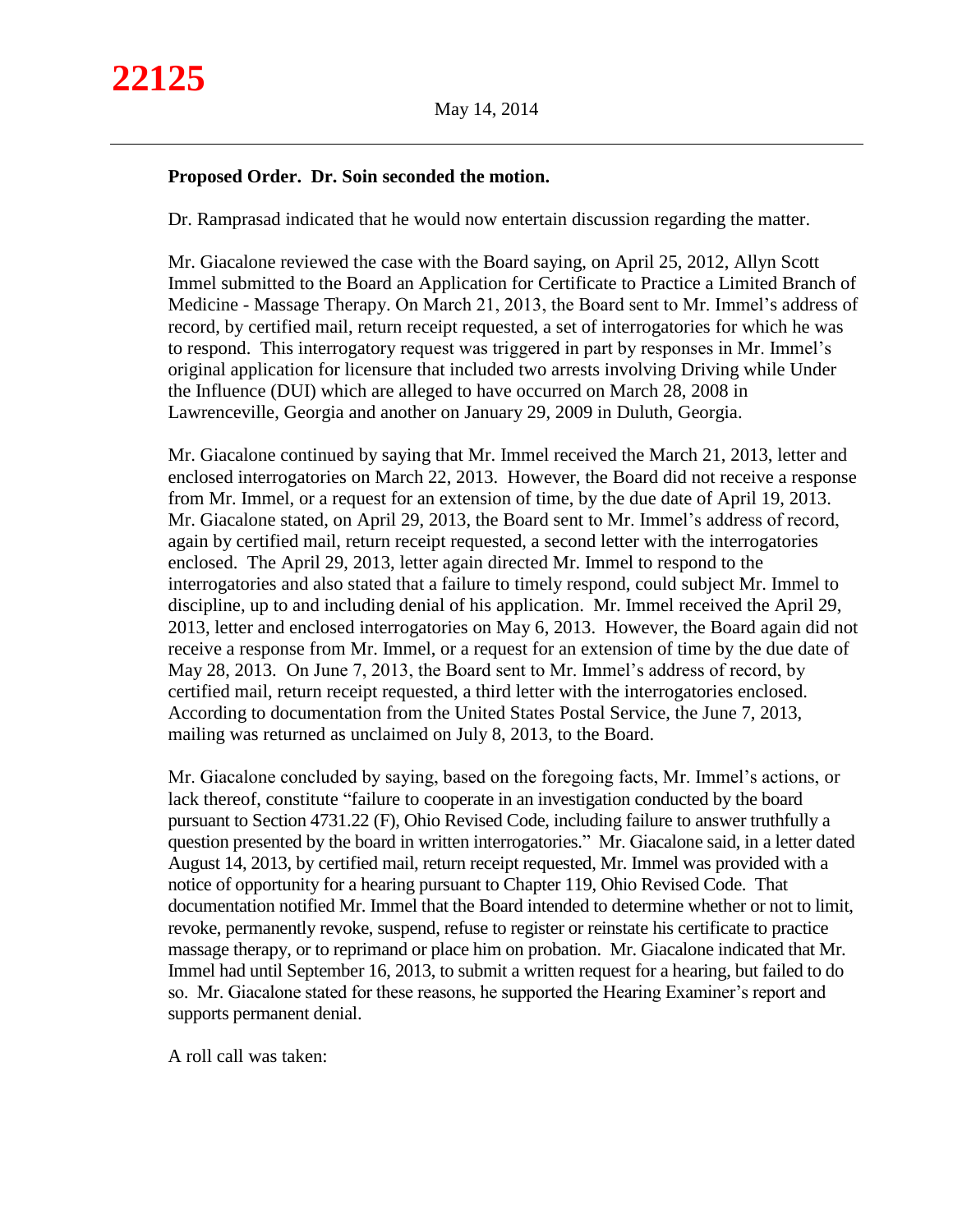#### **Proposed Order. Dr. Soin seconded the motion.**

Dr. Ramprasad indicated that he would now entertain discussion regarding the matter.

Mr. Giacalone reviewed the case with the Board saying, on April 25, 2012, Allyn Scott Immel submitted to the Board an Application for Certificate to Practice a Limited Branch of Medicine - Massage Therapy. On March 21, 2013, the Board sent to Mr. Immel's address of record, by certified mail, return receipt requested, a set of interrogatories for which he was to respond. This interrogatory request was triggered in part by responses in Mr. Immel's original application for licensure that included two arrests involving Driving while Under the Influence (DUI) which are alleged to have occurred on March 28, 2008 in Lawrenceville, Georgia and another on January 29, 2009 in Duluth, Georgia.

Mr. Giacalone continued by saying that Mr. Immel received the March 21, 2013, letter and enclosed interrogatories on March 22, 2013. However, the Board did not receive a response from Mr. Immel, or a request for an extension of time, by the due date of April 19, 2013. Mr. Giacalone stated, on April 29, 2013, the Board sent to Mr. Immel's address of record, again by certified mail, return receipt requested, a second letter with the interrogatories enclosed. The April 29, 2013, letter again directed Mr. Immel to respond to the interrogatories and also stated that a failure to timely respond, could subject Mr. Immel to discipline, up to and including denial of his application. Mr. Immel received the April 29, 2013, letter and enclosed interrogatories on May 6, 2013. However, the Board again did not receive a response from Mr. Immel, or a request for an extension of time by the due date of May 28, 2013. On June 7, 2013, the Board sent to Mr. Immel's address of record, by certified mail, return receipt requested, a third letter with the interrogatories enclosed. According to documentation from the United States Postal Service, the June 7, 2013, mailing was returned as unclaimed on July 8, 2013, to the Board.

Mr. Giacalone concluded by saying, based on the foregoing facts, Mr. Immel's actions, or lack thereof, constitute "failure to cooperate in an investigation conducted by the board pursuant to Section 4731.22 (F), Ohio Revised Code, including failure to answer truthfully a question presented by the board in written interrogatories." Mr. Giacalone said, in a letter dated August 14, 2013, by certified mail, return receipt requested, Mr. Immel was provided with a notice of opportunity for a hearing pursuant to Chapter 119, Ohio Revised Code. That documentation notified Mr. Immel that the Board intended to determine whether or not to limit, revoke, permanently revoke, suspend, refuse to register or reinstate his certificate to practice massage therapy, or to reprimand or place him on probation. Mr. Giacalone indicated that Mr. Immel had until September 16, 2013, to submit a written request for a hearing, but failed to do so. Mr. Giacalone stated for these reasons, he supported the Hearing Examiner's report and supports permanent denial.

A roll call was taken: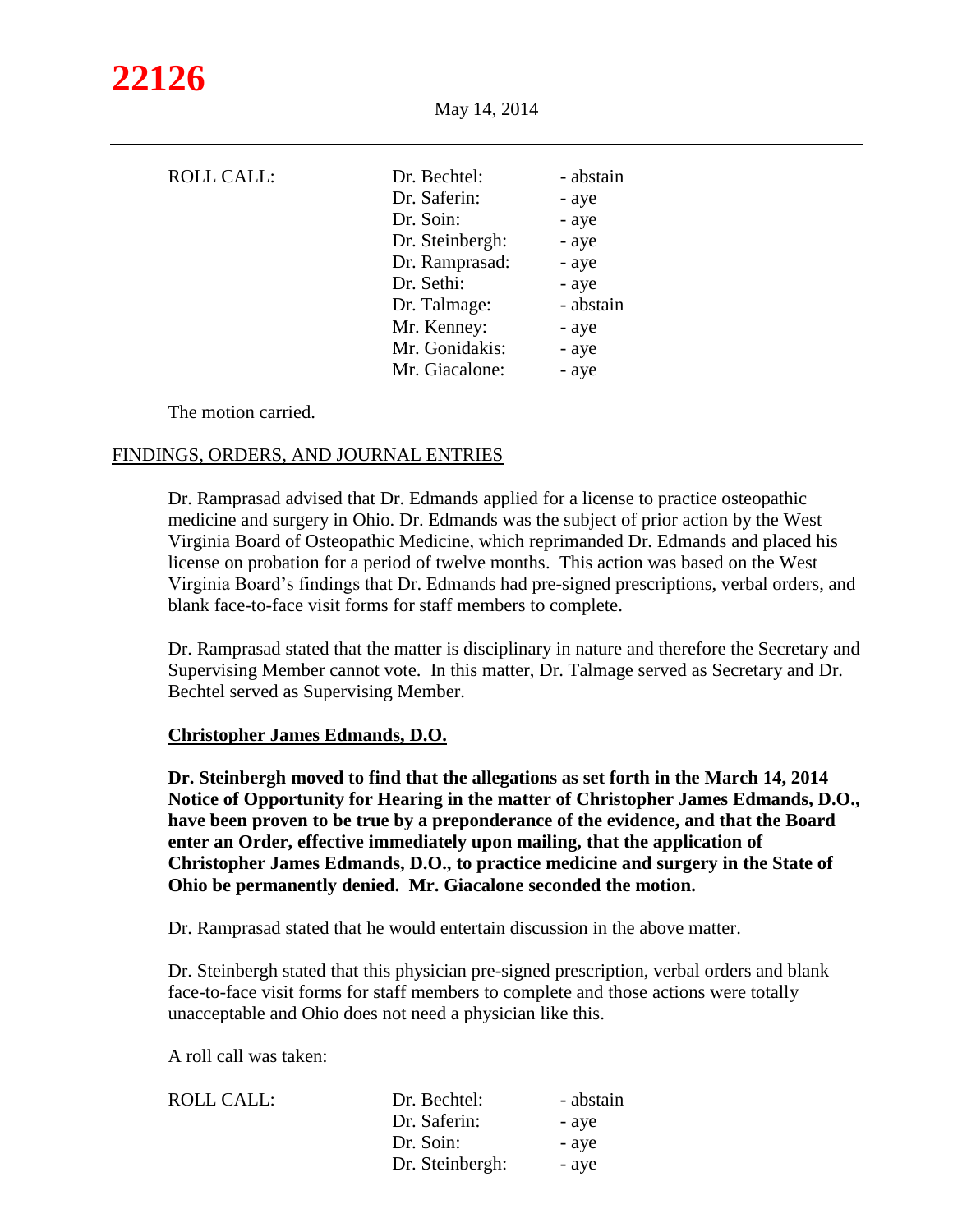| <b>ROLL CALL:</b> | Dr. Bechtel:<br>Dr. Saferin:<br>Dr. Soin:<br>Dr. Steinbergh:<br>Dr. Ramprasad:<br>Dr. Sethi:<br>Dr. Talmage:<br>Mr. Kenney:<br>Mr. Gonidakis: | - abstain<br>- aye<br>- aye<br>- aye<br>- aye<br>- aye<br>- abstain<br>- aye<br>- aye |
|-------------------|-----------------------------------------------------------------------------------------------------------------------------------------------|---------------------------------------------------------------------------------------|
|                   | Mr. Giacalone:                                                                                                                                | - aye                                                                                 |
|                   |                                                                                                                                               |                                                                                       |

The motion carried.

#### FINDINGS, ORDERS, AND JOURNAL ENTRIES

Dr. Ramprasad advised that Dr. Edmands applied for a license to practice osteopathic medicine and surgery in Ohio. Dr. Edmands was the subject of prior action by the West Virginia Board of Osteopathic Medicine, which reprimanded Dr. Edmands and placed his license on probation for a period of twelve months. This action was based on the West Virginia Board's findings that Dr. Edmands had pre-signed prescriptions, verbal orders, and blank face-to-face visit forms for staff members to complete.

Dr. Ramprasad stated that the matter is disciplinary in nature and therefore the Secretary and Supervising Member cannot vote. In this matter, Dr. Talmage served as Secretary and Dr. Bechtel served as Supervising Member.

#### **Christopher James Edmands, D.O.**

**Dr. Steinbergh moved to find that the allegations as set forth in the March 14, 2014 Notice of Opportunity for Hearing in the matter of Christopher James Edmands, D.O., have been proven to be true by a preponderance of the evidence, and that the Board enter an Order, effective immediately upon mailing, that the application of Christopher James Edmands, D.O., to practice medicine and surgery in the State of Ohio be permanently denied. Mr. Giacalone seconded the motion.**

Dr. Ramprasad stated that he would entertain discussion in the above matter.

Dr. Steinbergh stated that this physician pre-signed prescription, verbal orders and blank face-to-face visit forms for staff members to complete and those actions were totally unacceptable and Ohio does not need a physician like this.

A roll call was taken:

| ROLL CALL: | Dr. Bechtel:    | - abstain |
|------------|-----------------|-----------|
|            | Dr. Saferin:    | - aye     |
|            | Dr. Soin:       | - aye     |
|            | Dr. Steinbergh: | - aye     |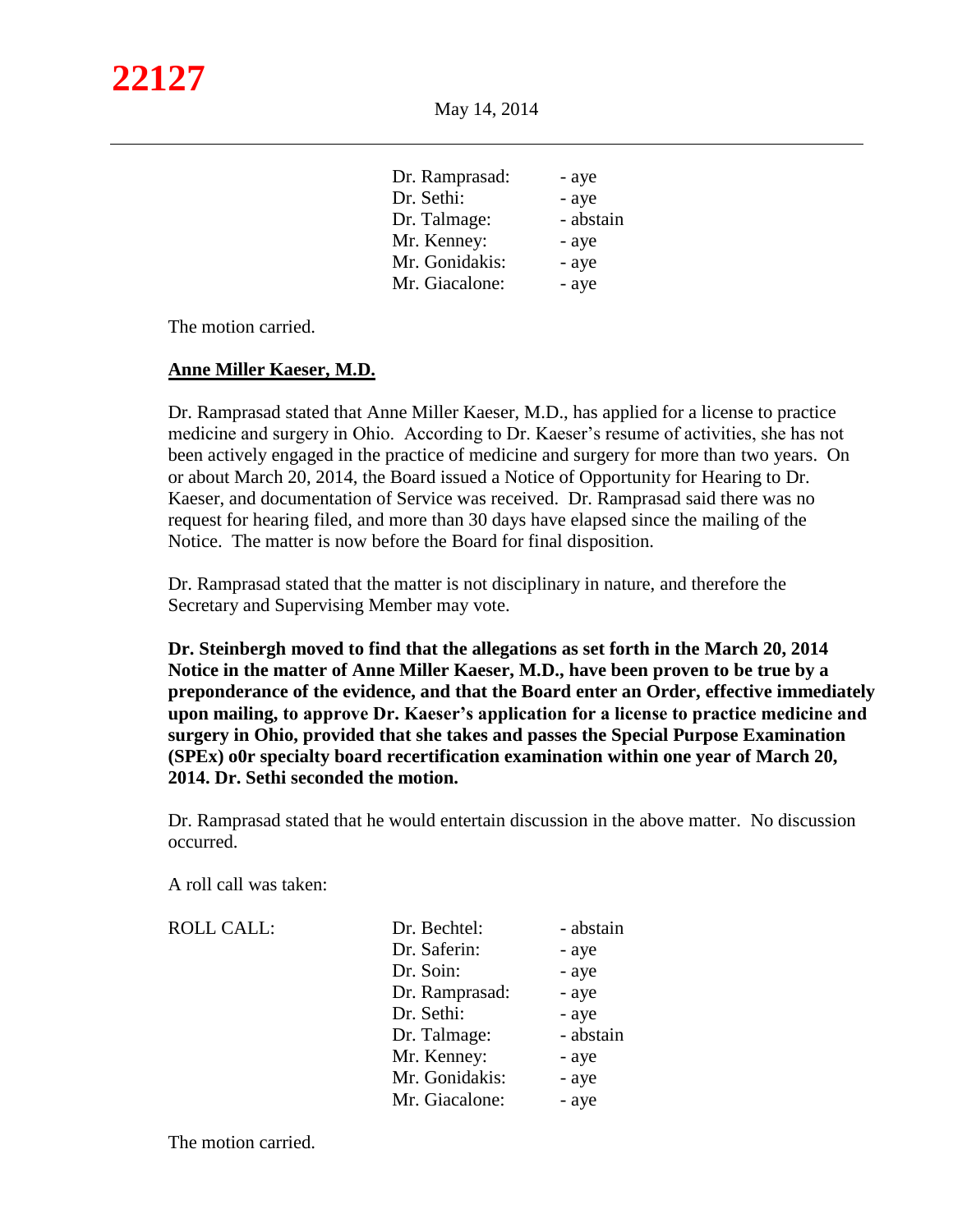| Dr. Ramprasad: | - aye     |
|----------------|-----------|
| Dr. Sethi:     | - aye     |
| Dr. Talmage:   | - abstain |
| Mr. Kenney:    | - aye     |
| Mr. Gonidakis: | - aye     |
| Mr. Giacalone: | - aye     |

The motion carried.

#### **Anne Miller Kaeser, M.D.**

Dr. Ramprasad stated that Anne Miller Kaeser, M.D., has applied for a license to practice medicine and surgery in Ohio. According to Dr. Kaeser's resume of activities, she has not been actively engaged in the practice of medicine and surgery for more than two years. On or about March 20, 2014, the Board issued a Notice of Opportunity for Hearing to Dr. Kaeser, and documentation of Service was received. Dr. Ramprasad said there was no request for hearing filed, and more than 30 days have elapsed since the mailing of the Notice. The matter is now before the Board for final disposition.

Dr. Ramprasad stated that the matter is not disciplinary in nature, and therefore the Secretary and Supervising Member may vote.

**Dr. Steinbergh moved to find that the allegations as set forth in the March 20, 2014 Notice in the matter of Anne Miller Kaeser, M.D., have been proven to be true by a preponderance of the evidence, and that the Board enter an Order, effective immediately upon mailing, to approve Dr. Kaeser's application for a license to practice medicine and surgery in Ohio, provided that she takes and passes the Special Purpose Examination (SPEx) o0r specialty board recertification examination within one year of March 20, 2014. Dr. Sethi seconded the motion.**

Dr. Ramprasad stated that he would entertain discussion in the above matter. No discussion occurred.

A roll call was taken:

#### ROLL CALL:

| Dr. Bechtel:   | - abstain |
|----------------|-----------|
| Dr. Saferin:   | - aye     |
| Dr. Soin:      | - aye     |
| Dr. Ramprasad: | - aye     |
| Dr. Sethi:     | - aye     |
| Dr. Talmage:   | - abstain |
| Mr. Kenney:    | - aye     |
| Mr. Gonidakis: | - aye     |
| Mr. Giacalone: | - aye     |

The motion carried.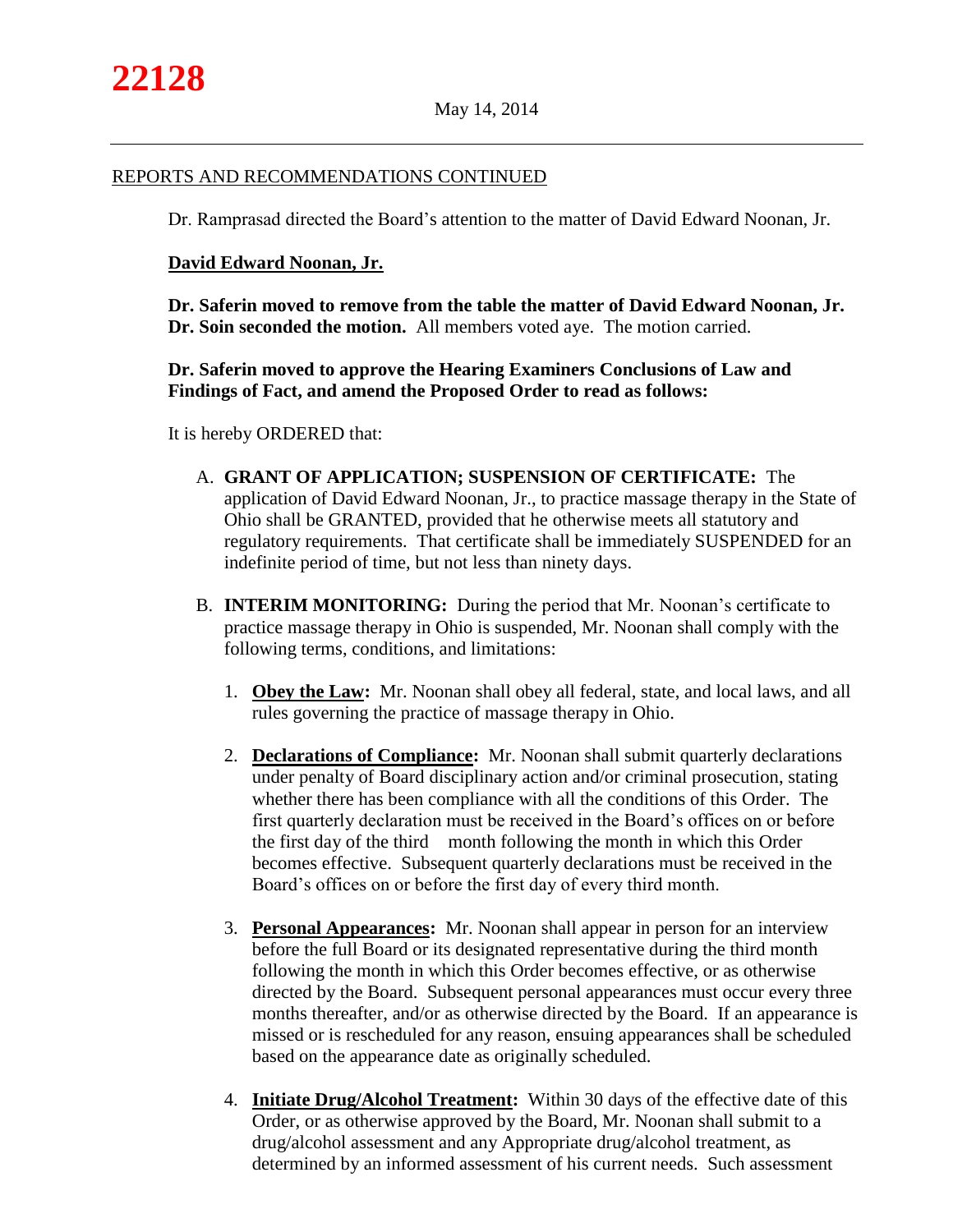#### REPORTS AND RECOMMENDATIONS CONTINUED

Dr. Ramprasad directed the Board's attention to the matter of David Edward Noonan, Jr.

#### **David Edward Noonan, Jr.**

**Dr. Saferin moved to remove from the table the matter of David Edward Noonan, Jr. Dr. Soin seconded the motion.** All members voted aye. The motion carried.

# **Dr. Saferin moved to approve the Hearing Examiners Conclusions of Law and Findings of Fact, and amend the Proposed Order to read as follows:**

It is hereby ORDERED that:

- A. **GRANT OF APPLICATION; SUSPENSION OF CERTIFICATE:** The application of David Edward Noonan, Jr., to practice massage therapy in the State of Ohio shall be GRANTED, provided that he otherwise meets all statutory and regulatory requirements. That certificate shall be immediately SUSPENDED for an indefinite period of time, but not less than ninety days.
- B. **INTERIM MONITORING:** During the period that Mr. Noonan's certificate to practice massage therapy in Ohio is suspended, Mr. Noonan shall comply with the following terms, conditions, and limitations:
	- 1. **Obey the Law:** Mr. Noonan shall obey all federal, state, and local laws, and all rules governing the practice of massage therapy in Ohio.
	- 2. **Declarations of Compliance:** Mr. Noonan shall submit quarterly declarations under penalty of Board disciplinary action and/or criminal prosecution, stating whether there has been compliance with all the conditions of this Order. The first quarterly declaration must be received in the Board's offices on or before the first day of the third month following the month in which this Order becomes effective. Subsequent quarterly declarations must be received in the Board's offices on or before the first day of every third month.
	- 3. **Personal Appearances:** Mr. Noonan shall appear in person for an interview before the full Board or its designated representative during the third month following the month in which this Order becomes effective, or as otherwise directed by the Board. Subsequent personal appearances must occur every three months thereafter, and/or as otherwise directed by the Board. If an appearance is missed or is rescheduled for any reason, ensuing appearances shall be scheduled based on the appearance date as originally scheduled.
	- 4. **Initiate Drug/Alcohol Treatment:** Within 30 days of the effective date of this Order, or as otherwise approved by the Board, Mr. Noonan shall submit to a drug/alcohol assessment and any Appropriate drug/alcohol treatment, as determined by an informed assessment of his current needs. Such assessment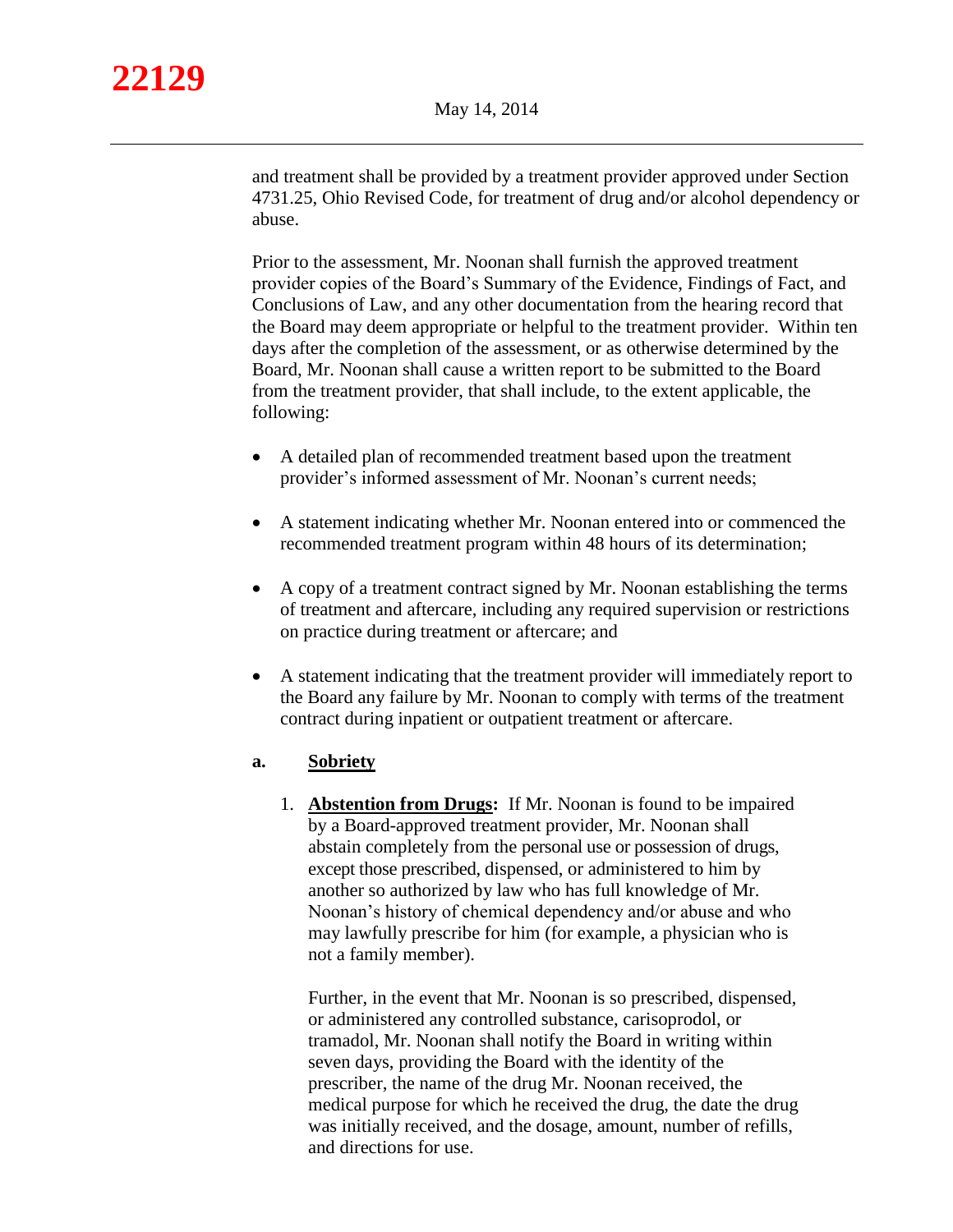and treatment shall be provided by a treatment provider approved under Section 4731.25, Ohio Revised Code, for treatment of drug and/or alcohol dependency or abuse.

Prior to the assessment, Mr. Noonan shall furnish the approved treatment provider copies of the Board's Summary of the Evidence, Findings of Fact, and Conclusions of Law, and any other documentation from the hearing record that the Board may deem appropriate or helpful to the treatment provider. Within ten days after the completion of the assessment, or as otherwise determined by the Board, Mr. Noonan shall cause a written report to be submitted to the Board from the treatment provider, that shall include, to the extent applicable, the following:

- A detailed plan of recommended treatment based upon the treatment provider's informed assessment of Mr. Noonan's current needs;
- A statement indicating whether Mr. Noonan entered into or commenced the recommended treatment program within 48 hours of its determination;
- A copy of a treatment contract signed by Mr. Noonan establishing the terms of treatment and aftercare, including any required supervision or restrictions on practice during treatment or aftercare; and
- A statement indicating that the treatment provider will immediately report to the Board any failure by Mr. Noonan to comply with terms of the treatment contract during inpatient or outpatient treatment or aftercare.

## **a. Sobriety**

1. **Abstention from Drugs:** If Mr. Noonan is found to be impaired by a Board-approved treatment provider, Mr. Noonan shall abstain completely from the personal use or possession of drugs, except those prescribed, dispensed, or administered to him by another so authorized by law who has full knowledge of Mr. Noonan's history of chemical dependency and/or abuse and who may lawfully prescribe for him (for example, a physician who is not a family member).

Further, in the event that Mr. Noonan is so prescribed, dispensed, or administered any controlled substance, carisoprodol, or tramadol, Mr. Noonan shall notify the Board in writing within seven days, providing the Board with the identity of the prescriber, the name of the drug Mr. Noonan received, the medical purpose for which he received the drug, the date the drug was initially received, and the dosage, amount, number of refills, and directions for use.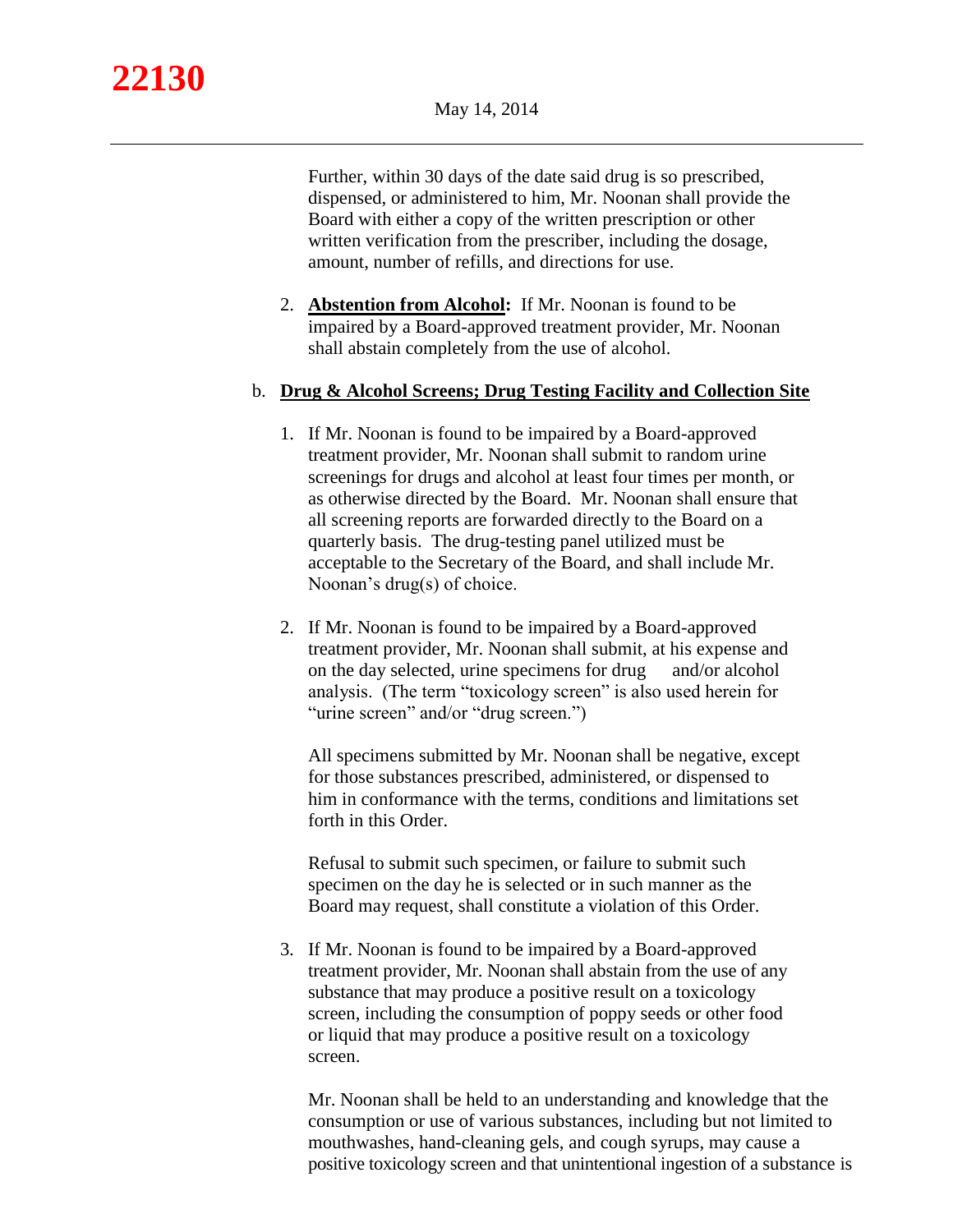Further, within 30 days of the date said drug is so prescribed, dispensed, or administered to him, Mr. Noonan shall provide the Board with either a copy of the written prescription or other written verification from the prescriber, including the dosage, amount, number of refills, and directions for use.

2. **Abstention from Alcohol:** If Mr. Noonan is found to be impaired by a Board-approved treatment provider, Mr. Noonan shall abstain completely from the use of alcohol.

## b. **Drug & Alcohol Screens; Drug Testing Facility and Collection Site**

- 1. If Mr. Noonan is found to be impaired by a Board-approved treatment provider, Mr. Noonan shall submit to random urine screenings for drugs and alcohol at least four times per month, or as otherwise directed by the Board. Mr. Noonan shall ensure that all screening reports are forwarded directly to the Board on a quarterly basis. The drug-testing panel utilized must be acceptable to the Secretary of the Board, and shall include Mr. Noonan's drug(s) of choice.
- 2. If Mr. Noonan is found to be impaired by a Board-approved treatment provider, Mr. Noonan shall submit, at his expense and on the day selected, urine specimens for drug and/or alcohol analysis. (The term "toxicology screen" is also used herein for "urine screen" and/or "drug screen.")

All specimens submitted by Mr. Noonan shall be negative, except for those substances prescribed, administered, or dispensed to him in conformance with the terms, conditions and limitations set forth in this Order.

Refusal to submit such specimen, or failure to submit such specimen on the day he is selected or in such manner as the Board may request, shall constitute a violation of this Order.

3. If Mr. Noonan is found to be impaired by a Board-approved treatment provider, Mr. Noonan shall abstain from the use of any substance that may produce a positive result on a toxicology screen, including the consumption of poppy seeds or other food or liquid that may produce a positive result on a toxicology screen.

Mr. Noonan shall be held to an understanding and knowledge that the consumption or use of various substances, including but not limited to mouthwashes, hand-cleaning gels, and cough syrups, may cause a positive toxicology screen and that unintentional ingestion of a substance is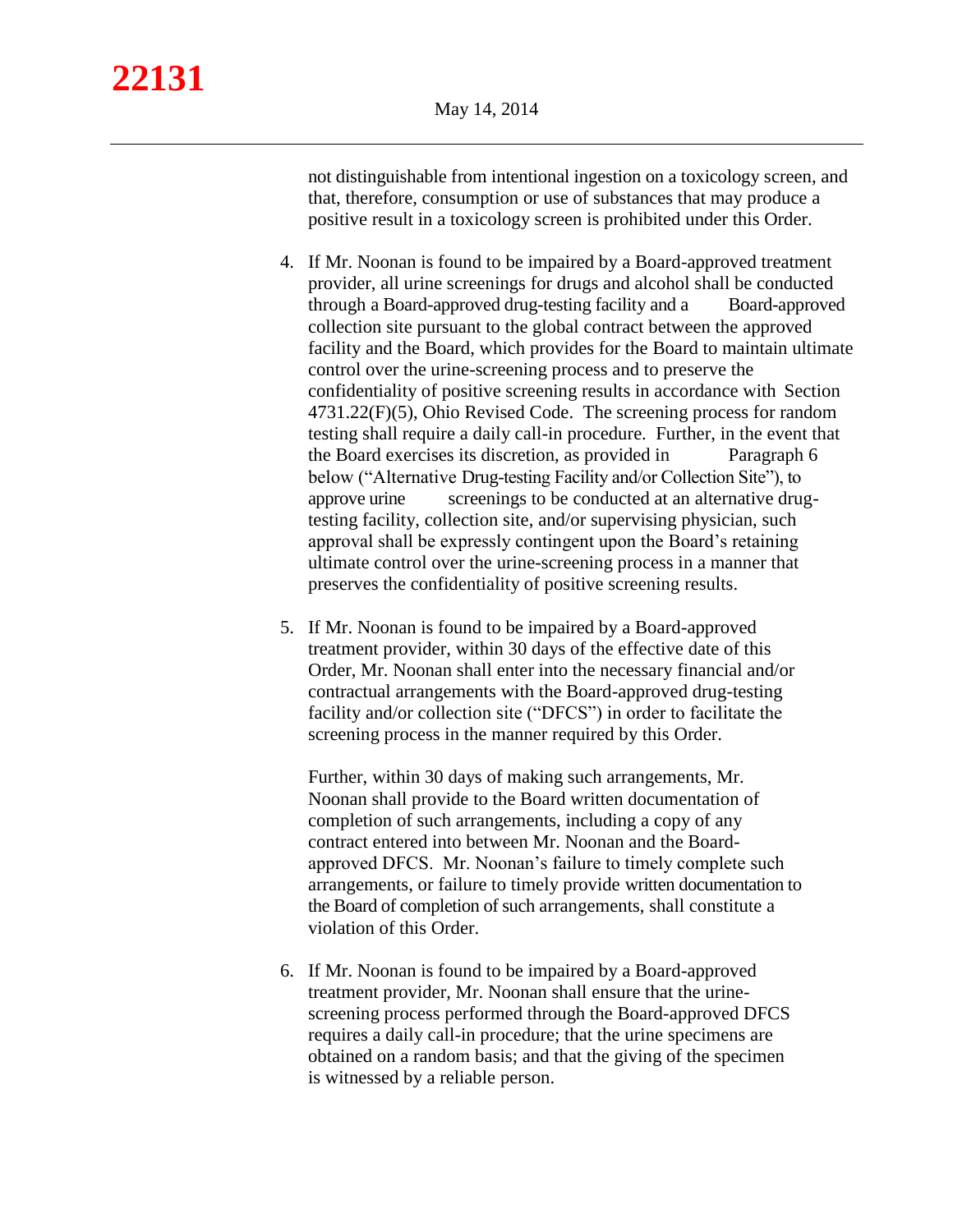not distinguishable from intentional ingestion on a toxicology screen, and that, therefore, consumption or use of substances that may produce a positive result in a toxicology screen is prohibited under this Order.

- 4. If Mr. Noonan is found to be impaired by a Board-approved treatment provider, all urine screenings for drugs and alcohol shall be conducted through a Board-approved drug-testing facility and a Board-approved collection site pursuant to the global contract between the approved facility and the Board, which provides for the Board to maintain ultimate control over the urine-screening process and to preserve the confidentiality of positive screening results in accordance with Section 4731.22(F)(5), Ohio Revised Code. The screening process for random testing shall require a daily call-in procedure. Further, in the event that the Board exercises its discretion, as provided in Paragraph 6 below ("Alternative Drug-testing Facility and/or Collection Site"), to approve urine screenings to be conducted at an alternative drugtesting facility, collection site, and/or supervising physician, such approval shall be expressly contingent upon the Board's retaining ultimate control over the urine-screening process in a manner that preserves the confidentiality of positive screening results.
- 5. If Mr. Noonan is found to be impaired by a Board-approved treatment provider, within 30 days of the effective date of this Order, Mr. Noonan shall enter into the necessary financial and/or contractual arrangements with the Board-approved drug-testing facility and/or collection site ("DFCS") in order to facilitate the screening process in the manner required by this Order.

Further, within 30 days of making such arrangements, Mr. Noonan shall provide to the Board written documentation of completion of such arrangements, including a copy of any contract entered into between Mr. Noonan and the Boardapproved DFCS. Mr. Noonan's failure to timely complete such arrangements, or failure to timely provide written documentation to the Board of completion of such arrangements, shall constitute a violation of this Order.

6. If Mr. Noonan is found to be impaired by a Board-approved treatment provider, Mr. Noonan shall ensure that the urinescreening process performed through the Board-approved DFCS requires a daily call-in procedure; that the urine specimens are obtained on a random basis; and that the giving of the specimen is witnessed by a reliable person.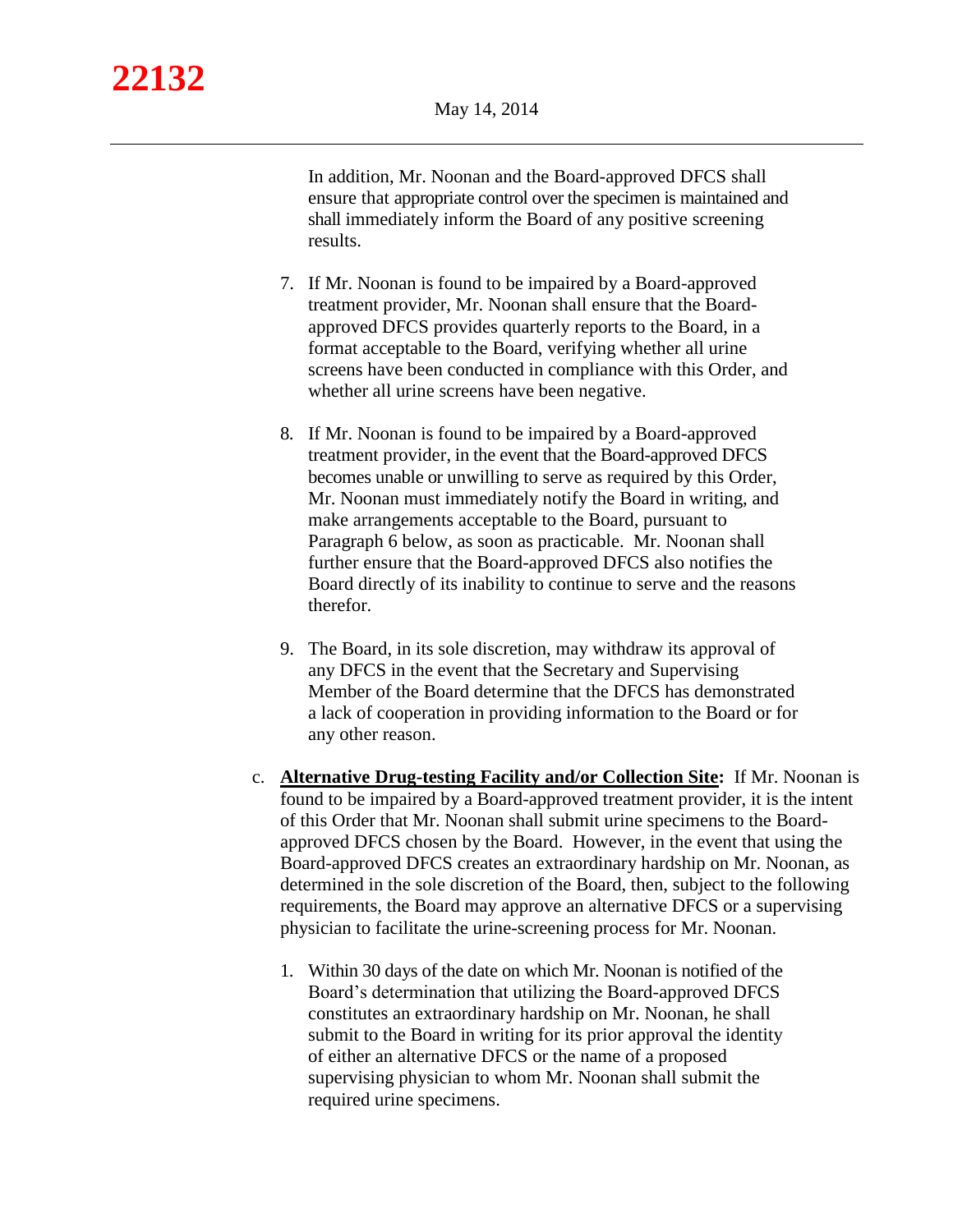In addition, Mr. Noonan and the Board-approved DFCS shall ensure that appropriate control over the specimen is maintained and shall immediately inform the Board of any positive screening results.

- 7. If Mr. Noonan is found to be impaired by a Board-approved treatment provider, Mr. Noonan shall ensure that the Boardapproved DFCS provides quarterly reports to the Board, in a format acceptable to the Board, verifying whether all urine screens have been conducted in compliance with this Order, and whether all urine screens have been negative.
- 8. If Mr. Noonan is found to be impaired by a Board-approved treatment provider, in the event that the Board-approved DFCS becomes unable or unwilling to serve as required by this Order, Mr. Noonan must immediately notify the Board in writing, and make arrangements acceptable to the Board, pursuant to Paragraph 6 below, as soon as practicable. Mr. Noonan shall further ensure that the Board-approved DFCS also notifies the Board directly of its inability to continue to serve and the reasons therefor.
- 9. The Board, in its sole discretion, may withdraw its approval of any DFCS in the event that the Secretary and Supervising Member of the Board determine that the DFCS has demonstrated a lack of cooperation in providing information to the Board or for any other reason.
- c. **Alternative Drug-testing Facility and/or Collection Site:** If Mr. Noonan is found to be impaired by a Board-approved treatment provider, it is the intent of this Order that Mr. Noonan shall submit urine specimens to the Boardapproved DFCS chosen by the Board. However, in the event that using the Board-approved DFCS creates an extraordinary hardship on Mr. Noonan, as determined in the sole discretion of the Board, then, subject to the following requirements, the Board may approve an alternative DFCS or a supervising physician to facilitate the urine-screening process for Mr. Noonan.
	- 1. Within 30 days of the date on which Mr. Noonan is notified of the Board's determination that utilizing the Board-approved DFCS constitutes an extraordinary hardship on Mr. Noonan, he shall submit to the Board in writing for its prior approval the identity of either an alternative DFCS or the name of a proposed supervising physician to whom Mr. Noonan shall submit the required urine specimens.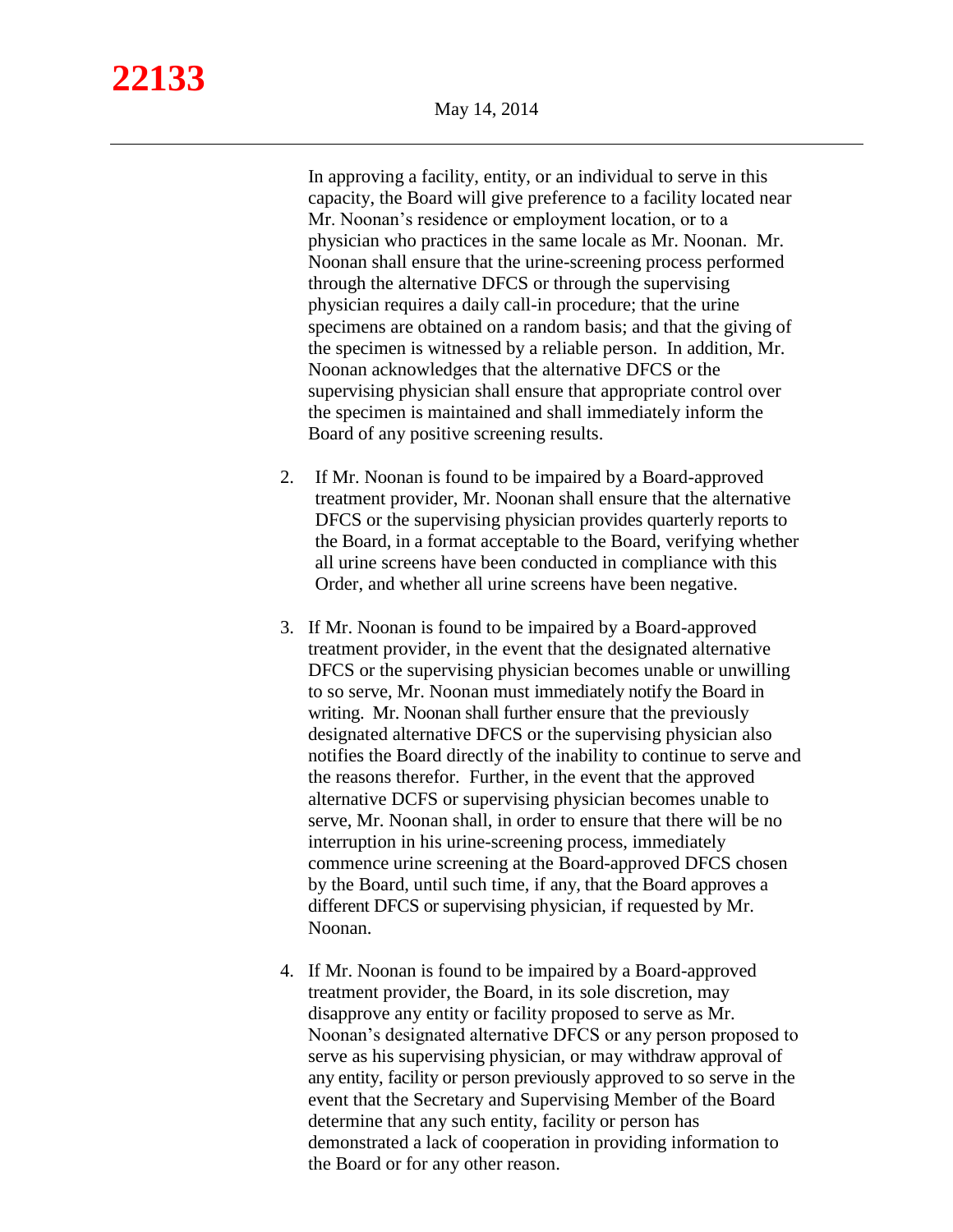In approving a facility, entity, or an individual to serve in this capacity, the Board will give preference to a facility located near Mr. Noonan's residence or employment location, or to a physician who practices in the same locale as Mr. Noonan. Mr. Noonan shall ensure that the urine-screening process performed through the alternative DFCS or through the supervising physician requires a daily call-in procedure; that the urine specimens are obtained on a random basis; and that the giving of the specimen is witnessed by a reliable person. In addition, Mr. Noonan acknowledges that the alternative DFCS or the supervising physician shall ensure that appropriate control over the specimen is maintained and shall immediately inform the Board of any positive screening results.

- 2. If Mr. Noonan is found to be impaired by a Board-approved treatment provider, Mr. Noonan shall ensure that the alternative DFCS or the supervising physician provides quarterly reports to the Board, in a format acceptable to the Board, verifying whether all urine screens have been conducted in compliance with this Order, and whether all urine screens have been negative.
- 3. If Mr. Noonan is found to be impaired by a Board-approved treatment provider, in the event that the designated alternative DFCS or the supervising physician becomes unable or unwilling to so serve, Mr. Noonan must immediately notify the Board in writing. Mr. Noonan shall further ensure that the previously designated alternative DFCS or the supervising physician also notifies the Board directly of the inability to continue to serve and the reasons therefor. Further, in the event that the approved alternative DCFS or supervising physician becomes unable to serve, Mr. Noonan shall, in order to ensure that there will be no interruption in his urine-screening process, immediately commence urine screening at the Board-approved DFCS chosen by the Board, until such time, if any, that the Board approves a different DFCS or supervising physician, if requested by Mr. Noonan.
- 4. If Mr. Noonan is found to be impaired by a Board-approved treatment provider, the Board, in its sole discretion, may disapprove any entity or facility proposed to serve as Mr. Noonan's designated alternative DFCS or any person proposed to serve as his supervising physician, or may withdraw approval of any entity, facility or person previously approved to so serve in the event that the Secretary and Supervising Member of the Board determine that any such entity, facility or person has demonstrated a lack of cooperation in providing information to the Board or for any other reason.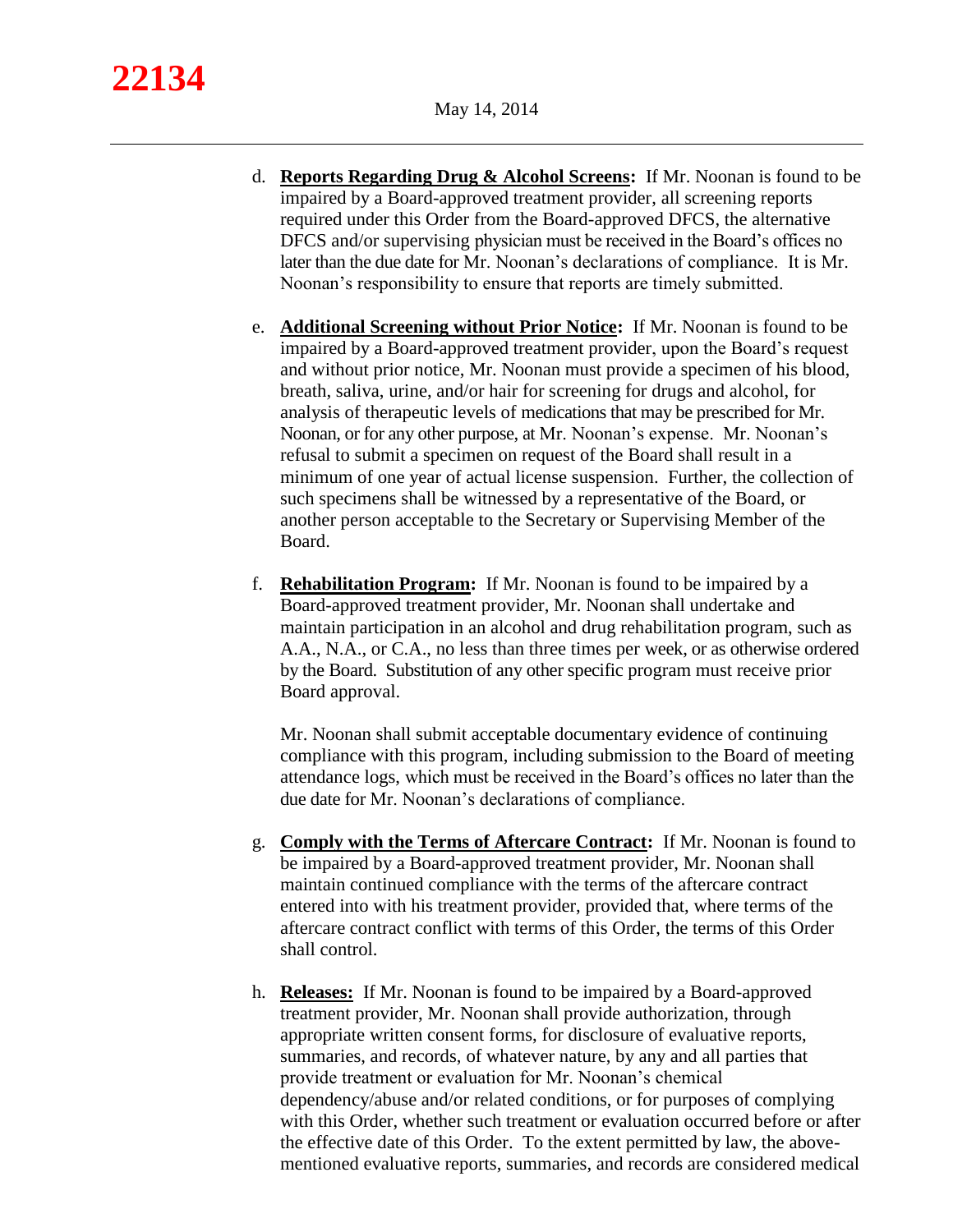- d. **Reports Regarding Drug & Alcohol Screens:** If Mr. Noonan is found to be impaired by a Board-approved treatment provider, all screening reports required under this Order from the Board-approved DFCS, the alternative DFCS and/or supervising physician must be received in the Board's offices no later than the due date for Mr. Noonan's declarations of compliance. It is Mr. Noonan's responsibility to ensure that reports are timely submitted.
- e. **Additional Screening without Prior Notice:** If Mr. Noonan is found to be impaired by a Board-approved treatment provider, upon the Board's request and without prior notice, Mr. Noonan must provide a specimen of his blood, breath, saliva, urine, and/or hair for screening for drugs and alcohol, for analysis of therapeutic levels of medications that may be prescribed for Mr. Noonan, or for any other purpose, at Mr. Noonan's expense. Mr. Noonan's refusal to submit a specimen on request of the Board shall result in a minimum of one year of actual license suspension. Further, the collection of such specimens shall be witnessed by a representative of the Board, or another person acceptable to the Secretary or Supervising Member of the Board.
- f. **Rehabilitation Program:** If Mr. Noonan is found to be impaired by a Board-approved treatment provider, Mr. Noonan shall undertake and maintain participation in an alcohol and drug rehabilitation program, such as A.A., N.A., or C.A., no less than three times per week, or as otherwise ordered by the Board. Substitution of any other specific program must receive prior Board approval.

Mr. Noonan shall submit acceptable documentary evidence of continuing compliance with this program, including submission to the Board of meeting attendance logs, which must be received in the Board's offices no later than the due date for Mr. Noonan's declarations of compliance.

- g. **Comply with the Terms of Aftercare Contract:** If Mr. Noonan is found to be impaired by a Board-approved treatment provider, Mr. Noonan shall maintain continued compliance with the terms of the aftercare contract entered into with his treatment provider, provided that, where terms of the aftercare contract conflict with terms of this Order, the terms of this Order shall control.
- h. **Releases:** If Mr. Noonan is found to be impaired by a Board-approved treatment provider, Mr. Noonan shall provide authorization, through appropriate written consent forms, for disclosure of evaluative reports, summaries, and records, of whatever nature, by any and all parties that provide treatment or evaluation for Mr. Noonan's chemical dependency/abuse and/or related conditions, or for purposes of complying with this Order, whether such treatment or evaluation occurred before or after the effective date of this Order. To the extent permitted by law, the abovementioned evaluative reports, summaries, and records are considered medical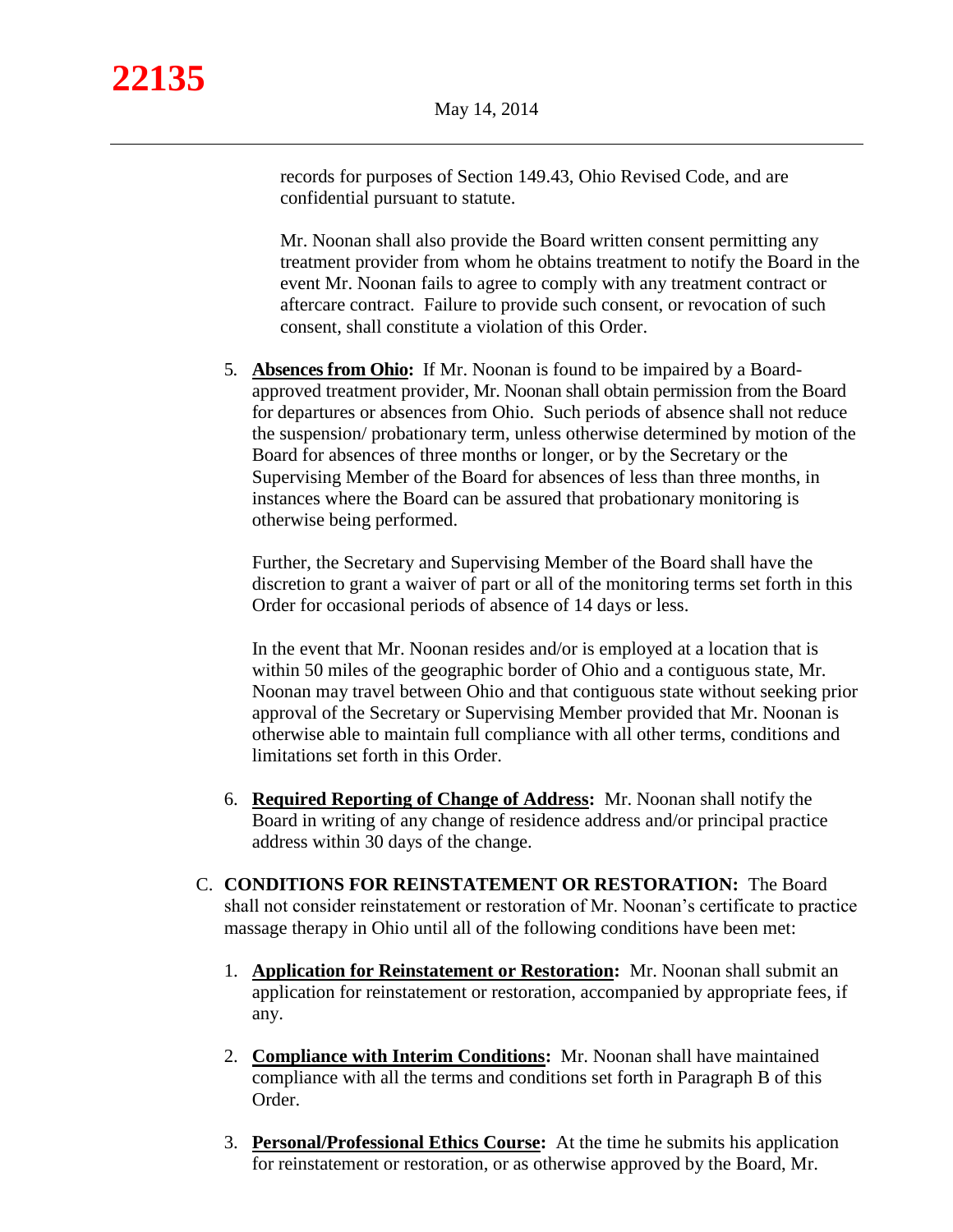records for purposes of Section 149.43, Ohio Revised Code, and are confidential pursuant to statute.

Mr. Noonan shall also provide the Board written consent permitting any treatment provider from whom he obtains treatment to notify the Board in the event Mr. Noonan fails to agree to comply with any treatment contract or aftercare contract. Failure to provide such consent, or revocation of such consent, shall constitute a violation of this Order.

5. **Absences from Ohio:** If Mr. Noonan is found to be impaired by a Boardapproved treatment provider, Mr. Noonan shall obtain permission from the Board for departures or absences from Ohio. Such periods of absence shall not reduce the suspension/ probationary term, unless otherwise determined by motion of the Board for absences of three months or longer, or by the Secretary or the Supervising Member of the Board for absences of less than three months, in instances where the Board can be assured that probationary monitoring is otherwise being performed.

Further, the Secretary and Supervising Member of the Board shall have the discretion to grant a waiver of part or all of the monitoring terms set forth in this Order for occasional periods of absence of 14 days or less.

In the event that Mr. Noonan resides and/or is employed at a location that is within 50 miles of the geographic border of Ohio and a contiguous state, Mr. Noonan may travel between Ohio and that contiguous state without seeking prior approval of the Secretary or Supervising Member provided that Mr. Noonan is otherwise able to maintain full compliance with all other terms, conditions and limitations set forth in this Order.

- 6. **Required Reporting of Change of Address:** Mr. Noonan shall notify the Board in writing of any change of residence address and/or principal practice address within 30 days of the change.
- C. **CONDITIONS FOR REINSTATEMENT OR RESTORATION:** The Board shall not consider reinstatement or restoration of Mr. Noonan's certificate to practice massage therapy in Ohio until all of the following conditions have been met:
	- 1. **Application for Reinstatement or Restoration:** Mr. Noonan shall submit an application for reinstatement or restoration, accompanied by appropriate fees, if any.
	- 2. **Compliance with Interim Conditions:** Mr. Noonan shall have maintained compliance with all the terms and conditions set forth in Paragraph B of this Order.
	- 3. **Personal/Professional Ethics Course:** At the time he submits his application for reinstatement or restoration, or as otherwise approved by the Board, Mr.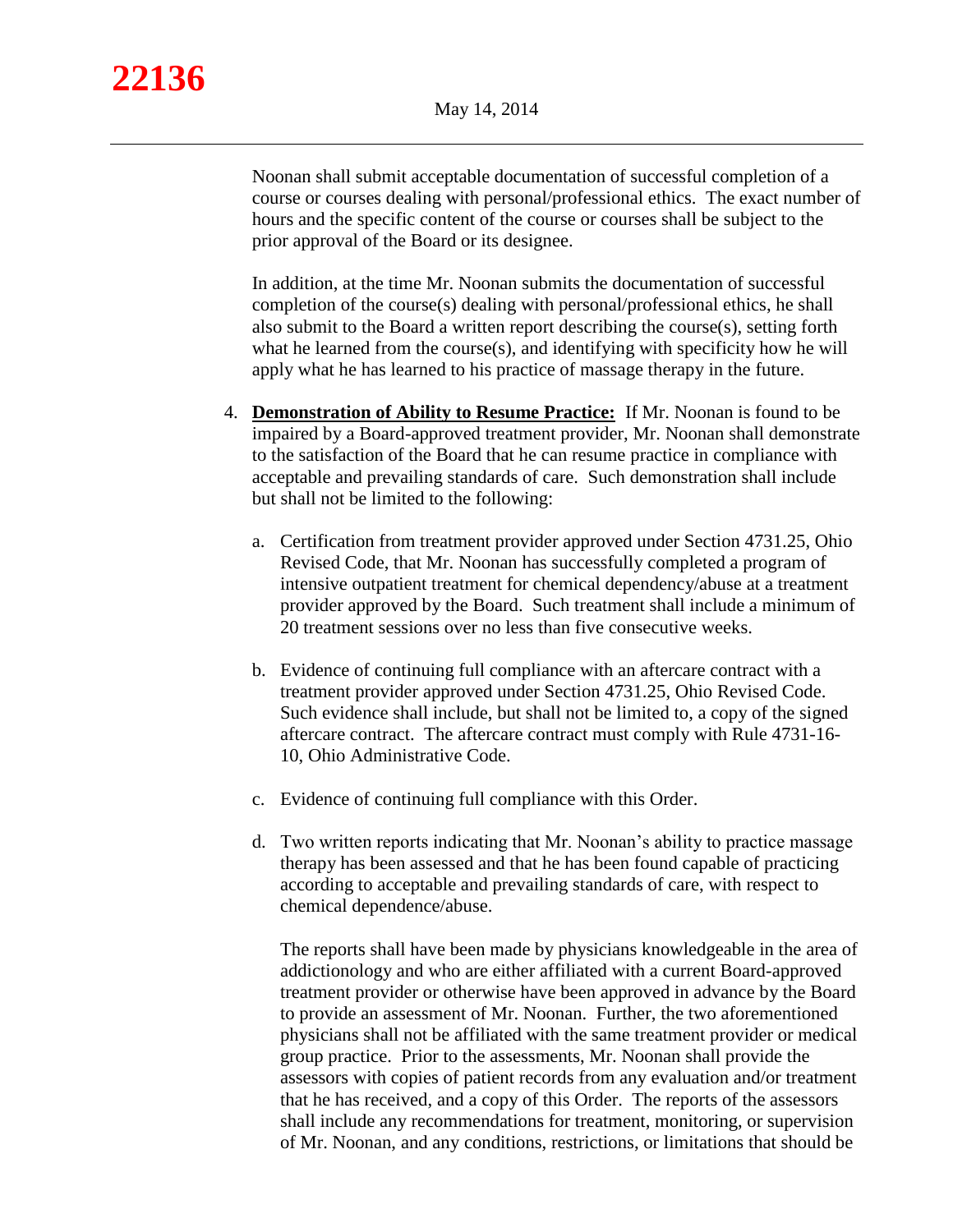Noonan shall submit acceptable documentation of successful completion of a course or courses dealing with personal/professional ethics. The exact number of hours and the specific content of the course or courses shall be subject to the prior approval of the Board or its designee.

In addition, at the time Mr. Noonan submits the documentation of successful completion of the course(s) dealing with personal/professional ethics, he shall also submit to the Board a written report describing the course(s), setting forth what he learned from the course(s), and identifying with specificity how he will apply what he has learned to his practice of massage therapy in the future.

- 4. **Demonstration of Ability to Resume Practice:** If Mr. Noonan is found to be impaired by a Board-approved treatment provider, Mr. Noonan shall demonstrate to the satisfaction of the Board that he can resume practice in compliance with acceptable and prevailing standards of care. Such demonstration shall include but shall not be limited to the following:
	- a. Certification from treatment provider approved under Section 4731.25, Ohio Revised Code, that Mr. Noonan has successfully completed a program of intensive outpatient treatment for chemical dependency/abuse at a treatment provider approved by the Board. Such treatment shall include a minimum of 20 treatment sessions over no less than five consecutive weeks.
	- b. Evidence of continuing full compliance with an aftercare contract with a treatment provider approved under Section 4731.25, Ohio Revised Code. Such evidence shall include, but shall not be limited to, a copy of the signed aftercare contract. The aftercare contract must comply with Rule 4731-16- 10, Ohio Administrative Code.
	- c. Evidence of continuing full compliance with this Order.
	- d. Two written reports indicating that Mr. Noonan's ability to practice massage therapy has been assessed and that he has been found capable of practicing according to acceptable and prevailing standards of care, with respect to chemical dependence/abuse.

The reports shall have been made by physicians knowledgeable in the area of addictionology and who are either affiliated with a current Board-approved treatment provider or otherwise have been approved in advance by the Board to provide an assessment of Mr. Noonan. Further, the two aforementioned physicians shall not be affiliated with the same treatment provider or medical group practice. Prior to the assessments, Mr. Noonan shall provide the assessors with copies of patient records from any evaluation and/or treatment that he has received, and a copy of this Order. The reports of the assessors shall include any recommendations for treatment, monitoring, or supervision of Mr. Noonan, and any conditions, restrictions, or limitations that should be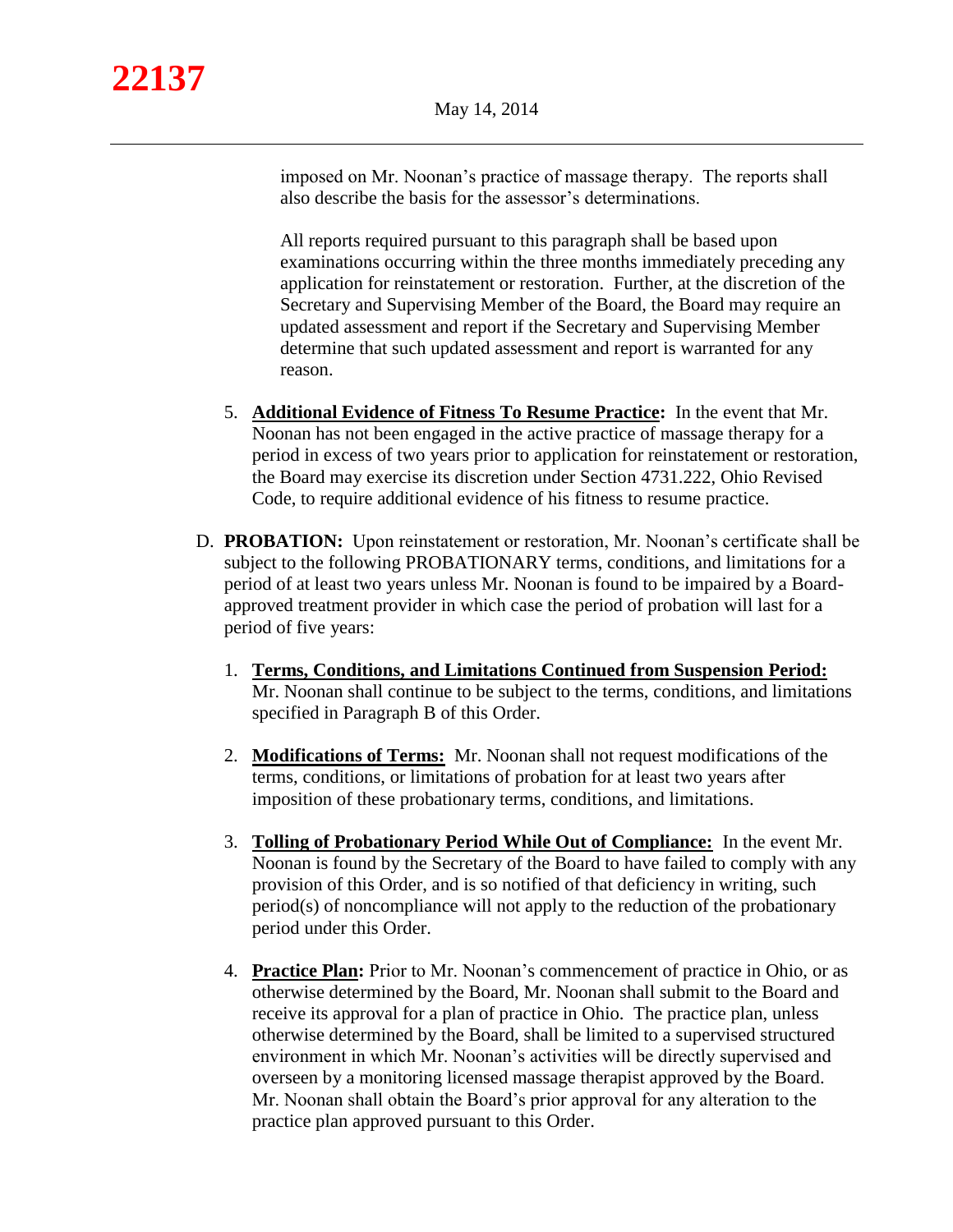imposed on Mr. Noonan's practice of massage therapy. The reports shall also describe the basis for the assessor's determinations.

All reports required pursuant to this paragraph shall be based upon examinations occurring within the three months immediately preceding any application for reinstatement or restoration. Further, at the discretion of the Secretary and Supervising Member of the Board, the Board may require an updated assessment and report if the Secretary and Supervising Member determine that such updated assessment and report is warranted for any reason.

- 5. **Additional Evidence of Fitness To Resume Practice:** In the event that Mr. Noonan has not been engaged in the active practice of massage therapy for a period in excess of two years prior to application for reinstatement or restoration, the Board may exercise its discretion under Section 4731.222, Ohio Revised Code, to require additional evidence of his fitness to resume practice.
- D. **PROBATION:** Upon reinstatement or restoration, Mr. Noonan's certificate shall be subject to the following PROBATIONARY terms, conditions, and limitations for a period of at least two years unless Mr. Noonan is found to be impaired by a Boardapproved treatment provider in which case the period of probation will last for a period of five years:
	- 1. **Terms, Conditions, and Limitations Continued from Suspension Period:**  Mr. Noonan shall continue to be subject to the terms, conditions, and limitations specified in Paragraph B of this Order.
	- 2. **Modifications of Terms:** Mr. Noonan shall not request modifications of the terms, conditions, or limitations of probation for at least two years after imposition of these probationary terms, conditions, and limitations.
	- 3. **Tolling of Probationary Period While Out of Compliance:** In the event Mr. Noonan is found by the Secretary of the Board to have failed to comply with any provision of this Order, and is so notified of that deficiency in writing, such period(s) of noncompliance will not apply to the reduction of the probationary period under this Order.
	- 4. **Practice Plan:** Prior to Mr. Noonan's commencement of practice in Ohio, or as otherwise determined by the Board, Mr. Noonan shall submit to the Board and receive its approval for a plan of practice in Ohio. The practice plan, unless otherwise determined by the Board, shall be limited to a supervised structured environment in which Mr. Noonan's activities will be directly supervised and overseen by a monitoring licensed massage therapist approved by the Board. Mr. Noonan shall obtain the Board's prior approval for any alteration to the practice plan approved pursuant to this Order.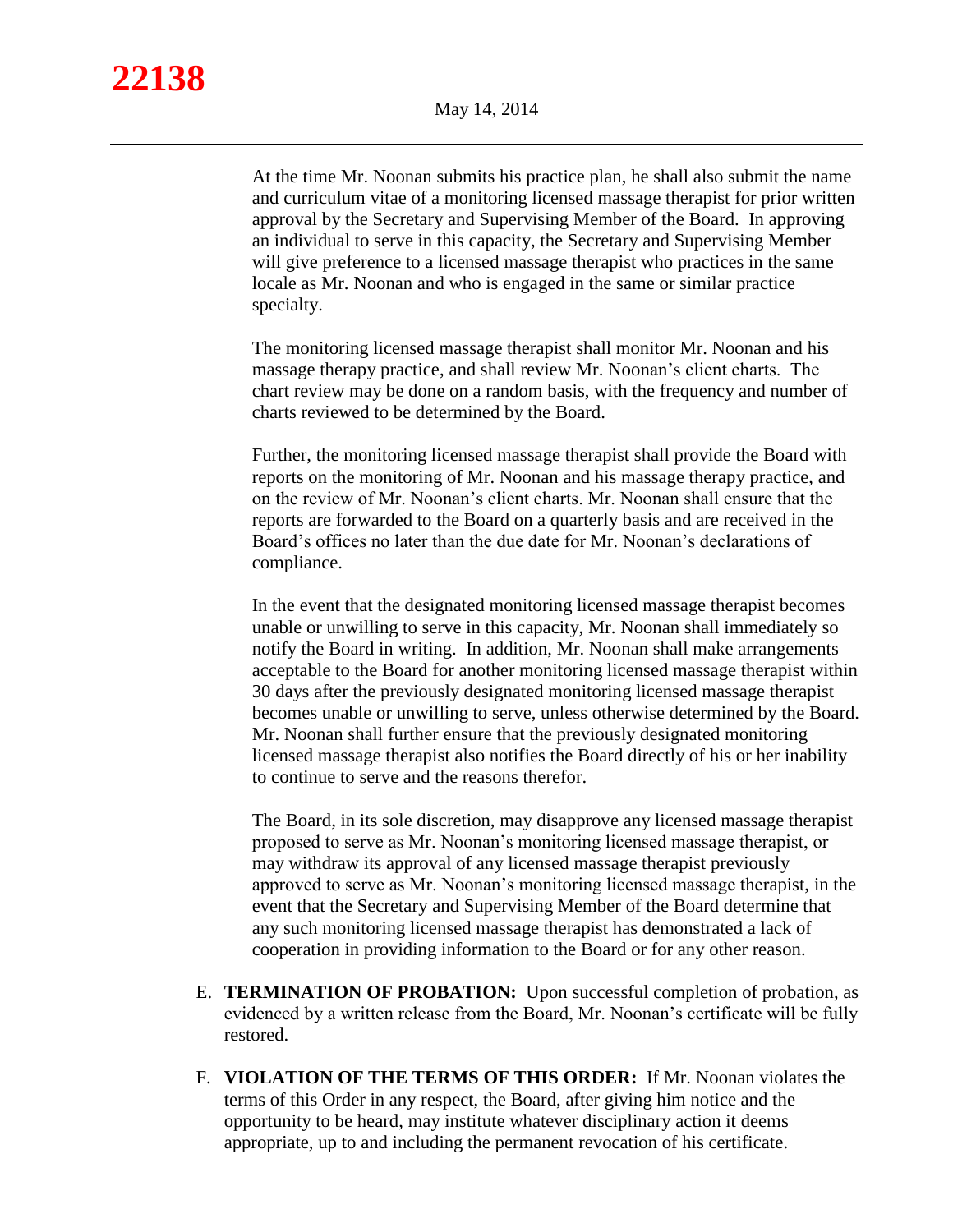At the time Mr. Noonan submits his practice plan, he shall also submit the name and curriculum vitae of a monitoring licensed massage therapist for prior written approval by the Secretary and Supervising Member of the Board. In approving an individual to serve in this capacity, the Secretary and Supervising Member will give preference to a licensed massage therapist who practices in the same locale as Mr. Noonan and who is engaged in the same or similar practice specialty.

The monitoring licensed massage therapist shall monitor Mr. Noonan and his massage therapy practice, and shall review Mr. Noonan's client charts. The chart review may be done on a random basis, with the frequency and number of charts reviewed to be determined by the Board.

Further, the monitoring licensed massage therapist shall provide the Board with reports on the monitoring of Mr. Noonan and his massage therapy practice, and on the review of Mr. Noonan's client charts. Mr. Noonan shall ensure that the reports are forwarded to the Board on a quarterly basis and are received in the Board's offices no later than the due date for Mr. Noonan's declarations of compliance.

In the event that the designated monitoring licensed massage therapist becomes unable or unwilling to serve in this capacity, Mr. Noonan shall immediately so notify the Board in writing. In addition, Mr. Noonan shall make arrangements acceptable to the Board for another monitoring licensed massage therapist within 30 days after the previously designated monitoring licensed massage therapist becomes unable or unwilling to serve, unless otherwise determined by the Board. Mr. Noonan shall further ensure that the previously designated monitoring licensed massage therapist also notifies the Board directly of his or her inability to continue to serve and the reasons therefor.

The Board, in its sole discretion, may disapprove any licensed massage therapist proposed to serve as Mr. Noonan's monitoring licensed massage therapist, or may withdraw its approval of any licensed massage therapist previously approved to serve as Mr. Noonan's monitoring licensed massage therapist, in the event that the Secretary and Supervising Member of the Board determine that any such monitoring licensed massage therapist has demonstrated a lack of cooperation in providing information to the Board or for any other reason.

- E. **TERMINATION OF PROBATION:** Upon successful completion of probation, as evidenced by a written release from the Board, Mr. Noonan's certificate will be fully restored.
- F. **VIOLATION OF THE TERMS OF THIS ORDER:** If Mr. Noonan violates the terms of this Order in any respect, the Board, after giving him notice and the opportunity to be heard, may institute whatever disciplinary action it deems appropriate, up to and including the permanent revocation of his certificate.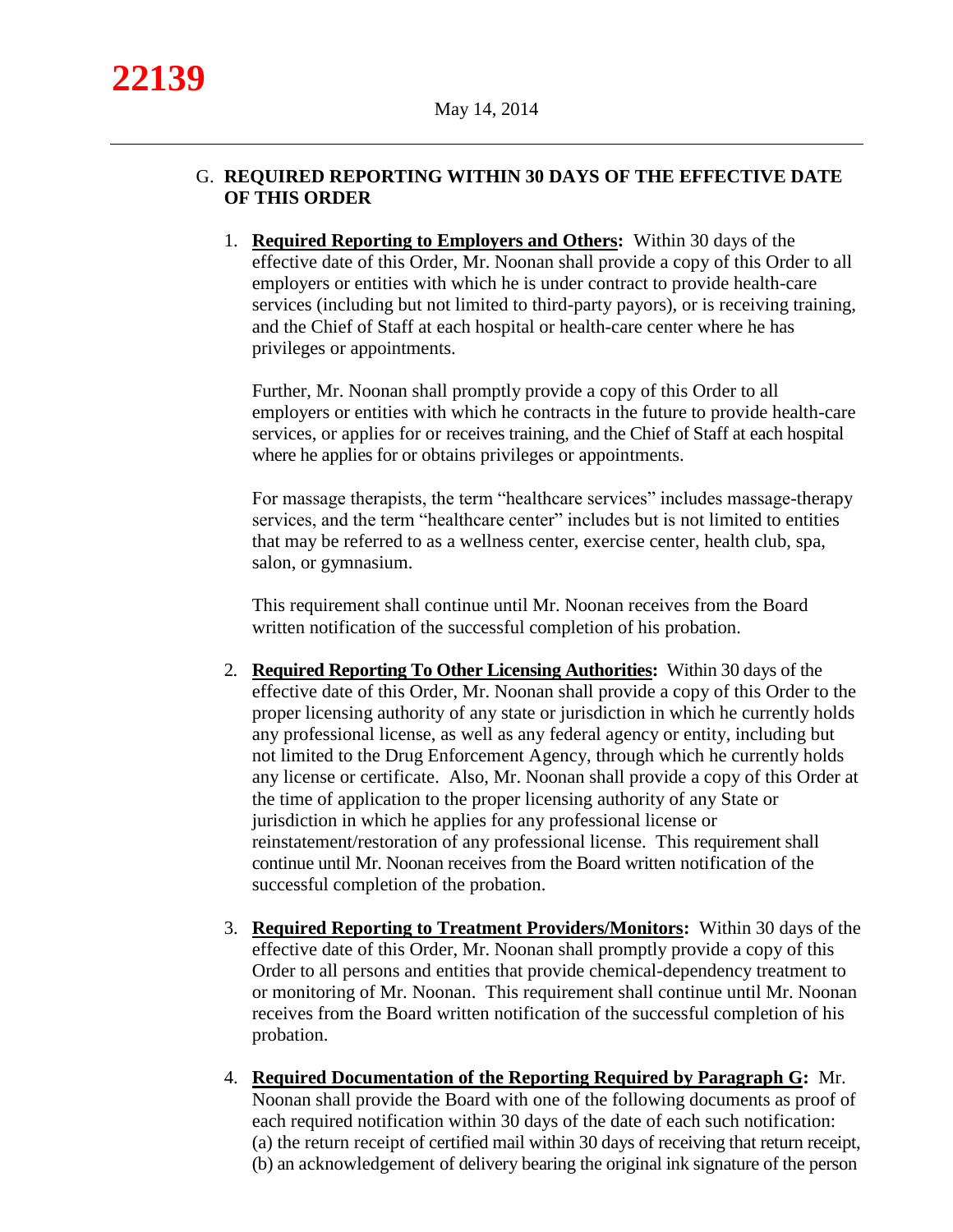# G. **REQUIRED REPORTING WITHIN 30 DAYS OF THE EFFECTIVE DATE OF THIS ORDER**

1. **Required Reporting to Employers and Others:** Within 30 days of the effective date of this Order, Mr. Noonan shall provide a copy of this Order to all employers or entities with which he is under contract to provide health-care services (including but not limited to third-party payors), or is receiving training, and the Chief of Staff at each hospital or health-care center where he has privileges or appointments.

Further, Mr. Noonan shall promptly provide a copy of this Order to all employers or entities with which he contracts in the future to provide health-care services, or applies for or receives training, and the Chief of Staff at each hospital where he applies for or obtains privileges or appointments.

For massage therapists, the term "healthcare services" includes massage-therapy services, and the term "healthcare center" includes but is not limited to entities that may be referred to as a wellness center, exercise center, health club, spa, salon, or gymnasium.

This requirement shall continue until Mr. Noonan receives from the Board written notification of the successful completion of his probation.

- 2. **Required Reporting To Other Licensing Authorities:** Within 30 days of the effective date of this Order, Mr. Noonan shall provide a copy of this Order to the proper licensing authority of any state or jurisdiction in which he currently holds any professional license, as well as any federal agency or entity, including but not limited to the Drug Enforcement Agency, through which he currently holds any license or certificate. Also, Mr. Noonan shall provide a copy of this Order at the time of application to the proper licensing authority of any State or jurisdiction in which he applies for any professional license or reinstatement/restoration of any professional license. This requirement shall continue until Mr. Noonan receives from the Board written notification of the successful completion of the probation.
- 3. **Required Reporting to Treatment Providers/Monitors:** Within 30 days of the effective date of this Order, Mr. Noonan shall promptly provide a copy of this Order to all persons and entities that provide chemical-dependency treatment to or monitoring of Mr. Noonan. This requirement shall continue until Mr. Noonan receives from the Board written notification of the successful completion of his probation.
- 4. **Required Documentation of the Reporting Required by Paragraph G:** Mr. Noonan shall provide the Board with one of the following documents as proof of each required notification within 30 days of the date of each such notification: (a) the return receipt of certified mail within 30 days of receiving that return receipt, (b) an acknowledgement of delivery bearing the original ink signature of the person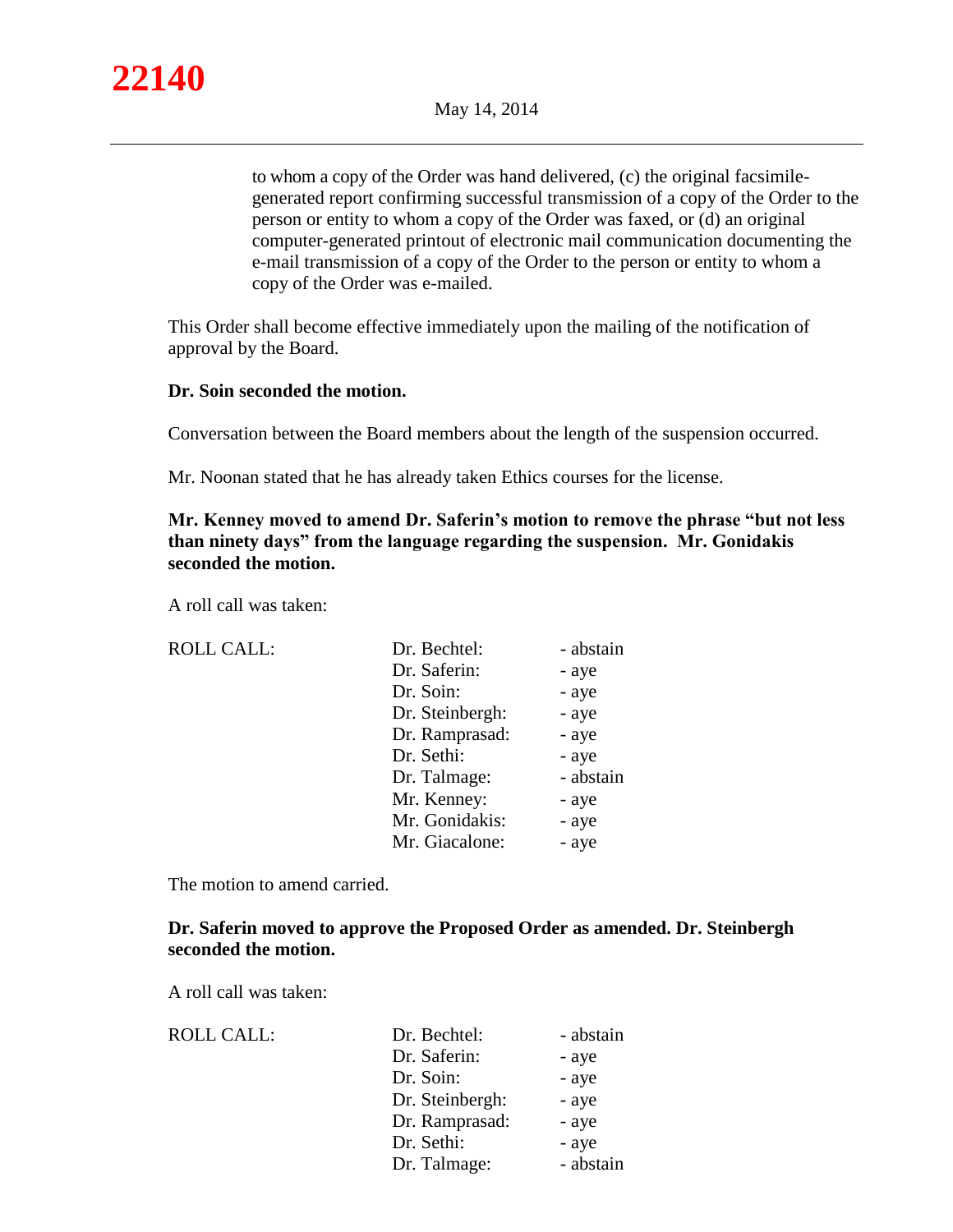

to whom a copy of the Order was hand delivered, (c) the original facsimilegenerated report confirming successful transmission of a copy of the Order to the person or entity to whom a copy of the Order was faxed, or (d) an original computer-generated printout of electronic mail communication documenting the e-mail transmission of a copy of the Order to the person or entity to whom a copy of the Order was e-mailed.

This Order shall become effective immediately upon the mailing of the notification of approval by the Board.

#### **Dr. Soin seconded the motion.**

Conversation between the Board members about the length of the suspension occurred.

Mr. Noonan stated that he has already taken Ethics courses for the license.

## **Mr. Kenney moved to amend Dr. Saferin's motion to remove the phrase "but not less than ninety days" from the language regarding the suspension. Mr. Gonidakis seconded the motion.**

A roll call was taken:

| <b>ROLL CALL:</b> | Dr. Bechtel:    | - abstain |
|-------------------|-----------------|-----------|
|                   | Dr. Saferin:    | - aye     |
|                   | Dr. Soin:       | - aye     |
|                   | Dr. Steinbergh: | - aye     |
|                   | Dr. Ramprasad:  | - aye     |
|                   | Dr. Sethi:      | - aye     |
|                   | Dr. Talmage:    | - abstain |
|                   | Mr. Kenney:     | - aye     |
|                   | Mr. Gonidakis:  | - aye     |
|                   | Mr. Giacalone:  | - aye     |
|                   |                 |           |

The motion to amend carried.

## **Dr. Saferin moved to approve the Proposed Order as amended. Dr. Steinbergh seconded the motion.**

A roll call was taken:

| <b>ROLL CALL:</b> | Dr. Bechtel:    | - abstain |
|-------------------|-----------------|-----------|
|                   | Dr. Saferin:    | - aye     |
|                   | Dr. Soin:       | - aye     |
|                   | Dr. Steinbergh: | - aye     |
|                   | Dr. Ramprasad:  | - aye     |
|                   | Dr. Sethi:      | - aye     |
|                   | Dr. Talmage:    | - abstain |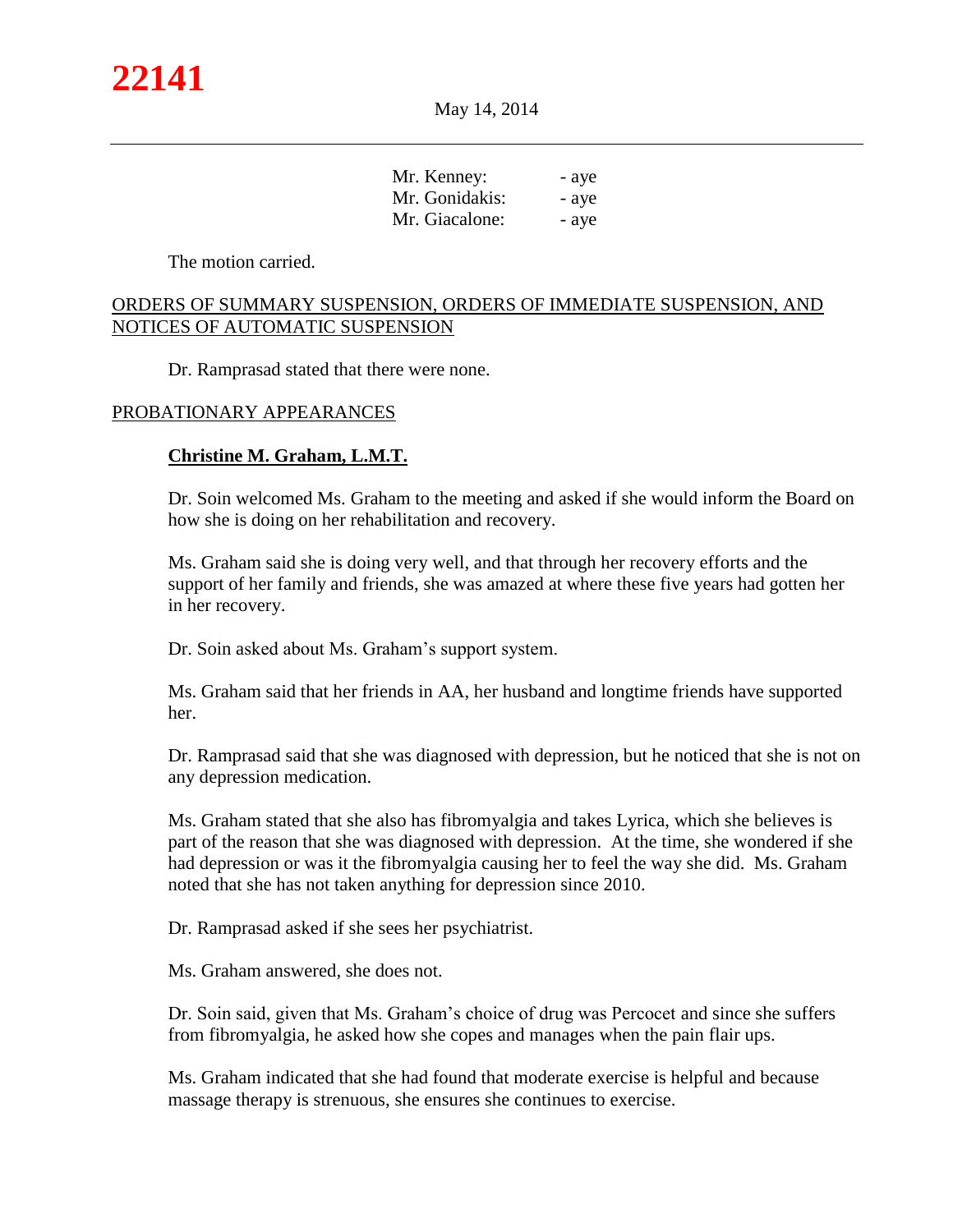| Mr. Kenney:    | - ave |
|----------------|-------|
| Mr. Gonidakis: | - ave |
| Mr. Giacalone: | - ave |

The motion carried.

#### ORDERS OF SUMMARY SUSPENSION, ORDERS OF IMMEDIATE SUSPENSION, AND NOTICES OF AUTOMATIC SUSPENSION

Dr. Ramprasad stated that there were none.

#### PROBATIONARY APPEARANCES

#### **Christine M. Graham, L.M.T.**

Dr. Soin welcomed Ms. Graham to the meeting and asked if she would inform the Board on how she is doing on her rehabilitation and recovery.

Ms. Graham said she is doing very well, and that through her recovery efforts and the support of her family and friends, she was amazed at where these five years had gotten her in her recovery.

Dr. Soin asked about Ms. Graham's support system.

Ms. Graham said that her friends in AA, her husband and longtime friends have supported her.

Dr. Ramprasad said that she was diagnosed with depression, but he noticed that she is not on any depression medication.

Ms. Graham stated that she also has fibromyalgia and takes Lyrica, which she believes is part of the reason that she was diagnosed with depression. At the time, she wondered if she had depression or was it the fibromyalgia causing her to feel the way she did. Ms. Graham noted that she has not taken anything for depression since 2010.

Dr. Ramprasad asked if she sees her psychiatrist.

Ms. Graham answered, she does not.

Dr. Soin said, given that Ms. Graham's choice of drug was Percocet and since she suffers from fibromyalgia, he asked how she copes and manages when the pain flair ups.

Ms. Graham indicated that she had found that moderate exercise is helpful and because massage therapy is strenuous, she ensures she continues to exercise.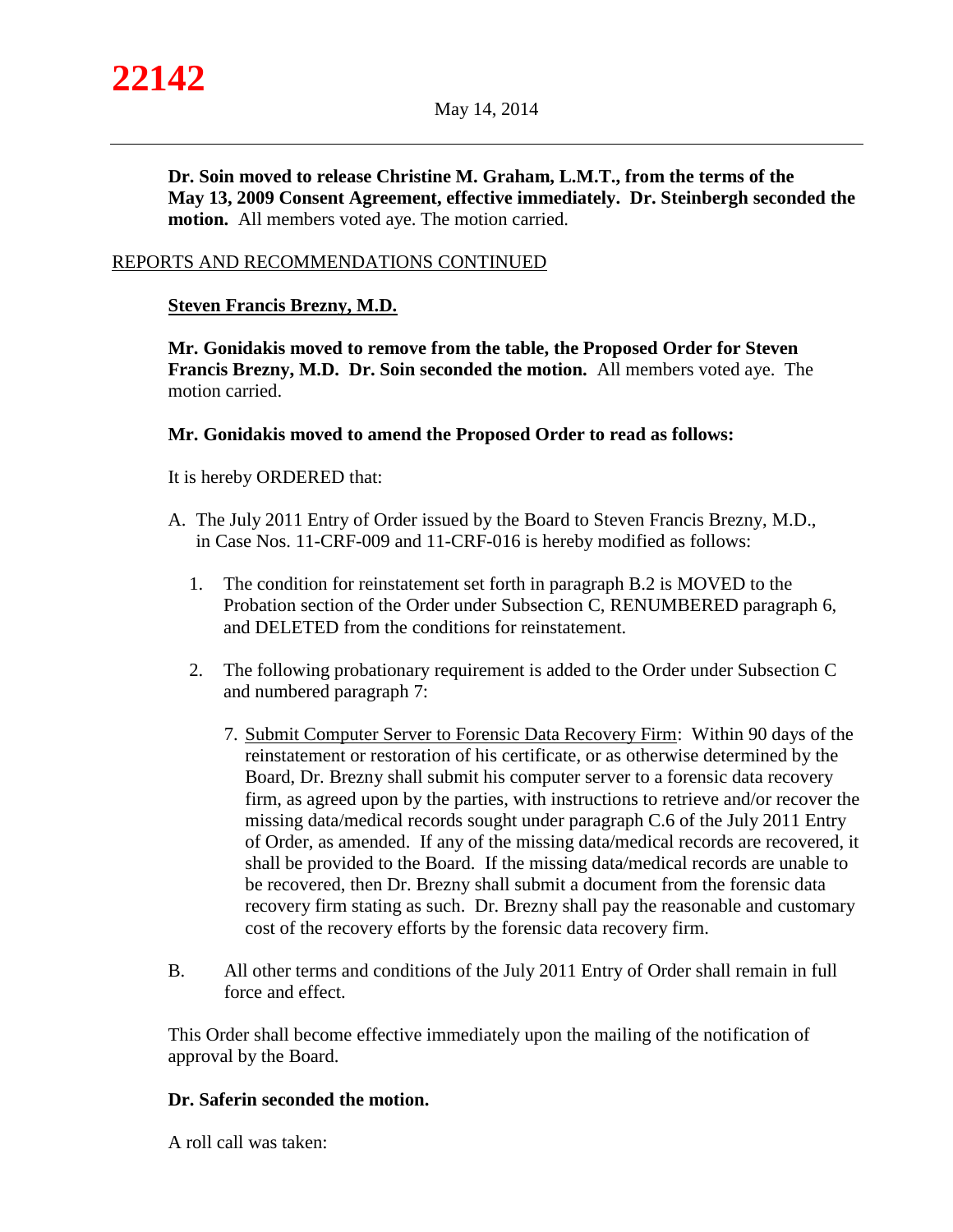**Dr. Soin moved to release Christine M. Graham, L.M.T., from the terms of the May 13, 2009 Consent Agreement, effective immediately. Dr. Steinbergh seconded the motion.** All members voted aye. The motion carried.

## REPORTS AND RECOMMENDATIONS CONTINUED

## **Steven Francis Brezny, M.D.**

**Mr. Gonidakis moved to remove from the table, the Proposed Order for Steven Francis Brezny, M.D. Dr. Soin seconded the motion.** All members voted aye. The motion carried.

## **Mr. Gonidakis moved to amend the Proposed Order to read as follows:**

It is hereby ORDERED that:

- A. The July 2011 Entry of Order issued by the Board to Steven Francis Brezny, M.D., in Case Nos. 11-CRF-009 and 11-CRF-016 is hereby modified as follows:
	- 1. The condition for reinstatement set forth in paragraph B.2 is MOVED to the Probation section of the Order under Subsection C, RENUMBERED paragraph 6, and DELETED from the conditions for reinstatement.
	- 2. The following probationary requirement is added to the Order under Subsection C and numbered paragraph 7:
		- 7. Submit Computer Server to Forensic Data Recovery Firm: Within 90 days of the reinstatement or restoration of his certificate, or as otherwise determined by the Board, Dr. Brezny shall submit his computer server to a forensic data recovery firm, as agreed upon by the parties, with instructions to retrieve and/or recover the missing data/medical records sought under paragraph C.6 of the July 2011 Entry of Order, as amended. If any of the missing data/medical records are recovered, it shall be provided to the Board. If the missing data/medical records are unable to be recovered, then Dr. Brezny shall submit a document from the forensic data recovery firm stating as such. Dr. Brezny shall pay the reasonable and customary cost of the recovery efforts by the forensic data recovery firm.
- B. All other terms and conditions of the July 2011 Entry of Order shall remain in full force and effect.

This Order shall become effective immediately upon the mailing of the notification of approval by the Board.

## **Dr. Saferin seconded the motion.**

A roll call was taken: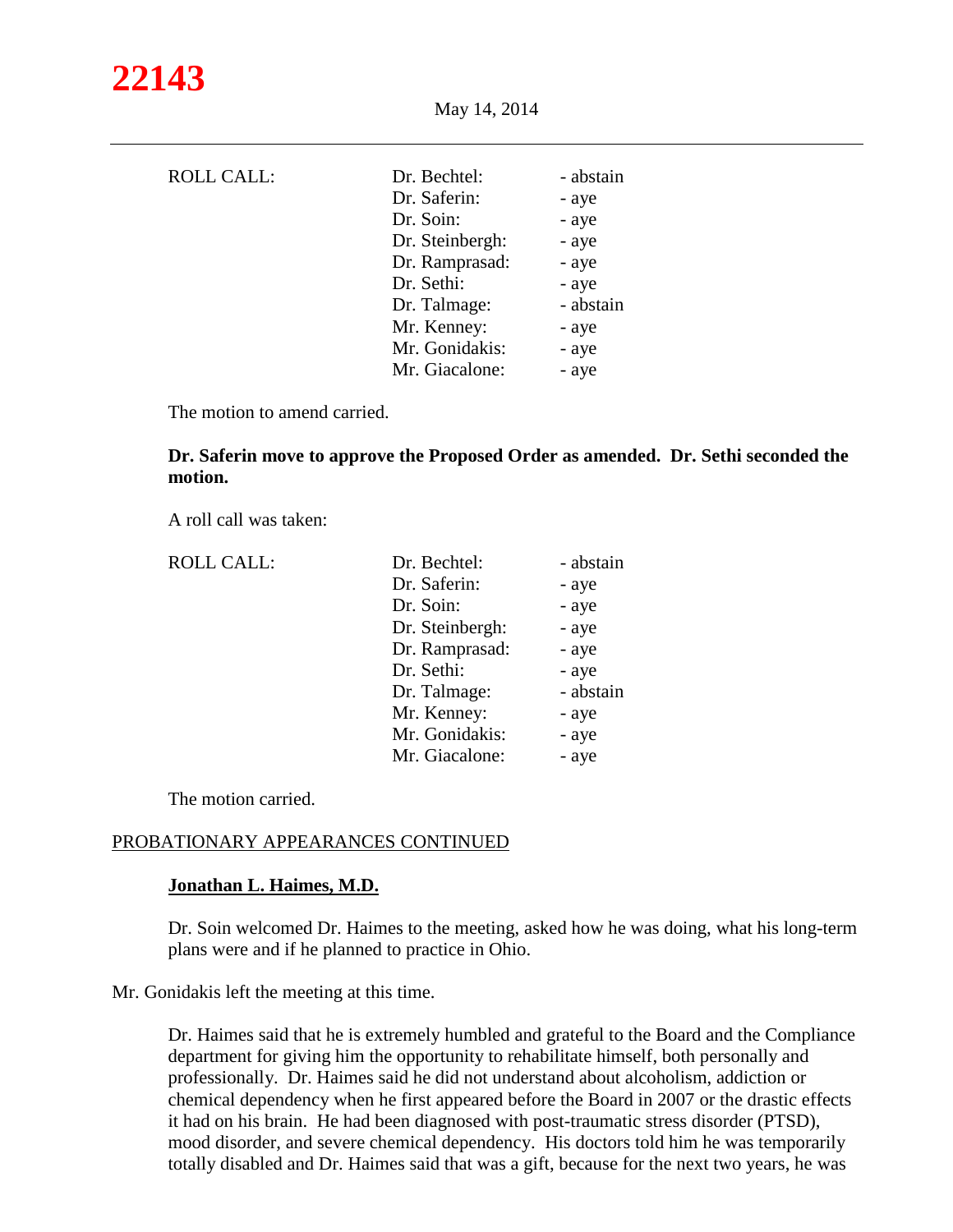| <b>ROLL CALL:</b> | Dr. Bechtel:<br>Dr. Saferin:<br>Dr. Soin:<br>Dr. Steinbergh:<br>Dr. Ramprasad:<br>Dr. Sethi:<br>Dr. Talmage:<br>Mr. Kenney: | - abstain<br>- aye<br>- aye<br>- aye<br>- aye<br>- aye<br>- abstain<br>- aye |
|-------------------|-----------------------------------------------------------------------------------------------------------------------------|------------------------------------------------------------------------------|
|                   | Mr. Gonidakis:                                                                                                              | - aye                                                                        |
|                   | Mr. Giacalone:                                                                                                              | - aye                                                                        |

The motion to amend carried.

**Dr. Saferin move to approve the Proposed Order as amended. Dr. Sethi seconded the motion.**

A roll call was taken:

| <b>ROLL CALL:</b> | Dr. Bechtel:    | - abstain |
|-------------------|-----------------|-----------|
|                   | Dr. Saferin:    | - aye     |
|                   | Dr. Soin:       | - aye     |
|                   | Dr. Steinbergh: | - aye     |
|                   | Dr. Ramprasad:  | - aye     |
|                   | Dr. Sethi:      | - aye     |
|                   | Dr. Talmage:    | - abstain |
|                   | Mr. Kenney:     | - aye     |
|                   | Mr. Gonidakis:  | - aye     |
|                   | Mr. Giacalone:  | - aye     |

The motion carried.

## PROBATIONARY APPEARANCES CONTINUED

#### **Jonathan L. Haimes, M.D.**

Dr. Soin welcomed Dr. Haimes to the meeting, asked how he was doing, what his long-term plans were and if he planned to practice in Ohio.

Mr. Gonidakis left the meeting at this time.

Dr. Haimes said that he is extremely humbled and grateful to the Board and the Compliance department for giving him the opportunity to rehabilitate himself, both personally and professionally. Dr. Haimes said he did not understand about alcoholism, addiction or chemical dependency when he first appeared before the Board in 2007 or the drastic effects it had on his brain. He had been diagnosed with post-traumatic stress disorder (PTSD), mood disorder, and severe chemical dependency. His doctors told him he was temporarily totally disabled and Dr. Haimes said that was a gift, because for the next two years, he was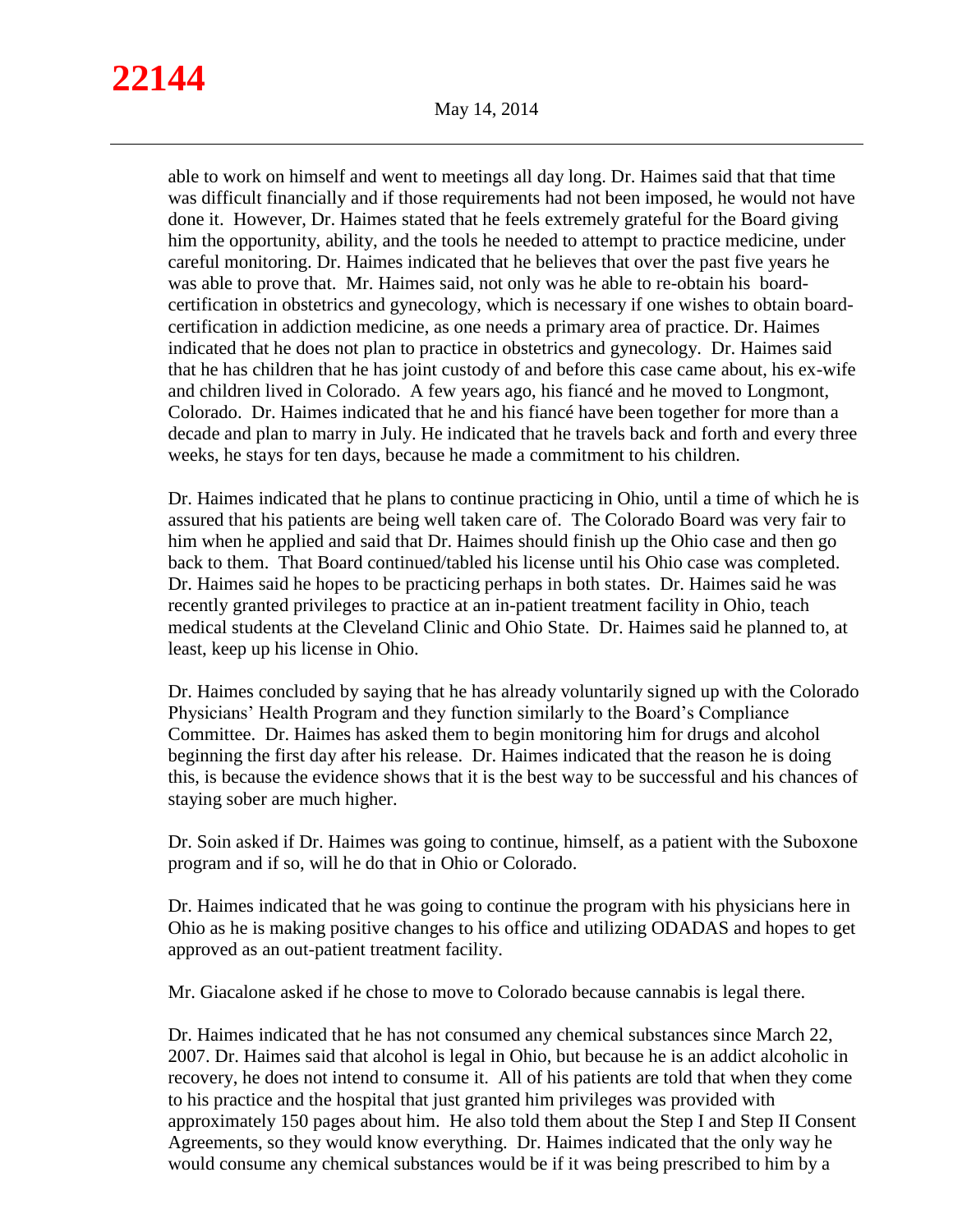able to work on himself and went to meetings all day long. Dr. Haimes said that that time was difficult financially and if those requirements had not been imposed, he would not have done it. However, Dr. Haimes stated that he feels extremely grateful for the Board giving him the opportunity, ability, and the tools he needed to attempt to practice medicine, under careful monitoring. Dr. Haimes indicated that he believes that over the past five years he was able to prove that. Mr. Haimes said, not only was he able to re-obtain his boardcertification in obstetrics and gynecology, which is necessary if one wishes to obtain boardcertification in addiction medicine, as one needs a primary area of practice. Dr. Haimes indicated that he does not plan to practice in obstetrics and gynecology. Dr. Haimes said that he has children that he has joint custody of and before this case came about, his ex-wife and children lived in Colorado. A few years ago, his fiancé and he moved to Longmont, Colorado. Dr. Haimes indicated that he and his fiancé have been together for more than a decade and plan to marry in July. He indicated that he travels back and forth and every three weeks, he stays for ten days, because he made a commitment to his children.

Dr. Haimes indicated that he plans to continue practicing in Ohio, until a time of which he is assured that his patients are being well taken care of. The Colorado Board was very fair to him when he applied and said that Dr. Haimes should finish up the Ohio case and then go back to them. That Board continued/tabled his license until his Ohio case was completed. Dr. Haimes said he hopes to be practicing perhaps in both states. Dr. Haimes said he was recently granted privileges to practice at an in-patient treatment facility in Ohio, teach medical students at the Cleveland Clinic and Ohio State. Dr. Haimes said he planned to, at least, keep up his license in Ohio.

Dr. Haimes concluded by saying that he has already voluntarily signed up with the Colorado Physicians' Health Program and they function similarly to the Board's Compliance Committee. Dr. Haimes has asked them to begin monitoring him for drugs and alcohol beginning the first day after his release. Dr. Haimes indicated that the reason he is doing this, is because the evidence shows that it is the best way to be successful and his chances of staying sober are much higher.

Dr. Soin asked if Dr. Haimes was going to continue, himself, as a patient with the Suboxone program and if so, will he do that in Ohio or Colorado.

Dr. Haimes indicated that he was going to continue the program with his physicians here in Ohio as he is making positive changes to his office and utilizing ODADAS and hopes to get approved as an out-patient treatment facility.

Mr. Giacalone asked if he chose to move to Colorado because cannabis is legal there.

Dr. Haimes indicated that he has not consumed any chemical substances since March 22, 2007. Dr. Haimes said that alcohol is legal in Ohio, but because he is an addict alcoholic in recovery, he does not intend to consume it. All of his patients are told that when they come to his practice and the hospital that just granted him privileges was provided with approximately 150 pages about him. He also told them about the Step I and Step II Consent Agreements, so they would know everything. Dr. Haimes indicated that the only way he would consume any chemical substances would be if it was being prescribed to him by a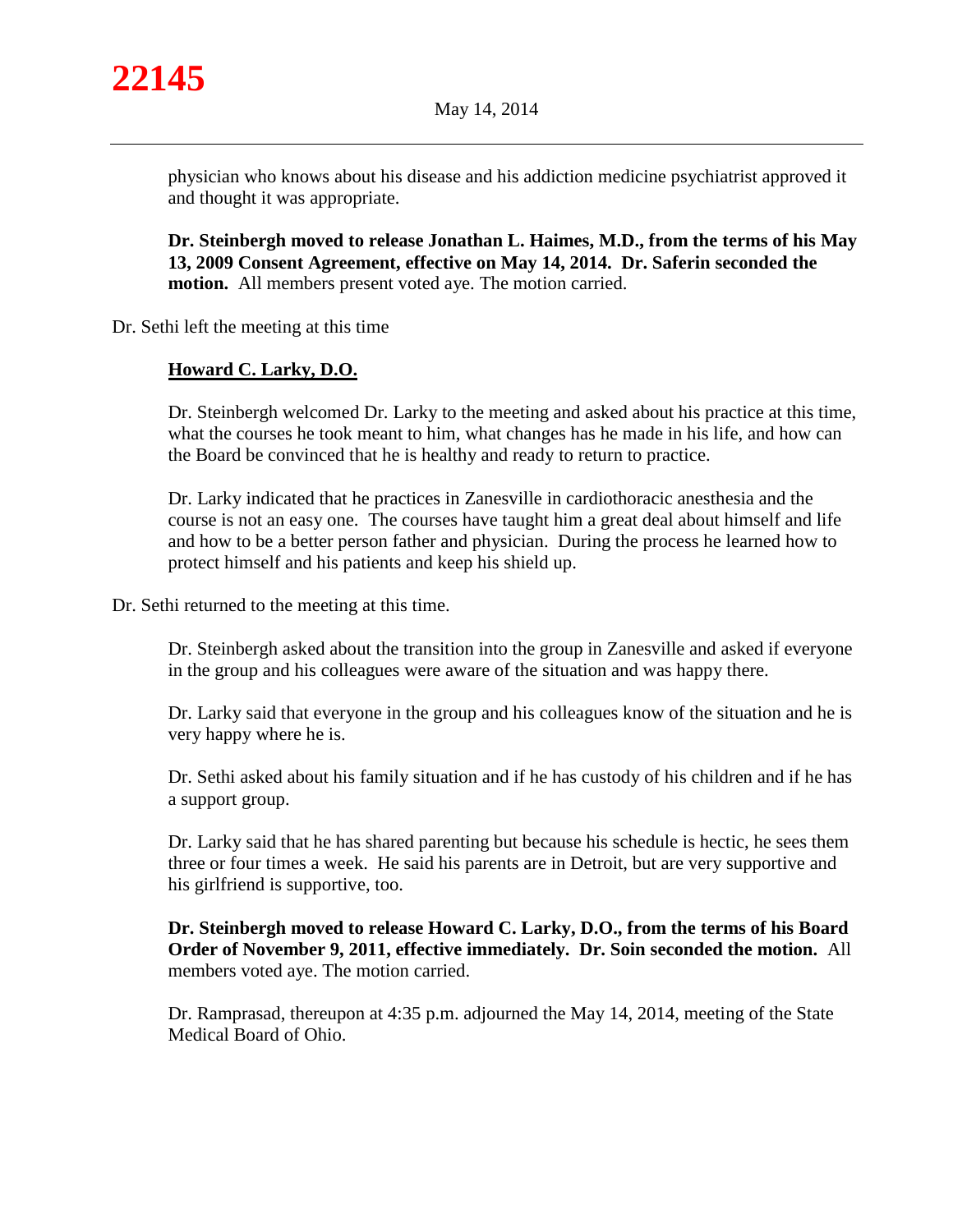

physician who knows about his disease and his addiction medicine psychiatrist approved it and thought it was appropriate.

**Dr. Steinbergh moved to release Jonathan L. Haimes, M.D., from the terms of his May 13, 2009 Consent Agreement, effective on May 14, 2014. Dr. Saferin seconded the motion.** All members present voted aye. The motion carried.

Dr. Sethi left the meeting at this time

## **Howard C. Larky, D.O.**

Dr. Steinbergh welcomed Dr. Larky to the meeting and asked about his practice at this time, what the courses he took meant to him, what changes has he made in his life, and how can the Board be convinced that he is healthy and ready to return to practice.

Dr. Larky indicated that he practices in Zanesville in cardiothoracic anesthesia and the course is not an easy one. The courses have taught him a great deal about himself and life and how to be a better person father and physician. During the process he learned how to protect himself and his patients and keep his shield up.

Dr. Sethi returned to the meeting at this time.

Dr. Steinbergh asked about the transition into the group in Zanesville and asked if everyone in the group and his colleagues were aware of the situation and was happy there.

Dr. Larky said that everyone in the group and his colleagues know of the situation and he is very happy where he is.

Dr. Sethi asked about his family situation and if he has custody of his children and if he has a support group.

Dr. Larky said that he has shared parenting but because his schedule is hectic, he sees them three or four times a week. He said his parents are in Detroit, but are very supportive and his girlfriend is supportive, too.

**Dr. Steinbergh moved to release Howard C. Larky, D.O., from the terms of his Board Order of November 9, 2011, effective immediately. Dr. Soin seconded the motion.** All members voted aye. The motion carried.

Dr. Ramprasad, thereupon at 4:35 p.m. adjourned the May 14, 2014, meeting of the State Medical Board of Ohio.